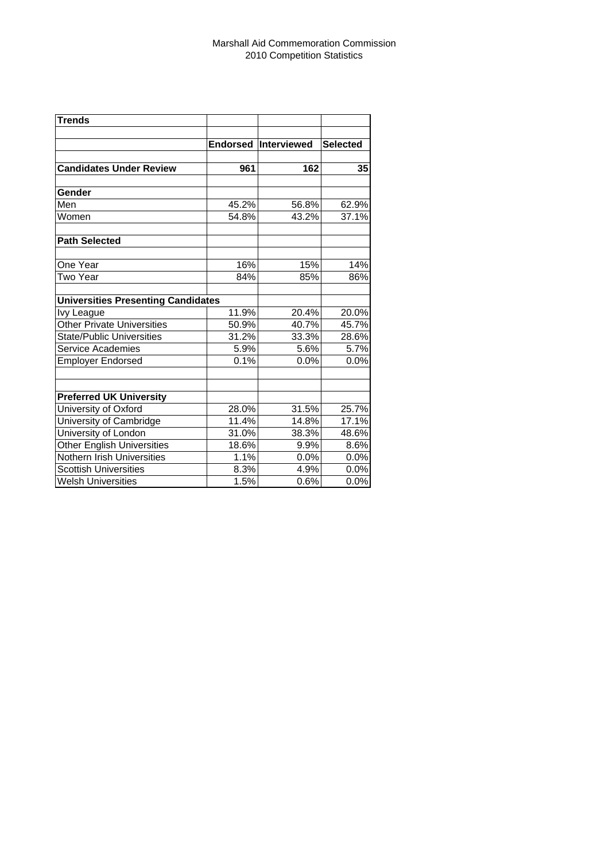| <b>Trends</b>                             |       |                      |                 |
|-------------------------------------------|-------|----------------------|-----------------|
|                                           |       |                      |                 |
|                                           |       | Endorsed Interviewed | <b>Selected</b> |
| <b>Candidates Under Review</b>            | 961   | 162                  | 35              |
| Gender                                    |       |                      |                 |
| Men                                       | 45.2% | 56.8%                | 62.9%           |
| Women                                     | 54.8% | 43.2%                | 37.1%           |
| <b>Path Selected</b>                      |       |                      |                 |
| One Year                                  | 16%   | 15%                  | 14%             |
| Two Year                                  | 84%   | 85%                  | 86%             |
| <b>Universities Presenting Candidates</b> |       |                      |                 |
| Ivy League                                | 11.9% | 20.4%                | 20.0%           |
| <b>Other Private Universities</b>         | 50.9% | 40.7%                | 45.7%           |
| <b>State/Public Universities</b>          | 31.2% | 33.3%                | 28.6%           |
| Service Academies                         | 5.9%  | 5.6%                 | 5.7%            |
| <b>Employer Endorsed</b>                  | 0.1%  | 0.0%                 | 0.0%            |
| <b>Preferred UK University</b>            |       |                      |                 |
| University of Oxford                      | 28.0% | 31.5%                | 25.7%           |
| University of Cambridge                   | 11.4% | 14.8%                | 17.1%           |
| University of London                      | 31.0% | 38.3%                | 48.6%           |
| <b>Other English Universities</b>         | 18.6% | 9.9%                 | 8.6%            |
| Nothern Irish Universities                | 1.1%  | 0.0%                 | 0.0%            |
| <b>Scottish Universities</b>              | 8.3%  | 4.9%                 | 0.0%            |
| <b>Welsh Universities</b>                 | 1.5%  | 0.6%                 | 0.0%            |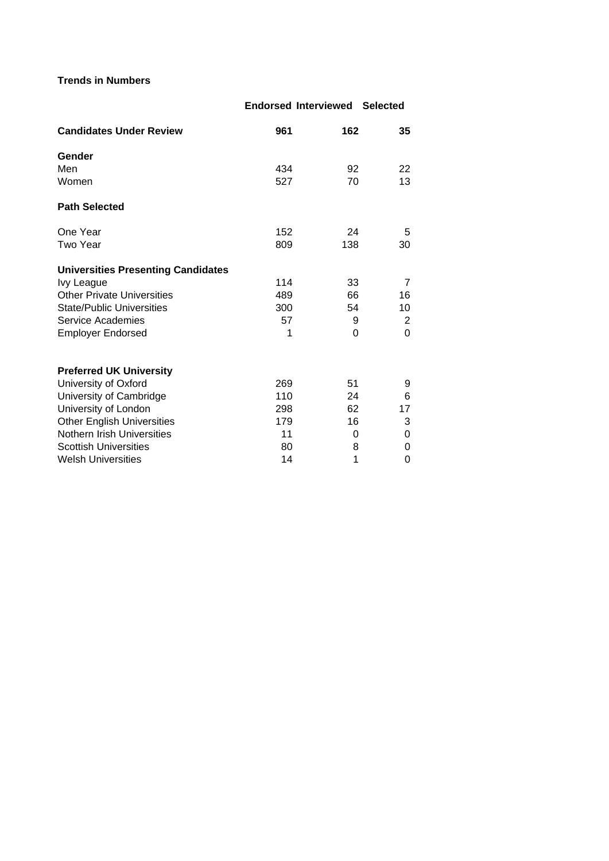## **Trends in Numbers**

**Endorsed Interviewed Selected Candidates Under Review 961 162 35 Gender** Men 22 22 22 234 92 22 Women 13 and 13 and 13 and 13 and 13 and 13 and 13 and 13 and 13 and 13 and 13 and 13 and 13 and 13 and 13 and 13 and 13 and 13 and 13 and 13 and 13 and 13 and 13 and 13 and 13 and 13 and 13 and 13 and 13 and 13 and 13 and **Path Selected** One Year 5 152 24 5 Two Year 809 138 30 **Universities Presenting Candidates** Ivy League 114 33 7 Other Private Universities **489** 66 16 State/Public Universities 10 Service Academies 67 57 9 2 Employer Endorsed 1 0 0 **Preferred UK University** University of Oxford 1990 100 269 51 9 University of Cambridge 110 24 6 University of London 298 62 17<br>
Other English Universities 179 16 3 Other English Universities 179 16 3 Nothern Irish Universities 11 0 0 0 0 Scottish Universities 80 8 0 Welsh Universities **14** 1 0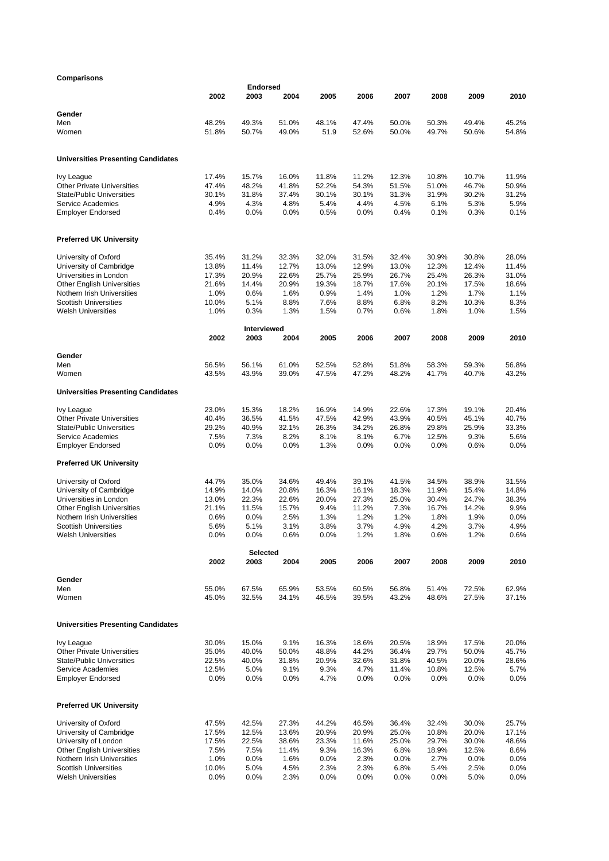## **Comparisons**

| Comparisons                                                |                |                         |                |                |                |                |                |                |                |
|------------------------------------------------------------|----------------|-------------------------|----------------|----------------|----------------|----------------|----------------|----------------|----------------|
|                                                            | 2002           | <b>Endorsed</b><br>2003 | 2004           | 2005           | 2006           | 2007           | 2008           | 2009           | 2010           |
| Gender                                                     |                |                         |                |                |                |                |                |                |                |
| Men                                                        | 48.2%          | 49.3%                   | 51.0%          | 48.1%          | 47.4%          | 50.0%          | 50.3%          | 49.4%          | 45.2%          |
| Women                                                      | 51.8%          | 50.7%                   | 49.0%          | 51.9           | 52.6%          | 50.0%          | 49.7%          | 50.6%          | 54.8%          |
| <b>Universities Presenting Candidates</b>                  |                |                         |                |                |                |                |                |                |                |
| <b>Ivy League</b>                                          | 17.4%          | 15.7%                   | 16.0%          | 11.8%          | 11.2%          | 12.3%          | 10.8%          | 10.7%          | 11.9%          |
| <b>Other Private Universities</b>                          | 47.4%          | 48.2%                   | 41.8%          | 52.2%          | 54.3%          | 51.5%          | 51.0%          | 46.7%          | 50.9%          |
| <b>State/Public Universities</b>                           | 30.1%          | 31.8%                   | 37.4%          | 30.1%          | 30.1%          | 31.3%          | 31.9%          | 30.2%          | 31.2%          |
| Service Academies                                          | 4.9%           | 4.3%                    | 4.8%           | 5.4%           | 4.4%           | 4.5%           | 6.1%           | 5.3%           | 5.9%           |
| <b>Employer Endorsed</b>                                   | 0.4%           | 0.0%                    | 0.0%           | 0.5%           | 0.0%           | 0.4%           | 0.1%           | 0.3%           | 0.1%           |
| <b>Preferred UK University</b>                             |                |                         |                |                |                |                |                |                |                |
| University of Oxford                                       | 35.4%          | 31.2%                   | 32.3%          | 32.0%          | 31.5%          | 32.4%          | 30.9%          | 30.8%          | 28.0%          |
| University of Cambridge                                    | 13.8%          | 11.4%                   | 12.7%          | 13.0%          | 12.9%          | 13.0%          | 12.3%          | 12.4%          | 11.4%          |
| Universities in London                                     | 17.3%          | 20.9%                   | 22.6%          | 25.7%          | 25.9%          | 26.7%          | 25.4%          | 26.3%          | 31.0%          |
| <b>Other English Universities</b>                          | 21.6%          | 14.4%                   | 20.9%          | 19.3%          | 18.7%          | 17.6%          | 20.1%          | 17.5%          | 18.6%          |
| Nothern Irish Universities                                 | 1.0%           | 0.6%                    | 1.6%           | 0.9%           | 1.4%           | 1.0%           | 1.2%           | 1.7%           | 1.1%           |
| <b>Scottish Universities</b>                               | 10.0%          | 5.1%                    | 8.8%           | 7.6%           | 8.8%           | 6.8%           | 8.2%           | 10.3%          | 8.3%           |
| <b>Welsh Universities</b>                                  | 1.0%           | 0.3%                    | 1.3%           | 1.5%           | 0.7%           | 0.6%           | 1.8%           | 1.0%           | 1.5%           |
|                                                            | 2002           | Interviewed<br>2003     | 2004           | 2005           | 2006           | 2007           | 2008           | 2009           | 2010           |
| Gender                                                     |                |                         |                |                |                |                |                |                |                |
| Men<br>Women                                               | 56.5%<br>43.5% | 56.1%<br>43.9%          | 61.0%<br>39.0% | 52.5%<br>47.5% | 52.8%<br>47.2% | 51.8%<br>48.2% | 58.3%<br>41.7% | 59.3%<br>40.7% | 56.8%<br>43.2% |
| <b>Universities Presenting Candidates</b>                  |                |                         |                |                |                |                |                |                |                |
|                                                            |                |                         |                |                |                |                |                |                |                |
| Ivy League<br><b>Other Private Universities</b>            | 23.0%<br>40.4% | 15.3%<br>36.5%          | 18.2%<br>41.5% | 16.9%<br>47.5% | 14.9%<br>42.9% | 22.6%<br>43.9% | 17.3%<br>40.5% | 19.1%<br>45.1% | 20.4%<br>40.7% |
| <b>State/Public Universities</b>                           | 29.2%          | 40.9%                   | 32.1%          | 26.3%          | 34.2%          | 26.8%          | 29.8%          | 25.9%          | 33.3%          |
| Service Academies                                          | 7.5%           | 7.3%                    | 8.2%           | 8.1%           | 8.1%           | 6.7%           | 12.5%          | 9.3%           | 5.6%           |
| <b>Employer Endorsed</b>                                   | 0.0%           | 0.0%                    | 0.0%           | 1.3%           | 0.0%           | 0.0%           | 0.0%           | 0.6%           | 0.0%           |
| <b>Preferred UK University</b>                             |                |                         |                |                |                |                |                |                |                |
| University of Oxford                                       | 44.7%          | 35.0%                   | 34.6%          | 49.4%          | 39.1%          | 41.5%          | 34.5%          | 38.9%          | 31.5%          |
| University of Cambridge                                    | 14.9%          | 14.0%                   | 20.8%          | 16.3%          | 16.1%          | 18.3%          | 11.9%          | 15.4%          | 14.8%          |
| Universities in London                                     | 13.0%          | 22.3%                   | 22.6%          | 20.0%          | 27.3%          | 25.0%          | 30.4%          | 24.7%          | 38.3%          |
| <b>Other English Universities</b>                          | 21.1%          | 11.5%                   | 15.7%          | 9.4%           | 11.2%          | 7.3%           | 16.7%          | 14.2%          | 9.9%           |
| Nothern Irish Universities                                 | 0.6%           | 0.0%                    | 2.5%           | 1.3%           | 1.2%           | 1.2%           | 1.8%           | 1.9%           | 0.0%           |
| <b>Scottish Universities</b><br><b>Welsh Universities</b>  | 5.6%<br>0.0%   | 5.1%<br>0.0%            | 3.1%<br>0.6%   | 3.8%<br>0.0%   | 3.7%<br>1.2%   | 4.9%<br>1.8%   | 4.2%<br>0.6%   | 3.7%<br>1.2%   | 4.9%<br>0.6%   |
|                                                            |                | Selected                |                |                |                |                |                |                |                |
|                                                            | 2002           | 2003                    | 2004           | 2005           | 2006           | 2007           | 2008           | 2009           | 2010           |
| Gender                                                     |                |                         |                |                |                |                |                |                |                |
| Men<br>Women                                               | 55.0%<br>45.0% | 67.5%<br>32.5%          | 65.9%<br>34.1% | 53.5%<br>46.5% | 60.5%<br>39.5% | 56.8%<br>43.2% | 51.4%<br>48.6% | 72.5%<br>27.5% | 62.9%<br>37.1% |
|                                                            |                |                         |                |                |                |                |                |                |                |
| <b>Universities Presenting Candidates</b>                  |                |                         |                |                |                |                |                |                |                |
| Ivy League                                                 | 30.0%          | 15.0%                   | 9.1%           | 16.3%          | 18.6%          | 20.5%          | 18.9%          | 17.5%          | 20.0%          |
| <b>Other Private Universities</b>                          | 35.0%          | 40.0%                   | 50.0%          | 48.8%          | 44.2%          | 36.4%          | 29.7%          | 50.0%          | 45.7%          |
| <b>State/Public Universities</b>                           | 22.5%          | 40.0%                   | 31.8%          | 20.9%          | 32.6%          | 31.8%          | 40.5%          | 20.0%          | 28.6%          |
| Service Academies                                          | 12.5%          | 5.0%                    | 9.1%           | 9.3%           | 4.7%           | 11.4%          | 10.8%          | 12.5%          | 5.7%           |
| <b>Employer Endorsed</b>                                   | 0.0%           | 0.0%                    | 0.0%           | 4.7%           | 0.0%           | 0.0%           | 0.0%           | 0.0%           | 0.0%           |
| <b>Preferred UK University</b>                             |                |                         |                |                |                |                |                |                |                |
| University of Oxford                                       | 47.5%          | 42.5%                   | 27.3%          | 44.2%          | 46.5%          | 36.4%          | 32.4%          | 30.0%          | 25.7%          |
| University of Cambridge                                    | 17.5%          | 12.5%                   | 13.6%          | 20.9%          | 20.9%          | 25.0%          | 10.8%          | 20.0%          | 17.1%          |
| University of London                                       | 17.5%          | 22.5%                   | 38.6%          | 23.3%          | 11.6%          | 25.0%          | 29.7%          | 30.0%          | 48.6%          |
| <b>Other English Universities</b>                          | 7.5%           | 7.5%                    | 11.4%          | 9.3%           | 16.3%          | 6.8%           | 18.9%          | 12.5%          | 8.6%           |
| Nothern Irish Universities<br><b>Scottish Universities</b> | 1.0%           | 0.0%                    | 1.6%           | 0.0%           | 2.3%           | 0.0%           | 2.7%           | 0.0%           | 0.0%           |
| <b>Welsh Universities</b>                                  | 10.0%<br>0.0%  | 5.0%<br>0.0%            | 4.5%<br>2.3%   | 2.3%<br>0.0%   | 2.3%<br>0.0%   | 6.8%<br>0.0%   | 5.4%<br>0.0%   | 2.5%<br>5.0%   | 0.0%<br>0.0%   |
|                                                            |                |                         |                |                |                |                |                |                |                |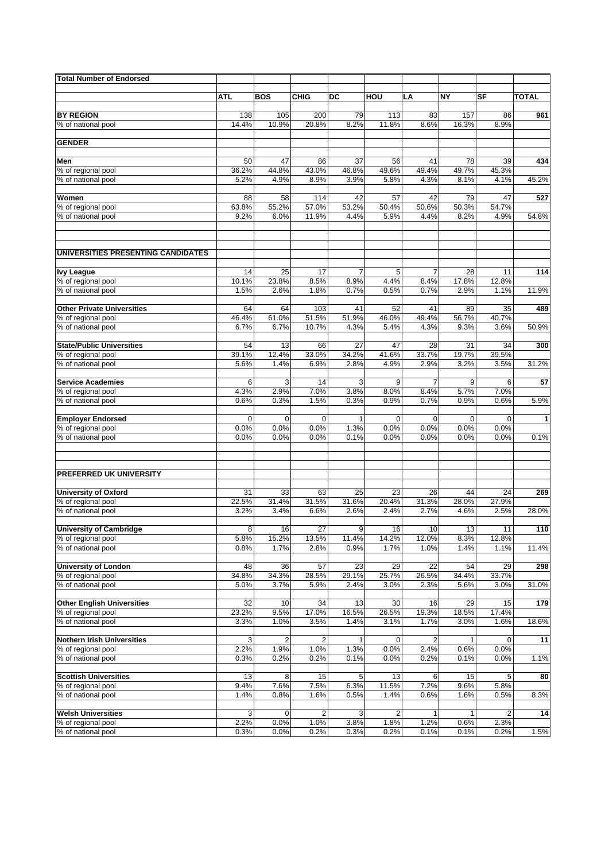| <b>Total Number of Endorsed</b>          |               |                |                |               |               |                        |               |                         |              |
|------------------------------------------|---------------|----------------|----------------|---------------|---------------|------------------------|---------------|-------------------------|--------------|
|                                          |               |                |                |               |               |                        |               |                         |              |
|                                          | <b>ATL</b>    | <b>BOS</b>     | <b>CHIG</b>    | DC            | HOU           | LA                     | <b>NY</b>     | SF                      | <b>TOTAL</b> |
| <b>BY REGION</b>                         | 138           | 105            | 200            | 79            | 113           | 83                     | 157           | 86                      | 961          |
| % of national pool                       | 14.4%         | 10.9%          | 20.8%          | 8.2%          | 11.8%         | 8.6%                   | 16.3%         | 8.9%                    |              |
| <b>GENDER</b>                            |               |                |                |               |               |                        |               |                         |              |
|                                          |               |                |                |               |               |                        |               |                         |              |
| Men                                      | 50            | 47             | 86             | 37            | 56            | 41                     | 78            | 39                      | 434          |
| % of regional pool                       | 36.2%         | 44.8%          | 43.0%          | 46.8%         | 49.6%         | 49.4%                  | 49.7%         | 45.3%                   |              |
| % of national pool                       | 5.2%          | 4.9%           | 8.9%           | 3.9%          | 5.8%          | 4.3%                   | 8.1%          | 4.1%                    | 45.2%        |
| Women                                    | 88            | 58             | 114            | 42            | 57            | 42                     | 79            | 47                      | 527          |
| % of regional pool                       | 63.8%         | 55.2%          | 57.0%          | 53.2%         | 50.4%         | 50.6%                  | 50.3%         | 54.7%                   |              |
| % of national pool                       | 9.2%          | 6.0%           | 11.9%          | 4.4%          | 5.9%          | 4.4%                   | 8.2%          | 4.9%                    | 54.8%        |
| UNIVERSITIES PRESENTING CANDIDATES       |               |                |                |               |               |                        |               |                         |              |
|                                          |               |                |                |               |               |                        |               |                         |              |
| <b>Ivy League</b><br>% of regional pool  | 14<br>10.1%   | 25<br>23.8%    | 17<br>8.5%     | 7<br>8.9%     | 5<br>4.4%     | $\overline{7}$<br>8.4% | 28<br>17.8%   | 11<br>12.8%             | 114          |
| % of national pool                       | 1.5%          | 2.6%           | 1.8%           | 0.7%          | 0.5%          | 0.7%                   | 2.9%          | 1.1%                    | 11.9%        |
|                                          |               |                |                |               |               |                        |               |                         |              |
| <b>Other Private Universities</b>        | 64            | 64             | 103            | 41            | 52            | 41                     | 89            | 35<br>40.7%             | 489          |
| % of regional pool<br>% of national pool | 46.4%<br>6.7% | 61.0%<br>6.7%  | 51.5%<br>10.7% | 51.9%<br>4.3% | 46.0%<br>5.4% | 49.4%<br>4.3%          | 56.7%<br>9.3% | 3.6%                    | 50.9%        |
|                                          |               |                |                |               |               |                        |               |                         |              |
| <b>State/Public Universities</b>         | 54            | 13             | 66             | 27            | 47            | 28                     | 31            | 34                      | 300          |
| % of regional pool                       | 39.1%         | 12.4%          | 33.0%          | 34.2%         | 41.6%         | 33.7%                  | 19.7%         | 39.5%                   |              |
| % of national pool                       | 5.6%          | 1.4%           | 6.9%           | 2.8%          | 4.9%          | 2.9%                   | 3.2%          | 3.5%                    | 31.2%        |
| <b>Service Academies</b>                 | 6             | 3              | 14             | 3             | 9             | $\overline{7}$         | 9             | 6                       | 57           |
| % of regional pool                       | 4.3%          | 2.9%           | 7.0%           | 3.8%          | 8.0%          | 8.4%                   | 5.7%          | 7.0%                    |              |
| % of national pool                       | 0.6%          | 0.3%           | 1.5%           | 0.3%          | 0.9%          | 0.7%                   | 0.9%          | 0.6%                    | 5.9%         |
| <b>Employer Endorsed</b>                 | $\mathbf 0$   | $\mathbf 0$    | $\mathbf 0$    | $\mathbf{1}$  | $\mathbf 0$   | $\mathbf 0$            | $\mathbf 0$   | 0                       | $\mathbf{1}$ |
| % of regional pool                       | 0.0%          | 0.0%           | 0.0%           | 1.3%          | 0.0%          | 0.0%                   | 0.0%          | 0.0%                    |              |
| % of national pool                       | 0.0%          | 0.0%           | 0.0%           | 0.1%          | 0.0%          | 0.0%                   | 0.0%          | 0.0%                    | 0.1%         |
|                                          |               |                |                |               |               |                        |               |                         |              |
| PREFERRED UK UNIVERSITY                  |               |                |                |               |               |                        |               |                         |              |
| <b>University of Oxford</b>              | 31            | 33             | 63             | 25            | 23            | 26                     | 44            | 24                      | 269          |
| % of regional pool                       | 22.5%         | 31.4%          | 31.5%          | 31.6%         | 20.4%         | 31.3%                  | 28.0%         | 27.9%                   |              |
| % of national pool                       | 3.2%          | 3.4%           | 6.6%           | 2.6%          | 2.4%          | 2.7%                   | 4.6%          | 2.5%                    | 28.0%        |
| <b>University of Cambridge</b>           | 8             | 16             | 27             | 9             | 16            | 10                     | 13            | 11                      | 110          |
| % of regional pool                       | 5.8%          | 15.2%          | 13.5%          | 11.4%         | 14.2%         | 12.0%                  | 8.3%          | 12.8%                   |              |
| % of national pool                       | 0.8%          | 1.7%           | 2.8%           | 0.9%          | 1.7%          | 1.0%                   | 1.4%          | 1.1%                    | 11.4%        |
|                                          |               |                |                |               |               |                        |               |                         |              |
| <b>University of London</b>              | 48<br>34.8%   | 36             | 57<br>28.5%    | 23<br>29.1%   | 29<br>25.7%   | 22                     | 54<br>34.4%   | 29<br>33.7%             | 298          |
| % of regional pool<br>% of national pool | 5.0%          | 34.3%<br>3.7%  | 5.9%           | 2.4%          | 3.0%          | 26.5%<br>2.3%          | 5.6%          | 3.0%                    | 31.0%        |
|                                          |               |                |                |               |               |                        |               |                         |              |
| <b>Other English Universities</b>        | 32            | 10             | 34             | 13            | 30            | 16                     | 29            | 15                      | 179          |
| % of regional pool                       | 23.2%         | 9.5%           | 17.0%          | 16.5%         | 26.5%         | 19.3%                  | 18.5%         | 17.4%                   |              |
| % of national pool                       | 3.3%          | 1.0%           | 3.5%           | 1.4%          | 3.1%          | 1.7%                   | 3.0%          | 1.6%                    | 18.6%        |
| <b>Nothern Irish Universities</b>        | 3             | $\overline{c}$ | 2              | 1             | 0             | 2                      |               | 0                       | 11           |
| % of regional pool                       | 2.2%          | 1.9%           | 1.0%           | 1.3%          | 0.0%          | 2.4%                   | 0.6%          | 0.0%                    |              |
| % of national pool                       | 0.3%          | 0.2%           | 0.2%           | 0.1%          | 0.0%          | 0.2%                   | 0.1%          | 0.0%                    | 1.1%         |
| <b>Scottish Universities</b>             |               |                |                |               |               |                        |               |                         |              |
| % of regional pool                       | 13<br>9.4%    | 8<br>7.6%      | 15<br>7.5%     | 5<br>6.3%     | 13<br>11.5%   | 6<br>7.2%              | 15<br>9.6%    | 5<br>5.8%               | 80           |
| % of national pool                       | 1.4%          | 0.8%           | 1.6%           | 0.5%          | 1.4%          | 0.6%                   | 1.6%          | 0.5%                    | 8.3%         |
|                                          |               |                |                |               |               |                        |               |                         |              |
| <b>Welsh Universities</b>                | 3             | 0              | 2              | 3             | 2             | 1                      |               | $\overline{\mathbf{c}}$ | 14           |
| % of regional pool<br>% of national pool | 2.2%<br>0.3%  | 0.0%<br>0.0%   | 1.0%<br>0.2%   | 3.8%<br>0.3%  | 1.8%<br>0.2%  | 1.2%<br>0.1%           | 0.6%<br>0.1%  | 2.3%<br>0.2%            | 1.5%         |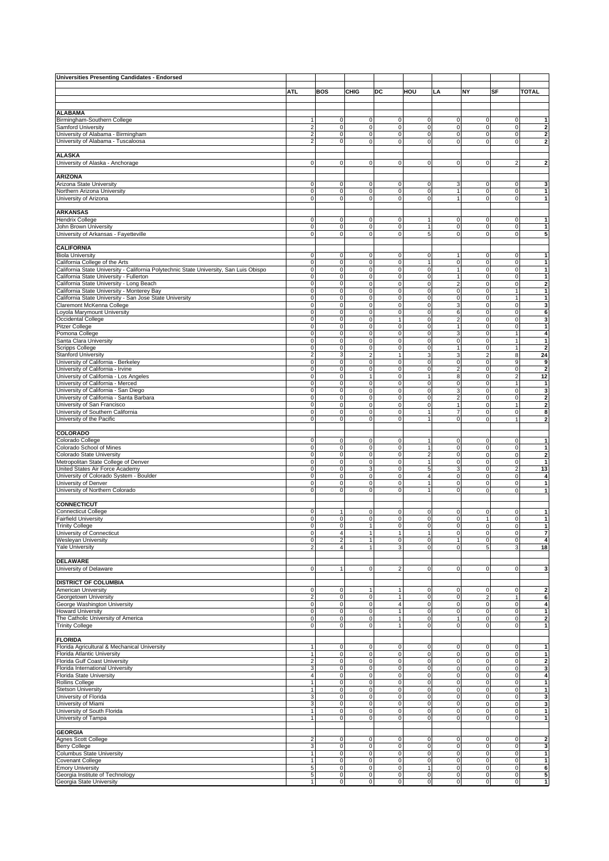| <b>Universities Presenting Candidates - Endorsed</b>                                   |                                             |                                  |                                  |                                |                              |                                    |                            |                                  |                              |
|----------------------------------------------------------------------------------------|---------------------------------------------|----------------------------------|----------------------------------|--------------------------------|------------------------------|------------------------------------|----------------------------|----------------------------------|------------------------------|
|                                                                                        |                                             |                                  |                                  |                                |                              |                                    |                            |                                  |                              |
|                                                                                        | <b>ATL</b>                                  | BOS                              | <b>CHIG</b>                      | DC                             | HOU                          | LA                                 | NY                         | SF                               | <b>TOTAL</b>                 |
|                                                                                        |                                             |                                  |                                  |                                |                              |                                    |                            |                                  |                              |
| <b>ALABAMA</b>                                                                         |                                             |                                  |                                  |                                |                              |                                    |                            |                                  |                              |
| Birmingham-Southern College                                                            | $\mathbf{1}$                                | $\mathbf 0$                      | $\overline{0}$                   | $\mathbf 0$                    | $\mathbf 0$                  | 0                                  | 0                          | 0                                | 1                            |
| Samford University                                                                     | $\sqrt{2}$                                  | $\mathbf 0$                      | $\mathsf O$                      | $\mathsf 0$                    | $\pmb{0}$                    | $\mathbf 0$                        | 0                          | $\mathsf 0$                      | 2                            |
| University of Alabama - Birmingham<br>University of Alabama - Tuscaloosa               | $\overline{2}$                              | $\overline{0}$<br>0              | $\overline{0}$<br>0              | $\mathbf 0$<br>$\mathbf 0$     | $\pmb{0}$<br>$\mathbf 0$     | 0<br>0                             | 0                          | $\mathsf 0$                      | $\overline{\mathbf{2}}$      |
|                                                                                        | $\overline{2}$                              |                                  |                                  |                                |                              |                                    | $\mathbf 0$                | $\pmb{0}$                        | $\overline{\mathbf{2}}$      |
| <b>ALASKA</b>                                                                          |                                             |                                  |                                  |                                |                              |                                    |                            |                                  |                              |
| University of Alaska - Anchorage                                                       | $\mathsf 0$                                 | $\mathbf 0$                      | $\mathbf 0$                      | $\mathsf 0$                    | $\mathbf 0$                  | 0                                  | 0                          | $\overline{2}$                   | $\overline{\mathbf{2}}$      |
|                                                                                        |                                             |                                  |                                  |                                |                              |                                    |                            |                                  |                              |
| <b>ARIZONA</b>                                                                         |                                             |                                  |                                  |                                |                              |                                    |                            |                                  |                              |
| Arizona State University                                                               | 0                                           | 0                                | 0                                | $\mathsf 0$                    | $\pmb{0}$                    | 3                                  | 0                          | 0                                | 3                            |
| Northern Arizona University                                                            | $\mathsf 0$                                 | $\mathbf 0$                      | $\mathbf 0$                      | $\mathbf 0$                    | $\pmb{0}$                    | $\mathbf{1}$                       | 0                          | $\mathbf 0$                      | $\mathbf{1}$                 |
| University of Arizona                                                                  | $\mathsf 0$                                 | $\mathsf O$                      | $\overline{0}$                   | $\mathbf 0$                    | $\mathbf 0$                  | $\mathbf{1}$                       | 0                          | $\mathsf 0$                      | $\mathbf{1}$                 |
| <b>ARKANSAS</b>                                                                        |                                             |                                  |                                  |                                |                              |                                    |                            |                                  |                              |
| <b>Hendrix College</b>                                                                 | 0                                           | $\mathsf O$                      | $\mathbf{0}$                     | $\mathbf 0$                    | $\mathbf{1}$                 | 0                                  | 0                          | $\mathsf 0$                      | $\mathbf{1}$                 |
| John Brown University                                                                  | $\mathsf 0$                                 | $\mathbf 0$                      | $\mathsf O$                      | $\pmb{0}$                      | $\mathbf{1}$                 | $\mathbf 0$                        | 0                          | $\mathsf 0$                      | 1                            |
| University of Arkansas - Fayetteville                                                  | $\mathsf 0$                                 | $\mathbf 0$                      | $\overline{0}$                   | $\mathbf 0$                    | 5                            | $\pmb{0}$                          | 0                          | $\mathbf 0$                      | 5                            |
|                                                                                        |                                             |                                  |                                  |                                |                              |                                    |                            |                                  |                              |
| CALIFORNIA                                                                             |                                             |                                  |                                  |                                |                              |                                    |                            |                                  |                              |
| <b>Biola University</b><br>California College of the Arts                              | 0<br>$\mathsf 0$                            | 0<br>$\mathsf O$                 | 0<br>$\mathsf O$                 | 0<br>$\mathbf 0$               | $\pmb{0}$<br>1               | 1<br>$\pmb{0}$                     | 0<br>0                     | $\mathsf 0$<br>$\mathsf 0$       | $\mathbf{1}$<br>$\mathbf{1}$ |
| California State University - California Polytechnic State University, San Luis Obispo | $\mathsf 0$                                 | $\mathbf 0$                      | $\mathsf O$                      | $\mathbf 0$                    | $\pmb{0}$                    | 1                                  | 0                          | $\pmb{0}$                        | 1                            |
| California State University - Fullerton                                                | $\mathsf 0$                                 | $\mathbf 0$                      | $\mathbf 0$                      | $\mathsf 0$                    | $\pmb{0}$                    | $\mathbf{1}$                       | 0                          | $\mathbf 0$                      | $\mathbf{1}$                 |
| California State University - Long Beach                                               | $\mathsf 0$                                 | $\mathbf 0$                      | $\overline{0}$                   | $\mathbf 0$                    | $\pmb{0}$                    | $\overline{\mathbf{c}}$            | 0                          | $\mathbf 0$                      | $\mathbf 2$                  |
| California State University - Monterey Bay                                             | $\mathsf 0$                                 | $\overline{0}$                   | $\overline{0}$                   | $\mathbf 0$                    | $\mathbf 0$                  | 0                                  | 0                          | $\mathbf{1}$                     | $\mathbf{1}$                 |
| California State University - San Jose State University                                | $\mathbf 0$                                 | $\mathbf 0$                      | $\mathbf 0$                      | $\mathbf 0$                    | $\mathbf 0$                  | $\pmb{0}$                          | 0                          | $\mathbf{1}$                     | $\mathbf{1}$                 |
| Claremont McKenna College                                                              | $\mathsf 0$                                 | $\mathbf 0$                      | $\mathsf O$                      | $\mathsf 0$                    | $\pmb{0}$                    | 3                                  | 0                          | $\mathbf 0$                      | 3                            |
| Loyola Marymount University<br>Occidental College                                      | $\mathsf 0$<br>$\mathsf 0$                  | $\mathbf 0$<br>0                 | $\overline{0}$<br>$\mathbf 0$    | $\mathbf 0$<br>$\mathbf{1}$    | $\mathbf 0$<br>$\pmb{0}$     | 6<br>$\overline{c}$                | 0<br>$\overline{0}$        | $\mathsf 0$<br>$\mathbf 0$       | 6                            |
| Pitzer College                                                                         | $\mathsf 0$                                 | 0                                | $\mathbf 0$                      | $\mathsf 0$                    | $\pmb{0}$                    | 1                                  | 0                          | $\mathsf 0$                      | 3<br>1                       |
| Pomona College                                                                         | $\mathsf 0$                                 | $\overline{0}$                   | $\overline{0}$                   | $\mathsf 0$                    | $\pmb{0}$                    | 3                                  | 0                          | $\mathbf{1}$                     | $\overline{\mathbf{4}}$      |
| Santa Clara University                                                                 | $\mathsf 0$                                 | $\mathbf 0$                      | $\mathbf 0$                      | $\mathsf 0$                    | $\mathbf 0$                  | $\pmb{0}$                          | 0                          | $\mathbf{1}$                     | $\mathbf{1}$                 |
| Scripps College                                                                        | $\mathsf 0$                                 | $\mathbf 0$                      | $\mathbf 0$                      | $\mathbf 0$                    | $\pmb{0}$                    | 1                                  | 0                          | $\mathbf{1}$                     | $\mathbf 2$                  |
| <b>Stanford University</b>                                                             | $\overline{c}$                              | 3                                | $\overline{2}$                   | $\mathbf{1}$                   | $\ensuremath{\mathsf{3}}$    | 3                                  | $\overline{\mathbf{c}}$    | $\bf 8$                          | 24                           |
| University of California - Berkeley                                                    | $\mathsf 0$                                 | $\mathbf 0$                      | $\pmb{0}$                        | $\mathbf 0$                    | $\mathbf 0$                  | $\mathbf 0$                        | 0                          | 9                                | 9                            |
| University of California - Irvine                                                      | $\mathsf 0$                                 | 0                                | $\mathbf 0$                      | $\mathbf 0$                    | $\pmb{0}$                    | $\overline{\mathbf{c}}$            | 0                          | $\pmb{0}$                        | $\overline{\mathbf{2}}$      |
| University of California - Los Angeles<br>University of California - Merced            | $\mathsf 0$<br>$\mathsf 0$                  | $\mathsf O$<br>$\mathbf 0$       | $\mathbf{1}$<br>$\mathbf 0$      | $\mathbf 0$<br>$\mathbf 0$     | 1<br>$\mathbf 0$             | 8<br>$\mathbf 0$                   | 0<br>0                     | $\sqrt{2}$<br>$\mathbf{1}$       | 12<br>$\mathbf{1}$           |
| University of California - San Diego                                                   | $\mathsf 0$                                 | $\mathbf 0$                      | $\mathbf 0$                      | $\mathbf 0$                    | $\mathbf 0$                  | 3                                  | 0                          | $\mathbf 0$                      | 3                            |
| University of California - Santa Barbara                                               | $\mathsf 0$                                 | $\mathsf O$                      | $\overline{0}$                   | $\mathbf 0$                    | $\mathbf 0$                  | $\overline{2}$                     | 0                          | $\mathbf 0$                      | $\overline{\mathbf{2}}$      |
| University of San Francisco                                                            | $\mathsf 0$                                 | 0                                | $\mathbf 0$                      | $\mathbf 0$                    | $\pmb{0}$                    | $\mathbf{1}$                       | 0                          | $\mathbf{1}$                     | $\mathbf 2$                  |
| University of Southern California                                                      | $\mathsf 0$                                 | $\mathbf 0$                      | $\overline{0}$                   | $\mathbf 0$                    | $\overline{1}$               | 7                                  | 0                          | $\mathbf 0$                      | 8                            |
| University of the Pacific                                                              | $\mathsf 0$                                 | $\mathbf 0$                      | $\overline{0}$                   | $\mathbf 0$                    | $\mathbf{1}$                 | $\pmb{0}$                          | 0                          | $\mathbf{1}$                     | $\overline{\mathbf{2}}$      |
|                                                                                        |                                             |                                  |                                  |                                |                              |                                    |                            |                                  |                              |
| COLORADO                                                                               |                                             |                                  |                                  |                                |                              |                                    |                            |                                  |                              |
| Colorado College<br>Colorado School of Mines                                           | 0<br>$\mathsf 0$                            | $\mathsf O$<br>$\mathbf 0$       | $\mathbf 0$<br>$\overline{0}$    | $\mathbf 0$<br>$\mathbf 0$     | $\mathbf{1}$<br>$\mathbf{1}$ | 0<br>0                             | 0<br>0                     | $\mathsf 0$<br>0                 | $\mathbf{1}$<br>1            |
| Colorado State University                                                              | $\mathsf 0$                                 | 0                                | $\mathbf 0$                      | $\mathsf 0$                    | $\sqrt{2}$                   | $\mathbf 0$                        | 0                          | $\mathbf 0$                      | $\overline{\mathbf{2}}$      |
| Metropolitan State College of Denver                                                   | $\mathsf 0$                                 | $\overline{0}$                   | $\overline{0}$                   | $\mathbf 0$                    | $\mathbf 1$                  | 0                                  | 0                          | $\mathbf 0$                      | $\mathbf{1}$                 |
| United States Air Force Academy                                                        | $\mathsf 0$                                 | $\mathbf 0$                      | 3                                | $\mathbf 0$                    | 5                            | 3                                  | 0                          | $\overline{2}$                   | 13                           |
| University of Colorado System - Boulder                                                | $\mathsf 0$                                 | $\mathsf O$                      | $\mathsf O$                      | $\mathbf 0$                    | $\overline{4}$               | $\pmb{0}$                          | 0                          | $\mathbf 0$                      | $\overline{4}$               |
| University of Denver                                                                   | $\mathsf 0$                                 | $\mathbf 0$                      | $\overline{0}$                   | $\mathbf 0$                    | $\overline{1}$               | $\pmb{0}$                          | 0                          | $\mathsf 0$                      | $\mathbf{1}$                 |
| University of Northern Colorado                                                        | $\mathbf 0$                                 | $\mathbf 0$                      | $\mathbf 0$                      | $\mathbf 0$                    | $\mathbf{1}$                 | $\pmb{0}$                          | 0                          | $\mathsf 0$                      | $\mathbf{1}$                 |
| CONNECTICUT                                                                            |                                             |                                  |                                  |                                |                              |                                    |                            |                                  |                              |
| Connecticut College                                                                    | 0                                           | 1                                | $\overline{0}$                   | 0                              | 0                            | 0                                  | 0                          | $\mathsf 0$                      | $\mathbf{1}$                 |
| <b>Fairfield University</b>                                                            | $\mathbf 0$                                 | $\mathbf 0$                      | $\mathbf 0$                      | $\mathbf 0$                    | $\mathbf 0$                  | $\pmb{0}$                          | $\mathbf{1}$               | $\mathbf 0$                      | $\mathbf{1}$                 |
| <b>Trinity College</b>                                                                 | $\mathsf 0$                                 | $\overline{0}$                   | 1                                | $\mathbf 0$                    | $\pmb{0}$                    | $\pmb{0}$                          | 0                          | $\mathbf 0$                      | $\mathbf{1}$                 |
| University of Connecticut                                                              | 0                                           | 4                                | 1 <sup>1</sup>                   | $\mathbf{1}$                   | $\mathbf{1}$                 | 0                                  | 0                          | $\mathbf 0$                      | 7                            |
| Wesleyan University                                                                    | $\mathbf 0$                                 | $\overline{2}$                   | $\mathbf{1}$                     | $\mathbf 0$                    | $\pmb{0}$                    | $\mathbf{1}$                       | 0                          | $\mathsf 0$                      | $\overline{4}$               |
| <b>Yale University</b>                                                                 | $\overline{2}$                              | $\overline{4}$                   | 1 <sup>1</sup>                   | 3                              | $\mathbf 0$                  | 0                                  | 5                          | 3                                | 18                           |
| DELAWARE                                                                               |                                             |                                  |                                  |                                |                              |                                    |                            |                                  |                              |
| University of Delaware                                                                 | $\mathsf 0$                                 | $\mathbf{1}$                     | $\overline{0}$                   | $\overline{2}$                 | $\pmb{0}$                    | 0                                  | $\mathbf 0$                | 0                                | 3                            |
|                                                                                        |                                             |                                  |                                  |                                |                              |                                    |                            |                                  |                              |
| <b>DISTRICT OF COLUMBIA</b>                                                            |                                             |                                  |                                  |                                |                              |                                    |                            |                                  |                              |
| American University                                                                    | $\mathsf 0$                                 | 0                                | 1                                | $\mathbf{1}$                   | $\pmb{0}$                    | 0                                  | $\mathbf 0$                | $\mathbf 0$                      | $\overline{2}$               |
| Georgetown University                                                                  | $\overline{c}$                              | $\overline{0}$                   | $\overline{0}$                   | 1                              | $\mathbf 0$                  | 0                                  | $\overline{2}$             | $\mathbf{1}$                     | 6                            |
| George Washington University<br><b>Howard University</b>                               | $\mathsf 0$<br>$\mathsf 0$                  | $\mathbf 0$<br>$\overline{0}$    | $\overline{0}$<br>$\overline{0}$ | $\overline{4}$<br>$\mathbf{1}$ | $\pmb{0}$<br>$\pmb{0}$       | $\mathbf 0$<br>$\pmb{0}$           | 0<br>$\mathsf O$           | $\mathbf 0$<br>$\mathbf 0$       | 4<br>$\mathbf{1}$            |
| The Catholic University of America                                                     | $\mathsf 0$                                 | $\overline{0}$                   | $\overline{0}$                   | $\mathbf{1}$                   | $\mathbf 0$                  | $\mathbf{1}$                       | 0                          | $\mathbf 0$                      | $\overline{\mathbf{2}}$      |
| <b>Trinity College</b>                                                                 | $\mathbf 0$                                 | $\mathbf 0$                      | $\overline{0}$                   | $\mathbf{1}$                   | $\mathbf 0$                  | 0                                  | 0                          | $\mathbf 0$                      | 1                            |
|                                                                                        |                                             |                                  |                                  |                                |                              |                                    |                            |                                  |                              |
| <b>FLORIDA</b>                                                                         |                                             |                                  |                                  |                                |                              |                                    |                            |                                  |                              |
| Florida Agricultural & Mechanical University                                           | $\mathbf{1}$                                | $\mathsf O$                      | $\overline{0}$                   | $\mathsf O$                    | $\mathbf 0$                  | 0                                  | 0                          | $\mathsf 0$                      | $\mathbf{1}$                 |
| Florida Atlantic University                                                            | $\mathbf{1}$                                | $\overline{0}$                   | $\overline{0}$                   | $\mathbf 0$                    | $\pmb{0}$                    | $\mathsf 0$                        | $\mathbf 0$                | $\mathbf 0$                      | $\mathbf{1}$                 |
| Florida Gulf Coast University<br>Florida International University                      | $\overline{c}$<br>$\ensuremath{\mathsf{3}}$ | $\overline{0}$<br>$\mathbf 0$    | $\overline{0}$<br>$\overline{0}$ | $\mathbf 0$<br>$\mathbf 0$     | $\pmb{0}$<br>$\pmb{0}$       | 0<br>0                             | $\mathsf O$<br>$\pmb{0}$   | $\mathsf{O}\xspace$<br>$\pmb{0}$ | 2<br>3                       |
| Florida State University                                                               | $\overline{4}$                              | $\mathbf 0$                      | $\overline{0}$                   | $\mathbf 0$                    | $\mathbf 0$                  | 0                                  | $\mathbf 0$                | $\mathbf 0$                      | $\overline{\mathbf{4}}$      |
| Rollins College                                                                        | $\mathbf{1}$                                | $\overline{0}$                   | $\overline{0}$                   | $\mathbf 0$                    | $\mathbf 0$                  | 0                                  | $\mathbf 0$                | $\mathbf 0$                      | $\mathbf{1}$                 |
| <b>Stetson University</b>                                                              | $\mathbf{1}$                                | $\overline{0}$                   | $\overline{0}$                   | $\mathbf 0$                    | $\pmb{0}$                    | 0                                  | 0                          | $\mathbf 0$                      | $\mathbf{1}$                 |
| University of Florida                                                                  | 3                                           | $\mathbf 0$                      | $\overline{0}$                   | $\mathbf 0$                    | $\mathbf 0$                  | 0                                  | $\mathbf 0$                | $\mathbf 0$                      | 3                            |
| University of Miami                                                                    | 3                                           | $\overline{0}$                   | $\overline{0}$                   | $\mathbf 0$                    | $\mathbf 0$                  | 0                                  | $\mathbf 0$                | $\mathbf 0$                      | 3                            |
| University of South Florida                                                            | $\mathbf{1}$                                | $\overline{0}$                   | $\overline{0}$                   | $\mathbf 0$                    | $\mathbf 0$                  | $\pmb{0}$                          | $\mathsf O$                | $\mathbf 0$                      | $\mathbf{1}$                 |
| University of Tampa                                                                    | $\mathbf{1}$                                | $\mathbf 0$                      | $\overline{0}$                   | $\mathbf 0$                    | $\pmb{0}$                    | 0                                  | 0                          | $\mathbf 0$                      | $\mathbf{1}$                 |
| <b>GEORGIA</b>                                                                         |                                             |                                  |                                  |                                |                              |                                    |                            |                                  |                              |
| Agnes Scott College                                                                    | $\overline{c}$                              | $\mathbf 0$                      | $\mathbf 0$                      | $\mathsf 0$                    | $\pmb{0}$                    | 0                                  | 0                          | 0                                | $\overline{\mathbf{2}}$      |
| Berry College                                                                          | 3                                           | $\mathbf 0$                      | $\mathbf 0$                      | $\mathbf 0$                    | $\mathbf 0$                  | 0                                  | 0                          | $\mathsf O$                      | 3                            |
| <b>Columbus State University</b>                                                       | $\mathbf{1}$                                | $\overline{0}$                   | $\overline{0}$                   | $\mathbf 0$                    | $\mathbf 0$                  | $\overline{\text{o}}$              | $\pmb{0}$                  | $\mathbf 0$                      | $\mathbf{1}$                 |
| <b>Covenant College</b>                                                                | $\mathbf{1}$                                | $\mathbf 0$                      | $\overline{0}$                   | $\mathbf 0$                    | $\overline{0}$               | $\overline{0}$                     | 0                          | $\mathbf 0$                      | $\mathbf{1}$                 |
| <b>Emory University</b>                                                                | 5<br>5                                      | $\overline{0}$<br>$\overline{0}$ | $\overline{0}$<br>$\overline{0}$ | $\mathbf 0$<br>$\overline{0}$  | $\mathbf{1}$<br>$\mathbf 0$  | $\pmb{0}$<br>$\overline{\text{o}}$ | $\mathbf 0$<br>$\mathbf 0$ | $\mathbf 0$<br>$\mathbf 0$       | 6<br>5                       |
| Georgia Institute of Technology<br>Georgia State University                            | $\mathbf{1}$                                | $\overline{0}$                   | $\overline{0}$                   | $\circ$                        | $\overline{0}$               | $\mathsf{O}\xspace$                | $\mathbf 0$                | $\mathbf 0$                      | $\mathbf{1}$                 |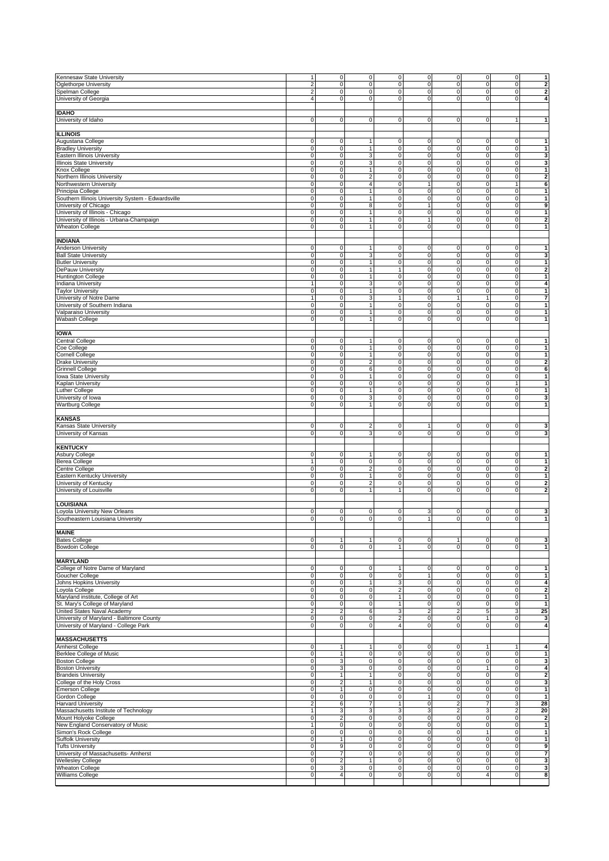| Kennesaw State University                          | $\mathbf{1}$   | $\overline{0}$ | $\mathsf{O}\xspace$ | $\mathsf O$               | $\mathsf 0$    | 0                       | $\mathsf 0$    | $\overline{0}$ | $\mathbf{1}$                                                                |
|----------------------------------------------------|----------------|----------------|---------------------|---------------------------|----------------|-------------------------|----------------|----------------|-----------------------------------------------------------------------------|
| Oglethorpe University                              | $\overline{2}$ | $\mathbf 0$    | $\pmb{0}$           | $\pmb{0}$                 | $\pmb{0}$      | 0                       | $\mathbf 0$    | $\mathbf 0$    | $\overline{\mathbf{2}}$                                                     |
| Spelman College                                    | $\overline{2}$ | $\mathbf 0$    | $\pmb{0}$           | $\mathsf O$               | $\pmb{0}$      | 0                       | $\mathsf 0$    | $\overline{0}$ | $\mathbf 2$                                                                 |
| University of Georgia                              | $\overline{4}$ | $\mathbf 0$    | $\mathbf 0$         | $\mathsf{O}\xspace$       | $\pmb{0}$      | 0                       | $\mathsf 0$    | $\overline{0}$ | $\boldsymbol{4}$                                                            |
|                                                    |                |                |                     |                           |                |                         |                |                |                                                                             |
|                                                    |                |                |                     |                           |                |                         |                |                |                                                                             |
| <b>IDAHO</b>                                       |                |                |                     |                           |                |                         |                |                |                                                                             |
| University of Idaho                                | $\mathsf 0$    | $\overline{0}$ | $\mathbf 0$         | $\mathsf O$               | $\mathsf 0$    | 0                       | $\mathsf 0$    | 1              | $\mathbf{1}$                                                                |
|                                                    |                |                |                     |                           |                |                         |                |                |                                                                             |
|                                                    |                |                |                     |                           |                |                         |                |                |                                                                             |
| <b>ILLINOIS</b>                                    |                |                |                     |                           |                |                         |                |                |                                                                             |
| Augustana College                                  | $\mathsf 0$    | $\mathbf 0$    | 1                   | $\mathsf{O}\xspace$       | 0              | 0                       | $\mathsf 0$    | $\mathbf 0$    | $\mathbf{1}$                                                                |
| <b>Bradley University</b>                          | $\mathsf 0$    | $\overline{0}$ | 1                   | $\mathsf O$               | $\pmb{0}$      | 0                       | $\mathsf 0$    | $\overline{0}$ | $\mathbf{1}$                                                                |
|                                                    |                |                |                     |                           |                |                         |                |                |                                                                             |
| Eastern Illinois University                        | $\overline{0}$ | $\mathbf 0$    | 3                   | $\mathsf O$               | $\overline{0}$ | 0                       | $\mathsf 0$    | $\mathsf O$    | د                                                                           |
| <b>Illinois State University</b>                   | $\mathsf 0$    | $\mathbf 0$    | 3                   | $\mathsf{O}\xspace$       | $\pmb{0}$      | 0                       | $\,0\,$        | $\mathbf 0$    | 3                                                                           |
| Knox College                                       | $\mathsf 0$    | $\overline{0}$ | $\mathbf{1}$        | $\mathsf O$               | $\mathsf 0$    | 0                       | 0              | $\overline{0}$ | $\overline{1}$                                                              |
|                                                    |                |                |                     |                           |                |                         |                |                |                                                                             |
| Northern Illinois University                       | $\pmb{0}$      | 0              | $\overline{2}$      | $\mathsf{O}\xspace$       | $\pmb{0}$      | 0                       | $\mathbf 0$    | $\mathbf 0$    | $\overline{2}$                                                              |
| Northwestern University                            | $\mathbf 0$    | $\mathbf 0$    | $\overline{4}$      | $\mathsf O$               | $\mathbf{1}$   | 0                       | 0              | $\mathbf{1}$   | 6                                                                           |
| Principia College                                  | $\mathsf 0$    | $\overline{0}$ | $\mathbf{1}$        | $\mathsf O$               | $\pmb{0}$      | 0                       | $\mathsf 0$    | $\mathsf O$    | $\mathbf{1}$                                                                |
|                                                    |                |                |                     |                           |                |                         |                |                |                                                                             |
| Southern Illinois University System - Edwardsville | $\mathbf 0$    | $\mathbf 0$    | $\overline{1}$      | $\mathsf{O}\xspace$       | $\pmb{0}$      | 0                       | $\mathbf 0$    | 0              | $\mathbf{1}$                                                                |
| University of Chicago                              | $\mathsf 0$    | $\mathbf 0$    | 8                   | $\mathsf O$               | $\mathbf{1}$   | 0                       | $\mathsf 0$    | $\mathbf 0$    | 9                                                                           |
| University of Illinois - Chicago                   | $\mathbf 0$    | $\mathsf O$    | $\mathbf{1}$        | $\mathsf O$               | $\pmb{0}$      | 0                       | $\mathsf 0$    | $\mathbf 0$    | $\mathbf{1}$                                                                |
|                                                    |                |                |                     |                           |                |                         |                |                |                                                                             |
| University of Illinois - Urbana-Champaign          | $\mathsf 0$    | 0              | $\mathbf{1}$        | $\mathsf{O}\xspace$       | $\mathbf{1}$   | 0                       | $\mathbf 0$    | $\mathsf O$    | $\overline{\mathbf{2}}$                                                     |
| <b>Wheaton College</b>                             | $\mathsf 0$    | $\mathbf 0$    | 1                   | $\mathsf O$               | $\pmb{0}$      | 0                       | $\mathsf 0$    | $\mathbf 0$    | $\mathbf{1}$                                                                |
|                                                    |                |                |                     |                           |                |                         |                |                |                                                                             |
|                                                    |                |                |                     |                           |                |                         |                |                |                                                                             |
| <b>INDIANA</b>                                     |                |                |                     |                           |                |                         |                |                |                                                                             |
| Anderson University                                | $\mathsf 0$    | $\mathbf 0$    | 1                   | $\mathsf O$               | $\mathbf 0$    | 0                       | 0              | $\mathbf 0$    | $\mathbf{1}$                                                                |
| <b>Ball State University</b>                       | $\mathsf 0$    | $\mathsf O$    | 3                   | $\mathsf{O}\xspace$       | $\pmb{0}$      | 0                       | 0              | $\mathsf O$    | $\mathbf{3}$                                                                |
| <b>Butler University</b>                           | $\mathsf 0$    | $\mathbf 0$    | $\mathbf{1}$        | $\mathsf{O}\xspace$       | $\pmb{0}$      | 0                       | $\mathsf 0$    | 0              | $\mathbf{1}$                                                                |
|                                                    |                |                |                     |                           |                |                         |                |                |                                                                             |
| DePauw University                                  | $\mathsf 0$    | 0              | 1                   | $\mathbf{1}$              | $\pmb{0}$      | 0                       | 0              | 0              | 2                                                                           |
| <b>Huntington College</b>                          | $\mathsf 0$    | $\mathbf 0$    | 1                   | $\mathsf{O}\xspace$       | $\pmb{0}$      | 0                       | $\mathsf 0$    | $\mathbf 0$    | $\vert$ 1                                                                   |
| Indiana University                                 | $\mathbf{1}$   | $\mathsf O$    | 3                   | $\mathsf O$               | $\pmb{0}$      | 0                       | $\mathsf 0$    | 0              | $\overline{\mathbf{4}}$                                                     |
|                                                    |                |                |                     |                           |                |                         |                |                |                                                                             |
| <b>Taylor University</b>                           | $\mathbf 0$    | $\mathsf O$    | 1                   | $\mathsf O$               | $\mathbf 0$    | 0                       | $\mathsf 0$    | $\mathsf O$    | $\mathbf{1}$                                                                |
| University of Notre Dame                           | $\mathbf{1}$   | $\mathbf 0$    | 3                   | $\mathbf{1}$              | $\mathbf 0$    | 1                       | $\mathbf{1}$   | $\mathbf 0$    | 7                                                                           |
| University of Southern Indiana                     | $\mathsf 0$    | $\mathbf 0$    | $\mathbf{1}$        | $\mathsf O$               | $\pmb{0}$      | 0                       | $\mathsf 0$    | $\mathsf O$    | $\mathbf{1}$                                                                |
|                                                    |                |                |                     |                           |                |                         |                |                |                                                                             |
| Valparaiso University                              | $\mathbf 0$    | 0              | $\mathbf{1}$        | $\mathsf O$               | $\mathbf 0$    | 0                       | $\mathbf 0$    | $\mathbf 0$    | $\mathbf{1}$                                                                |
| Wabash College                                     | $\mathsf 0$    | $\mathbf 0$    | 1                   | $\mathsf O$               | 0              | 0                       | $\mathsf 0$    | $\mathbf 0$    | $\mathbf{1}$                                                                |
|                                                    |                |                |                     |                           |                |                         |                |                |                                                                             |
|                                                    |                |                |                     |                           |                |                         |                |                |                                                                             |
| <b>IOWA</b>                                        |                |                |                     |                           |                |                         |                |                |                                                                             |
| Central College                                    | $\mathsf 0$    | $\mathbf 0$    | 1                   | $\mathsf{O}\xspace$       | $\pmb{0}$      | 0                       | $\mathsf 0$    | 0              | $\mathbf{1}$                                                                |
| Coe College                                        | $\mathsf 0$    | $\overline{0}$ | $\mathbf{1}$        | $\mathsf{O}\xspace$       | $\pmb{0}$      | 0                       | $\mathsf 0$    | $\overline{0}$ | $\mathbf{1}$                                                                |
|                                                    |                |                |                     |                           |                |                         |                |                |                                                                             |
| <b>Cornell College</b>                             | $\pmb{0}$      | $\mathbf 0$    | $\mathbf{1}$        | $\mathsf{O}\xspace$       | $\pmb{0}$      | 0                       | $\mathbf 0$    | $\mathbf 0$    | $\mathbf{1}$                                                                |
| <b>Drake University</b>                            | $\pmb{0}$      | $\mathbf 0$    | $\overline{c}$      | $\mathsf{O}\xspace$       | $\pmb{0}$      | 0                       | $\mathsf 0$    | $\mathbf 0$    | $\mathbf{2}$                                                                |
| <b>Grinnell College</b>                            | $\mathbf 0$    | $\overline{0}$ | 6                   | $\mathbf 0$               | 0              | 0                       | 0              | $\overline{0}$ | 6                                                                           |
|                                                    |                |                |                     |                           |                |                         |                |                |                                                                             |
| owa State University                               | $\pmb{0}$      | $\mathbf 0$    | $\mathbf{1}$        | $\mathsf{O}\xspace$       | $\pmb{0}$      | 0                       | $\mathbf 0$    | $\mathbf 0$    | $\mathbf{1}$                                                                |
| Kaplan University                                  | $\mathsf 0$    | 0              | $\mathbf 0$         | $\mathsf O$               | $\pmb{0}$      | 0                       | $\mathsf 0$    | 1              | $\mathbf{1}$                                                                |
| Luther College                                     | $\mathbf 0$    | $\mathsf O$    | $\mathbf{1}$        | $\mathsf O$               | $\pmb{0}$      | 0                       | $\mathsf 0$    | $\mathbf 0$    | $\mathbf{1}$                                                                |
|                                                    |                |                |                     |                           |                |                         |                |                |                                                                             |
| University of Iowa                                 | $\pmb{0}$      | 0              | 3                   | $\mathsf{O}\xspace$       | $\pmb{0}$      | 0                       | $\mathbf 0$    | $\mathbf 0$    | $\mathbf{3}$                                                                |
| <b>Wartburg College</b>                            | $\mathsf 0$    | 0              | 1                   | $\mathsf O$               | 0              | 0                       | 0              | $\mathbf 0$    | $\mathbf{1}$                                                                |
|                                                    |                |                |                     |                           |                |                         |                |                |                                                                             |
|                                                    |                |                |                     |                           |                |                         |                |                |                                                                             |
| <b>KANSAS</b>                                      |                |                |                     |                           |                |                         |                |                |                                                                             |
| Kansas State University                            | $\mathsf 0$    | $\mathbf 0$    | $\overline{2}$      | $\mathsf O$               | $\mathbf{1}$   | 0                       | $\mathsf 0$    | $\mathbf 0$    | $\mathbf{3}$                                                                |
|                                                    |                |                |                     |                           |                |                         |                |                |                                                                             |
|                                                    |                |                |                     |                           |                |                         |                |                |                                                                             |
| University of Kansas                               | $\mathsf 0$    | $\mathsf O$    | 3                   | $\mathsf O$               | $\overline{0}$ | 0                       | $\mathsf 0$    | $\mathsf O$    | 3                                                                           |
|                                                    |                |                |                     |                           |                |                         |                |                |                                                                             |
| <b>KENTUCKY</b>                                    |                |                |                     |                           |                |                         |                |                |                                                                             |
|                                                    |                |                | 1                   |                           |                |                         |                |                |                                                                             |
| Asbury College                                     | $\mathsf 0$    | $\mathsf O$    |                     | $\mathsf O$               | $\pmb{0}$      | 0                       | $\mathsf 0$    | $\mathbf 0$    | $\mathbf{1}$                                                                |
| <b>Berea College</b>                               | $\mathbf{1}$   | $\mathbf 0$    | 0                   | $\pmb{0}$                 | $\pmb{0}$      | 0                       | $\mathsf 0$    | $\mathbf 0$    | $\mathbf{1}$                                                                |
| Centre College                                     | $\mathsf 0$    | $\mathsf O$    | $\overline{2}$      | $\mathsf O$               | $\mathbf 0$    | 0                       | $\mathsf 0$    | $\mathbf 0$    | $\overline{\mathbf{2}}$                                                     |
| Eastern Kentucky University                        | $\mathsf 0$    | $\mathbf 0$    | $\mathbf{1}$        | $\mathsf{O}\xspace$       | $\pmb{0}$      | 0                       | $\mathsf 0$    | $\mathbf 0$    | $\mathbf{1}$                                                                |
|                                                    |                |                |                     |                           |                |                         |                |                |                                                                             |
| University of Kentucky                             | $\mathsf 0$    | $\mathbf 0$    | $\overline{c}$      | $\mathsf O$               | $\pmb{0}$      | 0                       | $\mathsf 0$    | $\overline{0}$ | $\overline{\mathbf{2}}$                                                     |
| University of Louisville                           | $\mathbf 0$    | 0              | $\mathbf{1}$        | $\mathbf{1}$              | $\mathbf 0$    | 0                       | 0              | $\mathbf 0$    | $\overline{\mathbf{2}}$                                                     |
|                                                    |                |                |                     |                           |                |                         |                |                |                                                                             |
|                                                    |                |                |                     |                           |                |                         |                |                |                                                                             |
| <b>LOUISIANA</b>                                   |                |                |                     |                           |                |                         |                |                |                                                                             |
| Loyola University New Orleans                      | $\mathsf 0$    | $\mathbf 0$    | $\mathbf 0$         | $\mathbf 0$               | 3              | 0                       | $\mathsf 0$    | $\mathbf 0$    | 3                                                                           |
| Southeastern Louisiana University                  | $\mathsf 0$    | $\mathbf 0$    | 0                   | $\mathsf O$               | 1              | 0                       | 0              | 0              | $\mathbf{1}$                                                                |
|                                                    |                |                |                     |                           |                |                         |                |                |                                                                             |
|                                                    |                |                |                     |                           |                |                         |                |                |                                                                             |
| <b>MAINE</b>                                       |                |                |                     |                           |                |                         |                |                |                                                                             |
| <b>Bates College</b>                               | 0              | 1              | 1                   | $\mathsf{O}\xspace$       | 0              | 1                       | 0              | $\mathbf 0$    | 3                                                                           |
| <b>Bowdoin College</b>                             | $\mathbf 0$    | $\overline{0}$ | $\overline{0}$      | $\mathbf{1}$              | $\mathsf 0$    | o                       | $\mathbf 0$    | $\overline{0}$ | $\mathbf{1}$                                                                |
|                                                    |                |                |                     |                           |                |                         |                |                |                                                                             |
|                                                    |                |                |                     |                           |                |                         |                |                |                                                                             |
| <b>MARYLAND</b>                                    |                |                |                     |                           |                |                         |                |                |                                                                             |
| College of Notre Dame of Maryland                  | $\mathbf 0$    | $\overline{0}$ | $\mathbf 0$         | $\mathbf{1}$              | $\mathsf 0$    | 0                       | 0              | $\mathsf O$    | $\mathbf{1}$                                                                |
| Goucher College                                    | $\pmb{0}$      | $\mathbf 0$    | $\mathsf{O}\xspace$ | $\pmb{0}$                 | $\mathbf{1}$   | 0                       | $\mathbf 0$    | $\mathbf 0$    | $\mathbf{1}$                                                                |
|                                                    |                | $\mathbf 0$    | 1                   |                           |                |                         | $\mathsf 0$    | $\overline{0}$ | $\boldsymbol{4}$                                                            |
| Johns Hopkins University                           | $\mathbf 0$    |                |                     | $\ensuremath{\mathsf{3}}$ | $\pmb{0}$      | 0                       |                |                |                                                                             |
| Loyola College                                     | $\mathbf 0$    | $\overline{0}$ | $\mathsf O$         | $\sqrt{2}$                | $\mathbf 0$    | $\overline{\text{o}}$   | $\mathsf 0$    | $\overline{0}$ | 2                                                                           |
| Maryland institute, College of Art                 | $\overline{0}$ | $\mathsf O$    | $\mathsf 0$         | $\mathbf{1}$              | $\overline{0}$ | 0                       | $\mathsf 0$    | $\mathsf O$    | $\mathbf{1}$                                                                |
|                                                    |                | $\overline{0}$ | $\mathbf 0$         | $\mathbf{1}$              |                |                         | $\mathsf 0$    | $\overline{0}$ | $\mathbf{1}$                                                                |
| St. Mary's College of Maryland                     | $\mathbf 0$    |                |                     |                           | $\pmb{0}$      | 0                       |                |                |                                                                             |
| United States Naval Academy                        | $\overline{2}$ | $\overline{2}$ | 6                   | 3 <sup>1</sup>            | $\overline{2}$ | $\overline{2}$          | 5              | 3              | 25                                                                          |
| University of Maryland - Baltimore County          | $\pmb{0}$      | $\mathbf 0$    | $\mathsf O$         | $\overline{a}$            | $\pmb{0}$      | $\mathsf{O}\xspace$     | $\mathbf{1}$   | $\mathsf O$    |                                                                             |
| University of Maryland - College Park              | $\mathbf 0$    | $\mathbf 0$    | $\mathbf 0$         | $\overline{4}$            | $\pmb{0}$      | 0                       | $\mathsf 0$    | $\overline{0}$ |                                                                             |
|                                                    |                |                |                     |                           |                |                         |                |                |                                                                             |
|                                                    |                |                |                     |                           |                |                         |                |                |                                                                             |
| <b>MASSACHUSETTS</b>                               |                |                |                     |                           |                |                         |                |                |                                                                             |
| Amherst College                                    | $\mathbf 0$    | 1              |                     | $\mathbf 0$               | 0              | 0                       | 1              | 1              |                                                                             |
|                                                    | $\mathbf 0$    | 1              | $\mathsf 0$         | $\mathsf{O}\xspace$       | $\pmb{0}$      | 0                       | $\mathsf 0$    | $\overline{0}$ | $\mathbf{3}$<br>$\overline{\mathbf{4}}$<br>$\blacktriangle$<br>$\mathbf{1}$ |
| Berklee College of Music                           |                |                |                     |                           |                |                         |                |                |                                                                             |
|                                                    | $\mathsf 0$    | 3              | $\mathsf 0$         | $\overline{0}$            | $\pmb{0}$      | 0                       | $\mathsf 0$    | $\overline{0}$ | 3                                                                           |
| <b>Boston College</b><br><b>Boston University</b>  | $\mathbf 0$    | 3              | $\pmb{0}$           | $\mathsf{O}\xspace$       | $\overline{0}$ | $\overline{\mathbf{0}}$ | $\mathbf{1}$   | $\overline{0}$ |                                                                             |
| <b>Brandeis University</b>                         | $\mathbf 0$    | $\mathbf{1}$   | $\mathbf{1}$        | $\mathsf{O}\xspace$       | $\pmb{0}$      | 0                       | $\mathsf 0$    | $\overline{0}$ |                                                                             |
|                                                    |                |                | 1                   |                           |                |                         |                |                |                                                                             |
| College of the Holy Cross                          | $\mathbf 0$    | $\mathbf{2}$   |                     | $\mathsf{O}\xspace$       | $\mathsf 0$    | $\pmb{0}$               | $\mathsf 0$    | $\overline{0}$ | 3                                                                           |
| Emerson College                                    | $\mathsf 0$    | $\mathbf{1}$   | $\mathsf 0$         | $\mathsf{O}\xspace$       | $\pmb{0}$      | $\overline{\mathbf{0}}$ | $\mathbf 0$    | $\overline{0}$ | $\mathbf{1}$                                                                |
| Gordon College                                     | $\mathsf 0$    | $\overline{0}$ | $\mathbf 0$         | $\mathbf 0$               | $\mathbf{1}$   | 0                       | $\mathsf 0$    | $\mathsf O$    | $\mathbf{1}$                                                                |
|                                                    |                |                | $\overline{7}$      | $\mathbf{1}$              |                |                         |                |                |                                                                             |
| <b>Harvard University</b>                          | $\overline{c}$ | $6 \mid$       |                     |                           | $\pmb{0}$      | 2                       | $\overline{7}$ | 3 <sup>1</sup> | $\boldsymbol{4}$<br>$\overline{2}$<br>28                                    |
| Massachusetts Institute of Technology              | $\overline{1}$ | 3              | 3                   | $\overline{3}$            | 3              | $\overline{\mathbf{2}}$ | 3              | $\overline{2}$ | 20                                                                          |
| Mount Holyoke College                              | $\mathbf 0$    | $\overline{c}$ | $\mathbf 0$         | $\pmb{0}$                 | $\pmb{0}$      | 0                       | $\mathbf 0$    | $\mathbf 0$    | $\overline{2}$                                                              |
|                                                    |                |                |                     |                           |                |                         |                | $\overline{0}$ |                                                                             |
| New England Conservatory of Music                  | $\mathbf{1}$   | $\overline{0}$ | $\mathsf O$         | $\mathsf{O}\xspace$       | $\mathsf 0$    | $\mathsf{O}\xspace$     | $\mathsf 0$    |                | $\mathbf{1}$                                                                |
| Simon's Rock College                               | $\mathbf 0$    | $\mathbf 0$    | $\pmb{0}$           | $\mathsf{O}\xspace$       | $\pmb{0}$      | $\overline{\mathbf{0}}$ | $\mathbf{1}$   | $\mathbf 0$    | $\mathbf{1}$                                                                |
| <b>Suffolk University</b>                          | $\pmb{0}$      | 1              | $\mathsf 0$         | $\mathsf{O}\xspace$       | $\pmb{0}$      | 0                       | $\,0\,$        | $\mathbf 0$    | $\mathbf{1}$                                                                |
| <b>Tufts University</b>                            | $\mathbf 0$    | 9              | $\mathsf{O}\xspace$ | $\overline{0}$            | $\mathbf 0$    | 0                       | 0              | $\overline{0}$ |                                                                             |
|                                                    |                |                |                     |                           |                |                         |                |                |                                                                             |
| University of Massachusetts- Amherst               | $\pmb{0}$      | $\overline{7}$ | $\pmb{0}$           | $\mathsf{O}\xspace$       | $\pmb{0}$      | $\overline{\mathbf{0}}$ | $\mathbf 0$    | $\mathbf 0$    | $\overline{7}$                                                              |
| <b>Wellesley College</b>                           | $\mathbf 0$    | $\overline{c}$ | 1                   | $\mathsf O$               | $\pmb{0}$      | 0                       | $\mathsf 0$    | $\overline{0}$ |                                                                             |
| <b>Wheaton College</b>                             | $\mathbf 0$    | 3              | $\mathsf O$         | $\mathsf{O}\xspace$       | $\mathbf 0$    | 0                       | $\mathsf 0$    | $\overline{0}$ | 9<br>$\mathbf{3}$<br>$\mathbf{3}$                                           |
|                                                    |                | $\overline{4}$ |                     |                           |                |                         |                |                | 8                                                                           |
| Williams College                                   | $\mathbf 0$    |                | $\pmb{0}$           | $\mathsf{O}\xspace$       | $\mathbf 0$    | 0                       | $\overline{4}$ | $\overline{0}$ |                                                                             |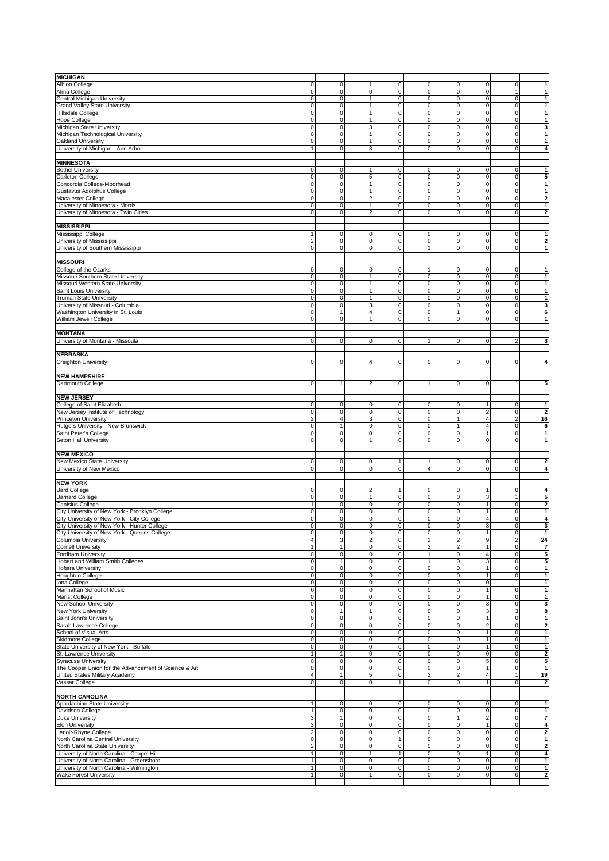| <b>MICHIGAN</b>                                       |                     |                |                     |                     |                         |                         |                         |                |                                                                                                                                                                                   |
|-------------------------------------------------------|---------------------|----------------|---------------------|---------------------|-------------------------|-------------------------|-------------------------|----------------|-----------------------------------------------------------------------------------------------------------------------------------------------------------------------------------|
| <b>Albion College</b>                                 | $\mathsf 0$         | 0              | $\mathbf{1}$        | $\mathsf O$         | 0                       | 0                       | $\mathbf 0$             | $\mathsf O$    | $\mathbf{1}$                                                                                                                                                                      |
| Alma College                                          | $\mathbf 0$         | $\mathbf 0$    | 0                   | $\mathsf O$         | $\pmb{0}$               | 0                       | $\mathsf 0$             | 1              | $\mathbf{1}$                                                                                                                                                                      |
| Central Michigan University                           | $\mathbf 0$         | $\mathbf 0$    | $\mathbf{1}$        | $\mathsf O$         | $\pmb{0}$               | 0                       | $\mathsf 0$             | $\overline{0}$ | $\mathbf{1}$                                                                                                                                                                      |
| Grand Valley State University                         | $\mathsf 0$         | $\mathbf 0$    | 1                   | $\mathsf O$         | 0                       | 0                       | $\mathsf 0$             | $\mathbf 0$    | $\mathbf{1}$                                                                                                                                                                      |
| Hillsdale College                                     | $\mathbf 0$         | $\mathbf 0$    | $\mathbf{1}$        | $\mathsf{O}\xspace$ | $\pmb{0}$               | $\overline{\mathbf{0}}$ | $\mathbf 0$             | $\mathbf 0$    | $\mathbf{1}$                                                                                                                                                                      |
| <b>Hope College</b>                                   | $\mathsf 0$         | $\overline{0}$ | $\mathbf{1}$        | $\mathsf{O}\xspace$ | $\pmb{0}$               | 0                       | $\mathsf 0$             | $\mathbf 0$    | $\mathbf{1}$                                                                                                                                                                      |
| Michigan State University                             | $\mathsf 0$         | $\overline{0}$ | 3                   | $\mathsf O$         | $\pmb{0}$               | 0                       | $\mathsf 0$             | $\overline{0}$ | 3                                                                                                                                                                                 |
| Michigan Technological University                     | $\mathbf 0$         | 0              | $\mathbf{1}$        | $\mathsf O$         | $\pmb{0}$               | 0                       | $\mathbf 0$             | $\mathbf 0$    | $\mathbf{1}$                                                                                                                                                                      |
|                                                       |                     |                | 1                   |                     |                         |                         |                         |                |                                                                                                                                                                                   |
| Oakland University                                    | $\mathsf 0$         | $\mathbf 0$    |                     | $\mathsf O$         | 0                       | 0                       | 0                       | $\mathbf 0$    | $\mathbf{1}$                                                                                                                                                                      |
| University of Michigan - Ann Arbor                    | $\mathbf{1}$        | $\overline{0}$ | 3                   | $\mathsf O$         | 0                       | 0                       | $\mathbf 0$             | $\mathbf 0$    | $\boldsymbol{4}$                                                                                                                                                                  |
|                                                       |                     |                |                     |                     |                         |                         |                         |                |                                                                                                                                                                                   |
| <b>MINNESOTA</b>                                      |                     |                |                     |                     |                         |                         |                         |                |                                                                                                                                                                                   |
| <b>Bethel University</b>                              | 0                   | $\overline{0}$ | $\mathbf{1}$        | $\mathbf 0$         | 0                       | 0                       | 0                       | 0              | $\mathbf{1}$                                                                                                                                                                      |
| Carleton College                                      | $\mathbf 0$         | 0              | 5                   | $\mathsf{O}\xspace$ | $\mathbf 0$             | 0                       | $\mathbf 0$             | 0              | 5                                                                                                                                                                                 |
| Concordia College-Moorhead                            | $\mathbf 0$         | $\mathbf 0$    | 1                   | $\mathsf O$         | $\pmb{0}$               | 0                       | 0                       | $\mathbf 0$    | $\mathbf{1}$                                                                                                                                                                      |
| Gustavus Adolphus College                             | $\mathsf 0$         | $\overline{0}$ | 1                   | $\mathsf O$         | $\mathsf 0$             | 0                       | $\mathsf 0$             | $\mathsf O$    | $\mathbf{1}$                                                                                                                                                                      |
| Macalester College                                    | $\mathbf 0$         | $\mathbf 0$    | $\overline{2}$      | $\mathsf{O}\xspace$ | $\mathbf 0$             | 0                       | $\mathbf 0$             | 0              | $\overline{2}$                                                                                                                                                                    |
| University of Minnesota - Morris                      | $\mathsf 0$         | $\mathbf 0$    | $\overline{1}$      | $\mathsf O$         | 0                       | 0                       | 0                       | $\mathbf 0$    | $\mathbf{1}$                                                                                                                                                                      |
| University of Minnesota - Twin Cities                 | $\mathbf 0$         | $\mathbf 0$    | $\overline{2}$      | $\mathsf O$         | $\pmb{0}$               | 0                       | $\mathbf 0$             | $\mathbf 0$    | $\overline{2}$                                                                                                                                                                    |
|                                                       |                     |                |                     |                     |                         |                         |                         |                |                                                                                                                                                                                   |
| <b>MISSISSIPPI</b>                                    |                     |                |                     |                     |                         |                         |                         |                |                                                                                                                                                                                   |
| Mississippi College                                   | $\mathbf{1}$        | $\mathsf O$    | 0                   | $\mathbf 0$         | $\pmb{0}$               | 0                       | 0                       | $\mathsf O$    | $\mathbf{1}$                                                                                                                                                                      |
| University of Mississippi                             | $\overline{2}$      | $\mathbf 0$    | $\mathbf 0$         | $\mathsf O$         | 0                       | 0                       | $\mathsf 0$             | 0              | $\overline{\mathbf{2}}$                                                                                                                                                           |
| University of Southern Mississippi                    | $\mathsf 0$         | $\mathbf 0$    | $\mathbf 0$         | $\mathsf O$         | $\mathbf{1}$            | 0                       | $\mathsf 0$             | $\mathbf 0$    | $\mathbf{1}$                                                                                                                                                                      |
|                                                       |                     |                |                     |                     |                         |                         |                         |                |                                                                                                                                                                                   |
| <b>MISSOURI</b>                                       |                     |                |                     |                     |                         |                         |                         |                |                                                                                                                                                                                   |
| College of the Ozarks                                 | 0                   | 0              | 0                   | $\mathbf 0$         | 1                       | 0                       | 0                       | $\mathbf 0$    | 1                                                                                                                                                                                 |
| Missouri Southern State University                    | $\mathbf 0$         | $\mathbf 0$    | $\mathbf{1}$        | $\mathsf{O}\xspace$ | $\mathbf 0$             | 0                       | $\mathsf 0$             | $\mathbf 0$    | $\mathbf{1}$                                                                                                                                                                      |
| Missouri Western State University                     | $\mathbf 0$         | $\mathsf O$    | $\mathbf{1}$        | $\mathsf O$         | $\mathbf 0$             | 0                       | $\mathsf 0$             | $\mathbf 0$    | $\mathbf{1}$                                                                                                                                                                      |
| Saint Louis University                                | $\mathbf 0$         | $\mathsf O$    | $\mathbf{1}$        | $\mathsf O$         | $\mathbf 0$             | 0                       | $\mathsf 0$             | $\mathbf 0$    | $\mathbf{1}$                                                                                                                                                                      |
|                                                       |                     |                |                     |                     |                         |                         |                         |                |                                                                                                                                                                                   |
| <b>Truman State University</b>                        | $\mathsf 0$         | $\mathbf 0$    | $\mathbf{1}$        | $\mathsf{O}\xspace$ | $\mathbf 0$             | 0                       | $\mathsf 0$             | $\mathbf 0$    | $\mathbf{1}$                                                                                                                                                                      |
| University of Missouri - Columbia                     | $\mathsf 0$         | $\mathbf 0$    | 3                   | $\mathsf O$         | $\pmb{0}$               | 0                       | $\mathsf 0$             | $\mathbf 0$    | 3                                                                                                                                                                                 |
| Washington University in St. Louis                    | $\mathbf 0$         | 1              | $\overline{4}$      | $\mathsf O$         | $\mathbf 0$             | $\mathbf{1}$            | $\mathbf 0$             | $\mathbf 0$    | 6                                                                                                                                                                                 |
| William Jewell College                                | $\mathsf 0$         | $\mathbf 0$    | 1                   | $\mathsf O$         | 0                       | 0                       | $\mathsf 0$             | 0              | $\mathbf{1}$                                                                                                                                                                      |
|                                                       |                     |                |                     |                     |                         |                         |                         |                |                                                                                                                                                                                   |
| <b>MONTANA</b>                                        |                     |                |                     |                     |                         |                         |                         |                |                                                                                                                                                                                   |
| University of Montana - Missoula                      | $\mathsf 0$         | $\mathbf 0$    | $\mathsf{O}\xspace$ | $\mathsf O$         | 1                       | 0                       | $\mathsf 0$             | 2              | $\mathbf{3}$                                                                                                                                                                      |
|                                                       |                     |                |                     |                     |                         |                         |                         |                |                                                                                                                                                                                   |
| <b>NEBRASKA</b>                                       |                     |                |                     |                     |                         |                         |                         |                |                                                                                                                                                                                   |
| Creighton University                                  | $\mathsf 0$         | $\mathbf 0$    | 4                   | $\mathsf O$         | 0                       | 0                       | $\mathsf 0$             | $\mathbf 0$    | $\boldsymbol{4}$                                                                                                                                                                  |
|                                                       |                     |                |                     |                     |                         |                         |                         |                |                                                                                                                                                                                   |
| <b>NEW HAMPSHIRE</b>                                  |                     |                |                     |                     |                         |                         |                         |                |                                                                                                                                                                                   |
| Dartmouth College                                     | $\mathsf 0$         | $\mathbf{1}$   | $\overline{2}$      | $\mathsf O$         | 1                       | $\mathbf 0$             | $\mathsf 0$             | 1              | 5                                                                                                                                                                                 |
|                                                       |                     |                |                     |                     |                         |                         |                         |                |                                                                                                                                                                                   |
| <b>NEW JERSEY</b>                                     |                     |                |                     |                     |                         |                         |                         |                |                                                                                                                                                                                   |
| College of Saint Elizabeth                            | $\mathsf 0$         | $\mathbf 0$    | $\mathbf 0$         | $\mathsf O$         | $\pmb{0}$               | 0                       | 1                       | $\mathbf 0$    | $\mathbf{1}$                                                                                                                                                                      |
| New Jersey Institute of Technology                    | $\mathbf 0$         | $\mathsf O$    | $\mathbf 0$         | $\mathbf 0$         | $\pmb{0}$               | 0                       | $\overline{2}$          | $\mathbf 0$    | $\overline{2}$                                                                                                                                                                    |
| Princeton University                                  | $\overline{c}$      | $\overline{4}$ | 3                   | $\mathbf 0$         | $\overline{0}$          | $\mathbf{1}$            | $\overline{4}$          | 2              | 16                                                                                                                                                                                |
|                                                       | $\mathbf 0$         | 1              | $\mathbf 0$         | $\mathbf 0$         | $\pmb{0}$               | $\mathbf{1}$            | $\overline{4}$          | $\mathbf 0$    | 6                                                                                                                                                                                 |
| Rutgers University - New Brunswick                    |                     |                |                     |                     |                         |                         |                         |                |                                                                                                                                                                                   |
|                                                       |                     |                |                     |                     |                         |                         |                         |                |                                                                                                                                                                                   |
| Saint Peter's College                                 | $\mathsf{O}\xspace$ | $\mathsf O$    | $\mathsf 0$         | $\mathbf 0$         | $\pmb{0}$               | 0                       | 1                       | $\mathsf O$    | $\mathbf{1}$                                                                                                                                                                      |
| Seton Hall University                                 | $\mathbf 0$         | 0              | 1                   | $\mathbf 0$         | $\pmb{0}$               | 0                       | $\mathbf 0$             | $\mathbf 0$    | 1                                                                                                                                                                                 |
|                                                       |                     |                |                     |                     |                         |                         |                         |                |                                                                                                                                                                                   |
| <b>NEW MEXICO</b>                                     |                     |                |                     |                     |                         |                         |                         |                |                                                                                                                                                                                   |
| New Mexico State University                           | $\mathsf{O}\xspace$ | 0              | 0                   | $\mathbf{1}$        | $\mathbf{1}$            | 0                       | $\mathsf 0$             | 0              |                                                                                                                                                                                   |
| University of New Mexico                              | $\mathbf 0$         | $\mathbf 0$    | $\mathbf 0$         | $\mathbf 0$         | $\overline{\mathbf{4}}$ | 0                       | $\mathbf 0$             | $\mathbf 0$    | 4                                                                                                                                                                                 |
|                                                       |                     |                |                     |                     |                         |                         |                         |                |                                                                                                                                                                                   |
| <b>NEW YORK</b>                                       |                     |                |                     |                     |                         |                         |                         |                |                                                                                                                                                                                   |
| <b>Bard College</b>                                   | $\mathsf 0$         | 0              | $\overline{2}$      | $\mathbf{1}$        | $\mathbf 0$             | 0                       | 1                       | 0              | 4                                                                                                                                                                                 |
| <b>Barnard College</b>                                | $\mathsf 0$         | $\mathbf 0$    | $\mathbf{1}$        | $\mathsf O$         | 0                       | 0                       | 3                       | $\mathbf{1}$   |                                                                                                                                                                                   |
| Canisius College                                      | $\mathbf{1}$        | $\mathsf O$    | $\mathbf 0$         | $\mathsf O$         | $\pmb{0}$               | 0                       | $\mathbf{1}$            | $\overline{0}$ | $\overline{\mathbf{2}}$                                                                                                                                                           |
| City University of New York - Brooklyn College        | $\mathsf 0$         | $\mathbf 0$    | $\mathbf 0$         | $\mathbf 0$         | $\mathbf 0$             | $\mathbf 0$             | $\mathbf{1}$            | $\mathbf 0$    | $\mathbf{1}$                                                                                                                                                                      |
| City University of New York - City College            | $\mathsf 0$         | $\mathbf 0$    | 0                   | $\mathsf O$         | 0                       | 0                       | $\overline{4}$          | $\mathbf 0$    |                                                                                                                                                                                   |
| City University of New York - Hunter College          | $\mathbf 0$         | $\overline{0}$ | $\mathbf 0$         | $\mathbf 0$         | 0                       | 0                       | 3                       | $\overline{0}$ |                                                                                                                                                                                   |
| City University of New York - Queens College          | $\circ$             | 0              | $\circ$             | $\mathbf 0$         | 0                       | 0                       | 1                       | $\overline{0}$ | 1                                                                                                                                                                                 |
| Columbia University                                   | 4                   | 3              | $\overline{c}$      | $\mathsf O$         | $\mathbf 2$             | 2                       | 9                       | $\overline{c}$ | 24                                                                                                                                                                                |
| <b>Cornell University</b>                             | $\mathbf{1}$        | 1              | $\mathbf 0$         | $\mathsf O$         | $\overline{\mathbf{c}}$ | 2                       | $\mathbf{1}$            | $\overline{0}$ | $\overline{\mathbf{z}}$                                                                                                                                                           |
| Fordham University                                    | $\mathbf 0$         | $\mathbf 0$    | $\mathbf 0$         | $\mathsf{O}\xspace$ | $\mathbf{1}$            | 0                       | $\overline{\mathbf{4}}$ | $\mathbf 0$    |                                                                                                                                                                                   |
| Hobart and William Smith Colleges                     | 0                   | 1              | $\mathsf O$         | $\mathsf{O}\xspace$ | $\mathbf{1}$            | $\mathsf{O}\xspace$     | 3                       | $\mathbf 0$    |                                                                                                                                                                                   |
| <b>Hofstra University</b>                             | $\mathbf 0$         | $\overline{0}$ | $\mathsf{O}\xspace$ | $\mathsf{O}\xspace$ | $\overline{0}$          | $\mathsf{O}\xspace$     | $\mathbf{1}$            | $\overline{0}$ | $\mathbf{1}$                                                                                                                                                                      |
| <b>Houghton College</b>                               | $\pmb{0}$           | $\mathbf 0$    | $\mathsf{O}\xspace$ | $\mathsf O$         | $\pmb{0}$               | 0                       | $\mathbf{1}$            | $\overline{0}$ | $\mathbf{1}$                                                                                                                                                                      |
| Iona College                                          | $\mathbf 0$         | $\mathbf 0$    | 0                   | $\mathsf O$         | 0                       | 0                       | $\mathsf 0$             | 1              | $\mathbf{1}$                                                                                                                                                                      |
| Manhattan School of Music                             | $\mathbf 0$         | $\overline{0}$ | $\mathbf 0$         | $\mathsf O$         | $\mathbf 0$             | $\overline{\text{o}}$   | $\mathbf{1}$            | $\overline{0}$ | $\mathbf{1}$                                                                                                                                                                      |
| Marist College                                        | $\mathsf 0$         | $\mathsf O$    | 0                   | $\mathsf O$         | $\overline{0}$          | 0                       | $\mathbf{1}$            | $\mathsf O$    | $\mathbf{1}$                                                                                                                                                                      |
| New School University                                 | $\mathbf 0$         | $\mathbf 0$    | $\mathbf 0$         | $\mathsf O$         | $\pmb{0}$               | 0                       | 3                       | $\overline{0}$ | 3                                                                                                                                                                                 |
| <b>New York University</b>                            | $\mathbf 0$         | 1              | $\mathbf{1}$        | $\mathsf O$         | $\pmb{0}$               | 0                       | 3                       | 3              | 8                                                                                                                                                                                 |
| Saint John's University                               | $\pmb{0}$           | $\mathbf 0$    | $\mathsf 0$         | $\mathsf{O}\xspace$ | $\pmb{0}$               | 0                       | $\mathbf{1}$            | $\mathsf O$    | $\mathbf{1}$                                                                                                                                                                      |
| Sarah Lawrence College                                | $\pmb{0}$           | $\mathbf 0$    | $\mathbf 0$         | $\mathsf O$         | $\mathbf 0$             | $\mathsf{O}\xspace$     | $\sqrt{2}$              | $\overline{0}$ | $\overline{\mathbf{2}}$                                                                                                                                                           |
| School of Visual Arts                                 | $\mathbf 0$         | $\overline{0}$ | $\mathbf 0$         | $\mathsf O$         | 0                       | 0                       | $\mathbf{1}$            | $\overline{0}$ | $\mathbf{1}$                                                                                                                                                                      |
| Skidmore College                                      | $\pmb{0}$           | $\mathbf 0$    | 0                   | $\mathsf{O}\xspace$ | $\mathbf 0$             | 0                       | $\mathbf{1}$            | $\mathsf O$    | $\mathbf{1}$                                                                                                                                                                      |
| State University of New York - Buffalo                | $\circ$             | $\overline{0}$ | 0                   | $\mathsf O$         | $\overline{0}$          | $\overline{\mathbf{0}}$ | 1                       | 0              | 1                                                                                                                                                                                 |
| St. Lawrence University                               | $\mathbf{1}$        | 1              | $\mathsf 0$         | $\mathsf{O}\xspace$ | $\pmb{0}$               | 0                       | $\mathsf 0$             | $\overline{0}$ |                                                                                                                                                                                   |
| <b>Syracuse University</b>                            | $\mathsf 0$         | $\mathsf O$    | $\mathsf 0$         | $\mathsf O$         | $\pmb{0}$               | 0                       | 5                       | $\overline{0}$ | 5                                                                                                                                                                                 |
| The Cooper Union for the Advancement of Science & Art | $\mathsf 0$         | $\mathbf 0$    | $\pmb{0}$           | $\mathsf{O}\xspace$ | $\pmb{0}$               | $\overline{\mathbf{0}}$ | $\mathbf{1}$            | $\overline{0}$ | $\mathbf{1}$                                                                                                                                                                      |
|                                                       | $\overline{4}$      | $\mathbf{1}$   | 5                   | $\mathsf O$         |                         |                         | $\overline{4}$          | 1              |                                                                                                                                                                                   |
| United States Military Academy                        |                     |                | $\mathbf 0$         |                     | $\mathbf 2$             | 2                       | $\mathbf{1}$            |                |                                                                                                                                                                                   |
| Vassar College                                        | $\mathsf 0$         | $\overline{0}$ |                     | $\mathbf{1}$        | 0                       | 0                       |                         | $\overline{0}$ | $\overline{\mathbf{2}}$                                                                                                                                                           |
|                                                       |                     |                |                     |                     |                         |                         |                         |                |                                                                                                                                                                                   |
| <b>NORTH CAROLINA</b>                                 |                     |                |                     |                     |                         |                         |                         |                |                                                                                                                                                                                   |
| Appalachian State University                          | $\mathbf{1}$        | $\mathsf O$    | $\mathsf{O}\xspace$ | $\mathsf O$         | $\mathsf 0$             | 0                       | $\mathsf 0$             | $\overline{0}$ | $\mathbf{1}$                                                                                                                                                                      |
| Davidson College                                      | $\overline{1}$      | $\mathbf 0$    | $\overline{0}$      | $\mathsf O$         | $\overline{0}$          | $\pmb{0}$               | $\mathsf 0$             | $\mathsf O$    | $\mathbf{1}$                                                                                                                                                                      |
| <b>Duke University</b>                                | 3                   | 1              | $\mathbf 0$         | $\mathsf O$         | $\mathbf 0$             | $\mathbf{1}$            | $\overline{2}$          | $\overline{0}$ | $\overline{\phantom{a}}$                                                                                                                                                          |
| <b>Elon University</b>                                | 3                   | $\overline{0}$ | $\mathsf O$         | $\mathsf O$         | $\mathsf 0$             | $\mathsf{O}\xspace$     | $\mathbf{1}$            | $\overline{0}$ |                                                                                                                                                                                   |
| enoir-Rhyne College                                   | $\mathbf 2$         | $\mathbf 0$    | $\pmb{0}$           | $\mathsf O$         | $\pmb{0}$               | $\overline{\mathbf{0}}$ | $\mathbf 0$             | $\mathbf 0$    |                                                                                                                                                                                   |
| North Carolina Central University                     | $\pmb{0}$           | $\overline{0}$ | $\mathsf 0$         | $\mathbf{1}$        | $\pmb{0}$               | 0                       | $\mathbf 0$             | $\mathbf 0$    | $\mathbf{1}$                                                                                                                                                                      |
| North Carolina State University                       | $\overline{c}$      | $\overline{0}$ | $\mathsf{O}\xspace$ | $\overline{0}$      | $\mathsf 0$             | 0                       | 0                       | $\overline{0}$ |                                                                                                                                                                                   |
| University of North Carolina - Chapel Hill            | $\mathbf{1}$        | $\mathbf 0$    | $\mathbf{1}$        | $\mathbf{1}$        | $\mathbf 0$             | $\overline{\mathbf{0}}$ | $\mathbf{1}$            | $\mathbf 0$    |                                                                                                                                                                                   |
| University of North Carolina - Greensboro             | $\mathbf{1}$        | $\mathsf O$    | $\mathbf 0$         | $\mathsf O$         | 0                       | 0                       | $\mathsf 0$             | $\overline{0}$ | $\mathbf{1}$                                                                                                                                                                      |
| University of North Carolina - Wilmington             | $\mathbf{1}$        | $\overline{0}$ | 0                   | $\mathsf O$         | $\mathbf 0$             | 0                       | $\mathsf 0$             | $\overline{0}$ | $\mathbf{1}$                                                                                                                                                                      |
| <b>Wake Forest University</b>                         | $\mathbf{1}$        | $\overline{0}$ | $\mathbf{1}$        | $\mathsf{O}\xspace$ | $\mathbf 0$             | 0                       | $\mathbf 0$             | $\overline{0}$ | $\mathbf{2}$<br>5<br>$\overline{\mathbf{4}}$<br>3<br>5<br>5<br>$\overline{2}$<br>19<br>$\boldsymbol{4}$<br>$\overline{2}$<br>$\overline{2}$<br>$\boldsymbol{4}$<br>$\overline{2}$ |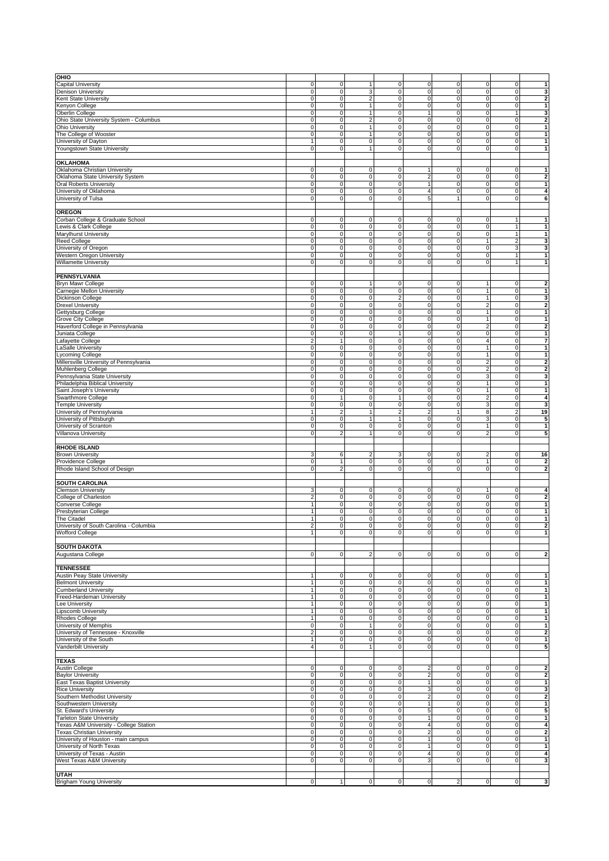| OHIO                                    |                         |                     |                            |                     |                         |                         |                         |                |                                                                                                                              |
|-----------------------------------------|-------------------------|---------------------|----------------------------|---------------------|-------------------------|-------------------------|-------------------------|----------------|------------------------------------------------------------------------------------------------------------------------------|
|                                         |                         |                     |                            |                     |                         |                         |                         |                |                                                                                                                              |
| Capital University                      | $\mathsf 0$             | $\mathsf O$         | $\overline{1}$             | $\mathsf O$         | $\mathbf 0$             | 0                       | 0                       | $\mathsf O$    | $\mathbf{1}$                                                                                                                 |
| Denison University                      | $\mathsf{O}\xspace$     | 0                   | 3                          | $\mathbf 0$         | $\mathbf 0$             | 0                       | 0                       | $\mathbf 0$    | 3                                                                                                                            |
| Kent State University                   | $\mathsf{O}\xspace$     | 0                   | $\overline{2}$             | $\mathsf{O}\xspace$ | $\mathbf 0$             | 0                       | 0                       | $\mathbf 0$    | $\overline{\mathbf{2}}$                                                                                                      |
| Kenyon College                          | $\mathbf 0$             | $\mathbf 0$         | $\overline{1}$             | $\mathbf 0$         | $\mathbf 0$             | 0                       | $\mathsf 0$             | $\mathsf O$    | $\mathbf{1}$                                                                                                                 |
| Oberlin College                         | $\mathbf 0$             | $\mathbf 0$         | $\mathbf{1}$               | $\mathsf{O}\xspace$ | $\mathbf{1}$            | 0                       | $\mathbf 0$             | $\mathbf{1}$   | 3                                                                                                                            |
| Ohio State University System - Columbus | 0                       | 0                   | $\overline{2}$             | $\mathsf{O}\xspace$ | $\mathbf 0$             | 0                       | $\pmb{0}$               | $\mathbf 0$    | $\mathbf 2$                                                                                                                  |
|                                         |                         |                     |                            |                     |                         |                         |                         |                |                                                                                                                              |
| Ohio University                         | $\mathbf 0$             | $\mathbf 0$         | $\mathbf{1}$               | $\mathsf O$         | $\mathbf 0$             | 0                       | $\mathsf 0$             | $\mathsf O$    | $\mathbf{1}$                                                                                                                 |
| The College of Wooster                  | $\mathbf 0$             | $\mathbf 0$         | $\mathbf{1}$               | $\mathsf{O}\xspace$ | $\mathbf 0$             | 0                       | $\pmb{0}$               | $\mathbf 0$    | $\mathbf{1}$                                                                                                                 |
| University of Dayton                    | $\mathbf{1}$            | 0                   | $\mathbf 0$                | $\mathsf O$         | 0                       | 0                       | 0                       | $\mathsf O$    | $\mathbf{1}$                                                                                                                 |
| Youngstown State University             | $\mathbf 0$             | $\mathbf 0$         | $\overline{1}$             | $\mathsf O$         | $\mathbf 0$             | 0                       | $\mathbf 0$             | $\mathsf O$    | $\mathbf{1}$                                                                                                                 |
|                                         |                         |                     |                            |                     |                         |                         |                         |                |                                                                                                                              |
| OKLAHOMA                                |                         |                     |                            |                     |                         |                         |                         |                |                                                                                                                              |
| Oklahoma Christian University           | $\mathbf 0$             | 0                   | 0                          | $\mathbf 0$         | 1                       | 0                       | 0                       | 0              | 1                                                                                                                            |
| Oklahoma State University System        | 0                       | 0                   | $\mathbf 0$                | $\mathsf{O}\xspace$ | $\overline{\mathbf{c}}$ | 0                       | $\pmb{0}$               | $\mathbf 0$    | $\mathbf 2$                                                                                                                  |
|                                         |                         |                     |                            |                     |                         |                         |                         |                |                                                                                                                              |
| <b>Oral Roberts University</b>          | 0                       | 0                   | $\mathbf 0$                | $\mathsf O$         | $\mathbf{1}$            | 0                       | 0                       | $\mathbf 0$    | $\mathbf{1}$                                                                                                                 |
| University of Oklahoma                  | $\mathbf 0$             | $\mathsf O$         | 0                          | $\mathsf O$         | $\overline{4}$          | 0                       | 0                       | $\mathsf O$    | 4                                                                                                                            |
| University of Tulsa                     | 0                       | $\mathbf 0$         | $\mathbf 0$                | $\mathsf{O}\xspace$ | 5                       | $\mathbf{1}$            | $\pmb{0}$               | $\mathbf 0$    | 6                                                                                                                            |
|                                         |                         |                     |                            |                     |                         |                         |                         |                |                                                                                                                              |
| <b>OREGON</b>                           |                         |                     |                            |                     |                         |                         |                         |                |                                                                                                                              |
| Corban College & Graduate School        | $\mathsf 0$             | 0                   | $\pmb{0}$                  | $\mathsf{O}\xspace$ | $\pmb{0}$               | 0                       | 0                       | $\mathbf{1}$   | $\mathbf{1}$                                                                                                                 |
| Lewis & Clark College                   | $\mathbf 0$             | $\mathbf 0$         | $\mathbf 0$                | $\mathsf O$         | $\mathbf 0$             | 0                       | 0                       | $\mathbf{1}$   | $\mathbf{1}$                                                                                                                 |
|                                         |                         |                     |                            |                     |                         |                         |                         |                |                                                                                                                              |
| Marylhurst University                   | $\mathbf 0$             | $\mathsf{O}\xspace$ | $\mathbf 0$                | $\mathsf{O}\xspace$ | $\mathbf 0$             | 0                       | $\mathsf 0$             | $\mathbf{1}$   | $\mathbf{1}$                                                                                                                 |
| Reed College                            | $\mathbf 0$             | $\mathsf O$         | $\bf 0$                    | $\mathsf{O}\xspace$ | $\pmb{0}$               | 0                       | $\mathbf{1}$            | $\overline{c}$ | 3                                                                                                                            |
| Jniversity of Oregon                    | $\mathbf 0$             | $\mathbf 0$         | $\mathbf 0$                | $\mathsf O$         | $\mathbf 0$             | 0                       | 0                       | $\mathbf 3$    | 3                                                                                                                            |
| Western Oregon University               | $\mathbf 0$             | 0                   | $\mathbf 0$                | $\mathsf O$         | $\mathbf 0$             | 0                       | 0                       | $\mathbf{1}$   | 1                                                                                                                            |
| Willamette University                   | $\mathbf 0$             | 0                   | $\mathbf 0$                | $\mathbf 0$         | $\mathbf 0$             | 0                       | 0                       | $\mathbf{1}$   | $\mathbf{1}$                                                                                                                 |
|                                         |                         |                     |                            |                     |                         |                         |                         |                |                                                                                                                              |
| <b>PENNSYLVANIA</b>                     |                         |                     |                            |                     |                         |                         |                         |                |                                                                                                                              |
|                                         |                         |                     | $\overline{1}$             |                     |                         |                         |                         |                |                                                                                                                              |
| Bryn Mawr College                       | $\mathsf 0$             | $\mathsf O$         |                            | $\mathsf O$         | $\mathbf 0$             | 0                       | $\mathbf{1}$            | $\mathsf O$    | $\overline{\mathbf{2}}$                                                                                                      |
| Carnegie Mellon University              | $\mathbf 0$             | $\mathsf O$         | $\mathbf 0$                | $\mathsf{O}\xspace$ | $\mathbf 0$             | 0                       | $\mathbf{1}$            | $\mathbf 0$    | 1                                                                                                                            |
| Dickinson College                       | 0                       | 0                   | $\pmb{0}$                  | $\mathbf 2$         | $\mathbf 0$             | 0                       | $\mathbf{1}$            | $\mathbf 0$    | 3                                                                                                                            |
| <b>Drexel University</b>                | $\mathbf 0$             | $\mathbf 0$         | $\mathbf 0$                | $\mathbf 0$         | $\mathbf 0$             | 0                       | $\overline{2}$          | $\mathsf O$    | $\overline{2}$                                                                                                               |
| Gettysburg College                      | 0                       | 0                   | $\mathbf 0$                | $\mathsf{O}\xspace$ | $\mathbf 0$             | 0                       | $\mathbf{1}$            | $\mathbf 0$    | $\mathbf{1}$                                                                                                                 |
| <b>Grove City College</b>               | 0                       | 0                   | $\mathbf 0$                | $\mathbf 0$         | $\pmb{0}$               | 0                       | 1                       | $\mathsf O$    | $\mathbf{1}$                                                                                                                 |
| Haverford College in Pennsylvania       | $\mathbf 0$             | $\mathbf 0$         | $\mathbf 0$                | $\mathsf{O}\xspace$ | $\mathbf 0$             | 0                       | $\overline{\mathbf{c}}$ | $\mathsf O$    | $\overline{\mathbf{2}}$                                                                                                      |
| Juniata College                         | $\mathsf 0$             | $\mathsf O$         | $\mathbf 0$                | $\overline{1}$      | $\pmb{0}$               | 0                       | $\mathsf 0$             | $\mathsf O$    | $\mathbf{1}$                                                                                                                 |
|                                         |                         |                     |                            |                     |                         |                         |                         |                |                                                                                                                              |
| Lafayette College                       | $\overline{\mathbf{c}}$ | 1                   | $\mathbf 0$                | $\mathsf O$         | $\pmb{0}$               | 0                       | $\overline{4}$          | $\mathsf O$    | $\overline{7}$                                                                                                               |
| LaSalle University                      | $\mathbf 0$             | $\mathbf 0$         | $\mathsf 0$                | $\mathsf O$         | $\mathbf 0$             | 0                       | $\mathbf{1}$            | $\mathsf O$    | $\mathbf{1}$                                                                                                                 |
| Lycoming College                        | 0                       | 0                   | $\mathbf 0$                | $\mathsf{O}\xspace$ | $\pmb{0}$               | 0                       | 1                       | $\mathbf 0$    | $\mathbf{1}$                                                                                                                 |
| Millersville University of Pennsylvania | $\mathbf 0$             | 0                   | $\mathbf 0$                | $\mathsf O$         | $\pmb{0}$               | 0                       | 2                       | $\mathbf 0$    | $\overline{\mathbf{2}}$                                                                                                      |
| Muhlenberg College                      | $\mathbf 0$             | 0                   | $\mathbf 0$                | $\mathsf O$         | $\pmb{0}$               | 0                       | $\overline{2}$          | $\mathsf O$    | $\overline{\mathbf{2}}$                                                                                                      |
| Pennsylvania State University           | 0                       | $\pmb{0}$           | $\mathbf 0$                | $\mathsf{O}\xspace$ | $\pmb{0}$               | 0                       | 3                       | $\mathbf 0$    | 3                                                                                                                            |
| Philadelphia Biblical University        | 0                       | 0                   | $\mathbf 0$                | $\mathbf 0$         | $\mathbf 0$             | 0                       | 1                       | $\mathsf O$    | $\mathbf{1}$                                                                                                                 |
| Saint Joseph's University               | $\mathbf 0$             | $\mathsf O$         | $\mathbf 0$                | $\mathsf{O}\xspace$ | $\mathbf 0$             | 0                       | $\mathbf{1}$            | $\mathbf 0$    | $\mathbf{1}$                                                                                                                 |
|                                         | 0                       | 1                   | $\mathbf 0$                | $\mathbf{1}$        | $\pmb{0}$               | 0                       | $\mathbf 2$             | $\mathbf 0$    | 4                                                                                                                            |
| Swarthmore College                      |                         |                     |                            |                     |                         |                         |                         |                |                                                                                                                              |
| <b>Temple University</b>                | $\mathbf 0$             | $\mathbf 0$         | $\mathbf 0$                | $\mathbf 0$         | $\mathbf 0$             | 0                       | 3                       | $\mathbf 0$    | 3                                                                                                                            |
| University of Pennsylvania              | $\mathbf{1}$            | $\overline{c}$      | $\overline{1}$             | $\overline{2}$      | $\overline{2}$          | $\mathbf{1}$            | 8                       | $\overline{2}$ | 19                                                                                                                           |
| University of Pittsburgh                | $\overline{0}$          | $\mathbf 0$         | $\overline{1}$             | $\mathbf{1}$        | $\overline{0}$          | 0                       | 3                       | $\mathsf O$    | 5                                                                                                                            |
| University of Scranton                  | $\mathbf 0$             | $\mathbf 0$         | $\mathbf 0$                | $\mathbf 0$         | $\mathbf 0$             | 0                       | $\mathbf{1}$            | $\mathbf 0$    | $\mathbf{1}$                                                                                                                 |
| Villanova University                    | $\mathsf 0$             | 2                   | $\overline{1}$             | $\mathbf 0$         | $\mathbf 0$             | $\mathbf 0$             | $\overline{2}$          | $\mathbf 0$    | 5                                                                                                                            |
|                                         |                         |                     |                            |                     |                         |                         |                         |                |                                                                                                                              |
| <b>RHODE ISLAND</b>                     |                         |                     |                            |                     |                         |                         |                         |                |                                                                                                                              |
|                                         |                         |                     |                            |                     |                         |                         |                         |                |                                                                                                                              |
| <b>Brown University</b>                 | 3                       | 6                   | $\overline{2}$             | 3                   | 0                       | 0                       | $\overline{c}$          | $\mathsf O$    | 16                                                                                                                           |
| Providence College                      | $\mathbf 0$             | 1                   | $\mathbf 0$                | $\mathsf O$         | 0                       | 0                       | $\mathbf{1}$            | $\mathbf 0$    | $\overline{\mathbf{2}}$                                                                                                      |
| Rhode Island School of Design           | $\mathbf 0$             | $\overline{2}$      | $\mathbf 0$                | $\mathsf O$         | $\mathbf 0$             | 0                       | $\mathbf 0$             | $\mathbf 0$    | $\overline{2}$                                                                                                               |
|                                         |                         |                     |                            |                     |                         |                         |                         |                |                                                                                                                              |
| <b>SOUTH CAROLINA</b>                   |                         |                     |                            |                     |                         |                         |                         |                |                                                                                                                              |
| <b>Clemson University</b>               |                         |                     |                            |                     |                         |                         |                         |                |                                                                                                                              |
|                                         | 3                       | 0                   | 0                          | $\mathsf O$         | 0                       | 0                       | 1                       | $\mathsf O$    | 4                                                                                                                            |
| College of Charleston                   | $\overline{\mathbf{c}}$ | 0                   | $\mathbf 0$                | $\mathsf O$         | $\pmb{0}$               | 0                       | 0                       | $\mathsf O$    | 2                                                                                                                            |
| Converse College                        | $\mathbf{1}$            | $\mathbf 0$         | $\mathbf 0$                | $\mathsf O$         | $\mathbf 0$             | 0                       | $\mathsf 0$             | $\mathsf O$    | $\mathbf{1}$                                                                                                                 |
|                                         |                         |                     |                            |                     |                         |                         |                         |                |                                                                                                                              |
| Presbyterian College                    | $\mathbf{1}$            | $\mathbf 0$         | $\mathbf 0$                | $\mathsf{O}\xspace$ | $\mathbf 0$             | 0                       | 0                       | $\mathbf 0$    | $\mathbf{1}$                                                                                                                 |
| The Citadel                             | $\mathbf{1}$            | 0                   | $\bf 0$                    | $\mathsf O$         | 0                       | 0                       | 0                       | $\mathsf O$    |                                                                                                                              |
| University of South Carolina - Columbia | $\overline{2}$          | $\overline{0}$      | $\mathbf 0$                | $\mathbf 0$         | $\mathsf 0$             | 0                       | $\mathbf 0$             | $\mathbf 0$    |                                                                                                                              |
| Wofford College                         | $\mathbf{1}$            | $\overline{0}$      | $\overline{0}$             | $\overline{0}$      | 0                       | $\overline{\mathbf{0}}$ | $\overline{0}$          | $\overline{0}$ | 1                                                                                                                            |
|                                         |                         |                     |                            |                     |                         |                         |                         |                |                                                                                                                              |
| <b>SOUTH DAKOTA</b>                     |                         |                     |                            |                     |                         |                         |                         |                |                                                                                                                              |
| Augustana College                       | $\mathbf 0$             | $\mathbf 0$         | $\overline{2}$             | $\mathsf O$         | $\mathbf 0$             | 0                       | 0                       | $\mathbf 0$    |                                                                                                                              |
|                                         |                         |                     |                            |                     |                         |                         |                         |                |                                                                                                                              |
| <b>TENNESSEE</b>                        |                         |                     |                            |                     |                         |                         |                         |                |                                                                                                                              |
|                                         | $\mathbf{1}$            |                     |                            |                     |                         |                         |                         |                |                                                                                                                              |
| Austin Peay State University            |                         | 0                   | $\mathbf 0$<br>$\mathbf 0$ | $\mathbf 0$         | $\pmb{0}$               | 0                       | 0                       | $\mathsf O$    | $\mathbf{1}$<br>$\overline{2}$<br>$\mathbf 2$<br>$\mathbf{1}$                                                                |
| <b>Belmont University</b>               | $\mathbf{1}$            | $\mathbf 0$         |                            | $\mathbf 0$         | $\mathbf 0$             | $\mathbf 0$             | 0                       | $\mathsf O$    |                                                                                                                              |
| <b>Cumberland University</b>            | $\mathbf{1}$            | $\mathsf{O}\xspace$ | $\mathsf 0$                | $\mathbf 0$         | $\mathbf 0$             | 0                       | $\mathsf 0$             | $\mathsf O$    | $\mathbf{1}$                                                                                                                 |
| Freed-Hardeman University               | $\mathbf{1}$            | $\mathsf O$         | $\mathbf 0$                | $\mathbf 0$         | $\overline{0}$          | 0                       | $\mathsf 0$             | $\mathsf O$    |                                                                                                                              |
| Lee University                          | $\mathbf{1}$            | $\mathsf{O}\xspace$ | $\mathbf 0$                | $\mathsf O$         | $\pmb{0}$               | 0                       | $\mathsf 0$             | $\mathbf 0$    |                                                                                                                              |
| <b>Lipscomb University</b>              | $\mathbf{1}$            | $\overline{0}$      | $\mathsf 0$                | $\mathbf 0$         | $\mathbf 0$             | 0                       | $\mathsf 0$             | $\mathsf O$    | $\mathbf{1}$<br>$\mathbf{1}$<br>$\mathbf{1}$<br>$\mathbf{1}$                                                                 |
| Rhodes College                          | $\mathbf{1}$            | $\mathsf O$         | $\pmb{0}$                  | $\overline{0}$      | $\pmb{0}$               | 0                       | 0                       | $\mathsf O$    | $\mathbf{1}$                                                                                                                 |
| University of Memphis                   | $\mathbf 0$             | 0                   | 1                          | $\mathsf O$         |                         |                         | 0                       | $\mathsf O$    | $\mathbf{1}$                                                                                                                 |
|                                         |                         |                     |                            |                     | $\pmb{0}$               | 0                       |                         |                |                                                                                                                              |
| University of Tennessee - Knoxville     | $\overline{c}$          | $\mathsf O$         | $\mathbf 0$                | $\mathsf O$         | $\pmb{0}$               | 0                       | 0                       | $\mathsf O$    | $\mathbf 2$                                                                                                                  |
| University of the South                 | $\mathbf{1}$            | $\mathsf O$         | $\mathbf 0$                | $\mathsf{O}\xspace$ | $\mathbf 0$             | 0                       | 0                       | $\mathsf O$    |                                                                                                                              |
| Vanderbilt University                   | $\overline{4}$          | $\mathbf 0$         | $\overline{1}$             | $\mathsf O$         | $\pmb{0}$               | 0                       | 0                       | $\mathbf 0$    |                                                                                                                              |
|                                         |                         |                     |                            |                     |                         |                         |                         |                |                                                                                                                              |
| <b>TEXAS</b>                            |                         |                     |                            |                     |                         |                         |                         |                |                                                                                                                              |
| Austin College                          | $\mathsf 0$             | 0                   | 0                          | $\mathsf O$         | $\overline{\mathbf{c}}$ | 0                       | 0                       | $\mathsf O$    |                                                                                                                              |
| <b>Baylor University</b>                | $\mathbf 0$             | $\mathsf O$         | 0                          | $\overline{0}$      | $\overline{\mathbf{c}}$ | 0                       | 0                       | $\overline{0}$ |                                                                                                                              |
| East Texas Baptist University           | $\mathbf 0$             | $\overline{0}$      | $\mathbf 0$                | $\overline{0}$      | $\mathbf{1}$            | 0                       | $\mathsf 0$             | $\mathsf O$    | $\mathbf{1}$<br>5<br>$\mathbf 2$<br>$\mathbf 2$<br>$\mathbf{1}$                                                              |
| <b>Rice University</b>                  | $\mathbf 0$             | $\mathsf O$         | $\mathbf 0$                | $\mathsf{O}\xspace$ | 3                       | 0                       | $\mathsf 0$             | $\mathbf 0$    |                                                                                                                              |
| Southern Methodist University           | $\mathbf 0$             | $\mathsf O$         | $\mathbf 0$                | $\mathsf O$         | $\overline{2}$          | 0                       | $\mathsf 0$             | $\mathsf O$    |                                                                                                                              |
|                                         |                         | $\mathbf 0$         |                            |                     |                         |                         |                         |                | $\mathbf{1}$                                                                                                                 |
| Southwestern University                 | $\mathbf 0$             |                     | $\mathbf 0$                | $\mathsf O$         | $\mathbf{1}$            | 0                       | $\mathsf 0$             | $\mathsf O$    |                                                                                                                              |
| St. Edward's University                 | $\mathbf 0$             | $\mathsf{O}\xspace$ | $\mathbf 0$                | $\mathsf O$         | 5                       | 0                       | $\mathsf 0$             | $\mathsf O$    |                                                                                                                              |
| <b>Tarleton State University</b>        | $\mathbf 0$             | 0                   | $\mathbf 0$                | $\mathsf O$         | $\mathbf{1}$            | 0                       | 0                       | $\mathsf O$    |                                                                                                                              |
| Texas A&M University - College Station  | $\mathbf 0$             | $\mathsf{O}\xspace$ | $\mathbf 0$                | $\overline{0}$      | $\overline{4}$          | 0                       | $\mathsf 0$             | $\overline{0}$ |                                                                                                                              |
| <b>Texas Christian University</b>       | $\mathbf 0$             | 0                   | $\mathbf 0$                | $\mathsf{O}\xspace$ | $\overline{\mathbf{c}}$ | 0                       | $\mathsf 0$             | $\mathbf 0$    |                                                                                                                              |
| University of Houston - main campus     | $\mathbf 0$             | $\mathsf O$         | $\mathbf 0$                | $\mathbf 0$         | $\mathbf{1}$            | 0                       | 0                       | $\mathsf O$    |                                                                                                                              |
| University of North Texas               | $\mathbf 0$             | $\mathbf 0$         | 0                          | $\overline{0}$      | $\mathbf{1}$            | 0                       | 0                       | $\overline{0}$ | $\mathbf{1}$                                                                                                                 |
| University of Texas - Austin            | $\mathsf{O}\xspace$     | 0                   | $\mathbf 0$                | $\mathsf{O}\xspace$ | $\overline{4}$          | 0                       | $\pmb{0}$               | $\mathbf 0$    |                                                                                                                              |
| West Texas A&M University               | $\mathbf 0$             | $\overline{0}$      | $\mathbf 0$                | $\mathbf 0$         | 3                       | $\mathbf 0$             | 0                       | $\mathsf O$    |                                                                                                                              |
|                                         |                         |                     |                            |                     |                         |                         |                         |                |                                                                                                                              |
| UTAH                                    |                         |                     |                            |                     |                         |                         |                         |                | 3<br>$\overline{\mathbf{2}}$<br>5<br>$\mathbf{1}$<br>$\overline{4}$<br>$\mathbf 2$<br>$\mathbf{1}$<br>4<br>3<br>$\mathbf{3}$ |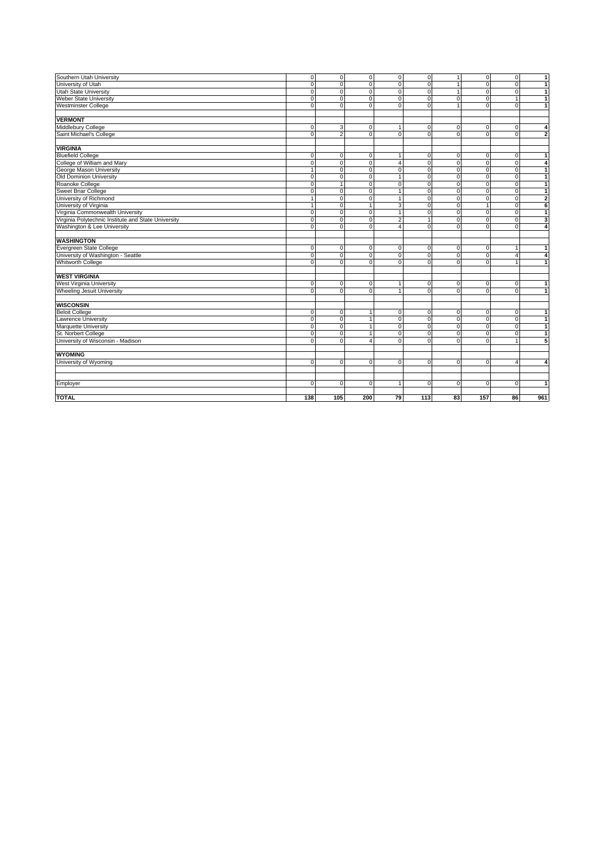| Southern Utah University                            | $\mathbf 0$    | $\overline{0}$ | $\mathsf 0$    | $\overline{0}$          | $\mathsf 0$    | $\mathbf{1}$ | $\overline{0}$ | $\overline{0}$ | $\overline{1}$          |
|-----------------------------------------------------|----------------|----------------|----------------|-------------------------|----------------|--------------|----------------|----------------|-------------------------|
| University of Utah                                  | $\Omega$       | $\Omega$       | $\mathbf 0$    | $\overline{0}$          | $\mathbf 0$    | $\mathbf{1}$ | $\Omega$       | $\Omega$       | $\vert$ 1               |
| Utah State University                               | $\Omega$       | $\Omega$       | $\mathbf 0$    | $\mathbf 0$             | $\pmb{0}$      |              | $\Omega$       | $\Omega$       | $\overline{1}$          |
| <b>Weber State University</b>                       | $\mathbf 0$    | $\mathbf 0$    | $\mathbf 0$    | $\overline{0}$          | $\overline{0}$ | $\mathbf 0$  | $\mathbf 0$    | $\overline{1}$ | $\overline{1}$          |
| <b>Westminster College</b>                          | $\Omega$       | $\Omega$       | $\mathbf 0$    | $\overline{\mathbf{0}}$ | $\overline{0}$ | $\mathbf{1}$ | $\overline{0}$ | $\Omega$       | $\overline{1}$          |
|                                                     |                |                |                |                         |                |              |                |                |                         |
| <b>VERMONT</b>                                      |                |                |                |                         |                |              |                |                |                         |
| Middlebury College                                  | $\mathbf 0$    | 3              | 0              | $\mathbf{1}$            | 0              | 0            | 0              | 0              | 4                       |
| Saint Michael's College                             | $\Omega$       | $\overline{2}$ | $\mathbf 0$    | $\overline{0}$          | $\overline{0}$ | $\mathbf 0$  | $\Omega$       | $\Omega$       | $\overline{\mathbf{c}}$ |
|                                                     |                |                |                |                         |                |              |                |                |                         |
| <b>VIRGINIA</b>                                     |                |                |                |                         |                |              |                |                |                         |
| <b>Bluefield College</b>                            | $\mathbf 0$    | $\mathsf O$    | $\mathbf 0$    | $\mathbf{1}$            | 0              | $\mathbf 0$  | $\mathsf O$    | $\mathbf 0$    | $\mathbf{1}$            |
| College of William and Mary                         | $\Omega$       | $\Omega$       | $\mathbf 0$    | $\overline{4}$          | $\mathbf 0$    | $\Omega$     | $\Omega$       | $\Omega$       | $\pmb{4}$               |
| George Mason University                             | $\overline{1}$ | $\mathbf 0$    | $\mathbf 0$    | 0                       | $\overline{0}$ | 0            | ō              | $\Omega$       | $\overline{1}$          |
| Old Dominion University                             | $\Omega$       | $\Omega$       | $\mathbf 0$    | $\overline{1}$          | $\mathbf 0$    | $\Omega$     | $\mathbf 0$    | $\Omega$       | $\overline{1}$          |
| Roanoke College                                     | $\mathbf 0$    | $\overline{1}$ | $\mathbf 0$    | $\mathbf 0$             | $\pmb{0}$      | 0            | $\mathbf 0$    | $\mathbf 0$    | $\mathbf{1}$            |
| Sweet Briar College                                 | $\mathbf 0$    | $\mathbf 0$    | $\mathbf 0$    | $\overline{1}$          | $\overline{0}$ | $\mathbf 0$  | $\mathbf 0$    | $\mathbf 0$    | $\overline{1}$          |
| University of Richmond                              | 1              | $\mathbf 0$    | $\mathbf 0$    | $\mathbf{1}$            | $\mathbf 0$    | $\mathbf 0$  | $\mathbf 0$    | $\Omega$       | $\overline{2}$          |
| University of Virginia                              | 1              | $\mathbf 0$    | $\overline{1}$ | 3                       | $\overline{0}$ | $\mathbf 0$  | 1              | $\Omega$       | 6                       |
| Virginia Commonwealth University                    | $\mathbf 0$    | $\mathbf 0$    | $\mathbf 0$    | $\overline{1}$          | $\mathbf 0$    | $\mathbf 0$  | $\mathbf 0$    | $\mathbf 0$    | $\overline{1}$          |
| Virginia Polytechnic Institute and State University | $\overline{0}$ | $\overline{0}$ | $\mathbf 0$    | $\overline{2}$          | $\overline{1}$ | 0            | ō              | ō              | 3                       |
| Washington & Lee University                         | $\Omega$       | $\Omega$       | $\mathbf 0$    | $\overline{4}$          | $\mathbf 0$    | $\mathbf 0$  | $\Omega$       | $\Omega$       | $\overline{\mathbf{4}}$ |
|                                                     |                |                |                |                         |                |              |                |                |                         |
| <b>WASHINGTON</b>                                   |                |                |                |                         |                |              |                |                |                         |
| Evergreen State College                             | $\mathbf 0$    | $\overline{0}$ | $\mathbf 0$    | 0                       | 0              | 0            | $\mathsf O$    | -1             | $\mathbf{1}$            |
| University of Washington - Seattle                  | $\Omega$       | $\Omega$       | $\mathbf 0$    | $\overline{0}$          | $\mathbf 0$    | $\mathbf 0$  | $\mathbf 0$    | $\overline{4}$ | $\overline{\mathbf{A}}$ |
| <b>Whitworth College</b>                            | $\Omega$       | $\Omega$       | $\Omega$       | $\overline{0}$          | $\mathbf 0$    | $\Omega$     | $\Omega$       |                | $\mathbf{1}$            |
|                                                     |                |                |                |                         |                |              |                |                |                         |
| <b>WEST VIRGINIA</b>                                |                |                |                |                         |                |              |                |                |                         |
| West Virginia University                            | $\mathbf 0$    | $\mathbf 0$    | $\mathbf 0$    | $\mathbf{1}$            | 0              | 0            | $\mathsf O$    | $\mathbf 0$    | $\mathbf{1}$            |
| Wheeling Jesuit University                          | $\Omega$       | $\Omega$       | $\mathbf 0$    | $\mathbf{1}$            | $\mathbf 0$    | $\mathbf 0$  | $\mathbf 0$    | $\Omega$       | $\vert$ 1               |
|                                                     |                |                |                |                         |                |              |                |                |                         |
| <b>WISCONSIN</b>                                    |                |                |                |                         |                |              |                |                |                         |
| <b>Beloit College</b>                               | $\mathbf 0$    | $\mathbf 0$    | $\overline{1}$ | $\mathbf 0$             | $\mathbf 0$    | $\mathbf 0$  | $\mathbf 0$    | $\mathbf 0$    | $\mathbf{1}$            |
| <b>Lawrence University</b>                          | $\overline{0}$ | $\overline{0}$ | $\overline{1}$ | 0                       | $\overline{0}$ | $\mathbf 0$  | ō              | $\overline{0}$ | $\overline{1}$          |
| Marquette University                                | $\Omega$       | $\Omega$       | $\overline{1}$ | $\overline{0}$          | $\pmb{0}$      | $\mathbf 0$  | $\mathbf 0$    | $\Omega$       | $\overline{1}$          |
| St. Norbert College                                 | $\mathbf 0$    | 0              | $\overline{1}$ | $\overline{0}$          | $\mathbf 0$    | 0            | $\mathbf 0$    | $\mathbf 0$    | $\mathbf{1}$            |
| University of Wisconsin - Madison                   | $\Omega$       | $\Omega$       | $\overline{4}$ | $\mathbf 0$             | $\Omega$       | $\Omega$     | $\Omega$       |                | $\overline{5}$          |
|                                                     |                |                |                |                         |                |              |                |                |                         |
| <b>WYOMING</b>                                      |                |                |                |                         |                |              |                |                |                         |
| University of Wyoming                               | $\mathbf 0$    | $\mathbf 0$    | $\mathbf 0$    | 0                       | $\mathbf 0$    | $\mathbf 0$  | $\mathbf 0$    | $\overline{4}$ | $\overline{4}$          |
|                                                     |                |                |                |                         |                |              |                |                |                         |
|                                                     |                |                |                |                         |                |              |                |                |                         |
| Employer                                            | $\Omega$       | $\Omega$       | $\Omega$       | $\mathbf{1}$            | $\mathbf 0$    | $\Omega$     | $\Omega$       | $\Omega$       | $\overline{1}$          |
|                                                     |                |                |                |                         |                |              |                |                |                         |
| <b>TOTAL</b>                                        | 138            | 105            | 200            | 79                      | 113            | 83           | 157            | 86             | 961                     |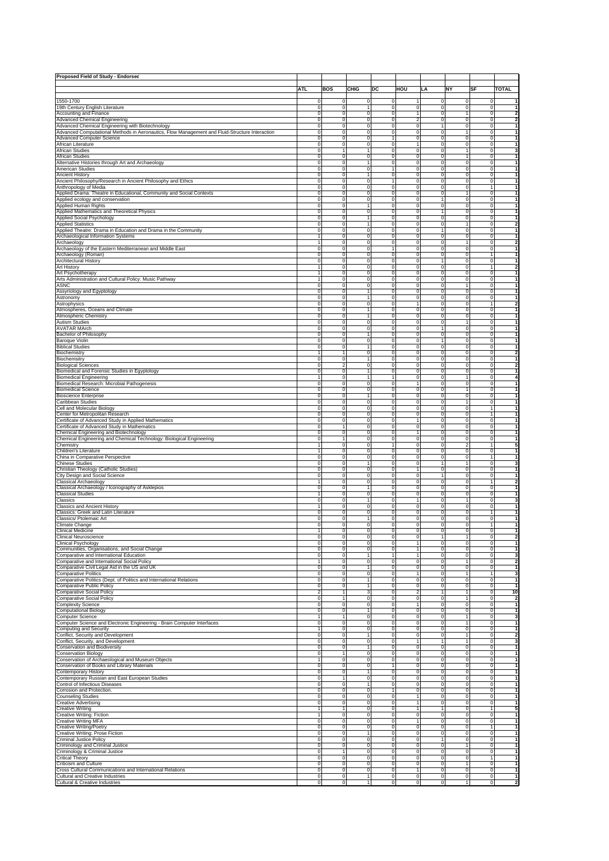| Proposed Field of Study - Endorsed                                                             |             |                |              |                |                         |                |                |              |                         |
|------------------------------------------------------------------------------------------------|-------------|----------------|--------------|----------------|-------------------------|----------------|----------------|--------------|-------------------------|
|                                                                                                |             |                |              |                |                         |                |                |              |                         |
|                                                                                                | <b>ATL</b>  | <b>BOS</b>     | CHIG         | DC             | HOU                     | LA             | <b>NY</b>      | <b>SF</b>    | <b>TOTAL</b>            |
|                                                                                                |             |                |              |                |                         |                |                |              |                         |
| 1550-1700                                                                                      | $^{\circ}$  | $\Omega$       | 0            | $^{\circ}$     | $\mathbf{1}$            | 0              | $\Omega$       | $\Omega$     | $\mathbf{1}$            |
| 19th Century English Literature                                                                | $\mathbf 0$ | $\mathbf 0$    | $\mathbf{1}$ | 0              | 0                       | $\mathbf 0$    | $\mathbf 0$    | 0            | $\overline{1}$          |
| Accounting and Finance                                                                         | 0           | $\mathbf 0$    | $\mathbf 0$  | 0              | 1                       | $\mathbf 0$    | 1              | 0            | $\overline{\mathbf{2}}$ |
| Advanced Chemical Engineering                                                                  | $^{\circ}$  | $^{\circ}$     | 0            | 0              | $\overline{2}$          | 0              | 0              | 0            | $\overline{\mathbf{2}}$ |
| Advanced Chemical Engineering with Biotechnology                                               | $^{\circ}$  | $^{\circ}$     | 0            | 0              | $\mathbf 0$             | $\mathbf{1}$   | 0              | 0            | $\overline{\mathbf{1}}$ |
| Advanced Computational Methods in Aeronautics, Flow Management and Fluid-Structure Interaction | $^{\circ}$  | $^{\circ}$     | 0            | 0              | 0                       | 0              | 1              | 0            | $\overline{1}$          |
| Advanced Computer Science                                                                      | $^{\circ}$  | $^{\circ}$     | 0            | 1              | 0                       | $\mathbf 0$    | 0              | 0            | $\mathbf{1}$            |
| African Literature                                                                             | $^{\circ}$  | $^{\circ}$     | 0            | 0              | $\mathbf{1}$            | 0              | $\mathbf 0$    | 0            | $\overline{1}$          |
| African Studies                                                                                | $^{\circ}$  | $\mathbf{1}$   | $\mathbf{1}$ | 0              | 0                       | $\mathbf 0$    | $\mathbf{1}$   | 0            | 3                       |
| African Studies                                                                                | 0           | $\mathbf 0$    | $\mathbf 0$  | 0              | $\mathbf 0$             | $\mathbf 0$    | $\mathbf{1}$   | 0            | $\overline{1}$          |
|                                                                                                |             |                | $\mathbf{1}$ |                |                         |                |                |              | $\overline{1}$          |
| Alternative Histories through Art and Archaeology                                              | 0           | $\mathbf 0$    |              | 0              | $\mathbf 0$             | $\mathbf 0$    | 0              | 0            |                         |
| American Studies                                                                               | 0           | $\mathbf 0$    | $\mathbf 0$  | $\mathbf{1}$   | $\mathbf 0$             | $\mathbf 0$    | $\mathbf 0$    | 0            | $\mathbf{1}$            |
| Ancient History                                                                                | $^{\circ}$  | $^{\circ}$     | $\mathbf{1}$ | 0              | $\mathbf 0$             | $\mathbf 0$    | $\mathbf 0$    | $^{\circ}$   | $\overline{1}$          |
| Ancient Philosophy/Research in Ancient Philosophy and Ethics                                   | $^{\circ}$  | $^{\circ}$     | 0            | 1              | 0                       | $\mathbf 0$    | 0              | 0            | $\overline{1}$          |
| Anthropology of Media                                                                          | $^{\circ}$  | $^{\circ}$     | 0            | 0              | 0                       | 0              | 0              | 1            | $\overline{1}$          |
| Applied Drama: Theatre in Educational, Community and Social Contexts                           | $^{\circ}$  | $^{\circ}$     | 0            | 0              | 0                       | $\mathbf 0$    | $\mathbf{1}$   | 0            | $\overline{1}$          |
| Applied ecology and conservation                                                               | $^{\circ}$  | $^{\circ}$     | 0            | 0              | 0                       | $\mathbf{1}$   | 0              | $^{\circ}$   | $\overline{1}$          |
| Applied Human Rights                                                                           | $^{\circ}$  | $\mathbf 0$    | $\mathbf{1}$ | 0              | 0                       | 0              | $\mathbf 0$    | $^{\circ}$   | $\overline{1}$          |
| Applied Mathematics and Theoretical Physics                                                    | 0           | $\mathbf 0$    | $\mathbf 0$  | 0              | $\mathbf 0$             | 1              | $\mathbf 0$    | $^{\circ}$   | $\overline{1}$          |
| <b>Applied Social Psychology</b>                                                               | $\mathbf 0$ | $\mathbf 0$    | $\mathbf{1}$ | 0              | $\mathbf 0$             | 0              | $\mathbf 0$    | 0            | $\overline{1}$          |
| <b>Applied Statistics</b>                                                                      | 0           | $\mathbf 0$    | $\mathbf{1}$ | 0              | $\mathbf 0$             | $\mathbf 0$    | $\mathbf{1}$   | $\mathbf 0$  | $\overline{\mathbf{2}}$ |
| Applied Theatre: Drama in Education and Drama in the Community                                 | 0           | $\mathbf 0$    | $\mathbf 0$  | 0              | $\mathbf 0$             | $\mathbf{1}$   | 0              | $^{\circ}$   | $\mathbf{1}$            |
| Archaeological Information Systems                                                             | 1           | $^{\circ}$     | 0            | 0              | 0                       | 0              | $\mathbf 0$    | $^{\circ}$   | $\overline{1}$          |
| Archaeology                                                                                    | 1           | $^{\circ}$     | 0            | 0              | 0                       | $\mathbf 0$    | 1              | $^{\circ}$   | $\overline{\mathbf{2}}$ |
| Archaeology of the Eastern Mediterranean and Middle East                                       | $^{\circ}$  | $^{\circ}$     | 0            | 1              | 0                       | 0              | 0              | 0            | $\overline{1}$          |
|                                                                                                | 0           | $^{\circ}$     | 0            | 0              | 0                       | $\mathbf 0$    | $\mathbf 0$    | 1            | $\overline{1}$          |
| Archaeology (Roman)                                                                            |             | $\Omega$       |              |                |                         | $\overline{1}$ |                |              | $\mathbf{1}$            |
| Architectural History                                                                          | 0           |                | 0            | 0              | 0                       |                | 0              | 0            |                         |
| Art History                                                                                    | 1           | $\Omega$       | 0            | 0              | 0                       | $^{\circ}$     | 0              | 1            | $\overline{\mathbf{2}}$ |
| Art Psychotherapy                                                                              | 1           | $\Omega$       | 0            | 0              | 0                       | $\Omega$       | 0              | 0            | $\mathbf{1}$            |
| Arts Administration and Cultural Policy: Music Pathway                                         | 1           | $\Omega$       | $\Omega$     | 0              | 0                       | $\Omega$       | 0              | 0            | $\overline{1}$          |
| ASNC                                                                                           | $\Omega$    | $\Omega$       | 0            | 0              | 0                       | $\Omega$       | 1              | 0            | $\overline{1}$          |
| Assyriology and Egyptology                                                                     | $^{\circ}$  | 0              | 1            | 0              | 0                       | $\Omega$       | 0              | $^{\circ}$   | $\mathbf{1}$            |
| Astronomy                                                                                      | $^{\circ}$  | $^{\circ}$     | $\mathbf{1}$ | 0              | 0                       | $^{\circ}$     | 0              | 0            | $\mathbf{1}$            |
| Astrophysics                                                                                   | $^{\circ}$  | $^{\circ}$     | 0            | 0              | 1                       | $^{\circ}$     | 0              | 1            | $\overline{\mathbf{2}}$ |
| Atmospheres, Oceans and Climate                                                                | $^{\circ}$  | 0              | 1            | 0              | 0                       | $^{\circ}$     | 0              | 0            | 1                       |
| Atmospheric Chemistry                                                                          | 0           | 0              | 1            | 0              | 0                       | $^{\circ}$     | 0              | $^{\circ}$   | $\mathbf{1}$            |
| Autism Studies                                                                                 | $\Omega$    | $\Omega$       | 0            | 0              | 0                       | $^{\circ}$     | 1              | $^{\circ}$   | 1                       |
| AVATAR MArch                                                                                   | $\Omega$    | $\Omega$       | 0            | 0              | 0                       |                | $\mathbf 0$    | 0            | 1                       |
| Bachelor of Philosophy                                                                         | $\Omega$    | $\Omega$       | 1            | 0              | 0                       | $^{\circ}$     | 0              | $^{\circ}$   | $\overline{1}$          |
|                                                                                                |             | $\Omega$       |              |                |                         |                |                |              | $\overline{1}$          |
| Baroque Violin                                                                                 | $\Omega$    |                | 0            | 0              | 0                       |                | 0              | $^{\circ}$   |                         |
| <b>Biblical Studies</b>                                                                        | $^{\circ}$  | 0              | 1            | 0              | 0                       | $\Omega$       | 0              | $^{\circ}$   | $\mathbf{1}$            |
| Biochemistry                                                                                   |             | 1              | 0            | 0              | 0                       | $\Omega$       | 0              | 0            | 2                       |
| Biochemsitry                                                                                   | $^{\circ}$  | $^{\circ}$     | 1            | 0              | 0                       | $^{\circ}$     | 0              | $^{\circ}$   | $\mathbf{1}$            |
| Biological Sciences                                                                            | $^{\circ}$  | $\overline{2}$ | 0            | 0              | 0                       | $^{\circ}$     | 0              | $^{\circ}$   | $\overline{\mathbf{2}}$ |
| Biomedical and Forensic Studies in Egyptology                                                  | $^{\circ}$  | 0              | 1            | 0              | 0                       | $^{\circ}$     | 0              | $^{\circ}$   | $\mathbf{1}$            |
| Biomedical Engineering                                                                         | 1           | 0              | 1            | $\overline{1}$ | 0                       | $^{\circ}$     | 1              | $^{\circ}$   | 4                       |
| Biomedical Research: Microbial Pathogenesis                                                    | $\Omega$    | $\Omega$       | 0            | 0              | 1                       | $\Omega$       | 0              | $^{\circ}$   | $\overline{1}$          |
| <b>Biomedical Science</b>                                                                      | $\Omega$    | $\Omega$       | 0            | 0              | 0                       | $\Omega$       | 1              | $^{\circ}$   | $\overline{1}$          |
|                                                                                                | $\Omega$    | $\Omega$       | 1            | 0              | 0                       | $\Omega$       | $\mathbf 0$    | 0            | $\overline{1}$          |
| <b>Bioscience Enterprise</b>                                                                   |             |                |              |                |                         |                | 1              |              | $\mathbf{1}$            |
| Caribbean Studies                                                                              | $\Omega$    | 0              | 0            | 0              | 0                       | $\Omega$       |                | 0            |                         |
| Cell and Molecular Biology                                                                     | $^{\circ}$  | 0              | 0            | 0              | 0                       | $\Omega$       | 0              |              | $\mathbf{1}$            |
| Center for Metropolitan Research                                                               | $^{\circ}$  | $^{\circ}$     | $^{\circ}$   | 0              | 0                       | $^{\circ}$     | 0              |              | $\mathbf{1}$            |
| Certificate of Advanced Study in Applied Mathematics                                           | $^{\circ}$  | $^{\circ}$     | $^{\circ}$   | 0              | 1                       | $^{\circ}$     | 0              | 0            | $\mathbf{1}$            |
| Certificate of Advanced Study in Mathematics                                                   | $^{\circ}$  | 1              | 0            | 0              | 0                       | $^{\circ}$     | 0              | 0            | $\mathbf{1}$            |
| Chemical Engineering and Biotechnology                                                         | 0           | $\mathbf 0$    | 0            | 0              | 1                       | $^{\circ}$     | 0              | 0            | $\mathbf{1}$            |
| Chemical Engineering and Chemical Technology: Biological Engineering                           | $^{\circ}$  | $\overline{1}$ | 0            | 0              | 0                       | $^{\circ}$     | 0              | 0            | 1                       |
| Chemistry                                                                                      | Ĩ.          | $\Omega$       | 0            | $\mathbf{1}$   | 0                       | $\Omega$       | 2              | 1            | 5                       |
| Children's Literature                                                                          | 1           | $\Omega$       | $\Omega$     | 0              | 0                       | $\Omega$       | 0              | 0            | $\overline{1}$          |
| China in Comparative Perspective                                                               | $\Omega$    | $\Omega$       | 0            | 0              | 0                       | $\Omega$       | 0              |              | 1                       |
|                                                                                                | $^{\circ}$  | 0              | 1            | 0              | 0                       |                | 1              | 0            |                         |
| Chinese Studies                                                                                |             |                |              |                |                         |                |                |              | 3                       |
| Christian Theology (Catholic Studies)                                                          | $^{\circ}$  | $^{\circ}$     | $^{\circ}$   | 0              | 1                       | $^{\circ}$     | 0              | $^{\circ}$   | $\mathbf 1$             |
| City Design and Social Science                                                                 | $^{\circ}$  | $^{\circ}$     | 0            | 0              | 0                       |                | 0              | 0            | $\mathbf{1}$            |
| Classical Archaeology                                                                          |             | 0              | 0            | 0              | 0                       | $^{\circ}$     | 0              |              | 2                       |
| Classical Archaeology / Iconography of Asklepios                                               | $^{\circ}$  | 0              | 1            | 0              | 0                       | $^{\circ}$     | 0              | 0            | $\mathbf{1}$            |
| <b>Classical Studies</b>                                                                       | 1           | $\Omega$       | 0            | 0              | 0                       | $\Omega$       | 0              | 0            | 1                       |
| Classics                                                                                       | $\Omega$    | $\Omega$       | 1            | 0              | 1                       | $\Omega$       | 1              | 0            | 3                       |
| Classics and Ancient History                                                                   | 1           | $\Omega$       | 0            | 0              | 0                       | $\Omega$       | $\mathbf 0$    | 0            | $\mathbf{1}$            |
| Classics: Greek and Latin Literature                                                           | $\Omega$    | $\mathbf 0$    | 0            | 0              | 0                       | $^{\circ}$     | $\mathbf 0$    |              | $\mathbf{1}$            |
| Classics/ Ptolemaic Art                                                                        | $^{\circ}$  | $\mathbf 0$    | 1            | 0              | 0                       | $^{\circ}$     | $\mathbf 0$    | 0            | $\mathbf{1}$            |
| Climate Change                                                                                 | 0           | $\mathbf 0$    | 0            | 0              | 0                       | $^{\circ}$     | 0              |              | $\mathbf 1$             |
|                                                                                                |             |                |              |                |                         |                |                |              |                         |
|                                                                                                |             |                |              |                |                         |                |                |              |                         |
| Clinical Neuroscience                                                                          | 0           | $\circ$        | $\mathbf 0$  | 0              | $\mathbf 0$             |                | 1              | $\mathbf 0$  | $\overline{\mathbf{z}}$ |
| <b>Clinical Psychology</b>                                                                     | $^{\circ}$  | $\mathbf 0$    | $\mathbf 0$  | 0              | 1                       | $^{\circ}$     | 0              | 0            | $\mathbf{1}$            |
| Communities, Organisations, and Social Change                                                  | $\Omega$    | ō              | $\mathbf 0$  | $\overline{0}$ | 1                       | $^{\circ}$     | $\overline{0}$ | 0            | 1                       |
| Comparative and International Education                                                        | $\Omega$    | ō              | 1            | T              | 1                       | $^{\circ}$     | 0              | 0            | 3                       |
| Comparative and International Social Policy                                                    | 1           | ō              | $\mathbf 0$  | $\overline{0}$ | 0                       | $\Omega$       | 1              | 0            | 2                       |
| Comparative Civil Legal Aid in the US and UK                                                   | $\Omega$    | ō              | 1            | $\overline{0}$ | 0                       | $\Omega$       | ō              | 0            | 1                       |
| <b>Comparative Politics</b>                                                                    | $\Omega$    | ō              | $\mathbf 0$  | $\overline{0}$ | 1                       | $\Omega$       | 1              | 1            | 3                       |
| Comparative Politics (Dept. of Politics and International Relations                            | $\Omega$    | $\circ$        | 1            | 0              | 0                       | $\Omega$       | $\mathbf 0$    | 0            | $\mathbf{1}$            |
| <b>Comparative Public Policy</b>                                                               | $\Omega$    | $\overline{0}$ | 1            | 0              | 0                       | $^{\circ}$     | $\mathbf 0$    | 0            | $\mathbf{1}$            |
| <b>Comparative Social Policy</b>                                                               | 2           | $\mathbf{1}$   | 3            | 0              | $\overline{\mathbf{c}}$ |                | 1              | 0            | 10                      |
| Comparative Social Policy                                                                      | $\Omega$    | $\mathbf{1}$   | $\mathbf 0$  | 0              | 0                       | $^{\circ}$     | 1              | 0            | $\overline{\mathbf{z}}$ |
| <b>Complexity Science</b>                                                                      | $\Omega$    | $\overline{0}$ | $\mathbf 0$  | 0              | 1                       | $^{\circ}$     | $\mathbf 0$    | 0            | 1                       |
|                                                                                                | $\Omega$    | ō              | 1            | $\overline{0}$ | 0                       | $^{\circ}$     | $\mathbf 0$    | 0            | 1                       |
| Computational Biology                                                                          |             |                |              |                |                         |                |                |              |                         |
| Computer Science                                                                               | 1           | $\mathbf{1}$   | $\mathbf 0$  | $\overline{0}$ | 0                       | $\Omega$       | 1              | 0            | 3                       |
| Computer Science and Electronic Engineering - Brain Computer Interfaces                        | $\Omega$    | ō              | $\Omega$     | $\overline{0}$ | 0                       | $\Omega$       | 1              | 0            | 1                       |
| Computing and Security                                                                         | 1           | ō              | $\mathbf 0$  | $\overline{0}$ | 0                       | $\Omega$       | $\mathbf 0$    | 0            | 1                       |
| Conflict, Security and Development                                                             | $\Omega$    | $\circ$        | 1            | 0              | 0                       | 0              | 1              | 0            | $\overline{\mathbf{2}}$ |
| Conflict, Security, and Development                                                            | $^{\circ}$  | $\circ$        | $\mathbf 0$  | 0              | 1                       |                | 1              | 0            | 3                       |
| Conservation and Biodiversity                                                                  | $^{\circ}$  | $\overline{0}$ | 1            | 0              | $\mathbf 0$             | $^{\circ}$     | $\mathbf 0$    | 0            | 1                       |
| <b>Conservation Biology</b>                                                                    | $^{\circ}$  | $\mathbf{1}$   | $\mathbf 0$  | 0              | $\mathbf 0$             | $^{\circ}$     | $\mathbf 0$    | 0            | 1                       |
| Conservation of Archaeological and Museum Objects                                              | 1           | $\circ$        | $\mathbf 0$  | 0              | 0                       | $^{\circ}$     | $\mathbf 0$    | 0            | 1                       |
| Conservation of Books and Library Materials                                                    | $\Omega$    | ō              | $\mathbf 0$  | $\mathbf{1}$   | 0                       | $^{\circ}$     | $\mathbf 0$    | 0            | 1                       |
| Contemporary History                                                                           | $\Omega$    | ō              | 1            | $\overline{0}$ | 0                       | $\Omega$       | $\mathbf 0$    | 0            | 1                       |
| Contemporary Russian and East European Studies                                                 | $\Omega$    | $\mathbf{1}$   | $\mathbf 0$  | $\overline{0}$ | 0                       | $\Omega$       | $\mathbf 0$    | $\Omega$     | 1                       |
|                                                                                                |             | ō              |              |                |                         |                |                |              | 1                       |
| Control of Infectious Diseases                                                                 | $\Omega$    |                | 1            | $\overline{0}$ | 0                       | $\Omega$       | $\mathbf 0$    | $\Omega$     |                         |
| Corrosion and Protection.                                                                      | $\Omega$    | $\overline{0}$ | $\mathbf 0$  | 1              | 0                       | $\Omega$       | $\mathbf 0$    | 0            | 1                       |
| <b>Counseling Studies</b>                                                                      | $\Omega$    | $\circ$        | $\mathbf 0$  | ō              | 1                       | $\Omega$       | $\mathbf 0$    | 0            | $\mathbf{1}$            |
| <b>Creative Advertising</b>                                                                    | 0           | $\overline{0}$ | $\mathbf 0$  | 0              | 1                       | $^{\circ}$     | 0              | 0            | $\mathbf{1}$            |
| <b>Creative Writing</b>                                                                        | 1           | $\mathbf{1}$   | $\mathbf 0$  | 0              | 1                       |                | $\mathbf 0$    | 1            | 5                       |
| Creative Writing: Fiction                                                                      | 1           | $\overline{0}$ | $\mathbf 0$  | 0              | $\mathbf 0$             | $^{\circ}$     | $\mathbf 0$    | 0            | $\mathbf{1}$            |
| Creative Writing MFA                                                                           | $\Omega$    | $\mathbf 0$    | $\mathbf 0$  | $\overline{0}$ | 1                       | $^{\circ}$     | $\mathbf 0$    | 0            | 1                       |
| Creative Writing/Poetry                                                                        | $\Omega$    | ō              | $\mathbf 0$  | $\overline{0}$ | 0                       | $\Omega$       | $\mathbf 0$    | 1            | 1                       |
| Creative Writing: Prose Fiction                                                                | $\Omega$    | ō              | 1            | $\overline{0}$ | 0                       | $\Omega$       | $\mathbf 0$    | 0            | 1                       |
| Criminal Justice Policy                                                                        | $\Omega$    | ō              | $\Omega$     | $\overline{0}$ | 0                       |                | $\mathbf 0$    | 0            | 1                       |
|                                                                                                |             |                |              |                |                         |                | 1              |              | 1                       |
| Criminology and Criminal Justice                                                               | $\Omega$    | $\overline{0}$ | $\mathbf 0$  | $\overline{0}$ | 0                       | $\Omega$       |                | 0            |                         |
| Criminology & Criminal Justice                                                                 | $\Omega$    | $\mathbf{1}$   | $\mathbf 0$  | 0              | 0                       | $\Omega$       | $\mathbf 0$    | 0            | $\mathbf{1}$            |
| Critical Theory                                                                                | $^{\circ}$  | $\overline{0}$ | $\mathbf 0$  | $\mathbf 0$    | 0                       | $^{\circ}$     | $\mathbf 0$    | $\mathbf{1}$ | $\mathbf{1}$            |
| Criticism and Culture                                                                          | 0           | $\overline{0}$ | $\mathbf 0$  | $\mathbf 0$    | $\circ$                 | $^{\circ}$     | 1              | 0            | $\mathbf{1}$            |
| Cross Cultural Communications and International Relations                                      | 0           | $\overline{0}$ | $\mathbf 0$  | ō              | $\mathbf{1}$            | 0              | $\overline{0}$ | $\mathbf 0$  | $\mathbf{1}$            |
| Cultural and Creative Industries                                                               | $\mathbf 0$ | $\overline{0}$ | 1            | ō              | $\overline{0}$          | 0              | $\overline{0}$ | $\mathbf 0$  | 1                       |
| Cultural & Creative Industries                                                                 | $\mathbf 0$ | $\overline{0}$ | 1            | ō              | $\overline{0}$          | $\mathbf 0$    | $\overline{1}$ | $\mathbf 0$  | $\overline{2}$          |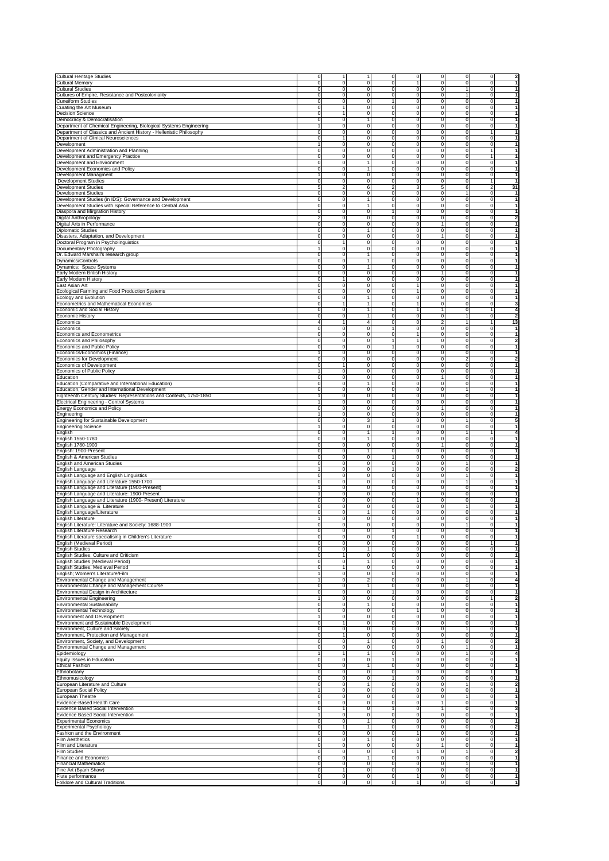| <b>Cultural Heritage Studies</b>                                                                                                                                                                                                                                                                                                                                                                                                                       | $\mathbf 0$             | 1                          | $\mathbf{1}$                               | ō                          | $\overline{0}$             | $\mathbf 0$                      | ō                          | $\mathbf 0$                 | $\overline{2}$                          |
|--------------------------------------------------------------------------------------------------------------------------------------------------------------------------------------------------------------------------------------------------------------------------------------------------------------------------------------------------------------------------------------------------------------------------------------------------------|-------------------------|----------------------------|--------------------------------------------|----------------------------|----------------------------|----------------------------------|----------------------------|-----------------------------|-----------------------------------------|
| Cultural Memory                                                                                                                                                                                                                                                                                                                                                                                                                                        | 0                       | $\mathbf 0$                |                                            | $\circ$<br>$\mathbf 0$     | 1                          | 0                                | $\mathbf 0$                | 0                           | $\mathbf{1}$                            |
| <b>Cultural Studies</b><br>Cultures of Empire, Resistance and Postcoloniality                                                                                                                                                                                                                                                                                                                                                                          | $\mathbf 0$<br>$\Omega$ | $\mathbf 0$<br>$\mathbf 0$ | $\mathbf 0$<br>$\mathbf 0$                 | $\mathbf 0$<br>$\mathbf 0$ | $\mathbf 0$<br>$\mathbf 0$ | $\mathbf 0$<br>$\mathbf 0$       | 1<br>$\overline{1}$        | 0<br>0                      | 1<br>1                                  |
| <b>Cuneiform Studies</b>                                                                                                                                                                                                                                                                                                                                                                                                                               | $\Omega$                | $\mathbf 0$                | $\mathbf 0$                                | 1                          | $\mathbf 0$                | $\mathbf 0$                      | $\mathsf 0$                | 0                           | $\mathbf{1}$                            |
| Curating the Art Museum                                                                                                                                                                                                                                                                                                                                                                                                                                | $\Omega$                | 1                          | $\mathbf 0$                                | $\mathbf 0$                | $\mathbf 0$                | $\mathbf 0$                      | $\mathsf 0$                | 0                           | $\mathbf{1}$                            |
| <b>Decision Science</b>                                                                                                                                                                                                                                                                                                                                                                                                                                | $\Omega$                | 1                          |                                            | $\circ$<br>$\mathbf 0$     | $\mathbf 0$                | 0                                | $\mathbf 0$                | 0                           | $\mathbf{1}$                            |
| Democracy & Democratisation                                                                                                                                                                                                                                                                                                                                                                                                                            | $\mathbf 0$             | $\mathbf 0$                | 1                                          | $\mathbf 0$                | $\circ$                    | $\mathsf{O}\xspace$              | $\mathbf 0$                | 0                           | $\mathbf{1}$                            |
| Department of Chemical Engineering, Biological Systems Engineering                                                                                                                                                                                                                                                                                                                                                                                     |                         | $\mathbf 0$                |                                            | $\circ$<br>$\mathbf 0$     | $\mathbf 0$                | $\mathsf{O}\xspace$              | $\mathbf 0$                | $\mathsf 0$                 | $\mathbf{1}$                            |
| Department of Classics and Ancient History - Hellenistic Philosophy                                                                                                                                                                                                                                                                                                                                                                                    | $\mathbf 0$             | $\mathbf 0$                |                                            | $\circ$<br>$\mathbf 0$     | $\mathbf 0$                | $\mathsf{O}\xspace$              | $\mathbf 0$                | $\mathbf{1}$                | $\mathbf{1}$                            |
| Department of Clinical Neurosciences                                                                                                                                                                                                                                                                                                                                                                                                                   | $\mathbf 0$             | 1                          | $\mathbf 0$                                | $\mathbf 0$                | $\mathbf 0$                | $\mathbf 0$                      | $\mathsf 0$                | $\mathsf{O}\xspace$         | 1                                       |
| Development                                                                                                                                                                                                                                                                                                                                                                                                                                            |                         | $\mathbf 0$                | $\mathbf 0$                                | $\mathbf 0$                | $\mathbf 0$                | $\mathbf 0$                      | $\mathsf 0$                | $\mathsf{O}\xspace$         | $\mathbf{1}$                            |
| Development Administration and Planning                                                                                                                                                                                                                                                                                                                                                                                                                | $\mathbf 0$             | $\mathbf 0$                | $\mathbf 0$                                | $\mathbf 0$                | $\mathbf 0$                | $\mathbf 0$                      | $\mathbf 0$                | 1                           | $\mathbf{1}$                            |
| Development and Emergency Practice                                                                                                                                                                                                                                                                                                                                                                                                                     | $\Omega$                | $\mathbf 0$                | $\mathbf 0$                                | $\mathbf 0$                | $\mathbf 0$                | $\mathbf 0$                      | $\mathbf 0$                | 1                           | $\mathbf{1}$                            |
| Development and Environment                                                                                                                                                                                                                                                                                                                                                                                                                            | $\Omega$                | $\mathbf 0$                | 1                                          | $\mathbf 0$                | $\mathbf 0$                | $\mathbf 0$                      | $\mathbf 0$                | $\mathsf{O}\xspace$         | $\mathbf{1}$                            |
| Development Economics and Policy                                                                                                                                                                                                                                                                                                                                                                                                                       | $\mathbf 0$             | $\mathbf 0$                | 1                                          | $\mathbf 0$                | $\mathbf 0$                | 0                                | $\mathbf 0$                | 0                           | $\mathbf{1}$                            |
| Development Managment                                                                                                                                                                                                                                                                                                                                                                                                                                  |                         | $\mathbf 0$                |                                            | $\circ$<br>$\mathbf 0$     | $\mathbf 0$                | $\mathsf{O}\xspace$              | $\mathbf 0$                | $\mathsf 0$                 | $\mathbf{1}$                            |
| Development Studies                                                                                                                                                                                                                                                                                                                                                                                                                                    | $\Omega$                | $\mathbf 0$                | $\mathsf{O}\xspace$                        | $\mathbf 0$                | $\mathbf 0$                | $\mathsf{O}\xspace$              | $\mathbf 0$                | $\mathbf{1}$                | $\mathbf{1}$                            |
| Development Studies                                                                                                                                                                                                                                                                                                                                                                                                                                    | 5                       |                            | $\overline{2}$<br>6                        | $\boldsymbol{2}$           | 3                          | 5                                | 6                          | $\boldsymbol{2}$            | 31                                      |
| <b>Development Studies</b>                                                                                                                                                                                                                                                                                                                                                                                                                             | $\Omega$                | $\mathbf 0$                | $\mathsf{O}\xspace$                        | $\mathbf 0$                | $\mathbf 0$                | $\mathsf{O}\xspace$              | 1                          | 0                           | $\mathbf{1}$                            |
| Development Studies (in IDS): Governance and Development                                                                                                                                                                                                                                                                                                                                                                                               | $\Omega$                | $\mathbf 0$                | 1                                          | $\mathbf 0$                | $\mathbf 0$                | $\mathbf 0$                      | $\mathsf 0$                | 0                           | $\mathbf{1}$                            |
| Development Studies with Special Reference to Central Asia                                                                                                                                                                                                                                                                                                                                                                                             | $\Omega$                | $\mathbf 0$                | 1                                          | $\mathbf 0$                | $\mathbf 0$                | $\mathbf 0$                      | $\mathsf 0$                | 0                           | $\mathbf{1}$                            |
| Diaspora and Mirgration History                                                                                                                                                                                                                                                                                                                                                                                                                        | $\Omega$                | $\mathbf 0$                |                                            | $\circ$<br>1               | $\mathbf 0$                | $\mathbf 0$                      | $\mathbf 0$                | 0                           | $\mathbf{1}$                            |
| Digital Anthropology                                                                                                                                                                                                                                                                                                                                                                                                                                   | $\mathfrak{p}$          | $\mathbf 0$                |                                            | $\circ$<br>$\mathbf 0$     | $\mathbf 0$                | 0                                | $\mathbf 0$                | 0                           | 2                                       |
| Digital Arts in Performance                                                                                                                                                                                                                                                                                                                                                                                                                            | $\Omega$                | $\mathbf 0$                |                                            | $\circ$<br>$\mathbf 0$     | $\mathbf 0$                |                                  | $\mathbf 0$                | $\mathsf 0$                 | $\mathbf{1}$                            |
| <b>Diplomatic Studies</b>                                                                                                                                                                                                                                                                                                                                                                                                                              | $\Omega$                | $\mathbf 0$                | 1                                          | $\mathbf 0$                | $\mathbf 0$                | $\mathsf{O}\xspace$              | $\mathbf 0$                | $\mathsf 0$                 | $\mathbf{1}$                            |
| Disasters, Adaptation, and Development                                                                                                                                                                                                                                                                                                                                                                                                                 | $\Omega$<br>$\Omega$    | $\mathbf 0$                |                                            | $\circ$<br>$\mathbf 0$     | $\mathbf 0$<br>$\mathbf 0$ | 1                                | $\mathsf 0$                | $\mathsf 0$                 | 1                                       |
| Doctoral Program in Psycholinguistics                                                                                                                                                                                                                                                                                                                                                                                                                  |                         | 1<br>$\mathbf 0$           | $\mathsf{O}\xspace$<br>$\mathsf{O}\xspace$ | $\mathbf 0$                | $\mathbf 0$                | $\mathsf{O}\xspace$              | $\mathsf 0$<br>$\mathsf 0$ | 0                           | 1<br>$\mathbf{1}$                       |
| Documentary Photography                                                                                                                                                                                                                                                                                                                                                                                                                                | $\mathbf 0$             | $\mathbf 0$                | 1                                          | $\mathbf 0$<br>$\mathbf 0$ | $\mathbf 0$                | $\mathbf 0$<br>$\mathbf 0$       | $\mathsf 0$                | 0<br>0                      | $\mathbf{1}$                            |
| Dr. Edward Marshall's research group<br>Dynamics/Controls                                                                                                                                                                                                                                                                                                                                                                                              | $\Omega$                | $\mathbf 0$                | 1                                          | $\mathbf 0$                | $\mathbf 0$                | $\mathsf{O}\xspace$              | $\mathbf 0$                | $\mathsf{O}\xspace$         | $\mathbf{1}$                            |
| Dynamics: Space Systems                                                                                                                                                                                                                                                                                                                                                                                                                                | $\mathbf 0$             | ō                          | $\mathbf{1}$                               | ō                          | ō                          | o                                | $\overline{0}$             | ō                           | $\overline{1}$                          |
| Early Modern British History                                                                                                                                                                                                                                                                                                                                                                                                                           | $\mathbf 0$             | ō                          | ō                                          | ō                          | ō                          | $\mathbf{1}$                     | $\overline{0}$             | ō                           | $\overline{1}$                          |
| Early Modern History                                                                                                                                                                                                                                                                                                                                                                                                                                   | $\mathbf 0$             | 1                          | ō                                          | ō                          | ō                          | $\mathbf 0$                      | $\overline{0}$             | o                           | $\overline{1}$                          |
| East Asian Art                                                                                                                                                                                                                                                                                                                                                                                                                                         | $\mathbf 0$             | ō                          | $\Omega$                                   | o                          | $\mathbf{1}$               | $\mathbf 0$                      | $\overline{0}$             | ō                           | $\overline{1}$                          |
| Ecological Farming and Food Production Systems                                                                                                                                                                                                                                                                                                                                                                                                         | $\Omega$                | ō                          | ō                                          | o                          | $\mathbf{1}$               | $\mathbf 0$                      | $\overline{0}$             | ō                           | $\mathbf{1}$                            |
| Ecology and Evolution                                                                                                                                                                                                                                                                                                                                                                                                                                  | $\Omega$                | ō                          | $\mathbf{1}$                               | o                          | ō                          | $\mathbf 0$                      | $\overline{0}$             | ō                           | -1                                      |
| <b>Econometrics and Mathematical Economics</b>                                                                                                                                                                                                                                                                                                                                                                                                         | $\Omega$                | 1                          | $\mathbf{1}$                               | o                          | $\overline{1}$             | ō                                | $\overline{0}$             | ō                           | 3                                       |
| Economic and Social History                                                                                                                                                                                                                                                                                                                                                                                                                            | $\Omega$                | ō                          | $\mathbf{1}$                               | o                          | $\mathbf{1}$               | $\mathbf{1}$                     | $\overline{0}$             | 1                           | $\overline{4}$                          |
| <b>Economic History</b>                                                                                                                                                                                                                                                                                                                                                                                                                                | $\mathbf 0$             | o                          | 1                                          | o                          | ō                          | $\mathbf 0$                      | $\mathbf{1}$               | o                           | $\overline{2}$                          |
| Economics                                                                                                                                                                                                                                                                                                                                                                                                                                              | 4                       | 1                          | 4                                          | ō                          | ō                          | $\overline{\mathbf{c}}$          | $\mathbf{1}$               | $\mathbf{1}$                | 13                                      |
| Economics                                                                                                                                                                                                                                                                                                                                                                                                                                              | $\mathbf 0$             | $\mathbf 0$                | ō                                          | 1                          | ō                          | o                                | ō                          | $\mathbf 0$                 | $\overline{\mathbf{1}}$                 |
| Economics and Econometrics                                                                                                                                                                                                                                                                                                                                                                                                                             | $\mathbf 0$             | ō                          | $\mathbf 0$                                | ō                          | $\mathbf{1}$               | o                                | $\overline{0}$             | ō                           | $\mathbf{1}$                            |
| Economics and Philosophy                                                                                                                                                                                                                                                                                                                                                                                                                               | $\mathbf 0$             | ō                          | $\Omega$                                   | $\mathbf{1}$               | $\mathbf{1}$               | $\mathbf 0$                      | $\overline{0}$             | ō                           | $\overline{\mathbf{2}}$                 |
| <b>Economics and Public Policy</b>                                                                                                                                                                                                                                                                                                                                                                                                                     | $\Omega$                | ō                          | ō                                          | 1                          | ō                          | $\mathbf 0$                      | $\overline{0}$             | ō                           | $\mathbf{1}$                            |
| Economics/Economics (Finance)                                                                                                                                                                                                                                                                                                                                                                                                                          | 1                       | ō                          | ō                                          | o                          | $\overline{0}$             | $\mathbf 0$                      | $\overline{0}$             | ō                           | -1                                      |
| Economics for Development                                                                                                                                                                                                                                                                                                                                                                                                                              | $\Omega$                | ō                          | ō                                          | o                          | $\overline{0}$             | o                                | $\overline{2}$             | ō                           | $\overline{2}$                          |
| Economics of Development                                                                                                                                                                                                                                                                                                                                                                                                                               | $\mathbf 0$             | 1                          | o                                          | o                          | $\overline{0}$             | o                                | $\overline{0}$             | o                           | $\mathbf{1}$                            |
| Economics of Public Policy                                                                                                                                                                                                                                                                                                                                                                                                                             | 1                       | ō                          | ō                                          | ō                          | ō                          | o                                | $\overline{0}$             | o                           | $\overline{1}$                          |
| Education                                                                                                                                                                                                                                                                                                                                                                                                                                              | $\mathbf 0$             | ō                          | ō                                          | ō                          | ō                          | $\mathbf{1}$                     | $\overline{0}$             | o                           | $\overline{1}$                          |
| Education (Comparative and International Education)                                                                                                                                                                                                                                                                                                                                                                                                    | $\mathbf 0$             | ō                          | $\mathbf{1}$                               | ō                          | ō                          | $\mathbf 0$                      | $\overline{0}$             | o                           | $\mathbf{1}$                            |
| Education, Gender and International Development                                                                                                                                                                                                                                                                                                                                                                                                        | $\mathbf 0$             | ō                          | $\mathbf 0$                                | o                          | ō                          | $\mathbf 0$                      | 1                          | $\mathbf 0$                 | $\mathbf{1}$                            |
| Eighteenth Century Studies: Representations and Contexts, 1750-1850                                                                                                                                                                                                                                                                                                                                                                                    | 1                       | ō                          | ō                                          | o                          | $\overline{0}$             | $\mathbf 0$                      | $\overline{0}$             | ō                           | $\mathbf{1}$                            |
| Electrical Engineering - Control Systems                                                                                                                                                                                                                                                                                                                                                                                                               | 1                       | ō                          | ō                                          | ō                          | $\overline{0}$             | ō                                | $\overline{0}$             | ō                           | -1                                      |
| Energy Economics and Policy                                                                                                                                                                                                                                                                                                                                                                                                                            | $\Omega$                | ō                          | ō                                          | ō                          | $\overline{0}$             | $\mathbf{1}$                     | $\overline{0}$             | ō                           | -1                                      |
| Engineering                                                                                                                                                                                                                                                                                                                                                                                                                                            | 1                       | ō                          | o                                          | o                          | $\overline{0}$             | $\mathbf 0$                      | $\overline{0}$             | o                           | $\overline{1}$                          |
| <b>Engineering for Sustainable Development</b>                                                                                                                                                                                                                                                                                                                                                                                                         | $\mathbf 0$             | ō                          | 3                                          | 1                          | ō                          | o                                | $\mathbf{1}$               | o                           | 5                                       |
| <b>Engineering Science</b>                                                                                                                                                                                                                                                                                                                                                                                                                             | 1                       | ō                          | ō                                          | ō                          | ō                          | o                                | ō                          | o                           | $\mathbf{1}$                            |
| English                                                                                                                                                                                                                                                                                                                                                                                                                                                | $\mathbf 0$             | ō                          | $\mathbf{1}$                               | $\mathbf{1}$               | ō                          | o                                | $\mathbf{1}$               | 1                           | $\overline{4}$                          |
| English 1550-1780                                                                                                                                                                                                                                                                                                                                                                                                                                      | $\mathbf 0$             | ō                          | $\mathbf{1}$                               | o                          | ō                          | $\mathbf 0$                      | $\overline{0}$             | $\mathbf 0$                 | $\mathbf{1}$                            |
| English 1780-1900                                                                                                                                                                                                                                                                                                                                                                                                                                      | $\Omega$                | ō                          | $\mathbf 0$                                | o                          | $\overline{0}$             | $\mathbf{1}$                     | $\overline{0}$             | ō                           | $\mathbf{1}$                            |
| English: 1900-Present                                                                                                                                                                                                                                                                                                                                                                                                                                  | $\Omega$                | ō                          | $\mathbf{1}$                               | o                          | $\overline{0}$             | $\mathbf 0$                      | $\overline{0}$             | ō                           | -1                                      |
| English & American Studies                                                                                                                                                                                                                                                                                                                                                                                                                             | $\Omega$                | ō                          | ō                                          | 1                          | $\overline{0}$             | ō                                | $\overline{0}$             | ō                           | -1                                      |
| English and American Studies                                                                                                                                                                                                                                                                                                                                                                                                                           | $\mathbf 0$             | ō                          | ō                                          | o                          | $\overline{0}$             | o                                | 1                          | ō                           | -1                                      |
| English Language                                                                                                                                                                                                                                                                                                                                                                                                                                       | 1                       | ō                          | o                                          | 1                          | ō                          | o                                | $\overline{0}$             | o                           | $\overline{2}$                          |
| English Language and English Linguistics                                                                                                                                                                                                                                                                                                                                                                                                               | $\mathbf 0$             | ō                          | ō                                          | ō                          | ō                          | o                                | $\mathbf{1}$               | o                           | $\overline{\mathbf{1}}$                 |
| English Language and Literature 1550-1700                                                                                                                                                                                                                                                                                                                                                                                                              | $\mathbf 0$             | ō                          | $\mathbf 0$                                | ō                          | ō                          | o                                | 1                          | o                           | $\overline{1}$                          |
| English Language and Literature (1900-Present)                                                                                                                                                                                                                                                                                                                                                                                                         | 1                       | $\mathbf 0$                | $\mathbf 0$                                | ō                          | ō                          | $\mathbf 0$                      | ō                          | $\mathbf 0$                 | $\mathbf{1}$                            |
| English Language and Literature: 1900-Present                                                                                                                                                                                                                                                                                                                                                                                                          | 1<br>$\Omega$           | ō                          | $\Omega$<br>ō                              | o                          | ō                          | $\mathbf 0$                      | $\overline{0}$             | $\mathbf 0$                 | $\mathbf{1}$<br>-1                      |
| English Language and Literature (1900- Present) Literature                                                                                                                                                                                                                                                                                                                                                                                             | $\Omega$                | ō                          | ō                                          | ō                          | $\mathbf{1}$<br>ō          | $\mathbf 0$                      | $\overline{0}$             | ō                           | -1                                      |
| English Language & Literature                                                                                                                                                                                                                                                                                                                                                                                                                          | $\Omega$                | ō<br>ō                     | 1                                          | ō<br>ō                     | ō                          | $\mathbf 0$                      | 1<br>$\overline{0}$        | ō<br>ō                      | -1                                      |
| English Language/Literature<br>English Literature                                                                                                                                                                                                                                                                                                                                                                                                      | 1                       | ō                          | $\Omega$                                   | ō                          | ō                          | $\mathbf 0$<br>$\mathbf 0$       | $\overline{0}$             | $\mathbf 0$                 | $\mathbf{1}$                            |
| English Literature: Literature and Society: 1688-1900                                                                                                                                                                                                                                                                                                                                                                                                  | $\mathbf 0$             | $\mathbf 0$                | $\mathbf 0$                                | o                          | ō                          | $\mathbf 0$                      | 1                          | $\mathbf 0$                 | $\overline{1}$                          |
|                                                                                                                                                                                                                                                                                                                                                                                                                                                        |                         |                            |                                            |                            |                            |                                  |                            |                             |                                         |
| English Literature Research<br>English Literature specialising in Children's Literature                                                                                                                                                                                                                                                                                                                                                                | 0<br>ō                  | 0<br>ō                     | 0<br>ō                                     | ō                          | 0<br>$\mathbf{1}$          | 0<br>$\overline{0}$              | ō                          | 0<br>$\overline{0}$         | $\overline{\mathbf{1}}$                 |
| English (Medieval Period)                                                                                                                                                                                                                                                                                                                                                                                                                              | $\mathbf 0$             | $\mathbf 0$                | $\mathbf 0$                                | $\mathbf 0$                | $\mathbf 0$                | $\mathbf 0$                      | 0                          |                             | $\overline{1}$                          |
| <b>English Studies</b>                                                                                                                                                                                                                                                                                                                                                                                                                                 | $\Omega$                | o                          | 1                                          | o                          | ō                          | $\mathbf 0$                      | $\overline{0}$             | $\mathbf{1}$<br>$\mathbf 0$ | $\mathbf{1}$                            |
| English Studies, Culture and Criticism                                                                                                                                                                                                                                                                                                                                                                                                                 | $\mathbf 0$             | 1                          | $\mathbf 0$                                | o                          | ō                          | $\mathbf 0$                      | $\overline{0}$             | o                           | $\mathbf{1}$                            |
| English Studies (Medieval Period)                                                                                                                                                                                                                                                                                                                                                                                                                      | $\mathbf 0$             | o                          | $\mathbf{1}$                               | o                          | ō                          | $\mathbf 0$                      | $\overline{0}$             | $\mathbf 0$                 | $\overline{1}$                          |
| English Studies, Medieval Period                                                                                                                                                                                                                                                                                                                                                                                                                       | $\mathbf 0$             | $\mathbf{1}$               | $\mathbf 0$                                | o                          | $\mathbf 0$                | $\mathbf 0$                      | $\overline{0}$             | $\mathbf 0$                 | $\mathbf{1}$                            |
| English; Women's Literature/Film                                                                                                                                                                                                                                                                                                                                                                                                                       | 1                       | $\mathbf 0$                | $\mathbf 0$                                | $\mathbf 0$                | $\mathbf 0$                | $\mathbf 0$                      | $\overline{0}$             | $\mathbf 0$                 | $\overline{1}$                          |
| Environmental Change and Management                                                                                                                                                                                                                                                                                                                                                                                                                    | 1                       | $\mathbf 0$                | $\overline{\mathbf{c}}$                    | $\mathbf 0$                | $\mathbf 0$                | $\mathbf 0$                      | $\mathbf{1}$               | $\mathbf 0$                 | $\overline{4}$                          |
| Environmental Change and Management Course                                                                                                                                                                                                                                                                                                                                                                                                             | $\mathbf 0$             | $\mathbf 0$                | $\mathbf{1}$                               | ō                          | $\mathbf 0$                | $\mathbf 0$                      | $\mathbf 0$                | $\mathbf 0$                 | $\mathbf{1}$                            |
| Environmental Design in Architecture                                                                                                                                                                                                                                                                                                                                                                                                                   | $\mathbf 0$             | $\mathbf 0$                | $\circ$                                    | $\mathbf{1}$               | $\mathbf 0$                | $\mathbf 0$                      | 0                          | o                           | $\mathbf{1}$                            |
| <b>Environmental Engineering</b>                                                                                                                                                                                                                                                                                                                                                                                                                       | 1                       | $\mathbf 0$                | $\mathbf 0$                                | ō                          | $\mathbf 0$                | $\mathbf 0$                      | $\overline{0}$             | $\bar{1}$                   | $\overline{\mathbf{2}}$                 |
| <b>Environmental Sustainability</b>                                                                                                                                                                                                                                                                                                                                                                                                                    | $\mathbf 0$             | o                          | $\mathbf{1}$                               | o                          | ō                          | $\mathbf 0$                      | $\overline{0}$             | $\mathbf 0$                 | $\mathbf{1}$                            |
| <b>Environmental Technology</b>                                                                                                                                                                                                                                                                                                                                                                                                                        | $\mathbf 0$             | o                          | $\mathbf 0$                                | o                          | $\overline{1}$             | $\mathbf 0$                      | $\overline{0}$             | o                           | -1                                      |
| <b>Environment and Development</b>                                                                                                                                                                                                                                                                                                                                                                                                                     | 1                       | o                          | o                                          | o                          | $\mathbf 0$                | $\mathbf 0$                      | $\overline{0}$             | o                           | $\mathbf{1}$                            |
| Environment and Sustainable Development                                                                                                                                                                                                                                                                                                                                                                                                                | $\mathbf 0$             | 1                          | $\mathbf 0$                                | ō                          | $\mathbf 0$                | $\mathbf 0$                      | $\overline{0}$             | $\mathbf 0$                 | $\overline{1}$                          |
| Environment, Culture and Society                                                                                                                                                                                                                                                                                                                                                                                                                       | $\mathbf 0$             | $\mathbf 0$                | $\mathbf 0$                                | ō                          | $\mathbf 0$                | $\mathbf 0$                      | $\mathbf{1}$               | $\mathbf 0$                 | $\overline{1}$                          |
| Environment, Protection and Management                                                                                                                                                                                                                                                                                                                                                                                                                 | $\mathbf 0$             | $\mathbf{1}$               | $\mathbf 0$                                | ō                          | $\mathbf 0$                | $\circ$                          | $\mathbf 0$                | $\mathbf 0$                 | $\overline{1}$                          |
| Environment, Society, and Development                                                                                                                                                                                                                                                                                                                                                                                                                  | $\mathbf 0$             | $\mathbf 0$                | $\mathbf{1}$                               | ō                          | $\mathbf 0$                | $\mathbf{1}$                     | ō                          | o                           | $\overline{\mathbf{2}}$                 |
| Envrionmental Change and Management                                                                                                                                                                                                                                                                                                                                                                                                                    | $\mathbf 0$             | $\mathbf 0$                | $\mathbf 0$                                | ō                          | $\mathbf 0$                | $\mathbf 0$                      | $\mathbf{1}$               | $\mathbf 0$                 | $\mathbf{1}$                            |
| Epidemiology                                                                                                                                                                                                                                                                                                                                                                                                                                           |                         | 1                          | $\mathbf{1}$                               | ō                          |                            | ō<br>$\mathbf 0$                 | $\mathbf{1}$               | o                           | $\overline{4}$                          |
| Equity Issues in Education                                                                                                                                                                                                                                                                                                                                                                                                                             | 1                       |                            |                                            |                            |                            |                                  |                            |                             | $\mathbf{1}$                            |
|                                                                                                                                                                                                                                                                                                                                                                                                                                                        | $\mathbf 0$             | o                          | o                                          | $\mathbf{1}$               | ō                          | $\mathbf 0$                      | $\overline{0}$             | o                           |                                         |
|                                                                                                                                                                                                                                                                                                                                                                                                                                                        | $\mathbf 0$             | o                          | $\mathbf{1}$                               | o                          | ō                          | $\mathbf 0$                      | $\overline{0}$             | o                           | $\overline{1}$                          |
|                                                                                                                                                                                                                                                                                                                                                                                                                                                        | $\mathbf 0$             | $\mathbf 0$                | $\mathbf 0$                                | ō                          | $\mathbf 0$                | $\mathbf 0$                      | $\overline{0}$             | $\mathbf{1}$                | $\mathbf{1}$                            |
|                                                                                                                                                                                                                                                                                                                                                                                                                                                        | $\mathbf 0$             | $\mathbf 0$                | $\mathbf 0$                                | $\mathbf{1}$               | $\mathbf 0$                | $\mathbf 0$                      | $\overline{0}$             | $\mathbf 0$                 | $\overline{1}$                          |
|                                                                                                                                                                                                                                                                                                                                                                                                                                                        | $\mathbf 0$             | $\mathbf 0$                | 1                                          | $\mathbf 0$                | $\mathbf 0$                | $\circ$                          | $\mathbf{1}$               | ō                           | $\overline{\mathbf{2}}$                 |
|                                                                                                                                                                                                                                                                                                                                                                                                                                                        | 1                       | $\mathbf 0$                | $\circ$                                    | $\mathbf 0$                | $\mathbf 0$                | $\mathbf 0$                      | $\mathbf 0$                | ō                           | $\mathbf{1}$                            |
|                                                                                                                                                                                                                                                                                                                                                                                                                                                        | $\mathbf 0$             | $\mathbf 0$                | $\mathbf 0$                                | ō                          | $\mathbf 0$                | $\mathbf 0$                      | $\mathbf{1}$               | $\mathbf 0$                 | $\overline{1}$                          |
|                                                                                                                                                                                                                                                                                                                                                                                                                                                        | $\mathbf 0$             | o                          | $\mathbf 0$                                | ō                          | ō                          | 1                                | $\overline{0}$             | o                           | $\mathbf{1}$                            |
|                                                                                                                                                                                                                                                                                                                                                                                                                                                        | $\mathbf 0$             | 1                          | $\mathbf 0$                                | $\mathbf{1}$               | ō                          | $\mathbf{1}$                     | $\overline{0}$             | o                           | 3                                       |
|                                                                                                                                                                                                                                                                                                                                                                                                                                                        | 1                       | o                          | o                                          | o                          | ō                          | $\mathbf 0$                      | $\overline{0}$             | o                           | $\overline{1}$                          |
|                                                                                                                                                                                                                                                                                                                                                                                                                                                        | $\mathbf 0$             | o                          | 1                                          | ō                          | ō                          | $\mathbf 0$                      | $\overline{0}$             | $\mathbf 0$                 | $\mathbf{1}$                            |
|                                                                                                                                                                                                                                                                                                                                                                                                                                                        | $\mathbf 0$             | 1                          | 1                                          | ō                          | ō                          | $\mathbf 0$                      | 0                          | $\mathbf 0$                 | $\overline{\mathbf{2}}$                 |
|                                                                                                                                                                                                                                                                                                                                                                                                                                                        | $\mathbf 0$             | $\mathbf 0$                | $\circ$                                    | ō                          | $\mathbf{1}$               | $\mathbf 0$                      | $\mathbf 0$                | $\mathbf 0$                 | $\overline{1}$                          |
|                                                                                                                                                                                                                                                                                                                                                                                                                                                        | $\mathbf 0$             | $\mathbf 0$                | 1                                          | $\mathbf 0$                | $\mathbf 0$                | $\mathbf 0$                      | $\mathbf 0$                | $\mathbf 0$                 | $\overline{1}$                          |
|                                                                                                                                                                                                                                                                                                                                                                                                                                                        | $\mathbf 0$             | $\mathbf 0$                | $\circ$                                    | $\mathbf 0$                | $\mathbf 0$                | $\mathbf{1}$                     | $\overline{0}$             | $\mathbf 0$                 | $\mathbf{1}$                            |
|                                                                                                                                                                                                                                                                                                                                                                                                                                                        | $\mathbf 0$             | o                          | $\mathbf 0$<br>$\mathbf{1}$                | ō                          | $\mathbf{1}$               | $\mathbf 0$                      | $\mathbf{1}$               | o                           | $\overline{\mathbf{2}}$<br>$\mathbf{1}$ |
| <b>Ethical Fashion</b><br>Ethnobotany<br>Ethnomusicology<br>European Literature and Culture<br>European Social Policy<br>European Theatre<br>Evidence-Based Health Care<br>Evidence Based Social Intervention<br>Evidence Based Social Intervention<br><b>Experimental Economics</b><br><b>Experimental Psychology</b><br>Fashion and the Environment<br><b>Film Aesthetics</b><br>Film and Literature<br><b>Film Studies</b><br>Finance and Economics | $\mathbf 0$             | o                          |                                            | o                          | ō                          | $\mathbf 0$                      | $\overline{0}$             | o                           |                                         |
| <b>Financial Mathematics</b>                                                                                                                                                                                                                                                                                                                                                                                                                           | $\mathbf 0$             | o                          | o                                          | o                          | ō                          | $\overline{0}$                   | 1                          | o                           | -1                                      |
| Fine Art (Byam Shaw)<br>Flute performance                                                                                                                                                                                                                                                                                                                                                                                                              | ō<br>$\mathbf 0$        | $\overline{1}$<br>o        | o<br>ō                                     | o<br>ō                     | ō<br>$\mathbf{1}$          | $\overline{0}$<br>$\overline{0}$ | ō<br>$\overline{0}$        | $\overline{0}$<br>o         | -1<br>$\overline{1}$                    |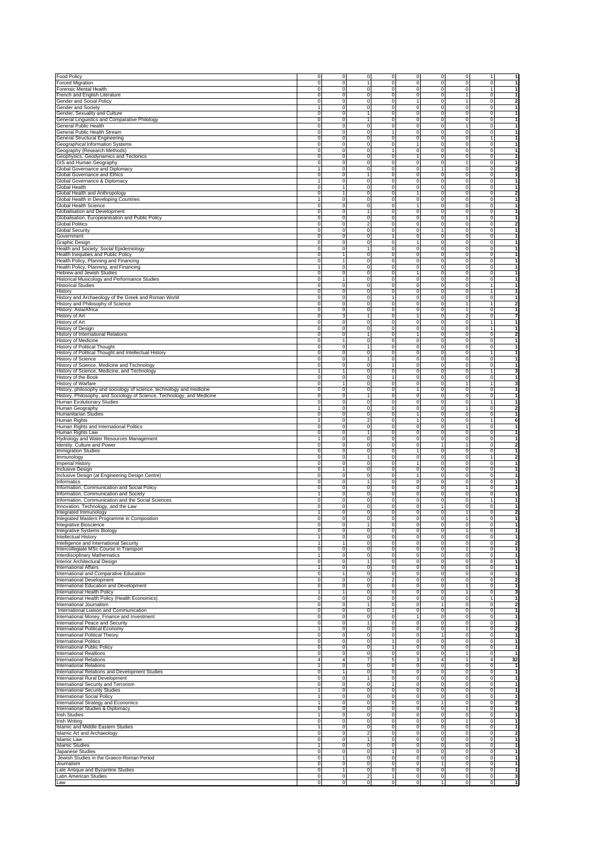|                                                                                                                                                                                                                                                                                                                                                                                                                                                                                                                                                                                                                                                                                                                                                                                                                                                                                                                                                                                                                                                                                                                                                                                                                                                                                                                                                                                                                                                                                                                                                                                                                                                                                                                                                                                     | $\overline{0}$      | ō                       | $\overline{0}$          | ō                       | $\overline{0}$      | $\circ$                        | $\overline{0}$      | $\mathbf{1}$        |                                         |
|-------------------------------------------------------------------------------------------------------------------------------------------------------------------------------------------------------------------------------------------------------------------------------------------------------------------------------------------------------------------------------------------------------------------------------------------------------------------------------------------------------------------------------------------------------------------------------------------------------------------------------------------------------------------------------------------------------------------------------------------------------------------------------------------------------------------------------------------------------------------------------------------------------------------------------------------------------------------------------------------------------------------------------------------------------------------------------------------------------------------------------------------------------------------------------------------------------------------------------------------------------------------------------------------------------------------------------------------------------------------------------------------------------------------------------------------------------------------------------------------------------------------------------------------------------------------------------------------------------------------------------------------------------------------------------------------------------------------------------------------------------------------------------------|---------------------|-------------------------|-------------------------|-------------------------|---------------------|--------------------------------|---------------------|---------------------|-----------------------------------------|
| <b>Food Policy</b><br>Forced Migration                                                                                                                                                                                                                                                                                                                                                                                                                                                                                                                                                                                                                                                                                                                                                                                                                                                                                                                                                                                                                                                                                                                                                                                                                                                                                                                                                                                                                                                                                                                                                                                                                                                                                                                                              | 0                   | $\mathbf 0$             | 1                       | $\mathbf 0$             | $\mathbf 0$         | 0                              | $\mathsf 0$         | $\mathbf 0$         | $\overline{1}$<br>1                     |
| Forensic Mental Health                                                                                                                                                                                                                                                                                                                                                                                                                                                                                                                                                                                                                                                                                                                                                                                                                                                                                                                                                                                                                                                                                                                                                                                                                                                                                                                                                                                                                                                                                                                                                                                                                                                                                                                                                              | $\mathbf 0$         | $\mathbf 0$             | $\mathsf{O}\xspace$     | $\mathbf 0$             | $\mathbf 0$         | $\mathbf 0$                    | $\mathsf 0$         | 1                   | 1                                       |
| French and English Literature                                                                                                                                                                                                                                                                                                                                                                                                                                                                                                                                                                                                                                                                                                                                                                                                                                                                                                                                                                                                                                                                                                                                                                                                                                                                                                                                                                                                                                                                                                                                                                                                                                                                                                                                                       | $\Omega$            | $\mathbf 0$             | $\mathbf 0$             | $\mathbf 0$             | $\mathbf 0$         | $\mathbf 0$                    | $\overline{1}$      | $\mathsf{O}\xspace$ | $\mathbf{1}$                            |
| Gender and Social Policy                                                                                                                                                                                                                                                                                                                                                                                                                                                                                                                                                                                                                                                                                                                                                                                                                                                                                                                                                                                                                                                                                                                                                                                                                                                                                                                                                                                                                                                                                                                                                                                                                                                                                                                                                            | $\Omega$            | $\mathbf 0$             | $\mathbf 0$             | $\mathbf 0$             | $\mathbf{1}$        | $\mathbf 0$                    | $\overline{1}$      | 0                   | $\mathbf 2$                             |
| Gender and Society                                                                                                                                                                                                                                                                                                                                                                                                                                                                                                                                                                                                                                                                                                                                                                                                                                                                                                                                                                                                                                                                                                                                                                                                                                                                                                                                                                                                                                                                                                                                                                                                                                                                                                                                                                  |                     | $\mathbf 0$             | $\mathsf{O}\xspace$     | $\mathbf 0$             | $\mathbf 0$         | $\mathbf 0$                    | $\mathbf 0$         | 0                   | $\mathbf{1}$                            |
| Gender, Sexuality and Culture                                                                                                                                                                                                                                                                                                                                                                                                                                                                                                                                                                                                                                                                                                                                                                                                                                                                                                                                                                                                                                                                                                                                                                                                                                                                                                                                                                                                                                                                                                                                                                                                                                                                                                                                                       | $\Omega$            | $\mathbf 0$             | 1                       | $\mathbf 0$             | $\mathbf 0$         | 0                              | $\mathbf 0$         | $\mathsf{O}\xspace$ | $\mathbf{1}$                            |
| General Linguistics and Comparative Philology                                                                                                                                                                                                                                                                                                                                                                                                                                                                                                                                                                                                                                                                                                                                                                                                                                                                                                                                                                                                                                                                                                                                                                                                                                                                                                                                                                                                                                                                                                                                                                                                                                                                                                                                       | $\mathbf 0$         | $\mathbf 0$             | 1                       | $\mathbf 0$             | $\circ$             | $\mathsf{O}\xspace$            | $\mathbf 0$         | $\mathsf{O}\xspace$ | $\mathbf{1}$                            |
| General Public Health                                                                                                                                                                                                                                                                                                                                                                                                                                                                                                                                                                                                                                                                                                                                                                                                                                                                                                                                                                                                                                                                                                                                                                                                                                                                                                                                                                                                                                                                                                                                                                                                                                                                                                                                                               | $\mathbf 0$         | $\mathbf 0$             | $\circ$                 | $\mathbf 0$             | $\circ$             | $\mathsf{O}\xspace$            | $\mathbf{1}$        | $\mathbf 0$         | $\mathbf{1}$                            |
| General Public Health Stream                                                                                                                                                                                                                                                                                                                                                                                                                                                                                                                                                                                                                                                                                                                                                                                                                                                                                                                                                                                                                                                                                                                                                                                                                                                                                                                                                                                                                                                                                                                                                                                                                                                                                                                                                        | 0                   | $\mathbf 0$             | $\mathsf{O}\xspace$     | 1                       | $\mathbf 0$         | $\mathsf{O}\xspace$            | $\mathbf 0$         | $\mathbf 0$         | $\mathbf{1}$                            |
| General Structural Engineering                                                                                                                                                                                                                                                                                                                                                                                                                                                                                                                                                                                                                                                                                                                                                                                                                                                                                                                                                                                                                                                                                                                                                                                                                                                                                                                                                                                                                                                                                                                                                                                                                                                                                                                                                      | $\Omega$            | $\mathbf 0$             | $\mathsf{O}\xspace$     | $\mathbf 0$             | $\mathbf 0$         | $\mathsf{O}\xspace$            | $\mathsf 0$         | 1                   | $\mathbf{1}$                            |
| Geographical Information Systems                                                                                                                                                                                                                                                                                                                                                                                                                                                                                                                                                                                                                                                                                                                                                                                                                                                                                                                                                                                                                                                                                                                                                                                                                                                                                                                                                                                                                                                                                                                                                                                                                                                                                                                                                    | $\Omega$            | $\mathbf 0$             | $\mathsf{O}\xspace$     | $\mathbf 0$             | $\mathbf{1}$        | $\mathbf 0$                    | $\mathsf 0$         | $\mathsf{O}\xspace$ | $\mathbf{1}$                            |
| Geography (Research Methods)                                                                                                                                                                                                                                                                                                                                                                                                                                                                                                                                                                                                                                                                                                                                                                                                                                                                                                                                                                                                                                                                                                                                                                                                                                                                                                                                                                                                                                                                                                                                                                                                                                                                                                                                                        | $\Omega$            | $\mathbf 0$             | $\mathsf{O}\xspace$     | 1                       | $\mathbf 0$         | $\mathbf 0$                    | $\mathsf 0$         | 0                   | $\mathbf{1}$                            |
| Geophysics, Geodynamics and Tectonics                                                                                                                                                                                                                                                                                                                                                                                                                                                                                                                                                                                                                                                                                                                                                                                                                                                                                                                                                                                                                                                                                                                                                                                                                                                                                                                                                                                                                                                                                                                                                                                                                                                                                                                                               | $\Omega$            | $\mathbf 0$             | $\mathsf{O}\xspace$     | $\mathbf 0$             | $\mathbf{1}$        | $\mathbf 0$                    | $\mathbf 0$         | 0                   | $\mathbf{1}$                            |
| GIS and Human Geography                                                                                                                                                                                                                                                                                                                                                                                                                                                                                                                                                                                                                                                                                                                                                                                                                                                                                                                                                                                                                                                                                                                                                                                                                                                                                                                                                                                                                                                                                                                                                                                                                                                                                                                                                             | 0                   | $\mathbf 0$             | $\circ$                 | $\mathbf 0$             | $\circ$             | 0                              | 1                   | $\mathsf{O}\xspace$ | $\mathbf{1}$                            |
| Global Governance and Diplomacy                                                                                                                                                                                                                                                                                                                                                                                                                                                                                                                                                                                                                                                                                                                                                                                                                                                                                                                                                                                                                                                                                                                                                                                                                                                                                                                                                                                                                                                                                                                                                                                                                                                                                                                                                     |                     | $\mathbf 0$             | $\circ$                 | $\mathbf 0$             | $\circ$             |                                | $\mathbf 0$         | $\mathsf{O}\xspace$ | 2                                       |
| Global Governance and Ethics                                                                                                                                                                                                                                                                                                                                                                                                                                                                                                                                                                                                                                                                                                                                                                                                                                                                                                                                                                                                                                                                                                                                                                                                                                                                                                                                                                                                                                                                                                                                                                                                                                                                                                                                                        | $\Omega$            | $\mathbf 0$             | 1                       | $\mathbf 0$             | $\circ$             | $\mathsf{O}\xspace$            | $\mathbf 0$         | $\mathbf 0$         | $\mathbf{1}$                            |
| Global Governance & Diplomacy                                                                                                                                                                                                                                                                                                                                                                                                                                                                                                                                                                                                                                                                                                                                                                                                                                                                                                                                                                                                                                                                                                                                                                                                                                                                                                                                                                                                                                                                                                                                                                                                                                                                                                                                                       |                     | $\mathbf 0$             | $\circ$                 | $\mathbf 0$             | $\mathbf 0$         | $\mathsf{O}\xspace$            | $\mathbf 0$         | $\mathbf 0$         | $\mathbf{1}$                            |
| Global Health                                                                                                                                                                                                                                                                                                                                                                                                                                                                                                                                                                                                                                                                                                                                                                                                                                                                                                                                                                                                                                                                                                                                                                                                                                                                                                                                                                                                                                                                                                                                                                                                                                                                                                                                                                       | $\mathbf 0$         | 1                       | $\mathsf{O}\xspace$     | $\mathbf 0$             | $\mathbf 0$         | $\mathsf{O}\xspace$            | $\mathsf 0$         | 0                   | 1                                       |
| Global Health and Anthropology                                                                                                                                                                                                                                                                                                                                                                                                                                                                                                                                                                                                                                                                                                                                                                                                                                                                                                                                                                                                                                                                                                                                                                                                                                                                                                                                                                                                                                                                                                                                                                                                                                                                                                                                                      | $\Omega$            | $\mathbf{1}$            | $\mathsf{O}\xspace$     | $\mathbf 0$             | $\mathbf{1}$        | $\mathbf 0$                    | $\mathsf 0$         | 0                   | $\mathbf 2$                             |
| Global Health in Developing Countries                                                                                                                                                                                                                                                                                                                                                                                                                                                                                                                                                                                                                                                                                                                                                                                                                                                                                                                                                                                                                                                                                                                                                                                                                                                                                                                                                                                                                                                                                                                                                                                                                                                                                                                                               |                     | $\mathbf 0$             | $\mathbf 0$             | $\mathbf 0$             | $\mathbf 0$         | $\mathbf 0$                    | $\mathsf 0$         | 0                   | $\mathbf{1}$                            |
|                                                                                                                                                                                                                                                                                                                                                                                                                                                                                                                                                                                                                                                                                                                                                                                                                                                                                                                                                                                                                                                                                                                                                                                                                                                                                                                                                                                                                                                                                                                                                                                                                                                                                                                                                                                     | $\mathbf 0$         | $\mathbf 0$             | $\mathsf{O}\xspace$     | $\mathbf 0$             | $\mathbf{1}$        | $\mathbf 0$                    | $\mathsf 0$         | 0                   | $\mathbf{1}$                            |
| Global Health Science                                                                                                                                                                                                                                                                                                                                                                                                                                                                                                                                                                                                                                                                                                                                                                                                                                                                                                                                                                                                                                                                                                                                                                                                                                                                                                                                                                                                                                                                                                                                                                                                                                                                                                                                                               | $\Omega$            |                         | 1                       |                         | $\circ$             |                                | $\mathbf 0$         |                     |                                         |
| Globalisation and Development                                                                                                                                                                                                                                                                                                                                                                                                                                                                                                                                                                                                                                                                                                                                                                                                                                                                                                                                                                                                                                                                                                                                                                                                                                                                                                                                                                                                                                                                                                                                                                                                                                                                                                                                                       |                     | $\mathbf 0$             | $\circ$                 | $\mathbf 0$             | $\mathbf 0$         | $\mathbf 0$                    | $\overline{1}$      | 0                   | $\mathbf{1}$                            |
| Globalisation, Europeanisation and Public Policy                                                                                                                                                                                                                                                                                                                                                                                                                                                                                                                                                                                                                                                                                                                                                                                                                                                                                                                                                                                                                                                                                                                                                                                                                                                                                                                                                                                                                                                                                                                                                                                                                                                                                                                                    | 0                   | $\mathbf 0$             |                         | $\mathbf 0$             |                     | 0                              |                     | $\mathsf{O}\xspace$ | $\mathbf{1}$                            |
| <b>Global Politics</b>                                                                                                                                                                                                                                                                                                                                                                                                                                                                                                                                                                                                                                                                                                                                                                                                                                                                                                                                                                                                                                                                                                                                                                                                                                                                                                                                                                                                                                                                                                                                                                                                                                                                                                                                                              | $\mathbf 0$         | $\mathbf 0$             | $\overline{c}$          | $\mathbf 0$             | $\circ$             | $\mathsf{O}\xspace$            | $\mathbf 0$         | $\mathbf 0$         | $\overline{\mathbf{2}}$                 |
| Global Security                                                                                                                                                                                                                                                                                                                                                                                                                                                                                                                                                                                                                                                                                                                                                                                                                                                                                                                                                                                                                                                                                                                                                                                                                                                                                                                                                                                                                                                                                                                                                                                                                                                                                                                                                                     | $\mathbf 0$         | $\mathbf 0$             | $\circ$                 | $\mathbf 0$             | $\mathbf 0$         | 1                              | $\mathbf 0$         | $\mathbf 0$         | $\mathbf{1}$                            |
| Government                                                                                                                                                                                                                                                                                                                                                                                                                                                                                                                                                                                                                                                                                                                                                                                                                                                                                                                                                                                                                                                                                                                                                                                                                                                                                                                                                                                                                                                                                                                                                                                                                                                                                                                                                                          | 0                   | $\mathbf 0$             | $\mathsf{O}\xspace$     | $\mathbf{1}$            | $\mathbf 0$         | $\mathsf{O}\xspace$            | $\mathbf 0$         | 0                   | 1                                       |
| Graphic Design                                                                                                                                                                                                                                                                                                                                                                                                                                                                                                                                                                                                                                                                                                                                                                                                                                                                                                                                                                                                                                                                                                                                                                                                                                                                                                                                                                                                                                                                                                                                                                                                                                                                                                                                                                      | 0                   | $\mathbf 0$             | $\mathsf{O}\xspace$     | $\mathbf 0$             | $\overline{1}$      | $\mathsf{O}\xspace$            | $\mathsf 0$         | $\mathsf{O}\xspace$ | 1                                       |
| Health and Society: Social Epidemiology                                                                                                                                                                                                                                                                                                                                                                                                                                                                                                                                                                                                                                                                                                                                                                                                                                                                                                                                                                                                                                                                                                                                                                                                                                                                                                                                                                                                                                                                                                                                                                                                                                                                                                                                             | $\Omega$            | $\mathbf 0$             | 1                       | $\mathbf 0$             | $\mathbf 0$         | 0                              | $\mathsf 0$         | $\mathsf{O}\xspace$ | $\mathbf{1}$                            |
| Health Inequities and Public Policy                                                                                                                                                                                                                                                                                                                                                                                                                                                                                                                                                                                                                                                                                                                                                                                                                                                                                                                                                                                                                                                                                                                                                                                                                                                                                                                                                                                                                                                                                                                                                                                                                                                                                                                                                 | $\Omega$            | $\mathbf{1}$            | $\mathsf{O}\xspace$     | $\mathbf 0$             | $\mathbf 0$         | $\mathbf 0$                    | $\mathsf 0$         | 0                   | $\mathbf{1}$                            |
| Health Policy, Planning and Financing                                                                                                                                                                                                                                                                                                                                                                                                                                                                                                                                                                                                                                                                                                                                                                                                                                                                                                                                                                                                                                                                                                                                                                                                                                                                                                                                                                                                                                                                                                                                                                                                                                                                                                                                               | $\mathbf 0$         | 1                       | $\mathbf 0$             | $\mathbf 0$             | $\mathbf 0$         | $\mathsf{O}\xspace$            | $\mathsf 0$         | $\mathsf{O}\xspace$ | $\mathbf{1}$                            |
| Health Policy, Planning, and Financing                                                                                                                                                                                                                                                                                                                                                                                                                                                                                                                                                                                                                                                                                                                                                                                                                                                                                                                                                                                                                                                                                                                                                                                                                                                                                                                                                                                                                                                                                                                                                                                                                                                                                                                                              | 1                   | o                       | ō                       | ō                       | ō                   | o                              | $\overline{0}$      | o                   | $\overline{1}$                          |
| Hebrew and Jewish Studies                                                                                                                                                                                                                                                                                                                                                                                                                                                                                                                                                                                                                                                                                                                                                                                                                                                                                                                                                                                                                                                                                                                                                                                                                                                                                                                                                                                                                                                                                                                                                                                                                                                                                                                                                           | $\mathbf 0$         | ō                       | $\mathbf 0$             | ō                       | $\mathbf{1}$        | o                              | $\overline{0}$      | o                   | $\overline{1}$                          |
| Historical Musicology and Performance Studies                                                                                                                                                                                                                                                                                                                                                                                                                                                                                                                                                                                                                                                                                                                                                                                                                                                                                                                                                                                                                                                                                                                                                                                                                                                                                                                                                                                                                                                                                                                                                                                                                                                                                                                                       | $\mathbf 0$         | 1                       | $\mathbf 0$             | ō                       | ō                   | o                              | ō                   | o                   | $\overline{1}$                          |
| <b>Historical Studies</b>                                                                                                                                                                                                                                                                                                                                                                                                                                                                                                                                                                                                                                                                                                                                                                                                                                                                                                                                                                                                                                                                                                                                                                                                                                                                                                                                                                                                                                                                                                                                                                                                                                                                                                                                                           | $\mathbf 0$         | $\mathbf 0$             | $\mathbf 0$             | o                       | ō                   | $\mathbf 0$                    | $\overline{0}$      | $\mathbf{1}$        | $\mathbf{1}$                            |
| History                                                                                                                                                                                                                                                                                                                                                                                                                                                                                                                                                                                                                                                                                                                                                                                                                                                                                                                                                                                                                                                                                                                                                                                                                                                                                                                                                                                                                                                                                                                                                                                                                                                                                                                                                                             | $\mathbf 0$         | o                       | o                       | o                       | ō                   | $\mathbf 0$                    | $\overline{0}$      | $\mathbf{1}$        | -1                                      |
| History and Archaeology of the Greek and Roman World                                                                                                                                                                                                                                                                                                                                                                                                                                                                                                                                                                                                                                                                                                                                                                                                                                                                                                                                                                                                                                                                                                                                                                                                                                                                                                                                                                                                                                                                                                                                                                                                                                                                                                                                | $\Omega$            | o                       | ō                       | $\mathbf{1}$            | $\overline{0}$      | $\mathbf 0$                    | $\overline{0}$      | o                   | -1                                      |
| History and Philosophy of Science                                                                                                                                                                                                                                                                                                                                                                                                                                                                                                                                                                                                                                                                                                                                                                                                                                                                                                                                                                                                                                                                                                                                                                                                                                                                                                                                                                                                                                                                                                                                                                                                                                                                                                                                                   | $\Omega$            | ō                       | ō                       | o                       | $\overline{0}$      | $\mathbf 0$                    | 1                   | 1                   | $\overline{2}$                          |
| History: Asia/Africa                                                                                                                                                                                                                                                                                                                                                                                                                                                                                                                                                                                                                                                                                                                                                                                                                                                                                                                                                                                                                                                                                                                                                                                                                                                                                                                                                                                                                                                                                                                                                                                                                                                                                                                                                                | $\mathbf 0$         | o                       | o                       | o                       | $\overline{0}$      | $\mathbf 0$                    | 1                   | $\mathbf 0$         | $\mathbf{1}$                            |
| History of Art                                                                                                                                                                                                                                                                                                                                                                                                                                                                                                                                                                                                                                                                                                                                                                                                                                                                                                                                                                                                                                                                                                                                                                                                                                                                                                                                                                                                                                                                                                                                                                                                                                                                                                                                                                      | $\mathbf 0$         | 3                       | 1                       | o                       | $\mathbf{1}$        | $\mathbf 0$                    | $\overline{2}$      | o                   | 7                                       |
| History of Art                                                                                                                                                                                                                                                                                                                                                                                                                                                                                                                                                                                                                                                                                                                                                                                                                                                                                                                                                                                                                                                                                                                                                                                                                                                                                                                                                                                                                                                                                                                                                                                                                                                                                                                                                                      | $\mathbf 0$         | o                       | $\mathbf 0$             | ō                       | $\mathbf 0$         | $\mathbf 0$                    | $\overline{0}$      | $\mathbf{1}$        | $\overline{1}$                          |
| <b>History of Design</b>                                                                                                                                                                                                                                                                                                                                                                                                                                                                                                                                                                                                                                                                                                                                                                                                                                                                                                                                                                                                                                                                                                                                                                                                                                                                                                                                                                                                                                                                                                                                                                                                                                                                                                                                                            | $\mathbf 0$         | o                       | $\mathbf 0$             | ō                       | ō                   | $\mathbf 0$                    | ō                   | $\mathbf{1}$        | $\overline{\mathbf{1}}$                 |
| <b>History of International Relations</b>                                                                                                                                                                                                                                                                                                                                                                                                                                                                                                                                                                                                                                                                                                                                                                                                                                                                                                                                                                                                                                                                                                                                                                                                                                                                                                                                                                                                                                                                                                                                                                                                                                                                                                                                           | $\mathbf 0$         | o                       | $\mathbf{1}$            | ō                       | $\mathbf{1}$        | $\mathbf 0$                    | $\overline{0}$      | $\mathbf 0$         | $\overline{\mathbf{2}}$                 |
| History of Medicine                                                                                                                                                                                                                                                                                                                                                                                                                                                                                                                                                                                                                                                                                                                                                                                                                                                                                                                                                                                                                                                                                                                                                                                                                                                                                                                                                                                                                                                                                                                                                                                                                                                                                                                                                                 | $\mathbf 0$         | 1                       | $\mathbf 0$             | o                       | $\mathbf 0$         | $\mathbf 0$                    | $\overline{0}$      | o                   | $\overline{1}$                          |
| <b>History of Political Thought</b>                                                                                                                                                                                                                                                                                                                                                                                                                                                                                                                                                                                                                                                                                                                                                                                                                                                                                                                                                                                                                                                                                                                                                                                                                                                                                                                                                                                                                                                                                                                                                                                                                                                                                                                                                 | $\mathbf 0$         | o                       | $\mathbf{1}$            | o                       | ō                   | $\mathbf 0$                    | $\overline{0}$      | o                   | -1                                      |
| History of Political Thought and Intellectual History                                                                                                                                                                                                                                                                                                                                                                                                                                                                                                                                                                                                                                                                                                                                                                                                                                                                                                                                                                                                                                                                                                                                                                                                                                                                                                                                                                                                                                                                                                                                                                                                                                                                                                                               | $\Omega$            | ō                       | o                       | o                       | ō                   | $\mathbf 0$                    | $\overline{0}$      | 1                   | -1                                      |
| History of Science                                                                                                                                                                                                                                                                                                                                                                                                                                                                                                                                                                                                                                                                                                                                                                                                                                                                                                                                                                                                                                                                                                                                                                                                                                                                                                                                                                                                                                                                                                                                                                                                                                                                                                                                                                  | $\mathbf 0$         | o                       | $\mathbf{1}$            | o                       | ō                   | 0                              | $\overline{0}$      | $\mathbf 0$         | -1                                      |
| History of Science, Medicine and Technology                                                                                                                                                                                                                                                                                                                                                                                                                                                                                                                                                                                                                                                                                                                                                                                                                                                                                                                                                                                                                                                                                                                                                                                                                                                                                                                                                                                                                                                                                                                                                                                                                                                                                                                                         | $\mathbf 0$         | o                       | $\mathbf 0$             | $\mathbf{1}$            | ō                   | $\mathbf 0$                    | $\overline{0}$      | o                   | $\mathbf{1}$                            |
| History of Science, Medicine, and Technology                                                                                                                                                                                                                                                                                                                                                                                                                                                                                                                                                                                                                                                                                                                                                                                                                                                                                                                                                                                                                                                                                                                                                                                                                                                                                                                                                                                                                                                                                                                                                                                                                                                                                                                                        | 1                   | 1                       | $\mathbf 0$             | ō                       | ō                   | $\mathbf 0$                    | $\overline{0}$      | 1                   | 3                                       |
| History of the Book                                                                                                                                                                                                                                                                                                                                                                                                                                                                                                                                                                                                                                                                                                                                                                                                                                                                                                                                                                                                                                                                                                                                                                                                                                                                                                                                                                                                                                                                                                                                                                                                                                                                                                                                                                 | $\mathbf 0$         | ō                       | $\mathbf 0$             | $\mathbf{1}$            | ō                   | $\mathbf 0$                    | ō                   | $\circ$             | $\overline{\mathbf{1}}$                 |
| <b>History of Warfare</b>                                                                                                                                                                                                                                                                                                                                                                                                                                                                                                                                                                                                                                                                                                                                                                                                                                                                                                                                                                                                                                                                                                                                                                                                                                                                                                                                                                                                                                                                                                                                                                                                                                                                                                                                                           | $\mathbf 0$         |                         | $\mathbf 0$             | ō                       | ō                   |                                | $\mathbf{1}$        |                     | 3                                       |
|                                                                                                                                                                                                                                                                                                                                                                                                                                                                                                                                                                                                                                                                                                                                                                                                                                                                                                                                                                                                                                                                                                                                                                                                                                                                                                                                                                                                                                                                                                                                                                                                                                                                                                                                                                                     |                     | $\mathbf{1}$            | o                       |                         | $\mathbf{1}$        | $\mathbf 0$                    | $\overline{0}$      | $\mathbf{1}$        | $\overline{1}$                          |
| History, philosophy and sociology of science, technology and medicine                                                                                                                                                                                                                                                                                                                                                                                                                                                                                                                                                                                                                                                                                                                                                                                                                                                                                                                                                                                                                                                                                                                                                                                                                                                                                                                                                                                                                                                                                                                                                                                                                                                                                                               | $\mathbf 0$         | $\mathbf 0$             |                         | o                       |                     | $\mathbf 0$                    |                     | $\mathbf 0$         | -1                                      |
| History, Philosophy, and Sociology of Science, Technology, and Medicine                                                                                                                                                                                                                                                                                                                                                                                                                                                                                                                                                                                                                                                                                                                                                                                                                                                                                                                                                                                                                                                                                                                                                                                                                                                                                                                                                                                                                                                                                                                                                                                                                                                                                                             | $\mathbf 0$         | o                       | $\mathbf{1}$            | o                       | ō                   | $\mathbf 0$                    | $\overline{0}$      | o                   |                                         |
| Human Evolutionary Studies                                                                                                                                                                                                                                                                                                                                                                                                                                                                                                                                                                                                                                                                                                                                                                                                                                                                                                                                                                                                                                                                                                                                                                                                                                                                                                                                                                                                                                                                                                                                                                                                                                                                                                                                                          | $\mathbf 0$         | o                       | $\mathbf 0$             | o                       | ō                   | $\mathbf 0$                    | $\overline{0}$      | 1                   | -1                                      |
| Human Geography                                                                                                                                                                                                                                                                                                                                                                                                                                                                                                                                                                                                                                                                                                                                                                                                                                                                                                                                                                                                                                                                                                                                                                                                                                                                                                                                                                                                                                                                                                                                                                                                                                                                                                                                                                     | 1                   | o                       | o                       | o                       | $\overline{0}$      | $\mathbf 0$                    | $\overline{1}$      | $\mathbf 0$         | $\overline{2}$                          |
| <b>Humanitarian Studies</b>                                                                                                                                                                                                                                                                                                                                                                                                                                                                                                                                                                                                                                                                                                                                                                                                                                                                                                                                                                                                                                                                                                                                                                                                                                                                                                                                                                                                                                                                                                                                                                                                                                                                                                                                                         | $\mathbf 0$         | o                       | o                       | o                       | $\mathbf{1}$        | $\mathbf 0$                    | $\overline{0}$      | o                   | $\mathbf{1}$                            |
| Human Rights                                                                                                                                                                                                                                                                                                                                                                                                                                                                                                                                                                                                                                                                                                                                                                                                                                                                                                                                                                                                                                                                                                                                                                                                                                                                                                                                                                                                                                                                                                                                                                                                                                                                                                                                                                        | $\overline{2}$      | o                       | $\overline{2}$          | ō                       | $\mathbf{1}$        | $\mathbf 0$                    | $\overline{0}$      | 1                   | 6                                       |
| Human Rights and International Politics                                                                                                                                                                                                                                                                                                                                                                                                                                                                                                                                                                                                                                                                                                                                                                                                                                                                                                                                                                                                                                                                                                                                                                                                                                                                                                                                                                                                                                                                                                                                                                                                                                                                                                                                             | $\mathbf 0$         | o                       | ō                       | ō                       | $\mathbf 0$         | $\mathbf 0$                    | $\mathbf{1}$        | $\mathbf 0$         | $\overline{\mathbf{1}}$                 |
| Human Rights Law                                                                                                                                                                                                                                                                                                                                                                                                                                                                                                                                                                                                                                                                                                                                                                                                                                                                                                                                                                                                                                                                                                                                                                                                                                                                                                                                                                                                                                                                                                                                                                                                                                                                                                                                                                    | $\mathbf 0$         | ō                       | 1                       | ō                       | ō                   | $\mathbf 0$                    | ō                   | o                   | $\mathbf{1}$                            |
| Hydrology and Water Resources Management                                                                                                                                                                                                                                                                                                                                                                                                                                                                                                                                                                                                                                                                                                                                                                                                                                                                                                                                                                                                                                                                                                                                                                                                                                                                                                                                                                                                                                                                                                                                                                                                                                                                                                                                            | 1                   | o                       | $\mathbf 0$             | ō                       | ō                   | $\mathbf 0$                    | $\overline{0}$      | $\mathbf 0$         | $\mathbf{1}$                            |
| Identity, Culture and Power                                                                                                                                                                                                                                                                                                                                                                                                                                                                                                                                                                                                                                                                                                                                                                                                                                                                                                                                                                                                                                                                                                                                                                                                                                                                                                                                                                                                                                                                                                                                                                                                                                                                                                                                                         | $\Omega$            | o                       | $\mathbf 0$             | o                       | ō                   | 1                              | 1                   | o                   | $\overline{\mathbf{2}}$                 |
| <b>Immigration Studies</b>                                                                                                                                                                                                                                                                                                                                                                                                                                                                                                                                                                                                                                                                                                                                                                                                                                                                                                                                                                                                                                                                                                                                                                                                                                                                                                                                                                                                                                                                                                                                                                                                                                                                                                                                                          | $\mathbf 0$         | o                       | o                       | o                       | $\mathbf{1}$        | $\mathbf 0$                    | $\overline{0}$      | o                   | -1                                      |
| Immunology                                                                                                                                                                                                                                                                                                                                                                                                                                                                                                                                                                                                                                                                                                                                                                                                                                                                                                                                                                                                                                                                                                                                                                                                                                                                                                                                                                                                                                                                                                                                                                                                                                                                                                                                                                          | $\Omega$            | o                       | $\mathbf{1}$            | o                       | ō                   | o                              | $\overline{0}$      | 1                   | $\overline{2}$                          |
| Imperial Histor                                                                                                                                                                                                                                                                                                                                                                                                                                                                                                                                                                                                                                                                                                                                                                                                                                                                                                                                                                                                                                                                                                                                                                                                                                                                                                                                                                                                                                                                                                                                                                                                                                                                                                                                                                     | $\mathbf 0$         | o                       | o                       | o                       | $\mathbf{1}$        | $\mathbf 0$                    | $\overline{0}$      | $\mathbf 0$         | $\mathbf{1}$                            |
| <b>Inclusive Design</b>                                                                                                                                                                                                                                                                                                                                                                                                                                                                                                                                                                                                                                                                                                                                                                                                                                                                                                                                                                                                                                                                                                                                                                                                                                                                                                                                                                                                                                                                                                                                                                                                                                                                                                                                                             | $\mathbf 0$         | 1                       | $\mathbf 0$             | o                       | ō                   | $\mathbf 0$                    | $\overline{0}$      | o                   | $\overline{1}$                          |
| Inclusive Design (at Engineering Design Centre)                                                                                                                                                                                                                                                                                                                                                                                                                                                                                                                                                                                                                                                                                                                                                                                                                                                                                                                                                                                                                                                                                                                                                                                                                                                                                                                                                                                                                                                                                                                                                                                                                                                                                                                                     | $\mathbf 0$         | $\mathbf 0$             | ō                       | ō                       | $\mathbf{1}$        | o                              | $\overline{0}$      | o                   | $\overline{1}$                          |
|                                                                                                                                                                                                                                                                                                                                                                                                                                                                                                                                                                                                                                                                                                                                                                                                                                                                                                                                                                                                                                                                                                                                                                                                                                                                                                                                                                                                                                                                                                                                                                                                                                                                                                                                                                                     |                     | ō                       | 1                       | ō                       | $\mathbf 0$         | $\mathbf 0$                    | ō                   | o                   | $\overline{1}$                          |
|                                                                                                                                                                                                                                                                                                                                                                                                                                                                                                                                                                                                                                                                                                                                                                                                                                                                                                                                                                                                                                                                                                                                                                                                                                                                                                                                                                                                                                                                                                                                                                                                                                                                                                                                                                                     | $\mathbf 0$         | $\mathbf 0$             | $\mathbf 0$             | ō                       | ō                   | $\mathbf 0$                    | $\mathbf{1}$        | $\mathbf 0$         | $\mathbf{1}$                            |
|                                                                                                                                                                                                                                                                                                                                                                                                                                                                                                                                                                                                                                                                                                                                                                                                                                                                                                                                                                                                                                                                                                                                                                                                                                                                                                                                                                                                                                                                                                                                                                                                                                                                                                                                                                                     | $\mathbf 0$         |                         |                         |                         | ō                   | $\mathbf 0$                    |                     |                     |                                         |
|                                                                                                                                                                                                                                                                                                                                                                                                                                                                                                                                                                                                                                                                                                                                                                                                                                                                                                                                                                                                                                                                                                                                                                                                                                                                                                                                                                                                                                                                                                                                                                                                                                                                                                                                                                                     | 1                   |                         |                         |                         |                     |                                |                     |                     | $\overline{1}$                          |
|                                                                                                                                                                                                                                                                                                                                                                                                                                                                                                                                                                                                                                                                                                                                                                                                                                                                                                                                                                                                                                                                                                                                                                                                                                                                                                                                                                                                                                                                                                                                                                                                                                                                                                                                                                                     | $\Omega$            | o                       | $\mathbf 0$             | o                       |                     |                                | $\overline{0}$      | o                   |                                         |
|                                                                                                                                                                                                                                                                                                                                                                                                                                                                                                                                                                                                                                                                                                                                                                                                                                                                                                                                                                                                                                                                                                                                                                                                                                                                                                                                                                                                                                                                                                                                                                                                                                                                                                                                                                                     |                     | o                       | o                       | o                       | ō                   | o                              | $\overline{0}$      | 1                   | -1                                      |
|                                                                                                                                                                                                                                                                                                                                                                                                                                                                                                                                                                                                                                                                                                                                                                                                                                                                                                                                                                                                                                                                                                                                                                                                                                                                                                                                                                                                                                                                                                                                                                                                                                                                                                                                                                                     | $\mathbf 0$         | o                       | o                       | o                       | ō                   | 1                              | $\overline{0}$      | $\mathbf 0$         | -1                                      |
|                                                                                                                                                                                                                                                                                                                                                                                                                                                                                                                                                                                                                                                                                                                                                                                                                                                                                                                                                                                                                                                                                                                                                                                                                                                                                                                                                                                                                                                                                                                                                                                                                                                                                                                                                                                     | 1                   | ō                       | o                       | o                       | ō                   | $\mathbf 0$                    | 1                   | ō                   | $\overline{\mathbf{2}}$                 |
|                                                                                                                                                                                                                                                                                                                                                                                                                                                                                                                                                                                                                                                                                                                                                                                                                                                                                                                                                                                                                                                                                                                                                                                                                                                                                                                                                                                                                                                                                                                                                                                                                                                                                                                                                                                     | $\mathbf 0$         | ō                       | o<br>1                  | o                       | ō                   | $\mathbf 0$                    | 1                   | o                   | $\mathbf{1}$                            |
|                                                                                                                                                                                                                                                                                                                                                                                                                                                                                                                                                                                                                                                                                                                                                                                                                                                                                                                                                                                                                                                                                                                                                                                                                                                                                                                                                                                                                                                                                                                                                                                                                                                                                                                                                                                     | $\mathbf 0$         | $\mathbf 0$             |                         | ō                       | ō                   | $\mathbf 0$                    | ō                   | $\circ$             | $\overline{1}$                          |
|                                                                                                                                                                                                                                                                                                                                                                                                                                                                                                                                                                                                                                                                                                                                                                                                                                                                                                                                                                                                                                                                                                                                                                                                                                                                                                                                                                                                                                                                                                                                                                                                                                                                                                                                                                                     | 0<br>1              | 0                       |                         | 0                       |                     |                                |                     |                     | $\overline{\mathbf{1}}$                 |
|                                                                                                                                                                                                                                                                                                                                                                                                                                                                                                                                                                                                                                                                                                                                                                                                                                                                                                                                                                                                                                                                                                                                                                                                                                                                                                                                                                                                                                                                                                                                                                                                                                                                                                                                                                                     |                     | ō                       | ō                       | ō                       | ō                   | $\overline{0}$                 | ō                   | o                   |                                         |
|                                                                                                                                                                                                                                                                                                                                                                                                                                                                                                                                                                                                                                                                                                                                                                                                                                                                                                                                                                                                                                                                                                                                                                                                                                                                                                                                                                                                                                                                                                                                                                                                                                                                                                                                                                                     | 1                   | 1                       | $\mathbf 0$             | $\mathbf 0$             | $\mathbf 0$         | $\mathbf 0$                    | ō                   | $\mathbf 0$         | $\overline{\mathbf{2}}$                 |
|                                                                                                                                                                                                                                                                                                                                                                                                                                                                                                                                                                                                                                                                                                                                                                                                                                                                                                                                                                                                                                                                                                                                                                                                                                                                                                                                                                                                                                                                                                                                                                                                                                                                                                                                                                                     | $\mathbf 0$         | o                       | $\Omega$                | ō                       | ō                   | $\mathbf 0$                    | 1                   | o                   | $\mathbf{1}$                            |
|                                                                                                                                                                                                                                                                                                                                                                                                                                                                                                                                                                                                                                                                                                                                                                                                                                                                                                                                                                                                                                                                                                                                                                                                                                                                                                                                                                                                                                                                                                                                                                                                                                                                                                                                                                                     | 1                   | o                       | o                       | o                       | ō                   | $\mathbf 0$                    | $\overline{0}$      | o                   | -1                                      |
|                                                                                                                                                                                                                                                                                                                                                                                                                                                                                                                                                                                                                                                                                                                                                                                                                                                                                                                                                                                                                                                                                                                                                                                                                                                                                                                                                                                                                                                                                                                                                                                                                                                                                                                                                                                     | $\mathbf 0$         | o                       | 1                       | o                       | ō                   | $\mathbf 0$                    | $\overline{0}$      | $\mathbf 0$         | $\overline{1}$                          |
|                                                                                                                                                                                                                                                                                                                                                                                                                                                                                                                                                                                                                                                                                                                                                                                                                                                                                                                                                                                                                                                                                                                                                                                                                                                                                                                                                                                                                                                                                                                                                                                                                                                                                                                                                                                     | 1                   | o                       | $\mathbf 0$             | ō                       | ō                   | $\mathbf 0$                    | $\overline{0}$      | $\mathbf 0$         | $\mathbf{1}$                            |
|                                                                                                                                                                                                                                                                                                                                                                                                                                                                                                                                                                                                                                                                                                                                                                                                                                                                                                                                                                                                                                                                                                                                                                                                                                                                                                                                                                                                                                                                                                                                                                                                                                                                                                                                                                                     | $\mathbf 0$         | 1                       | $\mathbf 0$             | ō                       | $\mathbf 0$         | $\mathbf 0$                    | $\overline{0}$      | $\mathbf 0$         | $\overline{1}$                          |
|                                                                                                                                                                                                                                                                                                                                                                                                                                                                                                                                                                                                                                                                                                                                                                                                                                                                                                                                                                                                                                                                                                                                                                                                                                                                                                                                                                                                                                                                                                                                                                                                                                                                                                                                                                                     | $\mathbf 0$         | $\mathbf 0$             | $\mathbf 0$             | $\overline{\mathbf{c}}$ | $\mathbf 0$         | $\circ$                        | ō                   | $\mathbf 0$         | $\overline{\mathbf{2}}$                 |
|                                                                                                                                                                                                                                                                                                                                                                                                                                                                                                                                                                                                                                                                                                                                                                                                                                                                                                                                                                                                                                                                                                                                                                                                                                                                                                                                                                                                                                                                                                                                                                                                                                                                                                                                                                                     | $\mathbf 0$         | ō                       | $\mathbf 0$             | ō                       | $\mathbf 0$         | $\mathbf 0$                    | $\mathbf{1}$        | $\mathbf 0$         | $\overline{1}$                          |
|                                                                                                                                                                                                                                                                                                                                                                                                                                                                                                                                                                                                                                                                                                                                                                                                                                                                                                                                                                                                                                                                                                                                                                                                                                                                                                                                                                                                                                                                                                                                                                                                                                                                                                                                                                                     | 1                   | $\mathbf{1}$            | $\mathbf 0$             | ō                       | ō                   | $\mathbf 0$                    | 1                   | o                   | 3                                       |
|                                                                                                                                                                                                                                                                                                                                                                                                                                                                                                                                                                                                                                                                                                                                                                                                                                                                                                                                                                                                                                                                                                                                                                                                                                                                                                                                                                                                                                                                                                                                                                                                                                                                                                                                                                                     | $\mathbf 0$         | o                       | ō                       | ō                       | ō                   | o                              | $\overline{0}$      | $\bar{1}$           | $\mathbf{1}$                            |
|                                                                                                                                                                                                                                                                                                                                                                                                                                                                                                                                                                                                                                                                                                                                                                                                                                                                                                                                                                                                                                                                                                                                                                                                                                                                                                                                                                                                                                                                                                                                                                                                                                                                                                                                                                                     | $\mathbf 0$         | o                       | $\mathbf{1}$            | ō                       | ō                   | 1                              | $\overline{0}$      | $\mathbf 0$         | $\overline{2}$                          |
|                                                                                                                                                                                                                                                                                                                                                                                                                                                                                                                                                                                                                                                                                                                                                                                                                                                                                                                                                                                                                                                                                                                                                                                                                                                                                                                                                                                                                                                                                                                                                                                                                                                                                                                                                                                     | $\mathbf 0$         | o                       | o                       | $\bar{1}$               | ō                   | $\mathbf 0$                    | $\overline{0}$      | o                   | $\mathbf{1}$                            |
|                                                                                                                                                                                                                                                                                                                                                                                                                                                                                                                                                                                                                                                                                                                                                                                                                                                                                                                                                                                                                                                                                                                                                                                                                                                                                                                                                                                                                                                                                                                                                                                                                                                                                                                                                                                     | $\mathbf 0$         | o                       | ō                       | ō                       | 1                   | $\mathbf 0$                    | $\overline{0}$      | o                   | $\mathbf{1}$                            |
|                                                                                                                                                                                                                                                                                                                                                                                                                                                                                                                                                                                                                                                                                                                                                                                                                                                                                                                                                                                                                                                                                                                                                                                                                                                                                                                                                                                                                                                                                                                                                                                                                                                                                                                                                                                     | $\mathbf 0$         | o                       | 1                       | ō                       | $\mathbf 0$         | $\mathbf 0$                    | $\overline{0}$      | $\mathbf 0$         | $\overline{1}$                          |
|                                                                                                                                                                                                                                                                                                                                                                                                                                                                                                                                                                                                                                                                                                                                                                                                                                                                                                                                                                                                                                                                                                                                                                                                                                                                                                                                                                                                                                                                                                                                                                                                                                                                                                                                                                                     | 1                   | $\mathbf 0$             | $\mathbf 0$             | ō                       | $\mathbf 0$         | $\circ$                        | $\overline{1}$      | $\mathbf 0$         | $\overline{\mathbf{2}}$                 |
|                                                                                                                                                                                                                                                                                                                                                                                                                                                                                                                                                                                                                                                                                                                                                                                                                                                                                                                                                                                                                                                                                                                                                                                                                                                                                                                                                                                                                                                                                                                                                                                                                                                                                                                                                                                     | $\mathbf 0$         | $\mathbf 0$             | $\mathbf 0$             | ō                       | $\mathbf 0$         | $\mathbf{1}$                   | ō                   | $\mathbf 0$         | $\overline{1}$                          |
|                                                                                                                                                                                                                                                                                                                                                                                                                                                                                                                                                                                                                                                                                                                                                                                                                                                                                                                                                                                                                                                                                                                                                                                                                                                                                                                                                                                                                                                                                                                                                                                                                                                                                                                                                                                     | $\mathbf 0$         | o                       | $\mathbf 0$             | $\mathbf{1}$            | ō                   | $\mathbf 0$                    | ō                   | o                   | $\mathbf{1}$                            |
|                                                                                                                                                                                                                                                                                                                                                                                                                                                                                                                                                                                                                                                                                                                                                                                                                                                                                                                                                                                                                                                                                                                                                                                                                                                                                                                                                                                                                                                                                                                                                                                                                                                                                                                                                                                     | $\mathbf 0$         | o                       | $\mathbf 0$             | $\mathbf{1}$            | ō                   | $\mathbf 0$                    | $\overline{0}$      | $\mathbf 0$         | -1                                      |
|                                                                                                                                                                                                                                                                                                                                                                                                                                                                                                                                                                                                                                                                                                                                                                                                                                                                                                                                                                                                                                                                                                                                                                                                                                                                                                                                                                                                                                                                                                                                                                                                                                                                                                                                                                                     | $\mathbf 0$         | o                       | ō                       | ō                       | ō                   | $\mathbf 0$                    | $\mathbf{1}$        | o                   | -1                                      |
|                                                                                                                                                                                                                                                                                                                                                                                                                                                                                                                                                                                                                                                                                                                                                                                                                                                                                                                                                                                                                                                                                                                                                                                                                                                                                                                                                                                                                                                                                                                                                                                                                                                                                                                                                                                     | $\overline{4}$      | $\overline{\mathbf{A}}$ | $\overline{7}$          | 5                       | 3                   | 4                              | 1                   | $\overline{a}$      | 32                                      |
|                                                                                                                                                                                                                                                                                                                                                                                                                                                                                                                                                                                                                                                                                                                                                                                                                                                                                                                                                                                                                                                                                                                                                                                                                                                                                                                                                                                                                                                                                                                                                                                                                                                                                                                                                                                     | 1                   | o                       | $\mathbf 0$             | o                       | ō                   | o                              | $\overline{0}$      | o                   | $\mathbf{1}$                            |
|                                                                                                                                                                                                                                                                                                                                                                                                                                                                                                                                                                                                                                                                                                                                                                                                                                                                                                                                                                                                                                                                                                                                                                                                                                                                                                                                                                                                                                                                                                                                                                                                                                                                                                                                                                                     | $\mathbf 0$         | $\mathbf{1}$            | ō                       | ō                       | ō                   | $\mathbf 0$                    | $\overline{0}$      | $\mathbf 0$         | $\overline{1}$                          |
|                                                                                                                                                                                                                                                                                                                                                                                                                                                                                                                                                                                                                                                                                                                                                                                                                                                                                                                                                                                                                                                                                                                                                                                                                                                                                                                                                                                                                                                                                                                                                                                                                                                                                                                                                                                     | $\mathbf 0$         | $\mathbf 0$             | 1                       | ō                       | ō                   | $\mathbf 0$                    | $\overline{0}$      | $\mathbf 0$         | $\overline{1}$                          |
|                                                                                                                                                                                                                                                                                                                                                                                                                                                                                                                                                                                                                                                                                                                                                                                                                                                                                                                                                                                                                                                                                                                                                                                                                                                                                                                                                                                                                                                                                                                                                                                                                                                                                                                                                                                     | $\mathbf 0$         | $\mathbf 0$             | $\mathbf 0$             | $\mathbf{1}$            | $\mathbf 0$         | $\circ$                        | ō                   | $\mathbf 0$         | $\overline{1}$                          |
|                                                                                                                                                                                                                                                                                                                                                                                                                                                                                                                                                                                                                                                                                                                                                                                                                                                                                                                                                                                                                                                                                                                                                                                                                                                                                                                                                                                                                                                                                                                                                                                                                                                                                                                                                                                     | 1                   | $\mathbf 0$             | $\circ$                 | ō                       | ō                   | $\mathbf 0$                    | ō                   | ō                   | $\overline{1}$                          |
|                                                                                                                                                                                                                                                                                                                                                                                                                                                                                                                                                                                                                                                                                                                                                                                                                                                                                                                                                                                                                                                                                                                                                                                                                                                                                                                                                                                                                                                                                                                                                                                                                                                                                                                                                                                     | 1                   |                         | $\mathbf 0$             |                         | ō                   |                                | $\overline{0}$      |                     | $\mathbf{1}$                            |
|                                                                                                                                                                                                                                                                                                                                                                                                                                                                                                                                                                                                                                                                                                                                                                                                                                                                                                                                                                                                                                                                                                                                                                                                                                                                                                                                                                                                                                                                                                                                                                                                                                                                                                                                                                                     | 1                   | o                       |                         | ō                       |                     | $\mathbf 0$                    |                     | o                   |                                         |
|                                                                                                                                                                                                                                                                                                                                                                                                                                                                                                                                                                                                                                                                                                                                                                                                                                                                                                                                                                                                                                                                                                                                                                                                                                                                                                                                                                                                                                                                                                                                                                                                                                                                                                                                                                                     |                     | o                       | o                       | ō                       | ō                   | 1                              | $\overline{0}$      | o                   | $\overline{\mathbf{2}}$<br>$\mathbf{1}$ |
|                                                                                                                                                                                                                                                                                                                                                                                                                                                                                                                                                                                                                                                                                                                                                                                                                                                                                                                                                                                                                                                                                                                                                                                                                                                                                                                                                                                                                                                                                                                                                                                                                                                                                                                                                                                     | $\mathbf 0$<br>1    | o                       | o                       | o                       | ō                   | $\mathbf 0$                    | $\mathbf{1}$        | o                   | -1                                      |
|                                                                                                                                                                                                                                                                                                                                                                                                                                                                                                                                                                                                                                                                                                                                                                                                                                                                                                                                                                                                                                                                                                                                                                                                                                                                                                                                                                                                                                                                                                                                                                                                                                                                                                                                                                                     |                     | o                       | o                       | o                       | ō                   | $\mathbf 0$                    | $\overline{0}$      | o                   |                                         |
|                                                                                                                                                                                                                                                                                                                                                                                                                                                                                                                                                                                                                                                                                                                                                                                                                                                                                                                                                                                                                                                                                                                                                                                                                                                                                                                                                                                                                                                                                                                                                                                                                                                                                                                                                                                     | $\mathbf 0$         | o                       | o                       | ō                       | ō                   | $\mathbf 0$                    | $\mathbf{1}$        | $\mathbf 0$         | $\mathbf{1}$                            |
|                                                                                                                                                                                                                                                                                                                                                                                                                                                                                                                                                                                                                                                                                                                                                                                                                                                                                                                                                                                                                                                                                                                                                                                                                                                                                                                                                                                                                                                                                                                                                                                                                                                                                                                                                                                     | 1                   | o                       | $\mathbf 0$             | ō                       | ō                   | $\mathbf 0$                    | $\mathbf 0$         | $\mathbf 0$         | $\overline{1}$                          |
|                                                                                                                                                                                                                                                                                                                                                                                                                                                                                                                                                                                                                                                                                                                                                                                                                                                                                                                                                                                                                                                                                                                                                                                                                                                                                                                                                                                                                                                                                                                                                                                                                                                                                                                                                                                     | $\mathbf 0$         | $\mathbf 0$             | $\overline{\mathbf{c}}$ | ō                       | $\mathbf 0$         | $\mathbf 0$                    | ō                   | $\mathbf 0$         | $\overline{\mathbf{2}}$                 |
|                                                                                                                                                                                                                                                                                                                                                                                                                                                                                                                                                                                                                                                                                                                                                                                                                                                                                                                                                                                                                                                                                                                                                                                                                                                                                                                                                                                                                                                                                                                                                                                                                                                                                                                                                                                     | $\mathbf 0$         | $\mathbf 0$             | $\mathbf{1}$            | $\mathbf 0$             | $\mathbf 0$         | $\mathbf 0$                    | ō                   | $\mathbf 0$         | $\overline{1}$                          |
|                                                                                                                                                                                                                                                                                                                                                                                                                                                                                                                                                                                                                                                                                                                                                                                                                                                                                                                                                                                                                                                                                                                                                                                                                                                                                                                                                                                                                                                                                                                                                                                                                                                                                                                                                                                     | 1                   | o                       | $\circ$                 | ō                       | ō                   | $\mathbf 0$                    | $\overline{0}$      | $\mathbf 0$         | $\mathbf{1}$                            |
|                                                                                                                                                                                                                                                                                                                                                                                                                                                                                                                                                                                                                                                                                                                                                                                                                                                                                                                                                                                                                                                                                                                                                                                                                                                                                                                                                                                                                                                                                                                                                                                                                                                                                                                                                                                     | $\mathbf 0$         | o                       | o                       | $\mathbf{1}$            | ō                   | $\mathbf 0$                    | $\overline{0}$      | o                   | -1                                      |
|                                                                                                                                                                                                                                                                                                                                                                                                                                                                                                                                                                                                                                                                                                                                                                                                                                                                                                                                                                                                                                                                                                                                                                                                                                                                                                                                                                                                                                                                                                                                                                                                                                                                                                                                                                                     | $\mathbf 0$         | $\mathbf{1}$            | o                       | o                       | ō                   | o                              | $\overline{0}$      | o                   | -1                                      |
|                                                                                                                                                                                                                                                                                                                                                                                                                                                                                                                                                                                                                                                                                                                                                                                                                                                                                                                                                                                                                                                                                                                                                                                                                                                                                                                                                                                                                                                                                                                                                                                                                                                                                                                                                                                     | ō                   | o                       | o                       | ō                       | ō                   | $\mathbf{1}$                   | $\overline{0}$      | o                   | -1                                      |
| Informatics<br>Information, Communication and Social Policy<br>Information, Communication and Society<br>Information, Communication and the Social Sciences<br>Innovation, Technology, and the Law<br>Integrated Immunology<br>Integrated Masters Programme in Composition<br>Integrative Bioscience<br>Integrative Systems Biology<br>Intellectual History<br>Intelligence and International Security<br>Intercollegiate MSc Course in Transport<br><b>Interdisciplinary Mathematics</b><br>Interior Architectural Design<br><b>International Affairs</b><br>International and Comparative Education<br><b>International Development</b><br>International Education and Development<br>International Health Policy<br>International Health Policy (Health Economics)<br>International Journalism<br>International Liaison and Communication<br>International Money, Finance and Investment<br>International Peace and Security<br><b>International Political Economy</b><br><b>International Political Theory</b><br><b>International Politics</b><br><b>International Public Policy</b><br><b>International Realtions</b><br><b>International Relations</b><br><b>International Relations</b><br>International Relations and Development Studies<br>International Rural Development<br>International Security and Terrorism<br><b>International Security Studies</b><br><b>International Social Policy</b><br>International Strategy and Economics<br>International Studies & Diplomacy<br><b>Irish Studies</b><br><b>Irish Writing</b><br>Islamic and Middle Eastern Studies<br>Islamic Art and Archaeology<br><b>Islamic Law</b><br><b>Islamic Studies</b><br>Japanese Studies<br>Jewish Studies in the Graeco-Roman Period<br>Journalism<br>Late Antique and Byzantine Studies | ō                   | $\overline{1}$          | o                       | ō                       | ō                   | $\overline{0}$                 | $\overline{0}$      | o                   | -1                                      |
| Latin American Studies<br>Law                                                                                                                                                                                                                                                                                                                                                                                                                                                                                                                                                                                                                                                                                                                                                                                                                                                                                                                                                                                                                                                                                                                                                                                                                                                                                                                                                                                                                                                                                                                                                                                                                                                                                                                                                       | o<br>$\overline{0}$ | o<br>ō                  | 2<br>$\overline{0}$     | $\mathbf{1}$<br>ō       | ō<br>$\overline{0}$ | $\overline{0}$<br>$\mathbf{1}$ | $\overline{0}$<br>ō | o<br>$\overline{0}$ | 3<br>$\mathbf{1}$                       |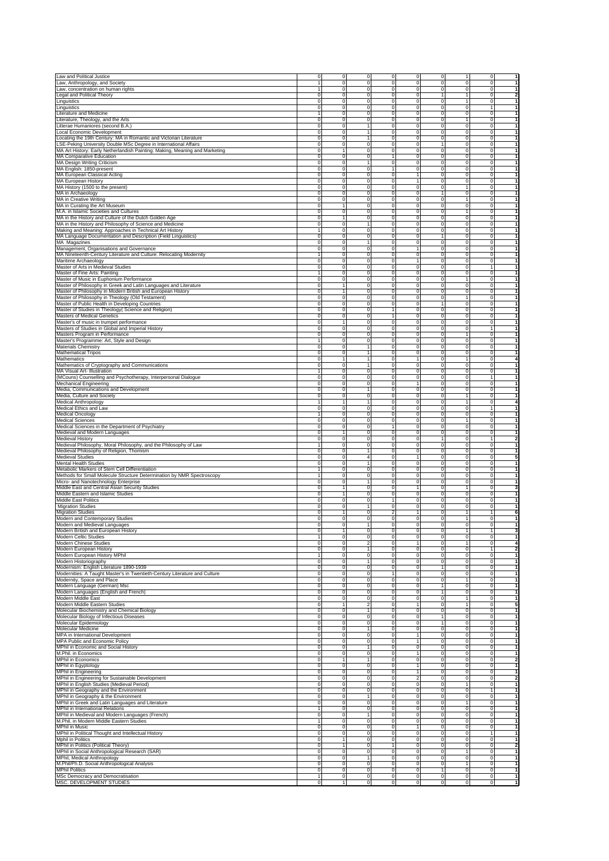|                                                                                                                                                                                                                                                                                                                                                                                                                                                                                                                                                                                                                                                                                                                                                                                                                                                                                                                                                                                      | 0                    | 0<br>0                          |                                                | 0                       | 0                          | 1                | 0                | $\mathbf{1}$                   |
|--------------------------------------------------------------------------------------------------------------------------------------------------------------------------------------------------------------------------------------------------------------------------------------------------------------------------------------------------------------------------------------------------------------------------------------------------------------------------------------------------------------------------------------------------------------------------------------------------------------------------------------------------------------------------------------------------------------------------------------------------------------------------------------------------------------------------------------------------------------------------------------------------------------------------------------------------------------------------------------|----------------------|---------------------------------|------------------------------------------------|-------------------------|----------------------------|------------------|------------------|--------------------------------|
| Law and Political Justice<br>Law, Anthropology, and Society                                                                                                                                                                                                                                                                                                                                                                                                                                                                                                                                                                                                                                                                                                                                                                                                                                                                                                                          |                      | $\mathbf 0$                     | 0<br>$\mathbf 0$<br>0                          | 0                       | 0                          | 0                | 0                | 1                              |
| Law, concentration on human rights                                                                                                                                                                                                                                                                                                                                                                                                                                                                                                                                                                                                                                                                                                                                                                                                                                                                                                                                                   | 1                    | $\mathbf 0$                     | $\mathbf 0$<br>0                               | 0                       | 0                          | 0                | 0                | $\mathbf{1}$                   |
| Legal and Political Theory                                                                                                                                                                                                                                                                                                                                                                                                                                                                                                                                                                                                                                                                                                                                                                                                                                                                                                                                                           | $\Omega$             | $\Omega$                        | $\mathbf 0$<br>0                               | 0                       |                            | $\mathbf{1}$     | 0                | $\overline{\mathbf{2}}$        |
| Linguistics                                                                                                                                                                                                                                                                                                                                                                                                                                                                                                                                                                                                                                                                                                                                                                                                                                                                                                                                                                          | $\Omega$             | $\Omega$<br>$\Omega$            | 0                                              | $\Omega$                | $\Omega$                   | 1                | 0                | 1                              |
| Linguistics                                                                                                                                                                                                                                                                                                                                                                                                                                                                                                                                                                                                                                                                                                                                                                                                                                                                                                                                                                          | $\Omega$             | $\Omega$<br>$\Omega$            | 0                                              | $\Omega$                | $\Omega$                   | $\Omega$         |                  | $\mathbf{1}$                   |
| Literature and Medicine                                                                                                                                                                                                                                                                                                                                                                                                                                                                                                                                                                                                                                                                                                                                                                                                                                                                                                                                                              |                      | $\Omega$<br>$\Omega$            | 0                                              | $\Omega$                |                            | 0                | $\Omega$         | $\mathbf{1}$                   |
| Literature, Theology, and the Arts                                                                                                                                                                                                                                                                                                                                                                                                                                                                                                                                                                                                                                                                                                                                                                                                                                                                                                                                                   | $\Omega$             | $\mathbf 0$<br>0                | 0                                              | 0                       |                            | 1                | 0                | $\mathbf{1}$                   |
| Litterae Humaniores (second B.A.                                                                                                                                                                                                                                                                                                                                                                                                                                                                                                                                                                                                                                                                                                                                                                                                                                                                                                                                                     | $\Omega$             | $\mathbf 0$<br>1                | 0                                              | 0                       | $\Omega$                   | $\mathbf 0$      | 0                | 1                              |
| Local Economic Development                                                                                                                                                                                                                                                                                                                                                                                                                                                                                                                                                                                                                                                                                                                                                                                                                                                                                                                                                           | $\Omega$             | $\mathbf 0$<br>$\mathbf{1}$     | 0                                              | 0                       | $\Omega$                   | $\mathbf 0$      | 0                | $\mathbf{1}$                   |
| Locating the 19th Century: MA in Romantic and Victorian Literature                                                                                                                                                                                                                                                                                                                                                                                                                                                                                                                                                                                                                                                                                                                                                                                                                                                                                                                   | $\Omega$<br>$\Omega$ | $\mathbf 0$<br>1                | 0                                              | 0                       | $\Omega$                   | 0                | 0                | 1<br>$\mathbf{1}$              |
| LSE-Peking University Double MSc Degree in International Affairs<br>MA Art History: Early Netherlandish Painting: Making, Meaning and Marketing                                                                                                                                                                                                                                                                                                                                                                                                                                                                                                                                                                                                                                                                                                                                                                                                                                      | $\Omega$             | $\mathbf 0$<br>1<br>0           | $\mathbf 0$<br>0<br>0                          | 0<br>0                  | $\Omega$                   | 0<br>0           | 0<br>0           | $\mathbf{1}$                   |
| MA Comparative Education                                                                                                                                                                                                                                                                                                                                                                                                                                                                                                                                                                                                                                                                                                                                                                                                                                                                                                                                                             | $\Omega$             | $\Omega$<br>0                   | $\overline{1}$                                 | 0                       | $\Omega$                   | 0                | 0                | $\mathbf{1}$                   |
| MA Design Writing Criticism                                                                                                                                                                                                                                                                                                                                                                                                                                                                                                                                                                                                                                                                                                                                                                                                                                                                                                                                                          | $\Omega$             | $\Omega$<br>1                   | 0                                              | $\Omega$                | $\Omega$                   | 0                | 0                | $\mathbf{1}$                   |
| MA English: 1850-present                                                                                                                                                                                                                                                                                                                                                                                                                                                                                                                                                                                                                                                                                                                                                                                                                                                                                                                                                             |                      | $\Omega$<br>$\Omega$            | $\overline{1}$                                 | 0                       |                            | 0                | $\Omega$         | $\mathbf{1}$                   |
| MA European Classical Acting                                                                                                                                                                                                                                                                                                                                                                                                                                                                                                                                                                                                                                                                                                                                                                                                                                                                                                                                                         | $\Omega$             | $\mathbf 0$<br>0                | 0                                              | $\mathbf{1}$            |                            | 0                | 0                | $\mathbf{1}$                   |
| MA European History                                                                                                                                                                                                                                                                                                                                                                                                                                                                                                                                                                                                                                                                                                                                                                                                                                                                                                                                                                  | $\Omega$             | $\mathbf 0$<br>0                | 0                                              | 1                       | $\Omega$                   | 0                | 0                | 1                              |
| MA History (1500 to the present)                                                                                                                                                                                                                                                                                                                                                                                                                                                                                                                                                                                                                                                                                                                                                                                                                                                                                                                                                     | $\Omega$             | $\mathbf 0$<br>0                | 0                                              | 0                       | $\Omega$                   | 1                | 0                | $\mathbf{1}$                   |
| MA in Archaeology                                                                                                                                                                                                                                                                                                                                                                                                                                                                                                                                                                                                                                                                                                                                                                                                                                                                                                                                                                    | $\Omega$             | $\mathbf 0$<br>0                | 0                                              | 0                       |                            | $\mathbf 0$      | 0                | 1                              |
| MA in Creative Writing                                                                                                                                                                                                                                                                                                                                                                                                                                                                                                                                                                                                                                                                                                                                                                                                                                                                                                                                                               | $\Omega$             | $\mathbf 0$<br>0                | 0                                              | 0                       | $\Omega$                   | 1                | 0                | $\mathbf{1}$                   |
| MA in Curating the Art Museum                                                                                                                                                                                                                                                                                                                                                                                                                                                                                                                                                                                                                                                                                                                                                                                                                                                                                                                                                        | $\Omega$             | 1<br>0                          | 0                                              | 0                       | 0                          | 0<br>1           | 0                | $\mathbf{1}$<br>$\mathbf{1}$   |
| M.A. in Islamic Societies and Cultures<br>MA in the History and Culture of the Dutch Golden Age                                                                                                                                                                                                                                                                                                                                                                                                                                                                                                                                                                                                                                                                                                                                                                                                                                                                                      | $\Omega$<br>$\Omega$ | $\mathbf 0$<br>0<br>1<br>0      | 0<br>0                                         | 0<br>0                  | $\Omega$<br>$\Omega$       | 0                | 0<br>0           | $\mathbf{1}$                   |
| MA in the History and Philosophy of Science and Medicine                                                                                                                                                                                                                                                                                                                                                                                                                                                                                                                                                                                                                                                                                                                                                                                                                                                                                                                             | $\Omega$             | $\Omega$<br>1                   | 0                                              | $\Omega$                |                            | 0                | $\Omega$         | $\mathbf{1}$                   |
| Making and Meaning: Approaches in Technical Art History                                                                                                                                                                                                                                                                                                                                                                                                                                                                                                                                                                                                                                                                                                                                                                                                                                                                                                                              |                      | $\Omega$<br>$\Omega$            | 0                                              | 0                       |                            | 0                | $\Omega$         | $\mathbf{1}$                   |
| MA Language Documentation and Description (Field Linguistics)                                                                                                                                                                                                                                                                                                                                                                                                                                                                                                                                                                                                                                                                                                                                                                                                                                                                                                                        | $\Omega$             | $\mathbf 0$                     | $\mathbf 0$<br>0                               | 0                       |                            | 0                | 0                | $\mathbf{1}$                   |
| MA Magazines                                                                                                                                                                                                                                                                                                                                                                                                                                                                                                                                                                                                                                                                                                                                                                                                                                                                                                                                                                         | $\Omega$             | $\mathbf 0$<br>1                | 0                                              | 0                       | $\Omega$                   | $\mathbf 0$      | 0                | 1                              |
| Management, Organisations and Governance                                                                                                                                                                                                                                                                                                                                                                                                                                                                                                                                                                                                                                                                                                                                                                                                                                                                                                                                             | $\Omega$             | $\mathbf 0$                     | $\mathbf 0$<br>0                               | 1                       | $^{\circ}$                 | $\mathbf 0$      | 0                | 1                              |
| MA Nineteenth-Century Literature and Culture: Relocating Modernity                                                                                                                                                                                                                                                                                                                                                                                                                                                                                                                                                                                                                                                                                                                                                                                                                                                                                                                   |                      | $\mathbf 0$<br>0                | 0                                              | 0                       | 0                          | 0                | 0                | 1                              |
| Maritime Archaeology                                                                                                                                                                                                                                                                                                                                                                                                                                                                                                                                                                                                                                                                                                                                                                                                                                                                                                                                                                 | 0<br>$^{\circ}$      | $\mathbf 0$<br>0<br>0           | $\mathbf 0$<br>0<br>0                          | $\mathbf{1}$<br>0       | 0<br>$^{\circ}$            | 0<br>0           | 0<br>1           | 1<br>1                         |
| Master of Arts in Medieval Studies<br>Master of Fine Arts: Painting                                                                                                                                                                                                                                                                                                                                                                                                                                                                                                                                                                                                                                                                                                                                                                                                                                                                                                                  |                      | 0<br>0                          | 0                                              | 0                       | $^{\circ}$                 | 0                | 0                | 1                              |
| Master of Music in Euphonium Performance                                                                                                                                                                                                                                                                                                                                                                                                                                                                                                                                                                                                                                                                                                                                                                                                                                                                                                                                             | $\Omega$             | 0<br>0                          | 0                                              | 0                       | $^{\circ}$                 | 1                | 0                | 1                              |
| Master of Philosophy in Greek and Latin Languages and Literature                                                                                                                                                                                                                                                                                                                                                                                                                                                                                                                                                                                                                                                                                                                                                                                                                                                                                                                     | 0                    | 1<br>0                          | 0                                              | 0                       | $^{\circ}$                 | 0                | 0                | 1                              |
| Master of Philosophy in Modern British and European History                                                                                                                                                                                                                                                                                                                                                                                                                                                                                                                                                                                                                                                                                                                                                                                                                                                                                                                          | 0                    | 1<br>0                          | 0                                              | 0                       | 0                          | 0                | $\Omega$         | $\mathbf{1}$                   |
| Master of Philosophy in Theology (Old Testament)                                                                                                                                                                                                                                                                                                                                                                                                                                                                                                                                                                                                                                                                                                                                                                                                                                                                                                                                     | 0                    | 0<br>0                          | 0                                              | 0                       | 0                          |                  | 0                | $\mathbf{1}$                   |
| Master of Public Health in Developing Countries                                                                                                                                                                                                                                                                                                                                                                                                                                                                                                                                                                                                                                                                                                                                                                                                                                                                                                                                      | $\Omega$             | $\mathbf 0$                     | $\mathbf 0$<br>0                               | 0                       |                            | 0                | 0                | $\mathbf{1}$                   |
| Master of Studies in Theology( Science and Religion)                                                                                                                                                                                                                                                                                                                                                                                                                                                                                                                                                                                                                                                                                                                                                                                                                                                                                                                                 | 0                    | 0<br>0                          | 1                                              | 0                       | 0                          | 0                | 0                | 1                              |
| Masters of Medical Genetics                                                                                                                                                                                                                                                                                                                                                                                                                                                                                                                                                                                                                                                                                                                                                                                                                                                                                                                                                          | 0                    | 0<br>0                          | 1                                              | 0                       | $^{\circ}$                 | 0                | 0                | 1                              |
| Master's of music in trumpet performance                                                                                                                                                                                                                                                                                                                                                                                                                                                                                                                                                                                                                                                                                                                                                                                                                                                                                                                                             | 0                    | 0                               | 0                                              | 0                       | $^{\circ}$                 | 0                | 0                | 1<br>$\mathbf{1}$              |
| Masters of Studies in Global and Imperial History<br>Masters Program in Performance                                                                                                                                                                                                                                                                                                                                                                                                                                                                                                                                                                                                                                                                                                                                                                                                                                                                                                  | 0<br>0               | 0<br>0<br>0<br>0                | 0<br>0                                         | 0<br>0                  | $^{\circ}$<br>$^{\circ}$   | 0<br>1           | 1<br>0           | $\mathbf{1}$                   |
| Master's Programme: Art, Style and Design                                                                                                                                                                                                                                                                                                                                                                                                                                                                                                                                                                                                                                                                                                                                                                                                                                                                                                                                            |                      | 0<br>0                          | 0                                              | 0                       | $^{\circ}$                 | 0                | 0                | 1                              |
| Materials Chemistry                                                                                                                                                                                                                                                                                                                                                                                                                                                                                                                                                                                                                                                                                                                                                                                                                                                                                                                                                                  | $\Omega$             | 0                               | $^{\circ}$                                     | 0                       | 0                          | 0                | $\Omega$         | $\mathbf{1}$                   |
| <b>Mathematical Tripos</b>                                                                                                                                                                                                                                                                                                                                                                                                                                                                                                                                                                                                                                                                                                                                                                                                                                                                                                                                                           | $\Omega$             | 0                               | 0                                              | 0                       | 0                          | 0                | 0                | $\mathbf{1}$                   |
| Mathematics                                                                                                                                                                                                                                                                                                                                                                                                                                                                                                                                                                                                                                                                                                                                                                                                                                                                                                                                                                          | $\Omega$             | 1                               | 0                                              |                         | 0                          | 1                | 0                | 4                              |
| Mathematics of Cryptography and Communications                                                                                                                                                                                                                                                                                                                                                                                                                                                                                                                                                                                                                                                                                                                                                                                                                                                                                                                                       | 0                    | 0                               | 0                                              | 0                       | 0                          | 0                | 0                | 1                              |
| MA Visual Art- Illustration                                                                                                                                                                                                                                                                                                                                                                                                                                                                                                                                                                                                                                                                                                                                                                                                                                                                                                                                                          |                      | 0<br>0                          | 0                                              | 0                       | $^{\circ}$                 | 0                | 0                | 1                              |
| (MCouns) Counselling and Psychotherapy, Interpersonal Dialogue                                                                                                                                                                                                                                                                                                                                                                                                                                                                                                                                                                                                                                                                                                                                                                                                                                                                                                                       | 0                    | 0<br>0                          | 0                                              | 0                       | $^{\circ}$                 | 0                |                  | 1                              |
| Mechanical Engineering                                                                                                                                                                                                                                                                                                                                                                                                                                                                                                                                                                                                                                                                                                                                                                                                                                                                                                                                                               | 0                    | 0<br>0                          | 0                                              |                         | $^{\circ}$                 | 0                | 0                | 1                              |
| Media, Communications and Development                                                                                                                                                                                                                                                                                                                                                                                                                                                                                                                                                                                                                                                                                                                                                                                                                                                                                                                                                | 0                    | 0                               | 0                                              | 0                       | $^{\circ}$                 | 0                | 0                | $\mathbf{1}$<br>$\mathbf{1}$   |
| Media, Culture and Society                                                                                                                                                                                                                                                                                                                                                                                                                                                                                                                                                                                                                                                                                                                                                                                                                                                                                                                                                           | 0                    | 0<br>0                          | 0<br>0                                         | 0<br>0                  | $^{\circ}$<br>$^{\circ}$   | 1<br>1           | 0<br>$^{\circ}$  | 4                              |
| Medical Anthropology<br>Medical Ethics and Law                                                                                                                                                                                                                                                                                                                                                                                                                                                                                                                                                                                                                                                                                                                                                                                                                                                                                                                                       | $\Omega$             | 0<br>0                          | 0                                              | 0                       | 0                          | 0                |                  | $\mathbf{1}$                   |
| Medical Oncology                                                                                                                                                                                                                                                                                                                                                                                                                                                                                                                                                                                                                                                                                                                                                                                                                                                                                                                                                                     |                      | 0<br>0                          | 0                                              | 0                       | 0                          | 0                | 0                | $\mathbf{1}$                   |
| <b>Medical Sciences</b>                                                                                                                                                                                                                                                                                                                                                                                                                                                                                                                                                                                                                                                                                                                                                                                                                                                                                                                                                              | $\Omega$             | 0                               | $\mathbf 0$<br>0                               | 0                       | 0                          | 1                | 0                | $\mathbf{1}$                   |
| Medical Sciences in the Department of Psychiatry                                                                                                                                                                                                                                                                                                                                                                                                                                                                                                                                                                                                                                                                                                                                                                                                                                                                                                                                     | $\Omega$             | 0<br>0                          | 1                                              | 0                       | 0                          | 0                | 0                | 1                              |
| Medieval and Modern Languages                                                                                                                                                                                                                                                                                                                                                                                                                                                                                                                                                                                                                                                                                                                                                                                                                                                                                                                                                        | 0                    | 0                               | $^{\circ}$                                     | 0                       | $^{\circ}$                 | 0                | 0                | 1                              |
| Medieval History                                                                                                                                                                                                                                                                                                                                                                                                                                                                                                                                                                                                                                                                                                                                                                                                                                                                                                                                                                     | 0                    | 0<br>0                          | 0                                              | 0                       |                            | 0                | 1                | $\overline{\mathbf{2}}$        |
| Medieval Philosophy, Moral Philosophy, and the Philosophy of Law                                                                                                                                                                                                                                                                                                                                                                                                                                                                                                                                                                                                                                                                                                                                                                                                                                                                                                                     |                      | 0<br>0                          | 0                                              | 0                       | $^{\circ}$                 | 0                | 0                | 1                              |
| Medieval Philosophy of Religion, Thomism                                                                                                                                                                                                                                                                                                                                                                                                                                                                                                                                                                                                                                                                                                                                                                                                                                                                                                                                             | $\Omega$             | 0                               | 0                                              | 0                       | $^{\circ}$                 | 0                | 0                | 1                              |
| Medieval Studies<br>Mental Health Studies                                                                                                                                                                                                                                                                                                                                                                                                                                                                                                                                                                                                                                                                                                                                                                                                                                                                                                                                            | 0<br>0               | 4<br>0<br>0                     | 0<br>0                                         | 0                       | $^{\circ}$<br>0            | 0<br>0           | 0<br>$\Omega$    | 5<br>1                         |
| Metabolic Markers of Stem Cell Differentiation                                                                                                                                                                                                                                                                                                                                                                                                                                                                                                                                                                                                                                                                                                                                                                                                                                                                                                                                       |                      | 0<br>0                          | 0                                              | 0                       | 0                          | 0                | 0                | $\mathbf{1}$                   |
| Methods for Small Molecule Structure Determination by NMR Spectroscopy                                                                                                                                                                                                                                                                                                                                                                                                                                                                                                                                                                                                                                                                                                                                                                                                                                                                                                               |                      | 0                               | $\mathbf 0$<br>0                               | 0                       | 0                          | 0                | 0                | $\mathbf{1}$                   |
| Micro- and Nanotechnology Enterprise                                                                                                                                                                                                                                                                                                                                                                                                                                                                                                                                                                                                                                                                                                                                                                                                                                                                                                                                                 | $\Omega$             | 0                               | 0                                              | 0                       | 0                          | 0                | 0                | 1                              |
| Middle East and Central Asian Security Studies                                                                                                                                                                                                                                                                                                                                                                                                                                                                                                                                                                                                                                                                                                                                                                                                                                                                                                                                       | 0                    | 0                               | 0                                              |                         | $^{\circ}$                 | 1                | 0                | 3                              |
| Middle Eastern and Islamic Studies                                                                                                                                                                                                                                                                                                                                                                                                                                                                                                                                                                                                                                                                                                                                                                                                                                                                                                                                                   | 0                    | 0                               | 0                                              | 0                       | $^{\circ}$                 | 0                | 0                | 1                              |
| Middle East Politics                                                                                                                                                                                                                                                                                                                                                                                                                                                                                                                                                                                                                                                                                                                                                                                                                                                                                                                                                                 | 0                    | 0<br>0                          | 1                                              | 0                       | $^{\circ}$                 | 0                | 0                | 1                              |
| <b>Migration Studies</b>                                                                                                                                                                                                                                                                                                                                                                                                                                                                                                                                                                                                                                                                                                                                                                                                                                                                                                                                                             | 0                    | 0                               | 0                                              | 0                       | $^{\circ}$                 | 0                | 0                | $\mathbf{1}$                   |
| <b>Migration Studies</b>                                                                                                                                                                                                                                                                                                                                                                                                                                                                                                                                                                                                                                                                                                                                                                                                                                                                                                                                                             | 0                    | 1<br>0                          | 2                                              |                         | 0                          | 1                |                  | 6                              |
| Modern and Contemporary Studies                                                                                                                                                                                                                                                                                                                                                                                                                                                                                                                                                                                                                                                                                                                                                                                                                                                                                                                                                      | 0<br>0               | 0<br>0                          | $\mathbf 0$<br>0<br>0                          | 0<br>0                  | 0<br>0                     | 1<br>0           | 0<br>0           | 1<br>1                         |
| Modern and Medieval Languages<br>Modern British and European Histor                                                                                                                                                                                                                                                                                                                                                                                                                                                                                                                                                                                                                                                                                                                                                                                                                                                                                                                  |                      |                                 |                                                |                         |                            |                  |                  |                                |
| Modern Celtic Studies                                                                                                                                                                                                                                                                                                                                                                                                                                                                                                                                                                                                                                                                                                                                                                                                                                                                                                                                                                |                      | 0                               | $\mathbf 0$<br>0                               | 0                       | 0                          | 0                | 0                | $\mathbf{1}$                   |
| Modern Chinese Studies                                                                                                                                                                                                                                                                                                                                                                                                                                                                                                                                                                                                                                                                                                                                                                                                                                                                                                                                                               | $^{\circ}$           | $\mathbf 0$<br>2                | 0                                              |                         | 0                          | 1                | 0                | 4                              |
| Modern European History                                                                                                                                                                                                                                                                                                                                                                                                                                                                                                                                                                                                                                                                                                                                                                                                                                                                                                                                                              | 0                    | 0                               | 0                                              | 0                       | 0                          | 0                | 1                | 2                              |
| Modern European History MPhil                                                                                                                                                                                                                                                                                                                                                                                                                                                                                                                                                                                                                                                                                                                                                                                                                                                                                                                                                        |                      | 0<br>0                          | 0                                              | 0                       | $^{\circ}$                 | 0                | 0                | 1                              |
| Modern Historiography                                                                                                                                                                                                                                                                                                                                                                                                                                                                                                                                                                                                                                                                                                                                                                                                                                                                                                                                                                |                      | 0<br>1                          | 0                                              | 0                       | 0                          | 0                | 0                | 1                              |
| Modernism: English Literature 1890-1939                                                                                                                                                                                                                                                                                                                                                                                                                                                                                                                                                                                                                                                                                                                                                                                                                                                                                                                                              | 0                    | 0<br>0                          | 0                                              | 0                       |                            | 0                | 0                | 1                              |
| Modernities: A Taught Master's in Twentieth-Century Literature and Culture<br>Modernity, Space and Place                                                                                                                                                                                                                                                                                                                                                                                                                                                                                                                                                                                                                                                                                                                                                                                                                                                                             | 0<br>0               | 0<br>0<br>0<br>0                | 1<br>0                                         | 0<br>0                  | 0<br>0                     | 0<br>1           | $^{\circ}$<br>0  | $\mathbf{1}$<br>$\mathbf{1}$   |
| Modern Language (German) Msc                                                                                                                                                                                                                                                                                                                                                                                                                                                                                                                                                                                                                                                                                                                                                                                                                                                                                                                                                         | 0                    | 0                               | $\mathbf 0$<br>0                               | 0                       |                            | 0                | 0                | $\overline{1}$                 |
| Modern Languages (English and French)                                                                                                                                                                                                                                                                                                                                                                                                                                                                                                                                                                                                                                                                                                                                                                                                                                                                                                                                                |                      |                                 |                                                |                         |                            | 0                | 0                | $\mathbf{1}$                   |
|                                                                                                                                                                                                                                                                                                                                                                                                                                                                                                                                                                                                                                                                                                                                                                                                                                                                                                                                                                                      | 0                    |                                 |                                                |                         |                            | 1                | 0                | $\mathbf{1}$                   |
|                                                                                                                                                                                                                                                                                                                                                                                                                                                                                                                                                                                                                                                                                                                                                                                                                                                                                                                                                                                      | 0                    | $\mathbf 0$<br>$\mathbf 0$<br>0 | $\mathbf 0$<br>0<br>0                          | 0<br>0                  | 0                          |                  |                  | 5                              |
|                                                                                                                                                                                                                                                                                                                                                                                                                                                                                                                                                                                                                                                                                                                                                                                                                                                                                                                                                                                      | 0                    | $\overline{2}$                  | 0                                              |                         | 0                          |                  | 0                |                                |
|                                                                                                                                                                                                                                                                                                                                                                                                                                                                                                                                                                                                                                                                                                                                                                                                                                                                                                                                                                                      | 0                    | 0                               | 0                                              | 0                       | $^{\circ}$                 | 0                | 0                | 1                              |
|                                                                                                                                                                                                                                                                                                                                                                                                                                                                                                                                                                                                                                                                                                                                                                                                                                                                                                                                                                                      | 0                    | 0<br>0                          | 0                                              | 0                       | 1                          | 0                | 0                | 1                              |
|                                                                                                                                                                                                                                                                                                                                                                                                                                                                                                                                                                                                                                                                                                                                                                                                                                                                                                                                                                                      | 0                    | 0<br>0                          | 0                                              | 0                       | 1                          | 0                | 0                | 1                              |
|                                                                                                                                                                                                                                                                                                                                                                                                                                                                                                                                                                                                                                                                                                                                                                                                                                                                                                                                                                                      | 0                    | 0                               | 0                                              | 0                       | $^{\circ}$                 | 0                | 0                | $\mathbf{1}$                   |
|                                                                                                                                                                                                                                                                                                                                                                                                                                                                                                                                                                                                                                                                                                                                                                                                                                                                                                                                                                                      | 0<br>0               | 0<br>0<br>0                     | 0                                              | 1<br>1                  | 0<br>0                     | 0                | 0                | $\mathbf{1}$                   |
|                                                                                                                                                                                                                                                                                                                                                                                                                                                                                                                                                                                                                                                                                                                                                                                                                                                                                                                                                                                      | 0                    | $\mathbf 0$                     | $\mathbf 0$<br>0<br>0                          | 0                       | 0                          | 0<br>0           | 0<br>0           | $\mathbf{1}$<br>$\overline{1}$ |
|                                                                                                                                                                                                                                                                                                                                                                                                                                                                                                                                                                                                                                                                                                                                                                                                                                                                                                                                                                                      | 0                    | $\mathbf 0$<br>0                | 0                                              |                         | 0                          | 0                | 0                | $\mathbf{1}$                   |
|                                                                                                                                                                                                                                                                                                                                                                                                                                                                                                                                                                                                                                                                                                                                                                                                                                                                                                                                                                                      | 0                    |                                 | 0                                              | 0                       | 0                          | 0                | 0                | $\overline{\mathbf{2}}$        |
|                                                                                                                                                                                                                                                                                                                                                                                                                                                                                                                                                                                                                                                                                                                                                                                                                                                                                                                                                                                      | 0                    | 0<br>0                          | 0                                              | 1                       | $^{\circ}$                 | 0                | 0                | 1                              |
|                                                                                                                                                                                                                                                                                                                                                                                                                                                                                                                                                                                                                                                                                                                                                                                                                                                                                                                                                                                      | 0                    | 0<br>0                          | 0                                              | 1                       | $^{\circ}$                 | 0                | 0                | 1                              |
|                                                                                                                                                                                                                                                                                                                                                                                                                                                                                                                                                                                                                                                                                                                                                                                                                                                                                                                                                                                      | 0                    | 0<br>0                          | 0                                              | $\overline{\mathbf{2}}$ | $^{\circ}$                 | 0                | 0                | $\overline{\mathbf{2}}$        |
|                                                                                                                                                                                                                                                                                                                                                                                                                                                                                                                                                                                                                                                                                                                                                                                                                                                                                                                                                                                      | 0                    | 0<br>0                          | 0                                              | 0                       | $^{\circ}$                 | 1                | 0                | 1                              |
|                                                                                                                                                                                                                                                                                                                                                                                                                                                                                                                                                                                                                                                                                                                                                                                                                                                                                                                                                                                      | 0                    | 0<br>0                          | 0                                              | 0                       | 0                          | 0                |                  | $\mathbf{1}$                   |
|                                                                                                                                                                                                                                                                                                                                                                                                                                                                                                                                                                                                                                                                                                                                                                                                                                                                                                                                                                                      | 0<br>0               | 0<br>0<br>0                     | 0                                              | 0                       | 0                          | 0<br>1           | 0                | $\mathbf{1}$                   |
|                                                                                                                                                                                                                                                                                                                                                                                                                                                                                                                                                                                                                                                                                                                                                                                                                                                                                                                                                                                      |                      | $\mathbf 0$                     | 0<br>$\mathbf 0$<br>0                          | 0<br>0                  | 0<br>0                     | 0                | 0<br>0           | $\mathbf{1}$<br>$\mathbf{1}$   |
|                                                                                                                                                                                                                                                                                                                                                                                                                                                                                                                                                                                                                                                                                                                                                                                                                                                                                                                                                                                      | 0                    | 0                               | 0                                              | 0                       | 0                          | 0                | 0                | 1                              |
|                                                                                                                                                                                                                                                                                                                                                                                                                                                                                                                                                                                                                                                                                                                                                                                                                                                                                                                                                                                      |                      | 0<br>0                          | 0                                              | 0                       | $^{\circ}$                 | 0                | 0                | 1                              |
|                                                                                                                                                                                                                                                                                                                                                                                                                                                                                                                                                                                                                                                                                                                                                                                                                                                                                                                                                                                      | 0                    | 0<br>0                          | 0                                              |                         | $^{\circ}$                 | 0                | 0                | 1                              |
|                                                                                                                                                                                                                                                                                                                                                                                                                                                                                                                                                                                                                                                                                                                                                                                                                                                                                                                                                                                      | 0                    | 0<br>0                          | 0                                              | 0                       | $^{\circ}$                 | 0                | 1                | 1                              |
|                                                                                                                                                                                                                                                                                                                                                                                                                                                                                                                                                                                                                                                                                                                                                                                                                                                                                                                                                                                      | 0                    | 0<br>1                          | 0                                              | 0                       | $^{\circ}$                 | 0                | 0                | 1                              |
|                                                                                                                                                                                                                                                                                                                                                                                                                                                                                                                                                                                                                                                                                                                                                                                                                                                                                                                                                                                      | 0                    | 0<br>1                          | 1                                              | 0                       | 0                          | 0                | 0                | $\overline{\mathbf{2}}$        |
| Modern Middle East<br>Modern Middle Eastern Studies<br>Molecular Biochemistry and Chemical Biology<br>Molecular Biology of Infectious Diseases<br>Molecular Epidemiology<br>Molecular Medicine<br>MPA in International Development<br>MPA Public and Economic Policy<br>MPhil in Economic and Social History<br>M.Phil. in Economics<br><b>MPhil in Economics</b><br>MPhil in Egyptology<br>MPhil in Engineering<br>MPhil in Engineering for Sustainable Development<br>MPhil in English Studies (Medieval Period)<br>MPhil in Geography and the Environment<br>MPhil in Geography & the Environment<br>MPhil in Greek and Latin Languages and Literature<br>MPhil in International Relations<br>MPhil in Medieval and Modern Languages (French)<br>M.Phil. in Modern Middle Eastern Studies<br>MPhil in Music<br>MPhil in Political Thought and Intellectual History<br>Mphil in Politics<br>MPhil in Politics (Political Theory)<br>MPhil in Social Anthropological Research (SAR) | 0                    | 0                               | $\mathbf 0$<br>0                               | 0                       | 0                          | 1                | 0                | $\mathbf{1}$                   |
| MPhil, Medical Anthropology                                                                                                                                                                                                                                                                                                                                                                                                                                                                                                                                                                                                                                                                                                                                                                                                                                                                                                                                                          | 0<br>0               | $\mathbf 0$<br>$\mathbf 0$      | 0<br>$\mathbf 0$<br>0                          | 0<br>0                  | $\mathbf 0$<br>$\mathbf 0$ | $\mathbf 0$<br>1 | 0<br>$\mathbf 0$ | $\mathbf{1}$<br>$\mathbf{1}$   |
| M.Phil/Ph.D. Social Anthropological Analysis<br><b>MPhil Politics</b>                                                                                                                                                                                                                                                                                                                                                                                                                                                                                                                                                                                                                                                                                                                                                                                                                                                                                                                | 0                    | $\mathbf 0$                     | $\mathbf 0$<br>0                               | 0                       | 1                          | $\mathbf 0$      | 0                | $\mathbf{1}$                   |
| MSc Democracy and Democratisation<br>MSC. DEVELOPMENT STUDIES                                                                                                                                                                                                                                                                                                                                                                                                                                                                                                                                                                                                                                                                                                                                                                                                                                                                                                                        |                      | $\mathbf 0$                     | $\mathbf 0$<br>0<br>$\mathbf 0$<br>$\mathbf 0$ | 0<br>$\mathbf 0$        | 0<br>0                     | 0<br>0           | 0<br>$\mathbf 0$ | 1<br>1                         |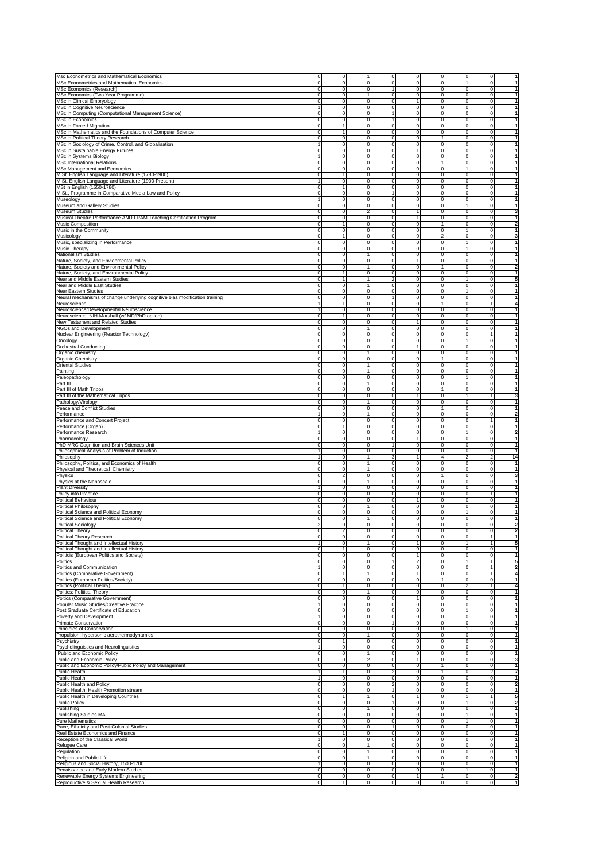|                                                                                                                                                                                                                                                                                                                                                                                                                                                                                                                                                                                                                                                                                                                                                                                                                                                                                                                                                                                                                                |                                     | ō                                                  | $\mathbf{1}$                     | ō                            |                                |                          |                                |                            | 1                                |
|--------------------------------------------------------------------------------------------------------------------------------------------------------------------------------------------------------------------------------------------------------------------------------------------------------------------------------------------------------------------------------------------------------------------------------------------------------------------------------------------------------------------------------------------------------------------------------------------------------------------------------------------------------------------------------------------------------------------------------------------------------------------------------------------------------------------------------------------------------------------------------------------------------------------------------------------------------------------------------------------------------------------------------|-------------------------------------|----------------------------------------------------|----------------------------------|------------------------------|--------------------------------|--------------------------|--------------------------------|----------------------------|----------------------------------|
| Msc Econometrics and Mathematical Economics                                                                                                                                                                                                                                                                                                                                                                                                                                                                                                                                                                                                                                                                                                                                                                                                                                                                                                                                                                                    | $\mathbf 0$<br>$\mathbf 0$          | $\mathbf 0$                                        | $\mathbf 0$                      | $\mathbf 0$                  | $\overline{0}$<br>$\mathbf 0$  | $\mathbf 0$<br>0         | $\overline{0}$<br>$\mathbf{1}$ | $\mathbf 0$<br>0           | $\overline{1}$                   |
| MSc Econometrics and Mathematical Economics<br>MSc Economics (Research)                                                                                                                                                                                                                                                                                                                                                                                                                                                                                                                                                                                                                                                                                                                                                                                                                                                                                                                                                        | $\mathbf 0$                         | $\mathbf 0$                                        | $\circ$                          | $\overline{1}$               | $\mathbf 0$                    | 0                        | $\mathbf 0$                    | $\mathbf 0$                | $\overline{1}$                   |
| MSc Economics (Two Year Programme)                                                                                                                                                                                                                                                                                                                                                                                                                                                                                                                                                                                                                                                                                                                                                                                                                                                                                                                                                                                             | $\mathbf 0$                         | $\mathbf 0$                                        | $\mathbf{1}$                     | $\mathsf 0$                  | $\mathbf 0$                    | 0                        | $\mathbf 0$                    | $\mathbf 0$                | $\overline{1}$                   |
| MSc in Clinical Embryology                                                                                                                                                                                                                                                                                                                                                                                                                                                                                                                                                                                                                                                                                                                                                                                                                                                                                                                                                                                                     | $\mathbf 0$                         | $\mathbf 0$                                        | $\mathbf 0$                      | $\mathbf 0$                  | $\mathbf{1}$                   | 0                        | $\mathbf 0$                    | $\mathbf 0$                | $\overline{1}$                   |
| MSc in Cognitive Neuroscience                                                                                                                                                                                                                                                                                                                                                                                                                                                                                                                                                                                                                                                                                                                                                                                                                                                                                                                                                                                                  | $\mathbf{1}$                        | $\mathbf 0$                                        | $\circ$                          | $\mathbf 0$                  | $\mathbf 0$                    | 0                        | $\mathbf 0$                    | $\mathbf 0$                | $\overline{1}$                   |
| MSc in Computing (Computational Management Science)                                                                                                                                                                                                                                                                                                                                                                                                                                                                                                                                                                                                                                                                                                                                                                                                                                                                                                                                                                            | $\mathbf 0$                         | $\mathbf 0$                                        | $\circ$                          | $\mathbf{1}$                 | $\mathbf 0$                    | 0                        | $\mathbf 0$                    | $\mathbf 0$                | $\overline{1}$                   |
| MSc in Economics                                                                                                                                                                                                                                                                                                                                                                                                                                                                                                                                                                                                                                                                                                                                                                                                                                                                                                                                                                                                               | $\mathbf 0$                         | $\mathbf 0$                                        | $\circ$                          | $\mathbf{1}$                 | $\mathbf 0$                    | 0                        | $\mathbf 0$                    | $\mathbf 0$                | $\overline{1}$                   |
| MSc in Forced Migration                                                                                                                                                                                                                                                                                                                                                                                                                                                                                                                                                                                                                                                                                                                                                                                                                                                                                                                                                                                                        | $\Omega$                            | $\mathbf{1}$                                       | $\Omega$                         | $\mathbf 0$                  | $\mathbf 0$                    | 0                        | $\mathbf 0$                    | $\mathbf 0$                | $\overline{1}$                   |
| MSc in Mathematics and the Foundations of Computer Science                                                                                                                                                                                                                                                                                                                                                                                                                                                                                                                                                                                                                                                                                                                                                                                                                                                                                                                                                                     | $\mathbf 0$                         | $\mathbf{1}$                                       | $\Omega$                         | $\mathbf 0$                  | $\mathbf 0$                    | 0                        | $\mathbf 0$                    | $\mathbf 0$                | $\overline{1}$                   |
| MSc in Political Theory Research                                                                                                                                                                                                                                                                                                                                                                                                                                                                                                                                                                                                                                                                                                                                                                                                                                                                                                                                                                                               | $\mathbf 0$<br>$\ddot{\phantom{1}}$ | $\mathbf 0$                                        | $\Omega$                         | $\mathbf 0$                  | $\mathbf 0$                    | $\mathbf{1}$             | $\Omega$                       | 0                          | $\mathbf{1}$                     |
| MSc in Sociology of Crime, Control, and Globalisation                                                                                                                                                                                                                                                                                                                                                                                                                                                                                                                                                                                                                                                                                                                                                                                                                                                                                                                                                                          |                                     | $\mathbf 0$                                        | $\Omega$                         | $\mathbf 0$                  | $\mathbf 0$                    | 0                        | $\Omega$                       | 0                          | $\overline{1}$<br>$\overline{1}$ |
| MSc in Sustainable Energy Futures                                                                                                                                                                                                                                                                                                                                                                                                                                                                                                                                                                                                                                                                                                                                                                                                                                                                                                                                                                                              | $\mathbf 0$<br>$\mathbf{1}$         | $\mathbf 0$<br>$\mathbf 0$                         | $\mathbf 0$<br>$\mathbf 0$       | $\mathbf 0$<br>$\mathbf 0$   | $\mathbf{1}$<br>$\mathbf 0$    | $\mathbf 0$              | $\mathbf 0$<br>$\mathbf 0$     | $\mathbf 0$                | $\overline{1}$                   |
| MSc in Systems Biology<br><b>MSc International Relations</b>                                                                                                                                                                                                                                                                                                                                                                                                                                                                                                                                                                                                                                                                                                                                                                                                                                                                                                                                                                   | $\mathbf 0$                         | $\mathbf 0$                                        | $\mathbf 0$                      | $\mathbf 0$                  | $\mathbf 0$                    | 0<br>$\mathbf{1}$        | $\mathbf 0$                    | $\mathbf 0$<br>$\mathbf 0$ | $\overline{1}$                   |
| MSc Management and Economics                                                                                                                                                                                                                                                                                                                                                                                                                                                                                                                                                                                                                                                                                                                                                                                                                                                                                                                                                                                                   | $\mathbf 0$                         | $\mathbf 0$                                        | $\circ$                          | $\mathbf 0$                  | $\mathbf 0$                    | 0                        | 1                              | $\mathbf 0$                | $\overline{1}$                   |
| M.St. English Language and Literature (1780-1900)                                                                                                                                                                                                                                                                                                                                                                                                                                                                                                                                                                                                                                                                                                                                                                                                                                                                                                                                                                              | $\mathbf 0$                         | $\mathbf{1}$                                       | $\Omega$                         | $\mathbf 0$                  | $\mathbf 0$                    | $\mathbf 0$              | $\mathbf 0$                    | $\mathbf 0$                | $\overline{1}$                   |
| M.St. English Language and Literature (1900-Present)                                                                                                                                                                                                                                                                                                                                                                                                                                                                                                                                                                                                                                                                                                                                                                                                                                                                                                                                                                           | 1                                   | $\mathbf 0$                                        | $\Omega$                         | $\mathbf 0$                  | $\mathbf 0$                    | 0                        | $\mathbf 0$                    | $\mathbf 0$                | $\overline{1}$                   |
| MSt in English (1550-1780)                                                                                                                                                                                                                                                                                                                                                                                                                                                                                                                                                                                                                                                                                                                                                                                                                                                                                                                                                                                                     | $\Omega$                            | $\overline{1}$                                     | $\Omega$                         | $\mathbf 0$                  | $\mathbf 0$                    | 0                        | $\Omega$                       | 0                          | $\mathbf{1}$                     |
| M.St., Programme in Comparative Media Law and Policy                                                                                                                                                                                                                                                                                                                                                                                                                                                                                                                                                                                                                                                                                                                                                                                                                                                                                                                                                                           | $\mathbf 0$                         | $\mathbf 0$                                        | $\Omega$                         | $\overline{1}$               | $\mathbf 0$                    | 0                        | $\Omega$                       | 0                          | $\overline{1}$                   |
| Museology                                                                                                                                                                                                                                                                                                                                                                                                                                                                                                                                                                                                                                                                                                                                                                                                                                                                                                                                                                                                                      | $\ddot{\phantom{1}}$                | $\mathbf 0$                                        | $\mathbf 0$                      | $\mathbf 0$                  | $\mathbf 0$                    | 0                        | $\mathbf 0$                    | $\mathbf 0$                | $\overline{1}$                   |
| Museum and Gallery Studies                                                                                                                                                                                                                                                                                                                                                                                                                                                                                                                                                                                                                                                                                                                                                                                                                                                                                                                                                                                                     | $\mathbf 0$                         | $\mathbf 0$                                        | $\mathbf{0}$                     | $\mathbf 0$                  | $\mathbf 0$                    | 0                        | $\mathbf{1}$                   | $\mathbf 0$                | $\overline{1}$                   |
| Museum Studies                                                                                                                                                                                                                                                                                                                                                                                                                                                                                                                                                                                                                                                                                                                                                                                                                                                                                                                                                                                                                 | $\mathbf 0$                         | $\mathbf 0$                                        | $\overline{a}$                   | $\mathbf 0$                  | $\mathbf{1}$                   | 0                        | $\mathbf 0$                    | $\mathbf 0$                | 3                                |
| Musical Theatre Performance AND LRAM Teaching Certification Program                                                                                                                                                                                                                                                                                                                                                                                                                                                                                                                                                                                                                                                                                                                                                                                                                                                                                                                                                            | $\mathbf 0$                         | $\mathbf 0$                                        | $\circ$                          | $\mathbf 0$                  | $\mathbf{1}$                   | $\mathbf 0$              | $\mathbf 0$                    | $\mathbf 0$                | $\overline{1}$                   |
| <b>Music Composition</b>                                                                                                                                                                                                                                                                                                                                                                                                                                                                                                                                                                                                                                                                                                                                                                                                                                                                                                                                                                                                       | $\mathbf 0$                         | $\mathbf{1}$                                       | $\Omega$                         | $\mathbf 0$                  | $\mathbf 0$                    | $\mathbf{1}$             | $\mathbf 0$                    | $\mathbf 0$                | $\overline{2}$                   |
| Music in the Community                                                                                                                                                                                                                                                                                                                                                                                                                                                                                                                                                                                                                                                                                                                                                                                                                                                                                                                                                                                                         | $\mathbf 0$                         | $\mathsf{O}$                                       | $\Omega$                         | $\mathbf 0$                  | $\Omega$                       | $\Omega$                 | $\mathbf{1}$                   | $\mathbf 0$                | $\mathbf{1}$                     |
| Musicology                                                                                                                                                                                                                                                                                                                                                                                                                                                                                                                                                                                                                                                                                                                                                                                                                                                                                                                                                                                                                     | $\mathbf 0$                         | $\overline{1}$                                     | $\Omega$                         | $\mathbf 0$                  | $\Omega$                       | $\overline{2}$           | 0                              | 0                          | 3                                |
| Music, specializing in Performance                                                                                                                                                                                                                                                                                                                                                                                                                                                                                                                                                                                                                                                                                                                                                                                                                                                                                                                                                                                             | $\mathbf 0$                         | $\mathbf 0$                                        | $\Omega$                         | $\mathbf 0$                  | $\Omega$                       | 0                        | $\mathbf{1}$                   | 0                          | $\mathbf{1}$                     |
| Music Therapy                                                                                                                                                                                                                                                                                                                                                                                                                                                                                                                                                                                                                                                                                                                                                                                                                                                                                                                                                                                                                  | $\mathbf 0$                         | $\mathbf 0$                                        | $\mathbf 0$                      | $\mathbf 0$                  | $\mathbf 0$                    | 0                        | $\mathbf{1}$                   | 0                          | $\overline{1}$                   |
| Nationalism Studies                                                                                                                                                                                                                                                                                                                                                                                                                                                                                                                                                                                                                                                                                                                                                                                                                                                                                                                                                                                                            | $\mathbf 0$                         | $\mathbf 0$                                        | $\mathbf{1}$                     | $\mathbf 0$                  | $\mathsf{O}$                   | 0                        | $\mathbf 0$                    | $\mathbf 0$                | $\overline{1}$                   |
| Nature, Society, and Envionmental Policy                                                                                                                                                                                                                                                                                                                                                                                                                                                                                                                                                                                                                                                                                                                                                                                                                                                                                                                                                                                       | $\Omega$                            | $\mathbf 0$                                        | $\mathbf 0$                      | $\mathbf 0$                  | $\mathbf{1}$                   | 0                        | $\mathbf 0$                    | 0                          | $\mathbf{1}$                     |
| Nature, Society and Environmental Policy                                                                                                                                                                                                                                                                                                                                                                                                                                                                                                                                                                                                                                                                                                                                                                                                                                                                                                                                                                                       | $\mathbf 0$                         | $\mathbf 0$                                        | 1                                | $\mathbf 0$                  | $\mathbf 0$                    | 1                        | $^{\circ}$                     | 0                          | $\overline{\mathbf{2}}$          |
| Nature, Society, and Environmental Policy                                                                                                                                                                                                                                                                                                                                                                                                                                                                                                                                                                                                                                                                                                                                                                                                                                                                                                                                                                                      | $\mathbf 0$                         | 1                                                  | $\mathbf 0$                      | $\mathbf 0$                  | $\mathbf 0$                    | $^{\circ}$               | $^{\circ}$                     | 0                          | $\mathbf{1}$                     |
| Near and Middle Eastern Studies<br>Near and Middle East Studies                                                                                                                                                                                                                                                                                                                                                                                                                                                                                                                                                                                                                                                                                                                                                                                                                                                                                                                                                                | $\mathbf 0$<br>0                    | 1<br>$\mathbf 0$                                   | 1<br>$\mathbf{1}$                | 2<br>0                       | $^{\circ}$<br>$\mathbf 0$      | $^{\circ}$<br>$^{\circ}$ | 1<br>$\mathbf 0$               | 0<br>0                     | 5<br>$\mathbf{1}$                |
| Near Eastern Studies                                                                                                                                                                                                                                                                                                                                                                                                                                                                                                                                                                                                                                                                                                                                                                                                                                                                                                                                                                                                           | 0                                   | $\mathbf 0$                                        | $\Omega$                         | $\mathbf 0$                  | $\mathbf 0$                    | $^{\circ}$               | 1                              | 0                          | $\mathbf{1}$                     |
| Neural mechanisms of change underlying cognitive bias modification training                                                                                                                                                                                                                                                                                                                                                                                                                                                                                                                                                                                                                                                                                                                                                                                                                                                                                                                                                    | $\mathbf 0$                         | $\mathbf 0$                                        | $\Omega$                         | 1                            | $\Omega$                       | $^{\circ}$               | $\mathbf 0$                    | 0                          | $\overline{1}$                   |
| Neuroscience                                                                                                                                                                                                                                                                                                                                                                                                                                                                                                                                                                                                                                                                                                                                                                                                                                                                                                                                                                                                                   | 1                                   | $\overline{1}$                                     | $\Omega$                         | $\overline{0}$               | $\Omega$                       |                          | $\Omega$                       | 1                          | 4                                |
| Neuroscience/Developmental Neuroscience                                                                                                                                                                                                                                                                                                                                                                                                                                                                                                                                                                                                                                                                                                                                                                                                                                                                                                                                                                                        | 1                                   | $\mathbf 0$                                        | $\Omega$                         | 0                            | $\Omega$                       | $\Omega$                 | $\Omega$                       | $\Omega$                   | $\mathbf{1}$                     |
| Neuroscience, NIH-Marshall (w/ MD/PhD option)                                                                                                                                                                                                                                                                                                                                                                                                                                                                                                                                                                                                                                                                                                                                                                                                                                                                                                                                                                                  | $\Omega$                            | 1                                                  | $\Omega$                         | $\mathbf 0$                  | $\Omega$                       | $\Omega$                 | $\Omega$                       | 0                          | $\mathbf{1}$                     |
| New Testament and Related Studies                                                                                                                                                                                                                                                                                                                                                                                                                                                                                                                                                                                                                                                                                                                                                                                                                                                                                                                                                                                              | $\mathbf 0$                         | $\mathbf 0$                                        | $\mathbf 0$                      | $\mathbf 0$                  | 1                              | $^{\circ}$               | 0                              | 0                          | 1                                |
| NGOs and Development                                                                                                                                                                                                                                                                                                                                                                                                                                                                                                                                                                                                                                                                                                                                                                                                                                                                                                                                                                                                           | $\mathbf 0$                         | $\mathbf 0$                                        | 1                                | $\mathbf 0$                  | $\mathbf 0$                    | $^{\circ}$               | $^{\circ}$                     | 0                          | $\mathbf{1}$                     |
| Nuclear Engineering (Reactor Technology)                                                                                                                                                                                                                                                                                                                                                                                                                                                                                                                                                                                                                                                                                                                                                                                                                                                                                                                                                                                       | 0                                   | $\mathbf 0$                                        | $\mathbf 0$                      | $\mathbf 0$                  | $\mathbf 0$                    | $^{\circ}$               | $^{\circ}$                     | 1                          | 1                                |
| Oncology                                                                                                                                                                                                                                                                                                                                                                                                                                                                                                                                                                                                                                                                                                                                                                                                                                                                                                                                                                                                                       | 0                                   | $\mathbf 0$                                        | $\Omega$                         | 0                            | $\mathbf 0$                    | $^{\circ}$               | 1                              | 0                          | $\mathbf{1}$                     |
| <b>Orchestral Conducting</b>                                                                                                                                                                                                                                                                                                                                                                                                                                                                                                                                                                                                                                                                                                                                                                                                                                                                                                                                                                                                   | $\Omega$                            | $\mathbf 0$                                        | $\Omega$                         | 0                            | 1                              | $\Omega$                 | $\mathbf 0$                    | 0                          | $\mathbf{1}$                     |
| Organic chemistry                                                                                                                                                                                                                                                                                                                                                                                                                                                                                                                                                                                                                                                                                                                                                                                                                                                                                                                                                                                                              | $\Omega$                            | $\mathbf 0$                                        | 1                                | 0                            | ō                              | $\Omega$                 | $\Omega$                       | 0                          | $\overline{1}$                   |
| Organic Chemistry                                                                                                                                                                                                                                                                                                                                                                                                                                                                                                                                                                                                                                                                                                                                                                                                                                                                                                                                                                                                              | $\Omega$                            | $\mathbf 0$                                        | ō                                | 0                            | $\Omega$                       |                          | $\Omega$                       | $\Omega$                   | $\overline{1}$                   |
| <b>Oriental Studies</b>                                                                                                                                                                                                                                                                                                                                                                                                                                                                                                                                                                                                                                                                                                                                                                                                                                                                                                                                                                                                        | $\Omega$                            | $\mathbf 0$                                        | 1                                | $\mathbf 0$                  | $\Omega$                       | $\Omega$                 | $\Omega$                       | 0                          | $\mathbf{1}$                     |
| Painting                                                                                                                                                                                                                                                                                                                                                                                                                                                                                                                                                                                                                                                                                                                                                                                                                                                                                                                                                                                                                       | $\mathbf 0$                         | $\mathbf 0$                                        | $\mathbf{1}$                     | $\mathbf 0$                  | $\mathbf 0$                    | $\Omega$                 | 0                              | 0                          | $\mathbf{1}$                     |
| Paleopathology                                                                                                                                                                                                                                                                                                                                                                                                                                                                                                                                                                                                                                                                                                                                                                                                                                                                                                                                                                                                                 | $\mathbf 0$                         | $\mathbf 0$                                        | $\mathbf 0$                      | $\mathbf 0$                  | 0                              | $^{\circ}$               | 1                              | 0                          | $\mathbf{1}$                     |
| Part III                                                                                                                                                                                                                                                                                                                                                                                                                                                                                                                                                                                                                                                                                                                                                                                                                                                                                                                                                                                                                       | 0                                   | $\mathbf 0$                                        | 1                                | $\mathbf 0$                  | $\mathbf 0$                    | $^{\circ}$               | $\mathbf 0$                    | 0                          | $\mathbf{1}$                     |
| Part III of Math Tripos                                                                                                                                                                                                                                                                                                                                                                                                                                                                                                                                                                                                                                                                                                                                                                                                                                                                                                                                                                                                        | 0                                   | $\mathbf 0$                                        | $\Omega$                         | 0                            | $\mathbf 0$                    |                          | $\mathbf 0$                    | 0                          | $\mathbf{1}$                     |
| Part III of the Mathematical Tripos                                                                                                                                                                                                                                                                                                                                                                                                                                                                                                                                                                                                                                                                                                                                                                                                                                                                                                                                                                                            | $\Omega$                            | $\mathbf 0$                                        | $\Omega$                         | 0                            | $\mathbf{1}$                   | $^{\circ}$               | 1                              | 1                          | 3                                |
| Pathology/Virology                                                                                                                                                                                                                                                                                                                                                                                                                                                                                                                                                                                                                                                                                                                                                                                                                                                                                                                                                                                                             | $\Omega$                            | $\mathbf 0$                                        | 1                                | 0                            | ō                              | $^{\circ}$               | $\Omega$                       | 0                          | $\overline{1}$<br>$\overline{1}$ |
| Peace and Conflict Studies                                                                                                                                                                                                                                                                                                                                                                                                                                                                                                                                                                                                                                                                                                                                                                                                                                                                                                                                                                                                     | $\Omega$<br>1                       | $\mathbf 0$                                        | ō<br>1                           | 0                            | $\Omega$<br>$\Omega$           | $\Omega$                 | $\Omega$<br>$\Omega$           | 0                          |                                  |
| Performance                                                                                                                                                                                                                                                                                                                                                                                                                                                                                                                                                                                                                                                                                                                                                                                                                                                                                                                                                                                                                    | $\mathbf 0$                         | $\mathbf 0$<br>$\mathbf 0$                         | $\Omega$                         | 0<br>$\mathbf 0$             | $\Omega$                       | $\Omega$                 | $\mathbf 0$                    | 0                          | 2<br>$\mathbf{1}$                |
| Performance and Concert Project<br>Performance (Organ)                                                                                                                                                                                                                                                                                                                                                                                                                                                                                                                                                                                                                                                                                                                                                                                                                                                                                                                                                                         | $\mathbf 0$                         | 1                                                  | $\mathbf 0$                      | $\mathbf 0$                  | $\mathbf 0$                    | $^{\circ}$               | $^{\circ}$                     | 0                          | $\mathbf{1}$                     |
| Performance Research                                                                                                                                                                                                                                                                                                                                                                                                                                                                                                                                                                                                                                                                                                                                                                                                                                                                                                                                                                                                           | 1                                   | $\mathbf 0$                                        | 0                                | $\mathbf 0$                  | $\mathbf 0$                    | $^{\circ}$               | 1                              | 0                          | 2                                |
| Pharmacology                                                                                                                                                                                                                                                                                                                                                                                                                                                                                                                                                                                                                                                                                                                                                                                                                                                                                                                                                                                                                   | 0                                   | $\mathbf 0$                                        | $\Omega$                         | $\mathbf 0$                  | 1                              | $^{\circ}$               | $\mathbf 0$                    | 0                          | $\mathbf{1}$                     |
| PhD MRC Cognition and Brain Sciences Unit                                                                                                                                                                                                                                                                                                                                                                                                                                                                                                                                                                                                                                                                                                                                                                                                                                                                                                                                                                                      | 0                                   | $\mathbf 0$                                        | $\Omega$                         | 1                            | $\mathbf 0$                    | $^{\circ}$               | $\mathbf 0$                    | 0                          | 1                                |
| Philosophical Analysis of Problem of Induction                                                                                                                                                                                                                                                                                                                                                                                                                                                                                                                                                                                                                                                                                                                                                                                                                                                                                                                                                                                 | 1                                   | $\mathbf 0$                                        | $\Omega$                         | $\overline{0}$               | $\Omega$                       | $\Omega$                 | $\mathbf 0$                    | 0                          | $\overline{1}$                   |
| Philosophy                                                                                                                                                                                                                                                                                                                                                                                                                                                                                                                                                                                                                                                                                                                                                                                                                                                                                                                                                                                                                     | 1                                   | $\mathbf 0$                                        | 1                                | 3                            | 1                              | $\Delta$                 | $\overline{2}$                 | 2                          | 14                               |
| Philosophy, Politics, and Economics of Health                                                                                                                                                                                                                                                                                                                                                                                                                                                                                                                                                                                                                                                                                                                                                                                                                                                                                                                                                                                  | $\Omega$                            | $\mathbf 0$                                        | $\mathbf{1}$                     | $\mathbf 0$                  | ō                              | $\Omega$                 | $\Omega$                       | $\Omega$                   | $\mathbf{1}$                     |
| Physical and Theoretical Chemistry                                                                                                                                                                                                                                                                                                                                                                                                                                                                                                                                                                                                                                                                                                                                                                                                                                                                                                                                                                                             | $\mathbf 0$                         | $\mathbf 0$                                        | $\mathbf{1}$                     | $\mathbf 0$                  | $\Omega$                       | $^{\circ}$               | $\Omega$                       | 0                          | -1                               |
| Physics                                                                                                                                                                                                                                                                                                                                                                                                                                                                                                                                                                                                                                                                                                                                                                                                                                                                                                                                                                                                                        | $\mathbf 0$                         | $\overline{\mathbf{c}}$                            | $\mathbf 0$                      | $\mathbf 0$                  | $\mathbf 0$                    |                          | $^{\circ}$                     | 0                          | 3                                |
| Physics at the Nanoscale                                                                                                                                                                                                                                                                                                                                                                                                                                                                                                                                                                                                                                                                                                                                                                                                                                                                                                                                                                                                       | $\mathbf 0$                         | $\mathbf 0$                                        | 1                                | $\mathbf 0$                  | $^{\circ}$                     | $^{\circ}$               | $^{\circ}$                     | 0                          | $\mathbf{1}$                     |
| <b>Plant Diversity</b>                                                                                                                                                                                                                                                                                                                                                                                                                                                                                                                                                                                                                                                                                                                                                                                                                                                                                                                                                                                                         | 1                                   | $\mathbf 0$                                        | $\mathbf 0$                      | $\mathbf 0$                  | $\mathbf 0$                    | $^{\circ}$               | $^{\circ}$                     | 0                          | 1                                |
| Policy into Practice                                                                                                                                                                                                                                                                                                                                                                                                                                                                                                                                                                                                                                                                                                                                                                                                                                                                                                                                                                                                           | 0                                   | $\mathbf 0$                                        | $\Omega$                         | 0                            | $\mathbf 0$                    | $^{\circ}$               | $\mathbf 0$                    | 1                          | $\mathbf{1}$                     |
| <b>Political Behaviour</b>                                                                                                                                                                                                                                                                                                                                                                                                                                                                                                                                                                                                                                                                                                                                                                                                                                                                                                                                                                                                     | $\Omega$                            | $\mathbf 0$                                        | $\Omega$                         | 0                            | $\mathbf{1}$                   | $^{\circ}$               | $\mathbf 0$                    | 0                          | 1                                |
| Political Philosophy                                                                                                                                                                                                                                                                                                                                                                                                                                                                                                                                                                                                                                                                                                                                                                                                                                                                                                                                                                                                           | $\Omega$                            | $\mathbf 0$                                        | 1                                | 0                            | ō                              | $\Omega$                 | $\mathbf 0$                    | 0                          | $\overline{1}$                   |
| Political Science and Political Economy                                                                                                                                                                                                                                                                                                                                                                                                                                                                                                                                                                                                                                                                                                                                                                                                                                                                                                                                                                                        | $\Omega$                            | $\mathbf 0$                                        | $\overline{0}$                   | o                            | ō                              | 0                        | $\mathbf{1}$                   | 0                          | $\overline{1}$                   |
| Political Science and Political Economy                                                                                                                                                                                                                                                                                                                                                                                                                                                                                                                                                                                                                                                                                                                                                                                                                                                                                                                                                                                        | $\Omega$                            | $\mathbf 0$                                        | 1                                | $\mathbf 0$                  | $\circ$                        | 0                        | $\mathbf 0$                    | 0                          | $\mathbf{1}$                     |
| <b>Political Sociology</b>                                                                                                                                                                                                                                                                                                                                                                                                                                                                                                                                                                                                                                                                                                                                                                                                                                                                                                                                                                                                     | $\overline{\mathbf{c}}$             | $\mathbf 0$                                        | $\mathbf 0$                      | $\mathbf 0$                  | $\circ$                        | 0                        | 0                              | 0                          | 2                                |
| Political                                                                                                                                                                                                                                                                                                                                                                                                                                                                                                                                                                                                                                                                                                                                                                                                                                                                                                                                                                                                                      |                                     |                                                    |                                  |                              |                                |                          |                                |                            |                                  |
| Political Theory Research                                                                                                                                                                                                                                                                                                                                                                                                                                                                                                                                                                                                                                                                                                                                                                                                                                                                                                                                                                                                      | $\mathbf 0$                         | o                                                  | $\mathbf 0$                      | ō                            | $\overline{0}$                 | $\mathbf 0$              | $\mathbf 0$                    | 1                          | $\mathbf{1}$                     |
| Political Thought and Intellectual History                                                                                                                                                                                                                                                                                                                                                                                                                                                                                                                                                                                                                                                                                                                                                                                                                                                                                                                                                                                     | 1                                   | $\mathbf 0$                                        | 1                                | o                            | 1                              | 0                        | $\mathbf{1}$                   | 1                          | 5                                |
| Political Thought and Intellectual History<br>Politicis (European Politics and Society)                                                                                                                                                                                                                                                                                                                                                                                                                                                                                                                                                                                                                                                                                                                                                                                                                                                                                                                                        | $\Omega$<br>$\Omega$                | 1<br>ō                                             | $\overline{0}$<br>$\overline{0}$ | o<br>o                       | $\overline{0}$<br>1            | 0<br>$\Omega$            | ō<br>ō                         | 0<br>0                     | $\mathbf{1}$<br>$\overline{1}$   |
|                                                                                                                                                                                                                                                                                                                                                                                                                                                                                                                                                                                                                                                                                                                                                                                                                                                                                                                                                                                                                                | $\Omega$                            | ō                                                  |                                  |                              |                                | $\Omega$                 | $\mathbf{1}$                   |                            | 5                                |
| Politics                                                                                                                                                                                                                                                                                                                                                                                                                                                                                                                                                                                                                                                                                                                                                                                                                                                                                                                                                                                                                       |                                     |                                                    |                                  |                              |                                |                          |                                |                            | 2                                |
|                                                                                                                                                                                                                                                                                                                                                                                                                                                                                                                                                                                                                                                                                                                                                                                                                                                                                                                                                                                                                                | 1                                   |                                                    | $\overline{0}$                   | T                            | $\overline{2}$                 | $\Omega$                 |                                |                            |                                  |
|                                                                                                                                                                                                                                                                                                                                                                                                                                                                                                                                                                                                                                                                                                                                                                                                                                                                                                                                                                                                                                | $\mathbf 0$                         | ō                                                  | $\overline{0}$                   | o                            | ō                              | 0                        | o                              | 1                          |                                  |
|                                                                                                                                                                                                                                                                                                                                                                                                                                                                                                                                                                                                                                                                                                                                                                                                                                                                                                                                                                                                                                | $\mathbf 0$                         | 1                                                  | 1<br>$\mathbf 0$                 | o                            | $\mathbf{1}$<br>$\overline{0}$ | 1                        | $\mathbf 0$<br>$\mathbf 0$     | 0                          | 4<br>$\mathbf{1}$                |
|                                                                                                                                                                                                                                                                                                                                                                                                                                                                                                                                                                                                                                                                                                                                                                                                                                                                                                                                                                                                                                | $\mathbf 0$                         | o<br>$\overline{1}$                                | $\mathbf 0$                      | $\mathbf 0$<br>$\mathbf 0$   | $\overline{0}$                 | $^{\circ}$               | $\overline{2}$                 | 1                          | 4                                |
|                                                                                                                                                                                                                                                                                                                                                                                                                                                                                                                                                                                                                                                                                                                                                                                                                                                                                                                                                                                                                                | $\mathbf 0$                         | $\mathbf 0$                                        | 1                                | $\mathbf 0$                  | $\circ$                        | $^{\circ}$               | $\mathbf 0$                    | 0                          | $\mathbf{1}$                     |
|                                                                                                                                                                                                                                                                                                                                                                                                                                                                                                                                                                                                                                                                                                                                                                                                                                                                                                                                                                                                                                | $\mathbf 0$                         | o                                                  | $\overline{0}$                   | o                            | $\mathbf{1}$                   | 0                        | ō                              | 0                          | 1                                |
|                                                                                                                                                                                                                                                                                                                                                                                                                                                                                                                                                                                                                                                                                                                                                                                                                                                                                                                                                                                                                                | 1                                   | ō                                                  | $\overline{0}$                   | o                            | ō                              | 0                        | ō                              | 0                          | 1                                |
|                                                                                                                                                                                                                                                                                                                                                                                                                                                                                                                                                                                                                                                                                                                                                                                                                                                                                                                                                                                                                                | $\Omega$                            | ō                                                  | $\overline{0}$                   | ō                            | ō                              | $\Omega$                 | $\mathbf{1}$                   | 0                          | 1                                |
|                                                                                                                                                                                                                                                                                                                                                                                                                                                                                                                                                                                                                                                                                                                                                                                                                                                                                                                                                                                                                                | 1                                   | ō                                                  | $\overline{0}$                   | o                            | ō                              | $\Omega$                 | ō                              | 0                          | 1                                |
|                                                                                                                                                                                                                                                                                                                                                                                                                                                                                                                                                                                                                                                                                                                                                                                                                                                                                                                                                                                                                                | $\mathbf 0$                         | o                                                  | $\overline{0}$                   | 1                            | ō                              | 0                        | $\mathbf 0$                    | 0                          | -1                               |
|                                                                                                                                                                                                                                                                                                                                                                                                                                                                                                                                                                                                                                                                                                                                                                                                                                                                                                                                                                                                                                | $\mathbf 0$                         | $\mathbf 0$                                        | $\mathbf 0$                      | ō                            | $\circ$                        | 0                        | $\mathbf{1}$                   | 0                          | $\mathbf{1}$                     |
|                                                                                                                                                                                                                                                                                                                                                                                                                                                                                                                                                                                                                                                                                                                                                                                                                                                                                                                                                                                                                                | $\mathbf 0$                         | $\mathbf 0$                                        | 1                                | $\mathbf 0$                  | $\mathbf 0$                    | $^{\circ}$               | $\mathbf 0$                    | 0                          | $\mathbf{1}$                     |
|                                                                                                                                                                                                                                                                                                                                                                                                                                                                                                                                                                                                                                                                                                                                                                                                                                                                                                                                                                                                                                | $\mathbf 0$                         | $\overline{1}$                                     | $\mathbf 0$                      | $\mathbf 0$                  | $\mathbf 0$                    | $^{\circ}$               | $\mathbf 0$                    | 0                          | 1                                |
|                                                                                                                                                                                                                                                                                                                                                                                                                                                                                                                                                                                                                                                                                                                                                                                                                                                                                                                                                                                                                                | 1                                   | o                                                  | $\overline{0}$                   | o                            | ō                              | 0                        | $\mathbf 0$                    | 0                          | 1                                |
|                                                                                                                                                                                                                                                                                                                                                                                                                                                                                                                                                                                                                                                                                                                                                                                                                                                                                                                                                                                                                                | $\Omega$                            | ō                                                  | 1                                | o                            | ō                              | 0                        | ō                              | 0                          | 1                                |
|                                                                                                                                                                                                                                                                                                                                                                                                                                                                                                                                                                                                                                                                                                                                                                                                                                                                                                                                                                                                                                | $\Omega$                            | ō                                                  | 2                                | ō                            | 1                              | 0                        | o                              | 0                          | 3                                |
|                                                                                                                                                                                                                                                                                                                                                                                                                                                                                                                                                                                                                                                                                                                                                                                                                                                                                                                                                                                                                                | $\Omega$<br>1                       | ō                                                  | $\overline{0}$                   | o                            | ō                              | 1                        | o                              | 0                          | $\overline{1}$                   |
|                                                                                                                                                                                                                                                                                                                                                                                                                                                                                                                                                                                                                                                                                                                                                                                                                                                                                                                                                                                                                                | 1                                   | 1                                                  | $\overline{0}$                   | 2                            | ō                              | 1                        | $\mathbf 0$                    | 2                          | 7<br>$\mathbf{1}$                |
|                                                                                                                                                                                                                                                                                                                                                                                                                                                                                                                                                                                                                                                                                                                                                                                                                                                                                                                                                                                                                                | $\mathbf 0$                         | o                                                  | $\mathbf 0$                      | o                            | $\mathbf 0$                    | 0<br>$^{\circ}$          | $\mathbf 0$                    | 0<br>0                     |                                  |
|                                                                                                                                                                                                                                                                                                                                                                                                                                                                                                                                                                                                                                                                                                                                                                                                                                                                                                                                                                                                                                | $\mathbf 0$                         | $\mathbf 0$                                        | $\mathbf 0$                      | 2                            | $\mathbf 0$                    | $^{\circ}$               | $\mathbf 0$                    | 0                          | $\overline{\mathbf{2}}$          |
|                                                                                                                                                                                                                                                                                                                                                                                                                                                                                                                                                                                                                                                                                                                                                                                                                                                                                                                                                                                                                                | $\mathbf 0$                         | $\mathbf 0$<br>1                                   | $\mathbf 0$<br>1                 | $\mathbf{1}$                 | $\mathbf 0$<br>$\mathbf{1}$    | 0                        | $\mathbf 0$<br>$\mathbf{1}$    | 1                          | 1                                |
|                                                                                                                                                                                                                                                                                                                                                                                                                                                                                                                                                                                                                                                                                                                                                                                                                                                                                                                                                                                                                                | $\mathbf 0$                         | ō                                                  | $\overline{0}$                   | o                            | ō                              | 0                        | $\mathbf{1}$                   | 0                          | 5                                |
|                                                                                                                                                                                                                                                                                                                                                                                                                                                                                                                                                                                                                                                                                                                                                                                                                                                                                                                                                                                                                                | $\Omega$                            | ō                                                  | 1                                | 1<br>ō                       | ō                              | 0                        | ō                              | 0                          | 2<br>1                           |
|                                                                                                                                                                                                                                                                                                                                                                                                                                                                                                                                                                                                                                                                                                                                                                                                                                                                                                                                                                                                                                | $\Omega$                            | ō                                                  | $\overline{0}$                   | ō                            | ō                              | $\Omega$                 | $\mathbf{1}$                   | 0                          | 1                                |
|                                                                                                                                                                                                                                                                                                                                                                                                                                                                                                                                                                                                                                                                                                                                                                                                                                                                                                                                                                                                                                | $\Omega$                            | ō                                                  | $\overline{0}$                   | o                            | ō                              | $\Omega$                 | $\mathbf{1}$                   | 0                          | 1                                |
|                                                                                                                                                                                                                                                                                                                                                                                                                                                                                                                                                                                                                                                                                                                                                                                                                                                                                                                                                                                                                                | $\mathbf 0$                         | o                                                  | $\mathbf 0$                      | 1                            | $\circ$                        | 0                        | $\mathbf 0$                    | 0                          | $\mathbf{1}$                     |
|                                                                                                                                                                                                                                                                                                                                                                                                                                                                                                                                                                                                                                                                                                                                                                                                                                                                                                                                                                                                                                | $\mathbf 0$                         | $\overline{1}$                                     | $\mathbf 0$                      | ō                            | $\circ$                        | $^{\circ}$               | $\mathbf 0$                    | 0                          | $\mathbf{1}$                     |
|                                                                                                                                                                                                                                                                                                                                                                                                                                                                                                                                                                                                                                                                                                                                                                                                                                                                                                                                                                                                                                | 1                                   | $\mathbf 0$                                        | $\mathbf 0$                      | $\mathbf 0$                  | $\mathbf 0$                    | $^{\circ}$               | $\mathbf 0$                    | 0                          | $\mathbf{1}$                     |
|                                                                                                                                                                                                                                                                                                                                                                                                                                                                                                                                                                                                                                                                                                                                                                                                                                                                                                                                                                                                                                | $\mathbf 0$                         | $\mathbf 0$                                        | 1                                | $\mathbf 0$                  | $\mathbf 0$                    | $^{\circ}$               | $\mathbf 0$                    | 0                          | 1                                |
| Politics and Communication<br><b>Politics (Comparative Government)</b><br>Politics (European Politics/Society)<br>Politics (Political Theory)<br>Politics: Political Theory<br>Poltics (Comparative Government)<br>Popular Music Studies/Creative Practice<br>Post Graduate Certificate of Education<br>Poverty and Development<br>Primate Conservation<br>Principles of Conservation<br>Propulsion; hypersonic aerothermodynamics<br>Psychiatry<br>Psycholinguistics and Neurolinguistics<br>Public and Economic Policy<br>Public and Economic Policy<br>Public and Economic Policy/Public Policy and Management<br><b>Public Health</b><br>Public Health<br>Public Health and Policy<br>Public Health, Health Promotion stream<br>Public Health in Developing Countries<br><b>Public Policy</b><br>Publishing<br><b>Publishing Studies MA</b><br><b>Pure Mathematics</b><br>Race, Ethnicity and Post-Colonial Studies<br>Real Estate Economics and Finance<br>Reception of the Classical World<br>Refugee Care<br>Regulation | $\mathbf 0$                         | ō                                                  | $\mathbf{1}$                     | o                            | ō                              | 0                        | $\mathbf 0$                    | 0                          | 1                                |
| Religion and Public Life                                                                                                                                                                                                                                                                                                                                                                                                                                                                                                                                                                                                                                                                                                                                                                                                                                                                                                                                                                                                       | $\mathbf 0$                         | o                                                  | 1                                | o                            | ō                              | 0                        | o                              | 0                          | 1                                |
| Religious and Social History, 1500-1700                                                                                                                                                                                                                                                                                                                                                                                                                                                                                                                                                                                                                                                                                                                                                                                                                                                                                                                                                                                        | 1                                   | o                                                  | $\overline{0}$                   | o                            | $\overline{0}$                 | 0                        | ō                              | $\mathbf 0$                | 1                                |
| Renaissance and Early Modern Studies<br>Renewable Energy Systems Engineering                                                                                                                                                                                                                                                                                                                                                                                                                                                                                                                                                                                                                                                                                                                                                                                                                                                                                                                                                   | $\mathbf 0$<br>$\mathbf 0$          | $\overline{\mathbf{0}}$<br>$\overline{\mathbf{0}}$ | $\overline{0}$<br>$\overline{0}$ | $\overline{\mathbf{0}}$<br>o | $\overline{0}$<br>1            | $\mathbf 0$<br>1         | 1<br>$\overline{0}$            | $\mathbf 0$<br>$\mathbf 0$ | 1<br>$\overline{\mathbf{2}}$     |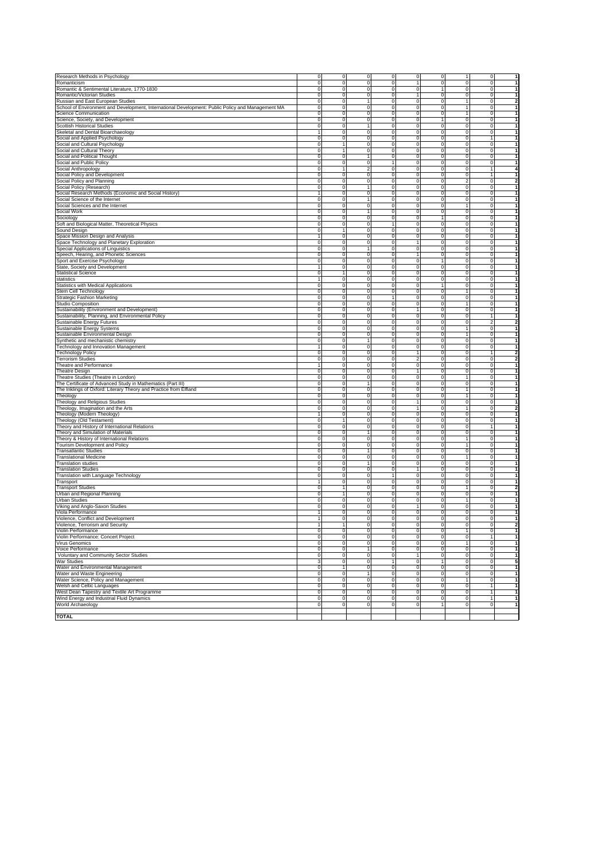| Research Methods in Psychology                                                                    | $\Omega$       | $\mathbf 0$    | $\Omega$       | $\mathbf 0$    | $\Omega$       | $\overline{0}$ | 1              | $\overline{0}$ | -1                      |
|---------------------------------------------------------------------------------------------------|----------------|----------------|----------------|----------------|----------------|----------------|----------------|----------------|-------------------------|
|                                                                                                   |                |                |                |                |                |                |                |                |                         |
| Romanticism                                                                                       | $\mathbf 0$    | $\mathbf 0$    | $\mathbf 0$    | $\mathbf 0$    | $\overline{1}$ | $\mathbf 0$    | $\mathbf 0$    | $\mathbf 0$    | $\mathbf{1}$            |
| Romantic & Sentimental Literature, 1770-1830                                                      | $\mathbf 0$    | $\mathbf 0$    | $\mathbf 0$    | $\mathbf 0$    | $\mathbf 0$    | $\mathbf{1}$   | $\mathbf 0$    | $\mathbf{0}$   | $\mathbf{1}$            |
| Romantic/Victorian Studies                                                                        | $\mathbf 0$    | $\mathbf 0$    | $\mathbf 0$    | $\mathbf 0$    | $\overline{1}$ | $\mathbf{0}$   | $\mathbf 0$    | $\mathbf{0}$   | $\mathbf{1}$            |
|                                                                                                   | $\mathbf 0$    | $\mathbf 0$    | $\mathbf{1}$   | $\mathbf 0$    | $\mathbf 0$    | $\mathbf{0}$   | $\overline{1}$ | $\circ$        | $\overline{\mathbf{2}}$ |
| Russian and East European Studies                                                                 |                |                |                |                |                |                |                |                |                         |
| School of Environment and Development, International Development: Public Policy and Management MA | $\mathbf 0$    | $\mathbf 0$    | $\mathbf 0$    | $\mathbf 0$    | $\mathbf 0$    | $\mathbf 0$    | $\overline{1}$ | $\mathbf{0}$   | $\mathbf{1}$            |
| Science Communication                                                                             | $\mathbf 0$    | $\mathbf 0$    | $\mathbf 0$    | $\mathsf 0$    | $\mathbf 0$    | $\mathbf 0$    | 1              | $\mathbf{0}$   | $\mathbf{1}$            |
|                                                                                                   | $\Omega$       | $\mathbf 0$    | $\mathbf 0$    | $\mathbf 0$    | $\mathbf 0$    | $\mathbf{1}$   | $\mathbf 0$    | $\mathbf 0$    | $\mathbf{1}$            |
| Science, Society, and Development                                                                 |                |                |                |                |                |                |                |                |                         |
| <b>Scottish Historical Studies</b>                                                                | $\Omega$       | $\mathbf 0$    | $\mathbf{1}$   | $\mathbf 0$    | $\mathbf 0$    | $\mathbf 0$    | $\mathbf 0$    | $\mathbf 0$    | $\mathbf{1}$            |
| Skeletal and Dental Bioarchaeology                                                                | $\overline{1}$ | $\mathbf 0$    | $\mathbf 0$    | $\mathbf 0$    | $\mathbf 0$    | $\mathbf 0$    | $\mathbf 0$    | $\mathbf 0$    | $\mathbf{1}$            |
|                                                                                                   | $\mathbf 0$    | $\mathbf 0$    | $\mathbf 0$    | $\mathbf 0$    | $\mathbf 0$    | $\mathbf{0}$   | $\mathbf 0$    | 1              | $\mathbf{1}$            |
| Social and Applied Psychology                                                                     |                |                |                |                |                |                |                |                |                         |
| Social and Cultural Psychology                                                                    | $\mathbf 0$    | 1              | $\mathbf 0$    | $\mathbf 0$    | $\mathbf 0$    | $\mathbf{0}$   | $\mathbf 0$    | $\mathbf{0}$   | $\mathbf{1}$            |
| Social and Cultural Theory                                                                        | $\mathbf 0$    | 1              | $\mathbf 0$    | $\mathbf 0$    | $\mathbf 0$    | $\mathbf{0}$   | $\mathbf 0$    | $\circ$        | $\mathbf{1}$            |
| Social and Political Thought                                                                      | $\mathbf 0$    | $\mathbf 0$    | $\mathbf{1}$   | $\mathbf 0$    | $\mathbf 0$    | $\mathbf{0}$   | $\mathbf 0$    | $\circ$        | $\mathbf{1}$            |
|                                                                                                   |                |                |                |                |                |                |                |                |                         |
| Social and Public Policy                                                                          | $\mathbf 0$    | $\mathbf 0$    | $\mathbf 0$    | $\mathbf{1}$   | $\mathbf 0$    | $\mathbf 0$    | $\mathbf 0$    | $\mathbf{0}$   | $\mathbf{1}$            |
| Social Anthropology                                                                               | $\Omega$       | $\mathbf{1}$   | $\mathfrak{p}$ | $\mathsf 0$    | $\mathbf 0$    | $\mathbf 0$    | $\mathbf 0$    | 1              | $\overline{\mathbf{4}}$ |
| Social Policy and Development                                                                     | $\Omega$       | $\mathbf 0$    | $\Omega$       | $\mathbf 0$    | $\mathbf 0$    | $\mathbf 0$    | $\mathbf 0$    | $\mathbf{1}$   | $\mathbf{1}$            |
|                                                                                                   |                |                |                |                |                |                |                |                |                         |
| Social Policy and Planning                                                                        | $\Omega$       | $\mathbf 0$    | $\mathbf 0$    | $\mathbf 0$    | $\mathbf 0$    | $\mathbf 0$    | $\overline{2}$ | $\mathbf 0$    | $\overline{\mathbf{2}}$ |
| Social Policy (Research)                                                                          | $\mathbf 0$    | $\mathbf 0$    | $\mathbf{1}$   | $\mathbf 0$    | $\mathbf 0$    | $\mathbf 0$    | $\mathbf 0$    | $\mathbf 0$    | $\mathbf{1}$            |
| Social Research Methods (Economic and Social History)                                             | 1              | $\mathbf 0$    | $\mathbf 0$    | $\mathbf 0$    | $\mathbf 0$    | $\mathbf{0}$   | $\mathbf 0$    | $\mathbf{0}$   | $\mathbf{1}$            |
|                                                                                                   |                |                |                |                |                |                |                |                |                         |
| Social Science of the Internet                                                                    | $\mathbf 0$    | $\mathbf 0$    | $\mathbf{1}$   | $\mathbf 0$    | $\mathbf 0$    | $\mathbf{0}$   | $\mathbf 0$    | $\mathbf{0}$   | $\mathbf{1}$            |
| Social Sciences and the Internet                                                                  | $\mathbf 0$    | $\mathbf 0$    | $\mathbf 0$    | $\mathbf 0$    | $\mathbf 0$    | $\mathbf{0}$   | $\overline{1}$ | $\mathbf{0}$   | $\mathbf{1}$            |
| Social Work                                                                                       | $\mathbf 0$    | $\mathbf 0$    | $\mathbf{1}$   | $\mathbf 0$    | $\mathbf 0$    | $\mathbf{0}$   | $\mathbf 0$    | $\mathbf{0}$   | $\mathbf{1}$            |
|                                                                                                   |                |                |                |                |                |                |                |                |                         |
| Sociology                                                                                         | $\Omega$       | $\mathbf 0$    | $\mathbf 0$    | $\mathbf 0$    | $\mathbf 0$    | $\mathbf{1}$   | $\mathbf 0$    | $\mathbf 0$    | $\mathbf{1}$            |
| Soft and Biological Matter, Theoretical Physics                                                   | $\Omega$       | $\mathbf 0$    | $\Omega$       | $\mathbf{1}$   | $\mathbf 0$    | $\mathbf 0$    | $\mathbf 0$    | $\mathbf 0$    | $\mathbf{1}$            |
|                                                                                                   | $\Omega$       | $\mathbf{1}$   | $\mathbf 0$    | $\mathbf 0$    | $\mathbf 0$    | $\mathbf 0$    | $\mathbf 0$    | $\mathbf 0$    | $\mathbf{1}$            |
| Sound Design                                                                                      |                |                |                |                |                |                |                |                |                         |
| Space Mission Design and Analysis                                                                 | 1              | $\mathbf 0$    | $\mathbf 0$    | $\mathbf 0$    | $\mathbf 0$    | $\mathbf 0$    | $\mathbf 0$    | $\mathbf 0$    | $\mathbf{1}$            |
| Space Technology and Planetary Exploration                                                        | $\mathbf 0$    | $\mathbf 0$    | $\mathbf 0$    | $\mathbf 0$    | $\overline{1}$ | $\mathbf{0}$   | $\mathbf 0$    | $\circ$        | $\mathbf{1}$            |
| Special Applications of Linguistics                                                               | $\mathbf 0$    | $\mathbf 0$    | $\mathbf{1}$   | $\mathbf 0$    | $\mathbf 0$    | $\mathbf{0}$   | $\mathbf 0$    | $\mathbf{0}$   | $\mathbf{1}$            |
|                                                                                                   |                |                |                |                |                |                |                |                |                         |
| Speech, Hearing, and Phonetic Sciences                                                            | $\mathbf 0$    | $\mathbf 0$    | $\mathbf 0$    | $\mathbf 0$    | $\overline{1}$ | $\mathbf{0}$   | $\mathbf 0$    | $\mathbf{0}$   | $\mathbf{1}$            |
| Sport and Exercise Psychology                                                                     | $\mathbf 0$    | $\mathbf 0$    | $\mathbf 0$    | $\mathbf 0$    | $\mathbf 0$    | $\mathbf{1}$   | $\mathbf 0$    | $\mathbf 0$    | $\mathbf{1}$            |
|                                                                                                   | 1              | ō              | $\mathbf 0$    | $\overline{0}$ | ō              | ō              | ō              | ō              | -1                      |
| State, Society and Development                                                                    |                |                |                |                |                |                |                |                |                         |
| <b>Statistical Science</b>                                                                        | $\mathbf 0$    | $\mathbf{1}$   | $\circ$        | $\overline{0}$ | ō              | ō              | ō              | ō              | $\overline{1}$          |
| statistics                                                                                        | $\mathbf{1}$   | $\Omega$       | $\Omega$       | $\Omega$       | $\Omega$       | ō              | $\Omega$       | ō              | $\overline{\mathbf{1}}$ |
| Statistics with Medical Applications                                                              | $\Omega$       | $\overline{0}$ | $\Omega$       | $\overline{0}$ | ō              | $\overline{1}$ | ō              | ō              | -1                      |
|                                                                                                   |                |                |                |                |                |                |                |                |                         |
| Stem Cell Technology                                                                              | $\Omega$       | $\overline{0}$ | $\Omega$       | $\overline{0}$ | ō              | ō              | T              | ō              | -1                      |
| Strategic Fashion Marketing                                                                       | $\Omega$       | $\overline{0}$ | $\overline{0}$ | T              | ō              | $\overline{0}$ | ō              | ō              | -1                      |
|                                                                                                   | $\overline{0}$ | $\overline{0}$ | $\overline{0}$ | $\overline{0}$ | ō              | ō              | T              | $\overline{0}$ | -1                      |
| Studio Composition                                                                                |                |                |                |                |                |                |                |                |                         |
| Sustainability (Environment and Development)                                                      | $\mathbf 0$    | $\overline{0}$ | $\overline{0}$ | $\overline{0}$ | $\mathbf{1}$   | ō              | ō              | $\overline{0}$ | -1                      |
| Sustainability, Planning, and Environmental Policy                                                | $\mathbf 0$    | $\overline{0}$ | $\mathbf 0$    | $\overline{0}$ | ō              | ō              | ō              | 1              | -1                      |
| Sustainable Energy Futures                                                                        |                |                |                |                | ō              | ō              | ō              | $\overline{2}$ | $\overline{2}$          |
|                                                                                                   | $\mathbf 0$    | 0              | $\circ$        | 0              |                |                |                |                |                         |
| Sustainable Energy Systems                                                                        | $\Omega$       | $\Omega$       | $\Omega$       | $\Omega$       | $\Omega$       | ō              | $\overline{1}$ | ō              | $\overline{1}$          |
| Sustainable Environmental Design                                                                  | $\Omega$       | $\Omega$       | $\mathbf 0$    | $\overline{0}$ | ō              | ō              | Ŧ              | ō              | -1                      |
|                                                                                                   | $\Omega$       | $\overline{0}$ | $\mathbf{1}$   | $\overline{0}$ | ō              | ō              | ō              | ō              | -1                      |
| Synthetic and mechanistic chemistry                                                               |                |                |                |                |                |                |                |                |                         |
| Technology and Innovation Management                                                              | $\blacksquare$ | $\overline{0}$ | ō              | $\overline{0}$ | ō              | ō              | ō              | $\overline{0}$ | -1                      |
| Technology Policy                                                                                 | $\Omega$       | $\overline{0}$ | $\overline{0}$ | $\overline{0}$ | $\mathbf{1}$   | $\overline{0}$ | ō              | 1              | $\overline{2}$          |
| <b>Terrorism Studies</b>                                                                          | $\overline{0}$ | $\overline{0}$ | $\overline{0}$ | $\overline{0}$ | 2              | ō              | ō              | ō              | $\overline{\mathbf{2}}$ |
|                                                                                                   |                |                |                |                |                |                |                |                |                         |
| Theatre and Performance                                                                           | 1              | $\overline{0}$ | $\overline{0}$ | $\overline{0}$ | $\overline{0}$ | ō              | ō              | $\overline{0}$ | -1                      |
| <b>Theatre Design</b>                                                                             | $\mathbf 0$    | 0              | $\mathbf 0$    | $\overline{0}$ | $\overline{1}$ | ō              | ō              | ō              | -1                      |
| Theatre Studies (Theatre in London)                                                               | $\mathbf 0$    | $\Omega$       | $\circ$        | $\Omega$       | ō              | ō              | $\overline{1}$ | $\Omega$       | $\overline{\mathbf{1}}$ |
|                                                                                                   |                |                |                |                |                |                |                |                |                         |
| The Certificate of Advanced Study in Mathematics (Part III)                                       | $\Omega$       | $\Omega$       | $\mathbf{1}$   | $\Omega$       | ō              | ō              | ō              | ō              | -1                      |
| The Inklings of Oxford: Literary Theory and Practice from Elfland                                 | $\Omega$       | $\Omega$       | $\Omega$       | $\overline{0}$ | ō              | ō              | T              | ō              | -1                      |
| Theology                                                                                          | $\Omega$       | $\overline{0}$ | $\overline{0}$ | $\overline{0}$ | ō              | ō              | T              | ō              | -1                      |
|                                                                                                   |                |                |                |                |                |                |                |                |                         |
| Theology and Religious Studies                                                                    | $\Omega$       | $\overline{0}$ | $\overline{0}$ | $\overline{0}$ | $\mathbf{1}$   | $\overline{0}$ | ō              | $\overline{0}$ | -1                      |
| Theology, Imagination and the Arts                                                                | $\overline{0}$ | $\overline{0}$ | $\overline{0}$ | $\overline{0}$ | $\overline{1}$ | $\overline{0}$ | T              | $\overline{0}$ | $\overline{2}$          |
| Theology (Modern Theology)                                                                        | 1              | ō              | $\overline{0}$ | $\overline{0}$ | ō              | ō              | ō              | $\overline{0}$ | -1                      |
|                                                                                                   |                |                |                |                |                |                |                |                |                         |
| Theology (Old Testament)                                                                          | $\mathbf 0$    | $\mathbf{1}$   | $\mathbf 0$    | $\overline{0}$ | ō              | ō              | ō              | ō              | -1                      |
| Theory and History of International Relations                                                     | $\mathbf 0$    | $\Omega$       | $\circ$        | $\Omega$       | $\Omega$       | ō              | $\Omega$       | $\overline{1}$ | $\overline{\mathbf{1}}$ |
| Theory and Simulation of Materials                                                                | $\Omega$       | $\overline{0}$ | $\mathbf{1}$   | $\Omega$       | $\Omega$       | ō              | $\Omega$       | $\Omega$       | $\overline{\mathbf{1}}$ |
|                                                                                                   | $\Omega$       | $\Omega$       | $\Omega$       | $\overline{0}$ | ō              | ō              | T              | ō              | -1                      |
| Theory & History of International Relations                                                       |                |                |                |                |                |                |                |                |                         |
| <b>Tourism Development and Policy</b>                                                             | $\Omega$       | $\overline{0}$ | $\overline{0}$ | $\overline{0}$ | ō              | ō              | T              | ō              | -1                      |
| <b>Transatlantic Studies</b>                                                                      | $\Omega$       | $\overline{0}$ | $\mathbf{1}$   | $\overline{0}$ | ō              | ō              | ō              | ō              | -1                      |
| <b>Translational Medicine</b>                                                                     | $\overline{0}$ | $\overline{0}$ | $\overline{0}$ | $\overline{0}$ | ō              | $\overline{0}$ | T              | $\overline{0}$ | -1                      |
|                                                                                                   |                | $\overline{0}$ | $\mathbf{1}$   | $\overline{0}$ |                | ō              | ō              | $\overline{0}$ | -1                      |
| <b>Translation studies</b>                                                                        | $\mathbf 0$    |                |                |                | $\overline{0}$ |                |                |                |                         |
| <b>Translation Studies</b>                                                                        | $\mathbf 0$    | $\overline{0}$ | $\overline{0}$ | $\overline{0}$ | $\mathbf{1}$   | ō              | ō              | ō              | -1                      |
| Translation with Language Technology                                                              | $\mathbf 0$    | $\Omega$       | $\circ$        | $\mathbf{1}$   | ō              | ō              | ō              | ō              | $\overline{\mathbf{1}}$ |
|                                                                                                   |                |                | $\Omega$       | $\overline{0}$ | $\Omega$       | ō              | $\Omega$       | $\Omega$       | $\overline{\mathbf{1}}$ |
| Transport                                                                                         | 1              | $\mathbf 0$    |                |                |                |                |                |                |                         |
| <b>Transport Studies</b>                                                                          | $\Omega$       | $\mathbf{1}$   | $\Omega$       | $\overline{0}$ | ō              | ō              | T              | ō              | $\overline{2}$          |
| Urban and Regional Planning                                                                       | $\Omega$       | 1              | $\Omega$       | $\overline{0}$ | ō              | ō              | ō              | ō              | -1                      |
|                                                                                                   | $\Omega$       | $\overline{0}$ | $\overline{0}$ | $\overline{0}$ | $\overline{0}$ | $\overline{0}$ | T              | $\overline{0}$ | -1                      |
| <b>Urban Studies</b>                                                                              |                |                |                |                |                |                |                |                |                         |
| Viking and Anglo-Saxon Studies                                                                    | $\overline{0}$ | ō              | $\overline{0}$ | $\overline{0}$ | $\mathbf{1}$   | $\overline{0}$ | ō              | $\overline{0}$ | -1                      |
| Viola Performance                                                                                 | $\blacksquare$ | ō              | $\overline{0}$ | $\overline{0}$ | ō              | $\overline{0}$ | ō              | ō              | -1                      |
|                                                                                                   |                |                |                |                |                |                |                |                |                         |
| Violence, Conflict and Development                                                                | 1              | ō              | $\mathbf 0$    | $\overline{0}$ | $\overline{0}$ | $\overline{0}$ | ō              | ō              | -1                      |
| Violence, Terrorism and Security                                                                  | 1              | $\mathbf{1}$   | $\mathbf 0$    | 0              | $\overline{0}$ | $\overline{0}$ | $\mathbf 0$    | $\mathbf 0$    | $\overline{\mathbf{2}}$ |
| Violin Perfo                                                                                      |                |                |                |                |                |                |                |                |                         |
|                                                                                                   | $\Omega$       |                | $\Omega$       |                | $\Omega$       |                | $\Omega$       | $\mathbf{1}$   | $\overline{1}$          |
| Violin Performance: Concert Project                                                               |                | $\overline{0}$ |                | 0              |                | $\overline{0}$ |                |                |                         |
| Virus Genomics                                                                                    | $\Omega$       | $\overline{0}$ | $\overline{0}$ | $\overline{0}$ | ō              | ō              | $\overline{1}$ | ō              | -1                      |
| Voice Performance                                                                                 | $\Omega$       | $\overline{0}$ | $\mathbf{1}$   | $\overline{0}$ | ō              | ō              | ō              | ō              | -1                      |
|                                                                                                   |                |                |                |                |                |                |                |                |                         |
| Voluntary and Community Sector Studies                                                            | $\Omega$       | $\overline{0}$ | ō              | $\overline{0}$ | $\mathbf{1}$   | $\overline{0}$ | ō              | $\overline{0}$ | -1                      |
| <b>War Studies</b>                                                                                | 3              | $\overline{0}$ | $\overline{0}$ | T              | ō              | $\overline{1}$ | ō              | $\overline{0}$ | 5                       |
| Water and Environmental Management                                                                | $\overline{0}$ | $\overline{1}$ | $\overline{0}$ | $\overline{0}$ | ō              | ō              | ō              | $\overline{0}$ | -1                      |
|                                                                                                   |                |                |                |                |                |                |                | ō              | -1                      |
| Water and Waste Engineering                                                                       | $\mathbf 0$    | $\overline{0}$ | 1              | $\overline{0}$ | ō              | ō              | ō              |                |                         |
| Water Science, Policy and Management                                                              | $\mathbf 0$    | $\overline{0}$ | ō              | $\overline{0}$ | ō              | ō              | 1              | ō              | -1                      |
| <b>Welsh and Celtic Languages</b>                                                                 | $\mathbf 0$    | ō              | $\circ$        | $\overline{0}$ | ō              | ō              | ō              | 1              | -1                      |
| West Dean Tapestry and Textile Art Programme                                                      | $\Omega$       | ō              | $\Omega$       | $\overline{0}$ | ō              | ō              | ō              | $\overline{1}$ | -1                      |
|                                                                                                   |                |                |                |                |                |                |                |                |                         |
| Wind Energy and Industrial Fluid Dynamics                                                         | $\mathbf 0$    | $\overline{0}$ | $\mathbf 0$    | $\overline{0}$ | $\overline{0}$ | $\overline{0}$ | ō              | 1              | -1                      |
| World Archaeology                                                                                 | $\overline{0}$ | ō              | $\overline{0}$ | $\overline{0}$ | $\overline{0}$ | 1              | $\overline{0}$ | $\overline{0}$ | -1                      |
|                                                                                                   |                |                |                |                |                |                |                |                |                         |
| TOTAL                                                                                             |                |                |                |                |                |                |                |                |                         |
|                                                                                                   |                |                |                |                |                |                |                |                |                         |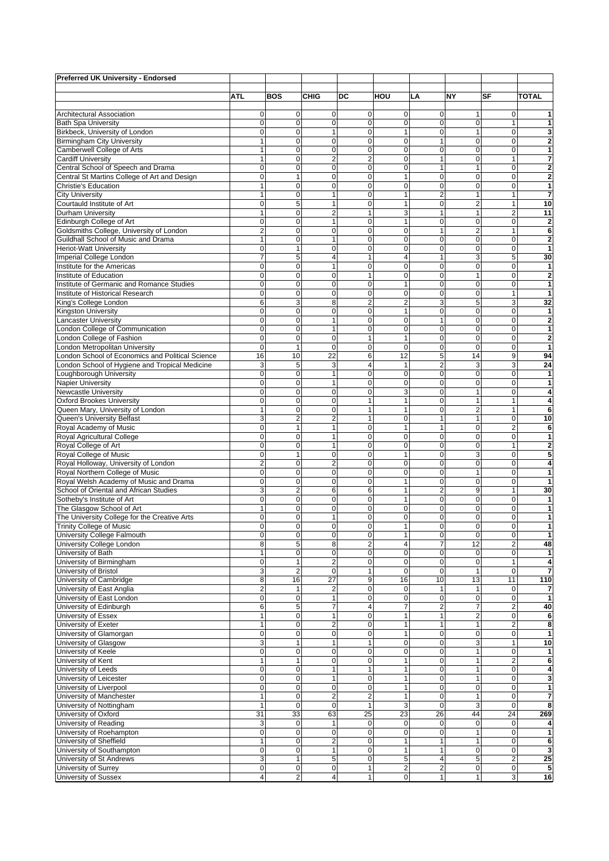| <b>Preferred UK University - Endorsed</b>                                        |                                  |                               |                         |                                  |                              |                         |                         |                             |                              |
|----------------------------------------------------------------------------------|----------------------------------|-------------------------------|-------------------------|----------------------------------|------------------------------|-------------------------|-------------------------|-----------------------------|------------------------------|
|                                                                                  | <b>ATL</b>                       | <b>BOS</b>                    | <b>CHIG</b>             | DC                               | HOU                          | LA                      | <b>NY</b>               | SF                          | <b>TOTAL</b>                 |
|                                                                                  |                                  |                               |                         |                                  |                              |                         |                         |                             |                              |
| <b>Architectural Association</b>                                                 | 0                                | $\mathbf 0$                   | 0                       | $\mathbf 0$                      | $\mathbf 0$                  | 0                       | 1                       | 0                           | 1                            |
| <b>Bath Spa University</b>                                                       | 0                                | $\mathbf 0$                   | 0                       | $\overline{0}$                   | $\mathbf 0$                  | 0                       | 0                       | 1                           | 1                            |
| Birkbeck, University of London                                                   | 0                                | $\mathbf 0$                   | 1                       | $\overline{0}$                   | $\mathbf{1}$                 | 0                       | 1                       | $\mathbf 0$                 | 3                            |
| <b>Birmingham City University</b>                                                | 1                                | $\mathbf 0$                   | 0                       | $\mathbf{O}$                     | $\mathbf 0$                  | $\mathbf{1}$            | 0                       | $\mathbf 0$                 | $\overline{2}$               |
| Camberwell College of Arts<br><b>Cardiff University</b>                          | 1<br>1                           | $\mathbf 0$<br>$\mathbf 0$    | 0<br>2                  | $\overline{0}$<br>$\overline{2}$ | $\mathbf 0$<br>$\pmb{0}$     | 0<br>$\mathbf{1}$       | 0<br>0                  | $\mathbf 0$<br>$\mathbf{1}$ | 1<br>7                       |
| Central School of Speech and Drama                                               | $\overline{0}$                   | $\overline{0}$                | 0                       | $\overline{0}$                   | $\mathbf 0$                  | $\mathbf{1}$            | 1                       | 0                           | $\overline{\mathbf{c}}$      |
| Central St Martins College of Art and Design                                     | 0                                | $\mathbf{1}$                  | 0                       | $\overline{0}$                   | $\mathbf{1}$                 | 0                       | 0                       | 0                           | $\overline{\mathbf{c}}$      |
| <b>Christie's Education</b>                                                      | 1                                | $\mathbf 0$                   | $\Omega$                | $\overline{0}$                   | $\mathbf 0$                  | 0                       | 0                       | 0                           | 1                            |
| <b>City University</b>                                                           | 1                                | $\overline{0}$                | 1                       | $\Omega$                         | $\mathbf{1}$                 | $\overline{2}$          | $\mathbf{1}$            | 1                           | 7                            |
| Courtauld Institute of Art                                                       | 0                                | 5                             | 1                       | $\mathbf{O}$                     | $\mathbf{1}$                 | $\mathbf 0$             | $\overline{2}$          | 1                           | 10                           |
| Durham University                                                                | 1                                | $\mathbf 0$                   | $\overline{2}$          | $\mathbf{1}$                     | 3                            | $\mathbf{1}$            | $\mathbf{1}$            | $\overline{c}$              | 11                           |
| Edinburgh College of Art                                                         | $\mathbf 0$<br>$\overline{c}$    | $\mathbf 0$<br>$\pmb{0}$      | 1<br>0                  | $\overline{0}$<br>$\overline{0}$ | $\mathbf{1}$<br>$\mathbf 0$  | 0<br>$\mathbf{1}$       | 0<br>$\overline{2}$     | 0<br>1                      | $\overline{2}$<br>6          |
| Goldsmiths College, University of London<br>Guildhall School of Music and Drama  | 1                                | $\mathbf 0$                   |                         | $\overline{0}$                   | $\mathbf 0$                  | 0                       | 0                       | 0                           | $\overline{\mathbf{c}}$      |
| <b>Heriot-Watt University</b>                                                    | $\mathbf 0$                      | $\mathbf{1}$                  | 0                       | $\overline{0}$                   | $\mathbf 0$                  | 0                       | 0                       | $\mathbf 0$                 | 1                            |
| Imperial College London                                                          | 7                                | 5                             | $\overline{\mathbf{4}}$ | $\mathbf{1}$                     | $\overline{4}$               | 1                       | 3                       | 5                           | 30                           |
| Institute for the Americas                                                       | 0                                | $\overline{0}$                | 1                       | $\overline{0}$                   | $\mathbf 0$                  | $\mathbf 0$             | 0                       | $\overline{0}$              | 1                            |
| Institute of Education                                                           | $\mathbf 0$                      | $\mathbf 0$                   | 0                       | 1                                | $\mathbf 0$                  | 0                       | 1                       | $\mathbf 0$                 | $\overline{2}$               |
| Institute of Germanic and Romance Studies                                        | $\overline{0}$                   | $\overline{0}$                | 0                       | $\overline{0}$                   | $\mathbf{1}$                 | 0                       | $\overline{0}$          | $\mathbf 0$                 | 1                            |
| Institute of Historical Research                                                 | 0                                | $\overline{0}$                | 0                       | $\overline{0}$                   | $\mathbf 0$                  | 0                       | 0                       | 1                           | 1                            |
| King's College London                                                            | 6                                | 3                             | 8                       | $\overline{2}$                   | $\overline{2}$               | 3                       | 5                       | 3                           | 32                           |
| <b>Kingston University</b><br>Lancaster University                               | $\mathbf 0$<br>0                 | $\overline{0}$<br>$\mathbf 0$ | 0<br>1                  | $\Omega$<br>$\mathbf{O}$         | $\mathbf{1}$<br>$\mathbf 0$  | 0<br>$\mathbf{1}$       | 0<br>0                  | $\mathbf 0$<br>0            | 1<br>$\overline{\mathbf{2}}$ |
| London College of Communication                                                  | 0                                | $\pmb{0}$                     | 1                       | $\overline{0}$                   | $\mathbf 0$                  | 0                       | 0                       | $\mathbf 0$                 | 1                            |
| London College of Fashion                                                        | $\mathbf 0$                      | $\mathbf 0$                   | 0                       | 1                                | $\mathbf{1}$                 | $\mathbf 0$             | 0                       | 0                           | $\overline{2}$               |
| London Metropolitan University                                                   | $\mathbf 0$                      | $\mathbf{1}$                  | 0                       | $\overline{0}$                   | $\mathbf 0$                  | 0                       | 0                       | 0                           | 1                            |
| London School of Economics and Political Science                                 | 16                               | 10                            | 22                      | 6                                | 12                           | 5                       | 14                      | 9                           | 94                           |
| London School of Hygiene and Tropical Medicine                                   | 3                                | 5                             | 3                       | 4                                | $\mathbf{1}$                 | $\overline{2}$          | 3                       | 3                           | 24                           |
| Loughborough University                                                          | 0                                | $\mathbf 0$                   | 1                       | $\mathbf{O}$                     | $\mathbf 0$                  | $\mathbf 0$             | $\pmb{0}$               | 0                           | 1                            |
| <b>Napier University</b>                                                         | 0                                | $\mathbf 0$                   | $\mathbf{1}$            | $\overline{0}$                   | $\mathbf 0$                  | $\mathbf 0$             | 0                       | $\overline{0}$              | 1                            |
| <b>Newcastle University</b><br><b>Oxford Brookes University</b>                  | $\overline{0}$<br>$\overline{0}$ | $\mathbf 0$<br>$\overline{0}$ | 0<br>0                  | $\overline{0}$<br>$\mathbf{1}$   | 3<br>$\mathbf{1}$            | 0<br>$\mathbf 0$        | 1<br>1                  | 0<br>1                      | 4                            |
| Queen Mary, University of London                                                 | 1                                | $\mathbf 0$                   | 0                       | $\mathbf{1}$                     | $\mathbf{1}$                 | 0                       | $\overline{\mathbf{c}}$ | $\mathbf{1}$                | 4<br>6                       |
| Queen's University Belfast                                                       | 3                                | $\overline{2}$                | $\overline{2}$          | $\mathbf{1}$                     | $\mathbf 0$                  | $\mathbf{1}$            | 1                       | $\mathbf 0$                 | 10                           |
| Royal Academy of Music                                                           | 0                                | $\mathbf{1}$                  | 1                       | $\overline{0}$                   | $\mathbf{1}$                 | $\mathbf{1}$            | 0                       | $\overline{2}$              | 6                            |
| Royal Agricultural College                                                       | 0                                | $\mathbf 0$                   | $\mathbf{1}$            | $\mathbf{O}$                     | $\mathbf 0$                  | 0                       | 0                       | $\mathbf 0$                 | 1                            |
| Royal College of Art                                                             | 0                                | $\pmb{0}$                     | 1                       | $\overline{0}$                   | $\mathbf 0$                  | 0                       | 0                       | $\mathbf{1}$                | $\overline{2}$               |
| Royal College of Music                                                           | 0                                | $\mathbf{1}$                  | 0                       | $\overline{0}$                   | $\mathbf{1}$                 | 0                       | 3                       | $\mathbf 0$                 | 5                            |
| Royal Holloway, University of London                                             | $\overline{2}$                   | $\mathbf 0$                   | 2                       | $\overline{0}$                   | $\mathbf 0$                  | $\mathbf 0$             | 0                       | $\mathbf 0$                 | 4                            |
| Royal Northern College of Music                                                  | 0                                | $\mathbf 0$                   | 0                       | $\overline{0}$                   | $\mathbf 0$                  | 0                       | 1                       | $\mathbf 0$                 | 1                            |
| Royal Welsh Academy of Music and Drama<br>School of Oriental and African Studies | $\mathbf 0$<br>3                 | $\mathbf 0$<br>$\overline{2}$ | 0<br>6                  | $\overline{0}$<br>6              | $\mathbf{1}$<br>$\mathbf{1}$ | 0<br>$\overline{2}$     | 0<br>9                  | $\mathbf 0$<br>$\mathbf{1}$ | 1<br>30                      |
| Sotheby's Institute of Art                                                       | 0                                | $\mathbf 0$                   | 0                       | $\overline{0}$                   | $\mathbf{1}$                 | 0                       | 0                       | $\mathbf 0$                 | 1                            |
| The Glasgow School of Art                                                        | 1                                | $\mathbf 0$                   | 0                       | $\overline{0}$                   | $\mathbf 0$                  | 0                       | 0                       | $\mathbf 0$                 | 1                            |
| The University College for the Creative Arts                                     | 0                                | $\mathbf 0$                   | 1                       | 0                                | $\mathbf 0$                  | 0                       | 0                       | 0                           | 1                            |
| <b>Trinity College of Music</b>                                                  | 0                                | $\mathbf 0$                   | 0                       | $\overline{0}$                   | 1                            | 0                       | 0                       | $\mathbf 0$                 | 1                            |
| University College Falmouth                                                      | 0                                | $\mathbf 0$                   | $\pmb{0}$               | $\overline{0}$                   | 1                            | $\overline{0}$          | 0                       | $\pmb{0}$                   | 1                            |
| University College London                                                        | 8                                | 5                             | 8                       | $\overline{2}$                   | $\overline{4}$               | $\overline{7}$          | 12                      | $\overline{c}$              | 48                           |
| University of Bath<br>University of Birmingham                                   | 1<br>$\mathbf 0$                 | 0<br>$\mathbf{1}$             | 0<br>2                  | $\mathbf 0$<br>$\overline{0}$    | $\mathbf 0$<br>$\mathbf 0$   | 0<br>0                  | $\Omega$<br>0           | 0<br>1                      | 1<br>4                       |
| University of Bristol                                                            | 3                                | $\overline{2}$                | 0                       | $\mathbf{1}$                     | $\overline{0}$               | 0                       | 1                       | $\pmb{0}$                   | 7                            |
| University of Cambridge                                                          | 8                                | 16                            | 27                      | 9                                | 16                           | 10                      | 13                      | 11                          | 110                          |
| University of East Anglia                                                        | 2                                | 1                             |                         | $\overline{0}$                   | $\mathbf 0$                  | $\mathbf{1}$            | 1                       | 0                           | 7                            |
| University of East London                                                        | 0                                | $\pmb{0}$                     |                         | $\mathbf 0$                      | $\mathbf 0$                  | 0                       | 0                       | 0                           | 1                            |
| University of Edinburgh                                                          | 6                                | 5                             | 7                       | $\overline{4}$                   | $\overline{7}$               | $\overline{\mathbf{c}}$ | 7                       | $\overline{c}$              | 40                           |
| University of Essex                                                              | 1                                | $\mathbf 0$                   |                         | $\overline{0}$                   | $\mathbf{1}$                 | $\mathbf{1}$            | $\overline{2}$          | $\mathbf 0$                 | 6                            |
| University of Exeter                                                             | 1                                | $\pmb{0}$                     | 2                       | $\overline{0}$                   | $\mathbf{1}$                 | 1                       | 1                       | $\overline{2}$              | 8                            |
| University of Glamorgan<br>University of Glasgow                                 | 0<br>3                           | $\mathbf 0$<br>$\mathbf{1}$   | 0                       | $\overline{0}$<br>1              | $\mathbf{1}$<br>$\mathbf 0$  | 0<br>0                  | 0<br>3                  | 0<br>1                      | 1<br>10                      |
| University of Keele                                                              | 0                                | $\mathbf 0$                   | 0                       | $\mathbf 0$                      | $\mathbf 0$                  | 0                       | 1                       | 0                           | 1                            |
| University of Kent                                                               | $\mathbf{1}$                     | $\mathbf{1}$                  | 0                       | $\mathbf 0$                      | $\mathbf{1}$                 | $\pmb{0}$               | $\mathbf{1}$            | $\overline{c}$              | 6                            |
| University of Leeds                                                              | 0                                | $\mathbf 0$                   |                         | $\mathbf{1}$                     | $\mathbf{1}$                 | 0                       | 1                       | 0                           | 4                            |
| University of Leicester                                                          | $\mathbf 0$                      | $\pmb{0}$                     |                         | $\overline{0}$                   | $\mathbf{1}$                 | 0                       | 1                       | 0                           | 3                            |
| University of Liverpool                                                          | 0                                | $\pmb{0}$                     | 0                       | $\mathbf 0$                      | $\mathbf{1}$                 | 0                       | 0                       | $\pmb{0}$                   | 1                            |
| University of Manchester                                                         | 1                                | $\mathbf 0$                   | 2                       | 2                                | $\mathbf{1}$                 | 0                       | 1                       | $\pmb{0}$                   | 7                            |
| University of Nottingham                                                         | 1                                | $\mathbf 0$                   | $\mathbf 0$             | $\mathbf{1}$                     | 3                            | $\pmb{0}$               | 3                       | 0                           | 8                            |
| University of Oxford                                                             | 31                               | 33                            | 63                      | 25                               | 23                           | 26                      | 44                      | 24                          | 269                          |
| University of Reading<br>University of Roehampton                                | 3<br>$\mathbf 0$                 | 0<br>$\mathbf 0$              | 0                       | $\mathbf 0$<br>$\overline{0}$    | $\mathbf 0$<br>$\mathbf 0$   | 0<br>0                  | 0<br>1                  | 0<br>0                      | 4<br>1                       |
| University of Sheffield                                                          | 1                                | $\mathbf 0$                   | $\overline{2}$          | $\overline{0}$                   | $\mathbf{1}$                 | $\mathbf{1}$            | 1                       | 0                           | 6                            |
| University of Southampton                                                        | 0                                | $\mathbf 0$                   |                         | $\overline{0}$                   | $\mathbf{1}$                 | $\mathbf{1}$            | 0                       | $\mathbf 0$                 | 3                            |
| University of St Andrews                                                         | 3                                | 1                             | 5                       | $\mathbf{O}$                     | 5                            | 4                       | 5                       | $\overline{c}$              | 25                           |
| University of Surrey                                                             | 0                                | $\mathbf 0$                   | 0                       | $\mathbf{1}$                     | $\overline{2}$               | $\overline{\mathbf{c}}$ | 0                       | $\pmb{0}$                   | 5                            |
| University of Sussex                                                             | 4                                | $\overline{2}$                | 4                       | $\mathbf{1}$                     | $\mathsf 0$                  | $\mathbf{1}$            | $\mathbf{1}$            | 3                           | 16                           |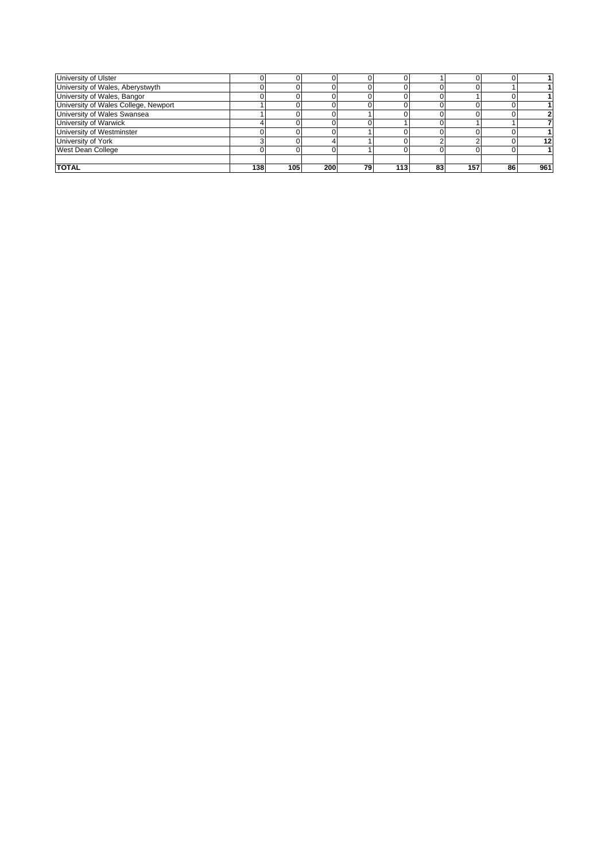| University of Ulster                 |     |     |     |    |     |    |     |    |     |
|--------------------------------------|-----|-----|-----|----|-----|----|-----|----|-----|
| University of Wales, Aberystwyth     |     |     |     |    |     |    |     |    |     |
| University of Wales, Bangor          |     |     |     |    |     |    |     |    |     |
| University of Wales College, Newport |     |     |     |    |     |    |     |    |     |
| University of Wales Swansea          |     |     |     |    |     |    |     |    |     |
| University of Warwick                |     |     |     |    |     |    |     |    |     |
| University of Westminster            |     |     |     |    |     |    |     |    |     |
| University of York                   |     |     |     |    |     |    |     |    | 12  |
| West Dean College                    |     |     |     |    |     |    |     |    |     |
|                                      |     |     |     |    |     |    |     |    |     |
| <b>TOTAL</b>                         | 138 | 105 | 200 | 79 | 113 | 83 | 157 | 86 | 961 |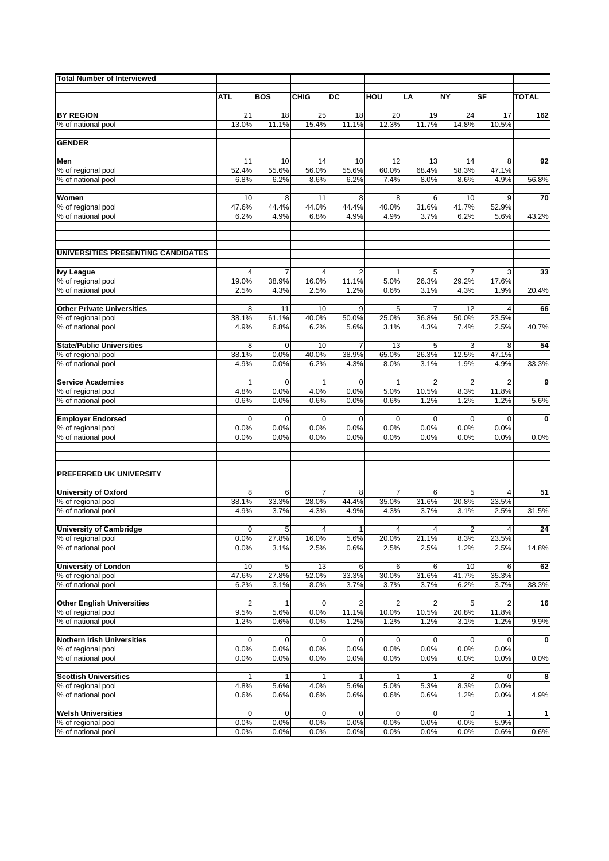| <b>Total Number of Interviewed</b>                   |               |               |                |                         |                      |                |                     |                         |              |
|------------------------------------------------------|---------------|---------------|----------------|-------------------------|----------------------|----------------|---------------------|-------------------------|--------------|
|                                                      |               |               |                |                         |                      |                |                     |                         |              |
|                                                      | <b>ATL</b>    | <b>BOS</b>    | <b>CHIG</b>    | DC                      | HOU                  | LA             | <b>NY</b>           | SF                      | <b>TOTAL</b> |
| <b>BY REGION</b>                                     | 21            | 18            | 25             | 18                      | 20                   | 19             | 24                  | 17                      | 162          |
| % of national pool                                   | 13.0%         | 11.1%         | 15.4%          | 11.1%                   | 12.3%                | 11.7%          | 14.8%               | 10.5%                   |              |
| <b>GENDER</b>                                        |               |               |                |                         |                      |                |                     |                         |              |
|                                                      |               |               |                |                         |                      |                |                     |                         |              |
| Men                                                  | 11            | 10            | 14             | 10                      | 12                   | 13             | 14                  | 8                       | 92           |
| % of regional pool                                   | 52.4%         | 55.6%         | 56.0%          | 55.6%                   | 60.0%                | 68.4%          | 58.3%               | 47.1%                   |              |
| % of national pool                                   | 6.8%          | 6.2%          | 8.6%           | 6.2%                    | 7.4%                 | 8.0%           | 8.6%                | 4.9%                    | 56.8%        |
| Women                                                | 10            | 8             | 11             | 8                       | 8                    | 6              | 10                  | 9                       | 70           |
| % of regional pool                                   | 47.6%         | 44.4%         | 44.0%          | 44.4%                   | 40.0%                | 31.6%          | 41.7%               | 52.9%                   |              |
| % of national pool                                   | 6.2%          | 4.9%          | 6.8%           | 4.9%                    | 4.9%                 | 3.7%           | 6.2%                | 5.6%                    | 43.2%        |
| UNIVERSITIES PRESENTING CANDIDATES                   |               |               |                |                         |                      |                |                     |                         |              |
|                                                      |               |               |                |                         |                      |                |                     |                         |              |
| <b>Ivy League</b><br>% of regional pool              | 4<br>19.0%    | 7<br>38.9%    | 4<br>16.0%     | $\overline{2}$<br>11.1% | $\mathbf{1}$<br>5.0% | 5<br>26.3%     | 7<br>29.2%          | 3<br>17.6%              | 33           |
| % of national pool                                   | 2.5%          | 4.3%          | 2.5%           | 1.2%                    | 0.6%                 | 3.1%           | 4.3%                | 1.9%                    | 20.4%        |
|                                                      |               |               |                |                         |                      |                |                     |                         |              |
| <b>Other Private Universities</b>                    | 8             | 11            | 10             | 9                       | 5                    | $\overline{7}$ | 12                  | 4                       | 66           |
| % of regional pool<br>% of national pool             | 38.1%<br>4.9% | 61.1%<br>6.8% | 40.0%<br>6.2%  | 50.0%<br>5.6%           | 25.0%<br>3.1%        | 36.8%<br>4.3%  | 50.0%<br>7.4%       | 23.5%<br>2.5%           | 40.7%        |
|                                                      |               |               |                |                         |                      |                |                     |                         |              |
| <b>State/Public Universities</b>                     | 8             | $\mathbf 0$   | 10             | 7                       | 13                   | 5              | 3                   | 8                       | 54           |
| % of regional pool                                   | 38.1%         | 0.0%          | 40.0%          | 38.9%                   | 65.0%                | 26.3%          | 12.5%               | 47.1%                   |              |
| % of national pool                                   | 4.9%          | 0.0%          | 6.2%           | 4.3%                    | 8.0%                 | 3.1%           | 1.9%                | 4.9%                    | 33.3%        |
| <b>Service Academies</b>                             | 1             | $\mathbf 0$   | 1              | $\mathbf 0$             | 1                    | $\overline{2}$ | $\overline{2}$      | $\overline{2}$          | 9            |
| % of regional pool                                   | 4.8%          | 0.0%          | 4.0%           | 0.0%                    | 5.0%                 | 10.5%          | 8.3%                | 11.8%                   |              |
| % of national pool                                   | 0.6%          | 0.0%          | 0.6%           | 0.0%                    | 0.6%                 | 1.2%           | 1.2%                | 1.2%                    | 5.6%         |
| <b>Employer Endorsed</b>                             | 0             | $\mathbf 0$   | $\mathbf 0$    | $\mathbf 0$             | $\mathbf 0$          | $\mathbf 0$    | $\mathbf 0$         | 0                       | 0            |
| % of regional pool                                   | 0.0%          | 0.0%          | 0.0%           | 0.0%                    | 0.0%                 | 0.0%           | 0.0%                | 0.0%                    |              |
| % of national pool                                   | 0.0%          | 0.0%          | 0.0%           | 0.0%                    | 0.0%                 | 0.0%           | 0.0%                | 0.0%                    | 0.0%         |
|                                                      |               |               |                |                         |                      |                |                     |                         |              |
| PREFERRED UK UNIVERSITY                              |               |               |                |                         |                      |                |                     |                         |              |
| <b>University of Oxford</b>                          | 8             | 6             | $\overline{7}$ | 8                       | $\overline{7}$       | 6              | 5                   | 4                       | 51           |
| % of regional pool                                   | 38.1%         | 33.3%         | 28.0%          | 44.4%                   | 35.0%                | 31.6%          | 20.8%               | 23.5%                   |              |
| % of national pool                                   | 4.9%          | 3.7%          | 4.3%           | 4.9%                    | 4.3%                 | 3.7%           | 3.1%                | 2.5%                    | 31.5%        |
|                                                      | $\mathbf 0$   | 5             | $\overline{4}$ | $\mathbf{1}$            | $\overline{4}$       | 4              |                     | 4                       | 24           |
| <b>University of Cambridge</b><br>% of regional pool | 0.0%          | 27.8%         | 16.0%          | 5.6%                    | 20.0%                | 21.1%          | 2<br>8.3%           | 23.5%                   |              |
| % of national pool                                   | 0.0%          | 3.1%          | 2.5%           | 0.6%                    | 2.5%                 | 2.5%           | 1.2%                | 2.5%                    | 14.8%        |
|                                                      |               |               |                |                         |                      |                |                     |                         |              |
| <b>University of London</b><br>% of regional pool    | 10<br>47.6%   | 5<br>27.8%    | 13<br>52.0%    | 6<br>33.3%              | 6<br>30.0%           | 6<br>31.6%     | 10<br>41.7%         | 6<br>35.3%              | 62           |
| % of national pool                                   | 6.2%          | 3.1%          | 8.0%           | 3.7%                    | 3.7%                 | 3.7%           | 6.2%                | 3.7%                    | 38.3%        |
|                                                      |               |               |                |                         |                      |                |                     |                         |              |
| <b>Other English Universities</b>                    | 2             | 1             | 0              | 2                       | 2                    | 2              | 5                   | $\overline{\mathbf{c}}$ | 16           |
| % of regional pool                                   | 9.5%          | 5.6%          | 0.0%           | 11.1%                   | 10.0%                | 10.5%          | 20.8%               | 11.8%                   |              |
| % of national pool                                   | 1.2%          | 0.6%          | 0.0%           | 1.2%                    | 1.2%                 | 1.2%           | 3.1%                | 1.2%                    | 9.9%         |
| <b>Nothern Irish Universities</b>                    | 0             | 0             | 0              | 0                       | 0                    | 0              | $\mathbf 0$         | 0                       | 0            |
| % of regional pool                                   | 0.0%          | 0.0%          | 0.0%           | 0.0%                    | 0.0%                 | 0.0%           | 0.0%                | 0.0%                    |              |
| % of national pool                                   | 0.0%          | 0.0%          | 0.0%           | 0.0%                    | 0.0%                 | 0.0%           | 0.0%                | 0.0%                    | 0.0%         |
| <b>Scottish Universities</b>                         | 1             | 1             | 1              | $\mathbf{1}$            | $\mathbf{1}$         | 1              | 2                   | 0                       | 8            |
| % of regional pool                                   | 4.8%          | 5.6%          | 4.0%           | 5.6%                    | 5.0%                 | 5.3%           | 8.3%                | 0.0%                    |              |
| % of national pool                                   | 0.6%          | 0.6%          | 0.6%           | 0.6%                    | 0.6%                 | 0.6%           | 1.2%                | 0.0%                    | 4.9%         |
|                                                      |               |               |                |                         |                      |                |                     |                         |              |
| <b>Welsh Universities</b>                            | 0<br>0.0%     | 0<br>0.0%     | 0<br>0.0%      | 0<br>0.0%               | 0<br>0.0%            | 0<br>0.0%      | $\mathbf 0$<br>0.0% | 1<br>5.9%               | $\mathbf{1}$ |
| % of regional pool<br>% of national pool             | 0.0%          | 0.0%          | 0.0%           | 0.0%                    | 0.0%                 | 0.0%           | 0.0%                | 0.6%                    | 0.6%         |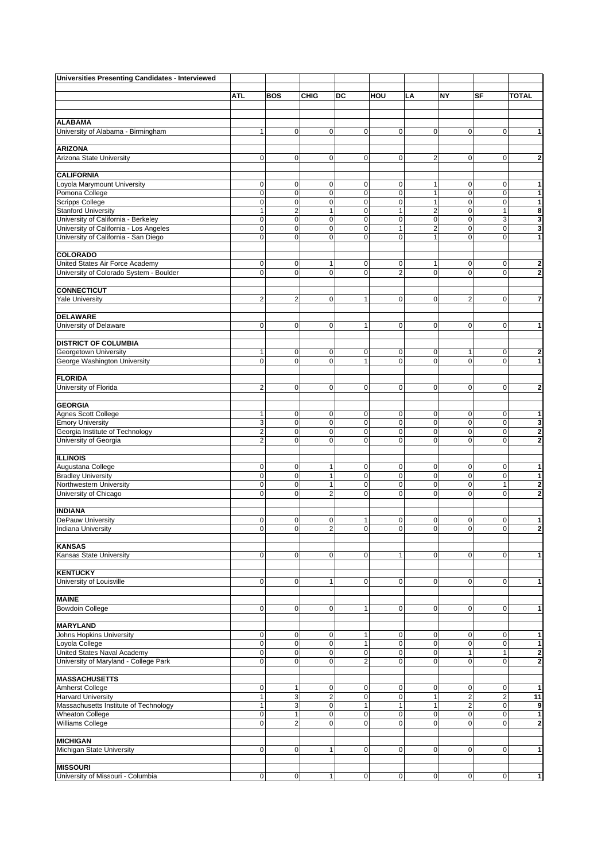| <b>Universities Presenting Candidates - Interviewed</b> |                         |                |                |                |                |                         |                |                         |                         |
|---------------------------------------------------------|-------------------------|----------------|----------------|----------------|----------------|-------------------------|----------------|-------------------------|-------------------------|
|                                                         |                         |                |                |                |                |                         |                |                         |                         |
|                                                         | ATL                     | <b>BOS</b>     | <b>CHIG</b>    | DC             | HOU            | LA                      | NY             | SF                      | <b>TOTAL</b>            |
|                                                         |                         |                |                |                |                |                         |                |                         |                         |
|                                                         |                         |                |                |                |                |                         |                |                         |                         |
| <b>ALABAMA</b>                                          |                         |                |                |                |                |                         |                |                         |                         |
| University of Alabama - Birmingham                      | 1                       | $\pmb{0}$      | $\overline{0}$ | 0              | $\pmb{0}$      | $\mathbf 0$             | 0              | $\pmb{0}$               | 1                       |
| <b>ARIZONA</b>                                          |                         |                |                |                |                |                         |                |                         |                         |
|                                                         | 0                       |                | $\mathbf{0}$   | $\mathbf 0$    | 0              | $\overline{2}$          | $\mathbf{0}$   |                         |                         |
| Arizona State University                                |                         | 0              |                |                |                |                         |                | 0                       | 2                       |
| <b>CALIFORNIA</b>                                       |                         |                |                |                |                |                         |                |                         |                         |
| Loyola Marymount University                             | 0                       | 0              | $\overline{0}$ | $\pmb{0}$      | 0              | $\mathbf{1}$            | 0              | 0                       | 1                       |
| Pomona College                                          | $\mathbf 0$             | $\mathbf 0$    | $\mathbf{O}$   | $\mathbf 0$    | $\mathbf 0$    | $\mathbf{1}$            | $\mathbf 0$    | $\pmb{0}$               | 1                       |
| <b>Scripps College</b>                                  | $\mathbf 0$             | $\mathbf 0$    | $\mathbf 0$    | $\mathbf 0$    | $\mathbf 0$    | $\mathbf{1}$            | 0              | $\mathbf 0$             | 1                       |
| <b>Stanford University</b>                              | 1                       | $\overline{2}$ | $\mathbf{1}$   | $\mathbf 0$    | 1              | $\overline{2}$          | $\mathsf 0$    | $\mathbf{1}$            | 8                       |
| University of California - Berkeley                     | 0                       | $\mathbf 0$    | $\mathbf 0$    | $\mathbf 0$    | $\mathbf 0$    | $\mathbf 0$             | $\mathbf 0$    | 3                       | 3                       |
| University of California - Los Angeles                  | $\mathbf 0$             | $\mathbf 0$    | $\mathbf{0}$   | $\mathbf 0$    | 1              | $\overline{\mathbf{c}}$ | $\mathbf 0$    | 0                       | 3                       |
| University of California - San Diego                    | $\mathbf 0$             | $\mathbf 0$    | $\mathbf{O}$   | $\mathbf 0$    | $\mathbf 0$    | $\mathbf{1}$            | $\mathbf 0$    | $\mathbf 0$             | 1                       |
|                                                         |                         |                |                |                |                |                         |                |                         |                         |
| COLORADO                                                |                         |                |                |                |                |                         |                |                         |                         |
| United States Air Force Academy                         | 0                       | $\pmb{0}$      | 1              | $\mathbf 0$    | 0              | $\mathbf{1}$            | 0              | 0                       | $\overline{\mathbf{2}}$ |
| University of Colorado System - Boulder                 | $\mathbf 0$             | $\mathbf 0$    | $\overline{0}$ | $\mathbf 0$    | $\overline{2}$ | $\mathbf{O}$            | $\mathbf 0$    | $\mathbf 0$             | $\overline{2}$          |
|                                                         |                         |                |                |                |                |                         |                |                         |                         |
| <b>CONNECTICUT</b>                                      |                         |                |                |                |                |                         |                |                         |                         |
| <b>Yale University</b>                                  | $\overline{2}$          | $\overline{2}$ | $\mathbf{0}$   | 1              | $\mathbf 0$    | $\mathbf{0}$            | $\overline{2}$ | $\mathbf 0$             | 7                       |
|                                                         |                         |                |                |                |                |                         |                |                         |                         |
| <b>DELAWARE</b>                                         |                         |                |                |                |                |                         |                |                         |                         |
| University of Delaware                                  | 0                       | $\mathbf 0$    | $\mathbf 0$    | $\mathbf{1}$   | 0              | $\mathbf 0$             | $\mathbf 0$    | 0                       | 1                       |
|                                                         |                         |                |                |                |                |                         |                |                         |                         |
| <b>DISTRICT OF COLUMBIA</b>                             |                         |                |                |                |                |                         |                |                         |                         |
| Georgetown University                                   | 1                       | 0              | $\mathbf 0$    | $\mathbf 0$    | 0              | $\mathbf 0$             | 1              | 0                       | 2                       |
| George Washington University                            | $\mathbf 0$             | $\mathbf 0$    | $\mathbf{O}$   | $\mathbf{1}$   | $\mathbf 0$    | $\mathbf{0}$            | $\mathbf 0$    | $\mathbf 0$             | 1                       |
|                                                         |                         |                |                |                |                |                         |                |                         |                         |
| <b>FLORIDA</b><br>University of Florida                 | 2                       | $\mathbf 0$    | $\mathbf 0$    | $\mathbf 0$    | 0              | $\mathbf 0$             | $\mathbf 0$    | 0                       | 2                       |
|                                                         |                         |                |                |                |                |                         |                |                         |                         |
| <b>GEORGIA</b>                                          |                         |                |                |                |                |                         |                |                         |                         |
| Agnes Scott College                                     | 1                       | $\mathbf 0$    | $\mathbf 0$    | $\mathbf 0$    | 0              | $\mathbf 0$             | 0              | 0                       | 1                       |
| <b>Emory University</b>                                 | 3                       | $\mathbf 0$    | $\overline{0}$ | $\mathbf 0$    | $\mathbf 0$    | $\mathbf 0$             | $\mathsf 0$    | $\mathbf 0$             | 3                       |
| Georgia Institute of Technology                         | $\overline{\mathbf{c}}$ | $\mathbf 0$    | $\mathbf 0$    | $\mathbf 0$    | 0              | $\mathbf 0$             | 0              | $\pmb{0}$               | 2                       |
| University of Georgia                                   | $\overline{2}$          | $\mathbf 0$    | $\overline{0}$ | $\mathbf 0$    | $\overline{0}$ | $\mathbf{O}$            | $\mathbf 0$    | $\mathbf 0$             | 2                       |
|                                                         |                         |                |                |                |                |                         |                |                         |                         |
| <b>ILLINOIS</b>                                         |                         |                |                |                |                |                         |                |                         |                         |
| Augustana College                                       | $\mathbf 0$             | $\mathbf 0$    | $\mathbf{1}$   | $\mathbf 0$    | $\mathbf 0$    | $\mathbf 0$             | 0              | 0                       | 1                       |
| <b>Bradley University</b>                               | 0                       | $\mathbf 0$    | $\mathbf{1}$   | 0              | $\mathbf 0$    | $\mathbf 0$             | $\mathbf 0$    | $\mathbf 0$             | 1                       |
| Northwestern University                                 | 0                       | $\mathbf 0$    | $\mathbf{1}$   | $\mathbf 0$    | $\mathbf 0$    | $\mathbf 0$             | $\mathbf 0$    | 1                       | $\overline{\mathbf{2}}$ |
| University of Chicago                                   | 0                       | $\mathbf 0$    | $\overline{2}$ | $\mathbf 0$    | $\mathbf 0$    | $\mathbf{O}$            | $\mathbf 0$    | $\mathbf 0$             | $\overline{2}$          |
|                                                         |                         |                |                |                |                |                         |                |                         |                         |
| <b>INDIANA</b>                                          |                         |                |                |                |                |                         |                |                         |                         |
| DePauw University                                       | 0                       | 0              | $\mathbf 0$    | 1              | 0              | $\mathbf 0$             | $\mathbf 0$    | 0                       | 1                       |
| <b>Indiana University</b>                               | 0                       | $\mathbf 0$    | $\overline{2}$ | $\mathbf 0$    | 0              | $\mathbf 0$             | $\mathbf 0$    | 0                       | $\overline{\mathbf{2}}$ |
|                                                         |                         |                |                |                |                |                         |                |                         |                         |
| <b>KANSAS</b>                                           |                         |                |                |                |                |                         |                |                         |                         |
| Kansas State University                                 | 0                       | $\mathbf 0$    | $\overline{0}$ | $\mathbf 0$    | 1              | $\mathbf 0$             | $\mathbf 0$    | 0                       | 1                       |
|                                                         |                         |                |                |                |                |                         |                |                         |                         |
| <b>KENTUCKY</b>                                         |                         |                |                |                |                |                         |                |                         |                         |
| University of Louisville                                | 0                       | 0              | 1              | 0              | 0              | $\mathbf 0$             | $\mathbf 0$    | 0                       | 1                       |
| <b>MAINE</b>                                            |                         |                |                |                |                |                         |                |                         |                         |
|                                                         |                         |                | $\mathbf 0$    |                |                |                         | $\mathbf 0$    |                         |                         |
| <b>Bowdoin College</b>                                  | 0                       | $\mathbf 0$    |                | $\mathbf{1}$   | 0              | $\mathbf 0$             |                | 0                       | 1                       |
| <b>MARYLAND</b>                                         |                         |                |                |                |                |                         |                |                         |                         |
| Johns Hopkins University                                | $\mathbf 0$             | $\mathbf 0$    | $\mathbf 0$    | 1              | 0              | $\mathbf 0$             | 0              | 0                       | 1                       |
| Loyola College                                          | $\mathbf 0$             | $\mathbf 0$    | $\overline{0}$ | $\mathbf{1}$   | $\mathbf 0$    | $\mathbf 0$             | $\mathsf 0$    | $\mathbf 0$             | 1                       |
| United States Naval Academy                             | $\mathbf 0$             | $\mathbf 0$    | $\overline{0}$ | $\mathbf 0$    | $\mathbf 0$    | $\mathbf 0$             | $\mathbf{1}$   | $\mathbf{1}$            | $\overline{\mathbf{2}}$ |
| University of Maryland - College Park                   | 0                       | $\mathbf 0$    | $\overline{0}$ | $\overline{2}$ | $\overline{0}$ | $\mathbf{0}$            | $\mathbf 0$    | $\mathbf 0$             | 2                       |
|                                                         |                         |                |                |                |                |                         |                |                         |                         |
| <b>MASSACHUSETTS</b>                                    |                         |                |                |                |                |                         |                |                         |                         |
| Amherst College                                         | 0                       | 1              | $\mathbf 0$    | 0              | 0              | $\mathbf 0$             | $\mathbf 0$    | 0                       | 1                       |
| <b>Harvard University</b>                               | $\mathbf{1}$            | 3              | $\overline{c}$ | $\mathbf 0$    | $\mathbf 0$    | $\mathbf{1}$            | $\overline{c}$ | $\overline{\mathbf{c}}$ | 11                      |
| Massachusetts Institute of Technology                   | 1                       | 3              | $\mathbf 0$    | $\mathbf{1}$   | 1              | $\mathbf{1}$            | $\overline{c}$ | $\pmb{0}$               | 9                       |
| <b>Wheaton College</b>                                  | 0                       | $\mathbf{1}$   | $\mathbf{O}$   | 0              | $\mathbf 0$    | $\mathbf 0$             | $\mathbf 0$    | $\mathbf 0$             | 1                       |
| Williams College                                        | 0                       | $\overline{2}$ | $\mathbf 0$    | $\mathbf 0$    | $\mathbf 0$    | $\mathbf{O}$            | $\mathbf 0$    | $\mathbf 0$             | $\overline{\mathbf{c}}$ |
|                                                         |                         |                |                |                |                |                         |                |                         |                         |
| <b>MICHIGAN</b>                                         |                         |                |                |                |                |                         |                |                         |                         |
| Michigan State University                               | 0                       | $\mathbf 0$    | 1              | $\mathbf 0$    | 0              | $\mathbf 0$             | $\mathbf 0$    | 0                       | 1                       |
|                                                         |                         |                |                |                |                |                         |                |                         |                         |
| <b>MISSOURI</b>                                         |                         |                |                |                |                |                         |                |                         |                         |
| University of Missouri - Columbia                       | $\mathsf 0$             | $\mathbf 0$    | $\mathbf{1}$   | $\pmb{0}$      | $\mathbf 0$    | $\overline{0}$          | $\mathbf 0$    | $\pmb{0}$               | $\mathbf{1}$            |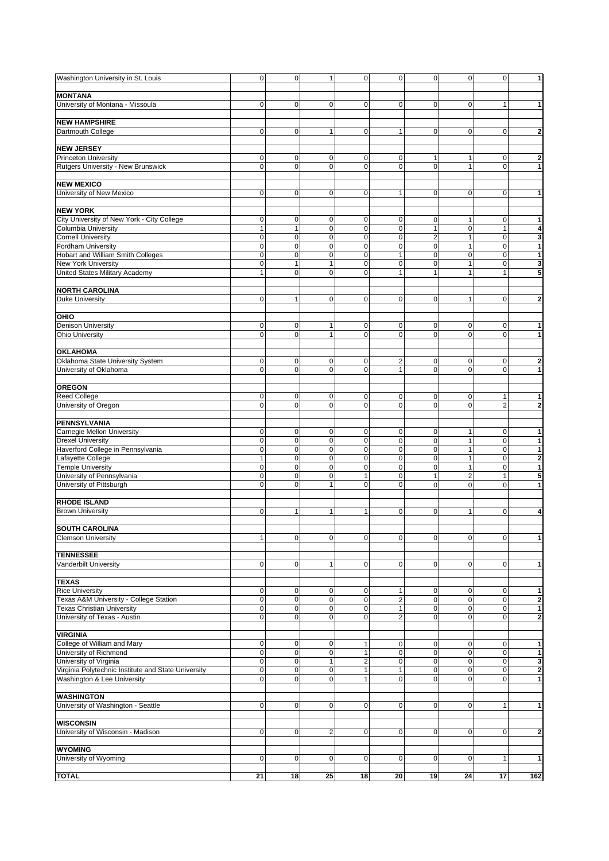| Washington University in St. Louis                  | $\mathbf 0$      | $\pmb{0}$                  | $\mathbf{1}$                  | $\pmb{0}$        | $\pmb{0}$                  | $\overline{0}$      | $\mathbf 0$       | $\mathbf 0$      | 1                       |
|-----------------------------------------------------|------------------|----------------------------|-------------------------------|------------------|----------------------------|---------------------|-------------------|------------------|-------------------------|
|                                                     |                  |                            |                               |                  |                            |                     |                   |                  |                         |
| <b>MONTANA</b>                                      |                  |                            |                               |                  |                            |                     |                   |                  |                         |
| University of Montana - Missoula                    | 0                | $\mathbf 0$                | $\mathbf 0$                   | 0                | $\mathbf 0$                | $\mathbf 0$         | 0                 | 1                | 1                       |
|                                                     |                  |                            |                               |                  |                            |                     |                   |                  |                         |
| <b>NEW HAMPSHIRE</b>                                |                  |                            |                               |                  |                            |                     |                   |                  |                         |
| Dartmouth College                                   | $\mathbf 0$      | $\mathbf 0$                | 1                             | $\mathbf 0$      | $\mathbf{1}$               | $\mathbf{0}$        | 0                 | 0                | $\overline{2}$          |
|                                                     |                  |                            |                               |                  |                            |                     |                   |                  |                         |
| <b>NEW JERSEY</b>                                   |                  |                            |                               |                  |                            |                     |                   |                  |                         |
| <b>Princeton University</b>                         | 0<br>$\mathbf 0$ | $\mathbf 0$<br>$\mathbf 0$ | $\mathbf 0$<br>$\overline{0}$ | 0<br>$\mathbf 0$ | $\mathbf 0$<br>$\mathbf 0$ | 1<br>$\overline{0}$ | 1<br>$\mathbf{1}$ | 0<br>$\mathbf 0$ | $\overline{2}$          |
| Rutgers University - New Brunswick                  |                  |                            |                               |                  |                            |                     |                   |                  | 1                       |
| <b>NEW MEXICO</b>                                   |                  |                            |                               |                  |                            |                     |                   |                  |                         |
| University of New Mexico                            | 0                | $\mathbf 0$                | $\mathbf 0$                   | $\mathbf 0$      | 1                          | $\mathbf 0$         | 0                 | 0                | 1                       |
|                                                     |                  |                            |                               |                  |                            |                     |                   |                  |                         |
| <b>NEW YORK</b>                                     |                  |                            |                               |                  |                            |                     |                   |                  |                         |
| City University of New York - City College          | 0                | $\mathbf 0$                | $\mathbf 0$                   | 0                | $\mathbf 0$                | $\mathbf 0$         | 1                 | 0                | 1                       |
| <b>Columbia University</b>                          | 1                | $\mathbf{1}$               | $\mathbf 0$                   | $\mathbf 0$      | $\mathbf 0$                | $\mathbf{1}$        | $\mathbf 0$       | $\mathbf{1}$     | 4                       |
| <b>Cornell University</b>                           | 0                | $\mathbf 0$                | $\mathbf 0$                   | $\mathbf 0$      | $\mathbf 0$                | $\overline{2}$      | $\mathbf{1}$      | $\pmb{0}$        | 3                       |
| Fordham University                                  | $\mathbf 0$      | $\mathbf 0$                | $\mathbf 0$                   | $\mathbf 0$      | $\mathbf 0$                | $\mathbf{O}$        | 1                 | $\pmb{0}$        | 1                       |
| Hobart and William Smith Colleges                   | $\mathbf 0$      | $\mathbf 0$                | $\mathbf 0$                   | 0                | $\mathbf{1}$               | $\mathbf{O}$        | $\mathbf 0$       | $\pmb{0}$        | 1                       |
| New York University                                 | $\mathbf 0$      | $\mathbf{1}$               | $\mathbf{1}$                  | $\mathbf 0$      | $\mathbf 0$                | $\mathbf{O}$        | 1                 | $\pmb{0}$        | 3                       |
| United States Military Academy                      | $\mathbf{1}$     | $\mathbf 0$                | $\mathbf{O}$                  | $\mathbf 0$      | $\mathbf{1}$               | $\mathbf{1}$        | $\mathbf{1}$      | $\mathbf{1}$     | 5                       |
|                                                     |                  |                            |                               |                  |                            |                     |                   |                  |                         |
| <b>NORTH CAROLINA</b>                               |                  |                            |                               |                  |                            |                     |                   |                  |                         |
| <b>Duke University</b>                              | $\mathbf 0$      | $\mathbf{1}$               | $\mathbf{O}$                  | $\mathbf 0$      | $\mathbf 0$                | $\mathbf{O}$        | 1                 | $\mathbf 0$      | $\overline{\mathbf{2}}$ |
|                                                     |                  |                            |                               |                  |                            |                     |                   |                  |                         |
| OHIO                                                |                  |                            |                               |                  |                            |                     |                   |                  |                         |
| <b>Denison University</b>                           | 0                | $\mathbf 0$                | 1                             | 0                | $\mathbf 0$                | 0                   | 0                 | 0                | 1                       |
| <b>Ohio University</b>                              | $\Omega$         | $\mathbf 0$                | 1                             | $\mathbf 0$      | $\mathbf 0$                | $\mathbf 0$         | $\overline{0}$    | $\mathbf 0$      | 1                       |
|                                                     |                  |                            |                               |                  |                            |                     |                   |                  |                         |
| <b>OKLAHOMA</b>                                     |                  |                            |                               |                  |                            |                     |                   |                  |                         |
| Oklahoma State University System                    | 0                | $\pmb{0}$                  | $\mathbf 0$                   | 0                | $\overline{2}$             | $\mathbf 0$         | 0                 | 0                | $\overline{\mathbf{2}}$ |
| University of Oklahoma                              | $\mathbf 0$      | $\mathbf 0$                | $\mathbf{O}$                  | $\mathbf 0$      | $\mathbf{1}$               | $\mathbf 0$         | $\mathbf 0$       | $\mathbf 0$      | $\mathbf{1}$            |
|                                                     |                  |                            |                               |                  |                            |                     |                   |                  |                         |
| <b>OREGON</b>                                       |                  |                            |                               |                  |                            |                     |                   |                  |                         |
| <b>Reed College</b>                                 | 0                | $\mathbf 0$                | $\mathbf 0$                   | 0                | $\mathbf 0$                | $\mathbf 0$         | 0                 | 1                | 1                       |
| University of Oregon                                | $\Omega$         | $\mathbf 0$                | $\mathbf{O}$                  | $\mathbf 0$      | $\mathbf 0$                | $\mathbf 0$         | $\overline{0}$    | $\overline{2}$   | 2                       |
|                                                     |                  |                            |                               |                  |                            |                     |                   |                  |                         |
| <b>PENNSYLVANIA</b>                                 |                  |                            |                               |                  |                            |                     |                   |                  |                         |
| Carnegie Mellon University                          | 0                | $\mathbf 0$                | $\mathbf 0$                   | 0                | $\mathbf 0$                | $\mathbf 0$         | 1                 | $\pmb{0}$        | 1                       |
|                                                     |                  |                            |                               |                  |                            |                     |                   | $\pmb{0}$        |                         |
| <b>Drexel University</b>                            | $\mathbf 0$      | $\mathbf 0$                | $\mathbf 0$                   | $\mathbf 0$      | $\mathbf 0$                | $\mathbf 0$         | 1                 |                  | $\mathbf{1}$            |
| Haverford College in Pennsylvania                   | $\mathbf 0$      | $\mathbf 0$                | $\mathbf 0$                   | $\mathbf 0$      | $\mathbf 0$                | $\mathbf 0$         | $\mathbf{1}$      | $\pmb{0}$        | $\mathbf{1}$            |
| Lafayette College                                   | $\mathbf{1}$     | $\mathbf 0$                | $\mathbf 0$                   | $\mathbf 0$      | $\mathbf 0$                | $\mathbf 0$         | 1                 | $\pmb{0}$        | $\overline{2}$          |
| <b>Temple University</b>                            | 0                | $\mathbf 0$                | $\mathbf 0$                   | $\mathbf 0$      | $\mathbf 0$                | $\mathbf{0}$        | 1                 | $\pmb{0}$        | 1                       |
| University of Pennsylvania                          | $\mathbf 0$      | $\mathbf 0$                | $\mathbf 0$                   | 1                | $\mathbf 0$                | $\mathbf{1}$        | $\overline{2}$    | $\mathbf{1}$     | 5                       |
| University of Pittsburgh                            | $\Omega$         | $\mathbf 0$                | $\mathbf{1}$                  | $\mathbf 0$      | $\mathbf 0$                | $\mathbf{O}$        | $\overline{0}$    | $\mathbf 0$      | 1                       |
|                                                     |                  |                            |                               |                  |                            |                     |                   |                  |                         |
| <b>RHODE ISLAND</b>                                 |                  |                            |                               |                  |                            |                     |                   |                  |                         |
| <b>Brown University</b>                             | 0                | $\mathbf{1}$               | $\mathbf{1}$                  | 1                | $\mathsf 0$                | $\mathbf 0$         | 1                 | $\overline{0}$   | 4                       |
| <b>SOUTH CAROLINA</b>                               |                  |                            |                               |                  |                            |                     |                   |                  |                         |
|                                                     |                  | $\overline{0}$             | $\overline{0}$                |                  |                            |                     |                   |                  |                         |
| <b>Clemson University</b>                           | $\mathbf{1}$     |                            |                               | $\pmb{0}$        | $\mathsf 0$                | $\overline{0}$      | $\mathbf 0$       | $\mathbf 0$      | $\mathbf{1}$            |
|                                                     |                  |                            |                               |                  |                            |                     |                   |                  |                         |
| <b>TENNESSEE</b>                                    |                  |                            |                               |                  |                            |                     |                   |                  |                         |
| Vanderbilt University                               | 0                | $\mathbf 0$                | $\mathbf{1}$                  | $\mathbf 0$      | $\mathbf 0$                | $\mathbf 0$         | $\mathbf 0$       | $\mathbf 0$      | 1                       |
|                                                     |                  |                            |                               |                  |                            |                     |                   |                  |                         |
| <b>TEXAS</b>                                        |                  |                            |                               |                  |                            |                     |                   |                  |                         |
| <b>Rice University</b>                              | 0                | $\pmb{0}$                  | $\mathbf 0$                   | 0                | 1                          | $\mathbf 0$         | 0                 | $\mathbf 0$      | $\mathbf{1}$            |
| Texas A&M University - College Station              | $\pmb{0}$        | $\mathbf 0$                | $\mathbf 0$                   | $\mathbf 0$      | $\mathbf 2$                | $\mathbf 0$         | $\mathbf 0$       | $\mathbf 0$      | $\overline{2}$          |
| <b>Texas Christian University</b>                   | 0                | $\pmb{0}$                  | $\mathbf 0$                   | $\pmb{0}$        | $\mathbf{1}$               | $\mathbf 0$         | 0                 | $\mathbf 0$      | $\mathbf{1}$            |
| University of Texas - Austin                        | 0                | $\mathbf 0$                | $\overline{0}$                | 0                | $\overline{2}$             | $\overline{0}$      | $\mathbf 0$       | $\mathbf{O}$     | $\overline{\mathbf{2}}$ |
| <b>VIRGINIA</b>                                     |                  |                            |                               |                  |                            |                     |                   |                  |                         |
|                                                     |                  |                            |                               |                  |                            |                     |                   |                  |                         |
| College of William and Mary                         | 0                | $\pmb{0}$                  | $\mathbf 0$                   | 1                | 0                          | $\mathbf 0$         | $\mathbf 0$       | 0                | 1                       |
| University of Richmond                              | $\pmb{0}$        | $\mathbf 0$                | $\mathbf 0$                   | 1                | $\mathbf 0$                | $\mathbf 0$         | 0                 | $\mathbf 0$      | $\mathbf{1}$            |
| University of Virginia                              | $\pmb{0}$        | $\mathbf 0$                | 1                             | 2                | $\mathbf 0$                | $\mathbf 0$         | 0                 | $\mathbf 0$      | 3                       |
| Virginia Polytechnic Institute and State University | 0                | $\mathbf 0$                | $\overline{0}$                | 1                | $\mathbf{1}$               | $\overline{0}$      | $\mathbf 0$       | $\mathbf 0$      | $\overline{\mathbf{2}}$ |
| Washington & Lee University                         | 0                | $\mathbf 0$                | $\overline{0}$                | 1                | $\mathbf 0$                | $\overline{0}$      | 0                 | $\mathbf 0$      | 1                       |
| <b>WASHINGTON</b>                                   |                  |                            |                               |                  |                            |                     |                   |                  |                         |
| University of Washington - Seattle                  | 0                | $\mathbf 0$                | $\mathbf 0$                   | 0                | $\mathbf 0$                | $\mathbf{O}$        | $\mathbf 0$       | $\mathbf{1}$     | 1                       |
|                                                     |                  |                            |                               |                  |                            |                     |                   |                  |                         |
| <b>WISCONSIN</b>                                    |                  |                            |                               |                  |                            |                     |                   |                  |                         |
| University of Wisconsin - Madison                   | $\mathbf{O}$     | $\mathbf 0$                | $\overline{2}$                | $\mathbf{0}$     | $\mathbf 0$                | $\overline{0}$      | $\mathbf 0$       | $\overline{0}$   | $\overline{2}$          |
|                                                     |                  |                            |                               |                  |                            |                     |                   |                  |                         |
| <b>WYOMING</b>                                      |                  |                            |                               |                  |                            |                     |                   |                  |                         |
| University of Wyoming                               | 0                | $\mathsf 0$                | $\overline{0}$                | 0                | $\mathsf 0$                | $\overline{0}$      | 0                 | $\mathbf{1}$     | 1                       |
|                                                     |                  |                            |                               |                  |                            |                     |                   |                  |                         |
| <b>TOTAL</b>                                        | 21               | 18                         | 25                            | 18               | 20                         | 19                  | 24                | 17               | 162                     |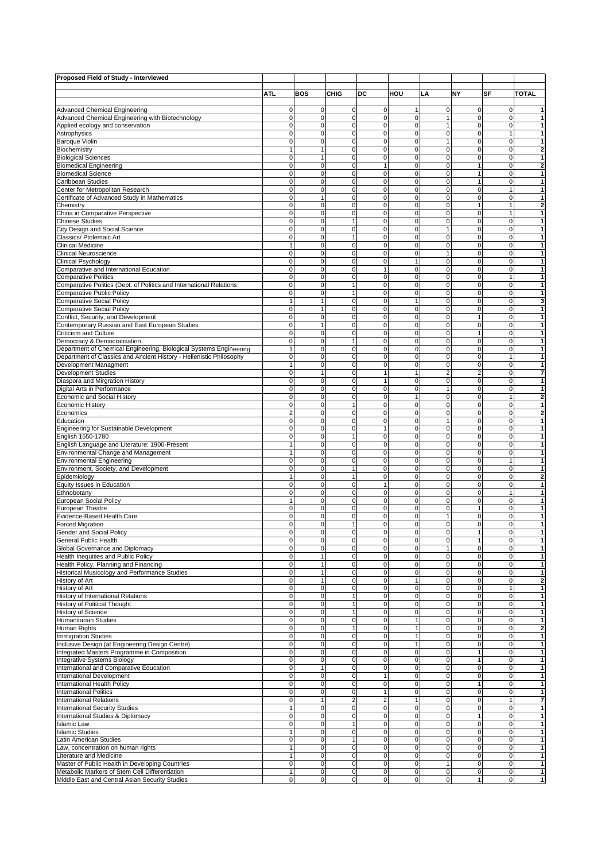| Proposed Field of Study - Interviewed                                      |                             |                            |                            |                                  |                              |                               |                             |                             |                                  |
|----------------------------------------------------------------------------|-----------------------------|----------------------------|----------------------------|----------------------------------|------------------------------|-------------------------------|-----------------------------|-----------------------------|----------------------------------|
|                                                                            |                             |                            |                            |                                  |                              |                               |                             |                             |                                  |
|                                                                            | ATI.                        | <b>BOS</b>                 | <b>CHIG</b>                | DC                               | HOU                          | LA                            | NY                          | SF                          | <b>TOTAL</b>                     |
| <b>Advanced Chemical Engineering</b>                                       | $\mathbf 0$                 | $\mathbf 0$                | $\mathbf 0$                | $\overline{0}$                   | 1                            | $\mathbf 0$                   | $\mathbf 0$                 | $\mathbf 0$                 | $\mathbf{1}$                     |
| Advanced Chemical Engineering with Biotechnology                           | $\mathbf 0$                 | $\mathbf 0$                | $\mathbf 0$                | $\mathbf 0$                      | $\mathbf 0$                  | $\mathbf{1}$                  | 0                           | $\mathbf 0$                 | $\mathbf{1}$                     |
| Applied ecology and conservation                                           | $\mathbf 0$                 | $\pmb{0}$                  | $\mathbf 0$                | $\mathbf 0$                      | 0                            | $\mathbf{1}$                  | $\pmb{0}$                   | $\mathbf 0$                 | $\mathbf{1}$                     |
| Astrophysics                                                               | $\mathbf 0$                 | $\pmb{0}$                  | 0                          | $\mathbf 0$                      | 0                            | $\mathbf 0$                   | $\pmb{0}$                   | 1                           | 1                                |
| <b>Baroque Violin</b>                                                      | $\mathbf 0$                 | $\pmb{0}$                  | $\mathbf 0$                | $\mathbf 0$                      | $\pmb{0}$                    | $\mathbf{1}$                  | $\pmb{0}$                   | $\mathbf 0$                 | $\mathbf{1}$                     |
| Biochemistry                                                               | $\mathbf{1}$                | $\overline{1}$             | 0                          | $\mathbf 0$                      | 0                            | $\mathbf 0$                   | $\mathbf 0$                 | $\mathbf 0$                 | $\overline{\mathbf{2}}$          |
| <b>Biological Sciences</b>                                                 | $\mathbf 0$                 | $\mathbf{1}$               | $\mathbf 0$                | $\mathbf 0$                      | 0                            | $\mathbf 0$                   | $\pmb{0}$                   | $\mathbf 0$                 | $\mathbf{1}$                     |
| <b>Biomedical Engineering</b>                                              | $\mathbf 0$                 | $\pmb{0}$                  | $\mathbf 0$                | $\mathbf{1}$                     | 0                            | $\mathbf 0$                   | $\mathbf{1}$                | $\mathbf 0$                 | $\overline{2}$                   |
| <b>Biomedical Science</b>                                                  | $\mathbf 0$                 | $\pmb{0}$                  | 0                          | $\mathbf 0$                      | 0                            | $\mathbf 0$                   | $\mathbf{1}$                | $\mathbf 0$                 | $\mathbf{1}$                     |
| Caribbean Studies<br>Center for Metropolitan Research                      | $\mathbf 0$<br>$\mathbf 0$  | $\pmb{0}$<br>$\mathbf 0$   | $\mathbf 0$<br>$\mathbf 0$ | $\mathbf 0$<br>$\mathbf 0$       | 0<br>0                       | $\mathbf 0$<br>$\mathbf 0$    | $\mathbf{1}$<br>$\pmb{0}$   | $\mathbf 0$<br>$\mathbf{1}$ | $\mathbf{1}$<br>$\mathbf{1}$     |
| Certificate of Advanced Study in Mathematics                               | $\mathbf 0$                 | $\mathbf{1}$               | 0                          | $\mathbf 0$                      | 0                            | $\mathbf 0$                   | 0                           | $\mathbf 0$                 | $\mathbf{1}$                     |
| Chemistry                                                                  | $\pmb{0}$                   | $\pmb{0}$                  | 0                          | 0                                | 0                            | $\mathbf 0$                   | $\mathbf{1}$                | $\mathbf{1}$                | $\overline{\mathbf{2}}$          |
| China in Comparative Perspective                                           | $\mathbf 0$                 | $\pmb{0}$                  | $\mathbf 0$                | $\mathbf 0$                      | 0                            | $\mathbf 0$                   | $\pmb{0}$                   | $\mathbf{1}$                | $\mathbf{1}$                     |
| <b>Chinese Studies</b>                                                     | $\mathbf 0$                 | $\pmb{0}$                  | $\mathbf{1}$               | $\mathbf 0$                      | 0                            | $\mathbf 0$                   | $\pmb{0}$                   | $\mathbf 0$                 | $\mathbf{1}$                     |
| City Design and Social Science                                             | $\mathbf 0$                 | $\mathbf 0$                | $\mathbf 0$                | $\mathbf 0$                      | 0                            | $\mathbf{1}$                  | $\mathbf 0$                 | $\mathbf 0$                 | $\mathbf{1}$                     |
| Classics/ Ptolemaic Art                                                    | $\mathbf 0$                 | $\mathbf 0$                | $\mathbf{1}$               | $\mathbf 0$                      | 0                            | $\mathbf 0$                   | $\pmb{0}$                   | $\mathbf 0$                 | $\mathbf{1}$                     |
| <b>Clinical Medicine</b>                                                   | $\mathbf{1}$                | $\pmb{0}$                  | 0                          | $\mathbf 0$                      | 0                            | $\mathbf 0$                   | $\pmb{0}$                   | $\mathbf 0$                 | $\mathbf{1}$                     |
| <b>Clinical Neuroscience</b>                                               | $\mathbf 0$                 | $\pmb{0}$                  | 0                          | $\mathbf 0$                      | 0                            | $\mathbf{1}$                  | $\pmb{0}$                   | $\mathbf 0$                 | 1                                |
| Clinical Psychology                                                        | $\mathbf 0$                 | $\pmb{0}$                  | $\mathbf 0$                | $\mathbf 0$<br>1                 | 1<br>$\mathbf 0$             | $\mathbf 0$                   | $\pmb{0}$                   | $\mathbf 0$                 | $\mathbf{1}$<br>$\mathbf{1}$     |
| Comparative and International Education<br><b>Comparative Politics</b>     | $\mathbf 0$<br>$\mathbf 0$  | $\mathbf 0$<br>$\mathbf 0$ | 0<br>0                     | $\mathbf 0$                      | 0                            | $\mathbf 0$<br>$\mathbf 0$    | $\mathbf 0$<br>$\mathbf 0$  | $\mathbf 0$<br>$\mathbf{1}$ | 1                                |
| Comparative Politics (Dept. of Politics and International Relations        | $\pmb{0}$                   | $\pmb{0}$                  | 1                          | 0                                | 0                            | $\mathbf 0$                   | $\pmb{0}$                   | 0                           | $\mathbf{1}$                     |
| <b>Comparative Public Policy</b>                                           | $\mathbf 0$                 | $\pmb{0}$                  | 1                          | $\mathbf 0$                      | 0                            | $\mathbf 0$                   | $\pmb{0}$                   | $\mathbf 0$                 | $\mathbf{1}$                     |
| <b>Comparative Social Policy</b>                                           | $\mathbf{1}$                | $\overline{1}$             | $\mathbf 0$                | $\mathbf 0$                      | 1                            | $\mathbf 0$                   | $\mathbf 0$                 | $\mathbf 0$                 | 3                                |
| <b>Comparative Social Policy</b>                                           | $\mathbf 0$                 | $\mathbf{1}$               | $\mathbf 0$                | $\mathbf 0$                      | $\mathbf 0$                  | $\mathbf 0$                   | $\mathbf 0$                 | $\mathbf 0$                 | $\mathbf{1}$                     |
| Conflict, Security, and Development                                        | $\mathbf 0$                 | $\mathbf 0$                | 0                          | $\mathbf 0$                      | 0                            | $\mathbf 0$                   | $\mathbf{1}$                | $\mathbf 0$                 | 1                                |
| Contemporary Russian and East European Studies                             | $\mathbf 0$                 | $\mathbf{1}$               | 0                          | $\mathbf 0$                      | 0                            | $\mathbf 0$                   | $\pmb{0}$                   | $\mathbf 0$                 | $\mathbf{1}$                     |
| Criticism and Culture                                                      | $\mathbf 0$                 | $\pmb{0}$                  | 0                          | $\mathbf 0$                      | 0                            | $\mathbf 0$                   | $\overline{1}$              | $\mathbf 0$                 | 1                                |
| Democracy & Democratisation                                                | $\mathbf 0$                 | $\mathbf 0$                | $\mathbf{1}$               | $\mathbf 0$                      | $\mathbf 0$                  | $\mathbf 0$                   | $\pmb{0}$                   | $\mathbf 0$                 | $\mathbf{1}$                     |
| Department of Chemical Engineering, Biological Systems Engineering         | $\mathbf{1}$                | $\mathbf 0$                | $\mathbf 0$                | $\mathbf 0$                      | $\mathbf 0$                  | $\mathbf 0$                   | $\mathbf 0$                 | $\mathbf 0$                 | $\mathbf{1}$                     |
| Department of Classics and Ancient History - Hellenistic Philosophy        | $\mathbf 0$                 | $\mathbf 0$                | 0                          | $\mathbf 0$                      | 0                            | $\mathbf 0$                   | $\mathbf 0$                 | $\mathbf{1}$                | $\mathbf{1}$                     |
| Development Managment<br><b>Development Studies</b>                        | $\mathbf{1}$<br>$\mathbf 0$ | $\pmb{0}$<br>$\mathbf{1}$  | 0<br>0                     | 0<br>1                           | $\mathbf 0$<br>1             | $\mathbf 0$<br>$\overline{2}$ | $\pmb{0}$<br>$\overline{2}$ | $\mathbf 0$<br>$\mathbf 0$  | $\mathbf{1}$<br>$\overline{7}$   |
| Diaspora and Mirgration History                                            | $\mathbf 0$                 | $\mathbf 0$                | $\mathbf 0$                | $\mathbf{1}$                     | $\overline{0}$               | $\mathbf 0$                   | $\pmb{0}$                   | $\mathbf 0$                 | $\mathbf{1}$                     |
| Digital Arts in Performance                                                | $\mathbf 0$                 | $\mathbf 0$                | $\mathbf 0$                | $\mathbf 0$                      | 0                            | $\mathbf{1}$                  | $\mathbf 0$                 | $\mathbf 0$                 | $\mathbf{1}$                     |
| Economic and Social History                                                | $\mathbf 0$                 | $\mathbf 0$                | 0                          | $\mathbf 0$                      | 1                            | $\mathbf 0$                   | 0                           | $\mathbf{1}$                | $\overline{\mathbf{2}}$          |
| <b>Economic History</b>                                                    | $\mathbf 0$                 | $\pmb{0}$                  | 1                          | $\mathbf 0$                      | 0                            | $\mathbf 0$                   | $\pmb{0}$                   | $\mathbf 0$                 | 1                                |
| Economics                                                                  | $\overline{2}$              | $\pmb{0}$                  | 0                          | $\mathbf 0$                      | 0                            | $\mathbf 0$                   | $\pmb{0}$                   | 0                           | $\overline{\mathbf{2}}$          |
| Education                                                                  | $\mathbf 0$                 | $\mathbf 0$                | $\mathbf 0$                | $\mathbf 0$                      | $\mathbf 0$                  | $\mathbf{1}$                  | $\mathbf 0$                 | $\mathbf 0$                 | $\mathbf{1}$                     |
| Engineering for Sustainable Development                                    | $\mathbf 0$                 | $\mathbf 0$                | $\mathbf 0$                | $\mathbf{1}$                     | $\mathbf 0$                  | $\mathbf 0$                   | $\mathbf 0$                 | $\mathbf 0$                 | $\mathbf{1}$                     |
| English 1550-1780                                                          | $\mathbf 0$                 | $\pmb{0}$                  | $\mathbf{1}$               | $\mathbf 0$                      | 0                            | $\mathbf 0$                   | 0                           | $\mathbf 0$                 | $\mathbf{1}$                     |
| English Language and Literature: 1900-Present                              | $\mathbf{1}$                | $\pmb{0}$                  | 0                          | 0                                | $\mathbf 0$                  | $\mathbf 0$                   | $\pmb{0}$                   | $\mathbf 0$                 | $\mathbf{1}$                     |
| Environmental Change and Management                                        | $\mathbf{1}$<br>$\mathbf 0$ | $\pmb{0}$<br>$\pmb{0}$     | 0<br>$\mathbf 0$           | $\mathbf 0$<br>$\mathbf 0$       | 0<br>$\mathbf 0$             | $\mathbf 0$<br>$\mathbf 0$    | $\pmb{0}$<br>$\pmb{0}$      | $\mathbf 0$<br>$\mathbf{1}$ | $\mathbf{1}$<br>$\mathbf{1}$     |
| <b>Environmental Engineering</b><br>Environment, Society, and Development  | $\mathbf 0$                 | $\mathbf 0$                | $\mathbf{1}$               | 0                                | 0                            | $\mathbf 0$                   | $\mathbf 0$                 | $\mathbf 0$                 | $\mathbf{1}$                     |
| Epidemiology                                                               | $\mathbf{1}$                | $\mathbf 0$                | $\mathbf{1}$               | $\mathbf 0$                      | 0                            | $\mathbf 0$                   | $\pmb{0}$                   | $\mathbf 0$                 | $\overline{\mathbf{2}}$          |
| Equity Issues in Education                                                 | $\mathbf 0$                 | $\pmb{0}$                  | $\mathbf 0$                | $\mathbf{1}$                     | 0                            | $\mathbf 0$                   | $\pmb{0}$                   | $\mathbf 0$                 | 1                                |
| Ethnobotany                                                                | $\mathbf 0$                 | $\pmb{0}$                  | 0                          | $\mathbf 0$                      | 0                            | $\mathbf 0$                   | $\mathbf 0$                 | 1                           | $\mathbf{1}$                     |
| European Social Policy                                                     | $\mathbf{1}$                | $\mathbf 0$                | $\mathbf 0$                | $\mathbf 0$                      | $\mathbf 0$                  | $\mathbf 0$                   | $\mathbf 0$                 | $\mathbf 0$                 | $\mathbf{1}$                     |
| European Theatre                                                           | $\mathbf 0$                 | $\mathbf 0$                | $\mathbf 0$                | 0                                | $\mathbf 0$                  | $\mathbf 0$                   | $\mathbf{1}$                | $\mathbf 0$                 | $\mathbf{1}$                     |
| Evidence-Based Health Care                                                 | $\mathbf 0$                 | $\mathbf 0$                | 0                          | $\mathbf 0$                      | 0                            | $\mathbf{1}$                  | 0                           | 0                           | 1                                |
| Forced Migration                                                           | $\mathbf 0$                 | $\mathbf 0$                | 1                          | $\mathbf 0$                      | 0                            | $\mathbf 0$                   | $\mathbf 0$                 | 0                           | 1                                |
| Gender and Social Policy                                                   | 0                           |                            | Ó<br>$\mathbf 0$           | $\mathbf 0$                      | 0                            | 0                             |                             | 0<br>$\mathbf 0$            |                                  |
| General Public Health<br>Global Governance and Diplomacy                   | $\mathbf 0$<br>$\mathbf 0$  | $\mathbf 0$<br>$\mathbf 0$ | 0                          | $\overline{0}$                   | $\mathbf 0$<br>0             | $\mathbf 0$<br>$\mathbf{1}$   | $\mathbf{1}$<br>$\mathbf 0$ | $\mathbf 0$                 | $\mathbf{1}$<br>$\mathbf{1}$     |
| Health Inequities and Public Policy                                        | $\mathbf 0$                 | $\mathbf{1}$               | 0                          | $\mathbf 0$                      | $\mathbf 0$                  | $\mathbf 0$                   | $\pmb{0}$                   | $\mathbf 0$                 | 1                                |
| Health Policy, Planning and Financing                                      | $\pmb{0}$                   | $\mathbf{1}$               | 0                          | $\overline{0}$                   | 0                            | $\mathbf 0$                   | $\pmb{0}$                   | $\mathbf 0$                 | $\mathbf{1}$                     |
| Historical Musicology and Performance Studies                              | $\mathbf 0$                 | $\mathbf{1}$               | 0                          | $\mathbf 0$                      | $\mathbf 0$                  | $\mathbf 0$                   | $\mathbf 0$                 | 0                           | $\mathbf{1}$                     |
| History of Art                                                             | $\pmb{0}$                   | $\mathbf{1}$               | 0                          | $\mathbf 0$                      | $\mathbf{1}$                 | $\mathbf 0$                   | $\mathbf 0$                 | $\mathbf 0$                 | $\boldsymbol{2}$                 |
| History of Art                                                             | $\mathbf 0$                 | $\pmb{0}$                  | $\mathbf 0$                | $\overline{0}$                   | $\pmb{0}$                    | $\mathbf 0$                   | $\pmb{0}$                   | $\mathbf{1}$                | $\mathbf{1}$                     |
| History of International Relations                                         | $\mathbf 0$                 | $\mathbf 0$                | 1                          | $\overline{0}$                   | 0                            | $\mathbf 0$                   | $\mathbf 0$                 | 0                           | $\mathbf{1}$                     |
| History of Political Thought                                               | $\mathbf 0$                 | $\mathbf 0$                | 1                          | $\overline{0}$                   | 0                            | $\mathbf 0$                   | $\mathbf 0$                 | 0                           | $\mathbf{1}$                     |
| <b>History of Science</b>                                                  | $\mathbf 0$                 | $\pmb{0}$                  | 1                          | $\mathbf 0$                      | 0                            | $\mathbf 0$                   | $\pmb{0}$                   | 0                           | $\mathbf{1}$                     |
| <b>Humanitarian Studies</b>                                                | $\pmb{0}$<br>$\mathbf 0$    | $\pmb{0}$<br>$\mathbf 0$   | $\mathbf 0$<br>1           | $\overline{0}$<br>$\overline{0}$ | $\mathbf{1}$<br>$\mathbf{1}$ | $\pmb{0}$<br>$\mathbf 0$      | $\mathbf 0$<br>$\mathbf 0$  | $\mathbf 0$<br>$\mathbf 0$  | $\mathbf{1}$<br>$\boldsymbol{2}$ |
| Human Rights<br><b>Immigration Studies</b>                                 | $\mathbf 0$                 | $\mathbf 0$                | 0                          | $\overline{0}$                   | $\mathbf{1}$                 | $\mathbf 0$                   | $\mathbf 0$                 | 0                           | $\mathbf{1}$                     |
| Inclusive Design (at Engineering Design Centre)                            | $\mathbf 0$                 | $\mathbf 0$                | 0                          | $\overline{0}$                   | 1                            | $\mathbf 0$                   | $\pmb{0}$                   | 0                           | $\mathbf{1}$                     |
| Integrated Masters Programme in Composition                                | $\mathbf 0$                 | $\pmb{0}$                  | 0                          | $\mathbf 0$                      | 0                            | $\mathbf 0$                   | $\mathbf{1}$                | $\mathbf 0$                 | $\mathbf{1}$                     |
| Integrative Systems Biology                                                | $\mathbf 0$                 | $\mathbf 0$                | $\mathbf 0$                | $\mathbf 0$                      | 0                            | $\mathbf 0$                   | $\mathbf{1}$                | $\mathbf 0$                 | $\mathbf{1}$                     |
| International and Comparative Education                                    | $\mathbf 0$                 | $\mathbf{1}$               | $\mathbf 0$                | $\overline{0}$                   | $\pmb{0}$                    | $\mathbf 0$                   | $\pmb{0}$                   | 0                           | $\mathbf{1}$                     |
| International Development                                                  | $\mathbf 0$                 | $\pmb{0}$                  | 0                          | $\mathbf{1}$                     | 0                            | $\mathbf 0$                   | $\pmb{0}$                   | 0                           | $\mathbf{1}$                     |
| International Health Policy                                                | $\mathbf 0$                 | $\mathbf 0$                | 0                          | $\overline{0}$                   | 0                            | $\mathbf 0$                   | $\mathbf{1}$                | 0                           | $\mathbf{1}$                     |
| <b>International Politics</b>                                              | $\mathbf 0$                 | $\pmb{0}$                  | $\mathbf 0$                | $\mathbf{1}$                     | 0                            | $\mathbf 0$                   | $\pmb{0}$                   | 0                           | $\mathbf{1}$                     |
| <b>International Relations</b>                                             | $\mathbf 0$                 | $\mathbf{1}$               | $\overline{2}$             | 2                                | $\mathbf{1}$                 | $\mathbf 0$                   | $\mathbf 0$                 | $\mathbf{1}$                | $\overline{7}$                   |
| <b>International Security Studies</b><br>International Studies & Diplomacy | $\mathbf{1}$<br>$\pmb{0}$   | $\mathbf 0$<br>$\pmb{0}$   | $\mathbf 0$<br>0           | $\overline{0}$<br>$\mathbf 0$    | 0<br>0                       | $\mathbf 0$<br>$\mathbf 0$    | $\mathbf 0$<br>$\mathbf{1}$ | 0<br>0                      | $\mathbf{1}$<br>$\mathbf{1}$     |
| <b>Islamic Law</b>                                                         | $\mathbf 0$                 | $\mathbf 0$                | 1                          | $\overline{0}$                   | 0                            | $\mathbf 0$                   | $\mathbf 0$                 | 0                           | $\mathbf{1}$                     |
| <b>Islamic Studies</b>                                                     | $\mathbf{1}$                | $\pmb{0}$                  | 0                          | $\mathbf 0$                      | 0                            | $\mathbf 0$                   | $\mathbf 0$                 | $\mathbf 0$                 | 1                                |
| Latin American Studies                                                     | $\pmb{0}$                   | $\mathbf 0$                | 1                          | $\overline{0}$                   | $\pmb{0}$                    | $\pmb{0}$                     | $\mathbf 0$                 | $\mathbf 0$                 | $\mathbf{1}$                     |
| Law, concentration on human rights                                         | $\mathbf{1}$                | $\pmb{0}$                  | $\mathbf 0$                | $\overline{0}$                   | $\pmb{0}$                    | $\mathbf 0$                   | $\mathbf 0$                 | 0                           | $\mathbf{1}$                     |
| Literature and Medicine                                                    | 1                           | $\mathbf 0$                | 0                          | $\mathbf 0$                      | 0                            | $\mathbf 0$                   | $\mathbf 0$                 | 0                           | $\mathbf{1}$                     |
| Master of Public Health in Developing Countries                            | $\overline{0}$              | $\overline{0}$             | 0                          | $\overline{0}$                   | 0                            | $\mathbf{1}$                  | $\overline{0}$              | 0                           | $\mathbf{1}$                     |
| Metabolic Markers of Stem Cell Differentiation                             | $\mathbf{1}$                | $\pmb{0}$                  | $\mathbf 0$                | $\mathbf 0$                      | 0                            | $\mathbf 0$                   | $\overline{0}$              | $\mathbf 0$                 | $\mathbf{1}$                     |
| Middle East and Central Asian Security Studies                             | $\mathbf 0$                 | $\pmb{0}$                  | $\mathbf 0$                | $\mathbf 0$                      | $\mathbf 0$                  | $\mathbf 0$                   | $\mathbf{1}$                | $\mathbf 0$                 | $\mathbf{1}$                     |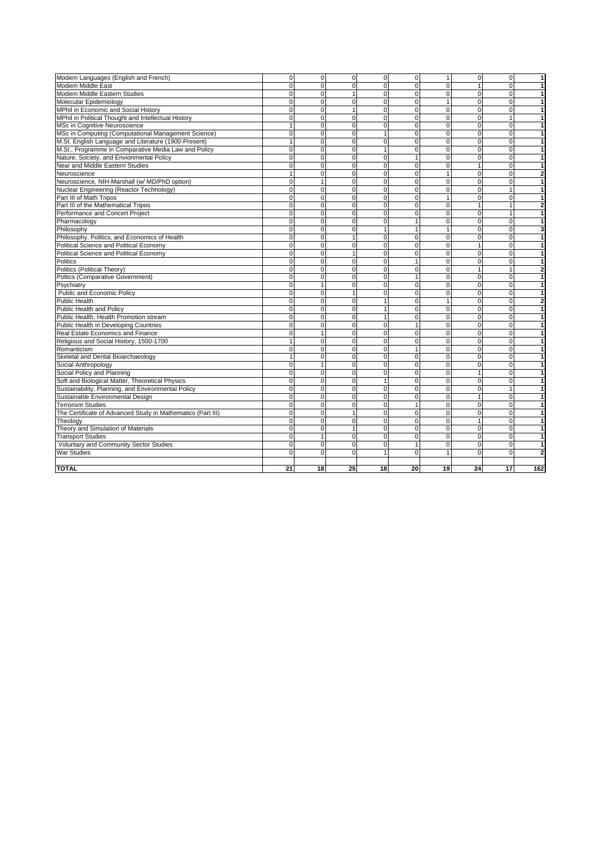| Modern Languages (English and French)                       | $\mathbf 0$ | $\overline{0}$ | $\mathbf 0$    | $\overline{0}$ | $\overline{0}$ | 1              | $\overline{0}$          | $\mathbf 0$    | $\overline{1}$          |
|-------------------------------------------------------------|-------------|----------------|----------------|----------------|----------------|----------------|-------------------------|----------------|-------------------------|
| Modern Middle East                                          | $\Omega$    | $\Omega$       | $\Omega$       | $\Omega$       | $\mathbf 0$    | $\Omega$       | $\mathbf{1}$            | $\Omega$       | $\mathbf{1}$            |
| Modern Middle Eastern Studies                               | $\Omega$    | $\mathbf 0$    | $\mathbf{1}$   | $\mathbf 0$    | $\mathbf 0$    | $\Omega$       | $\mathbf 0$             | $\Omega$       | $\mathbf{1}$            |
| Molecular Epidemiology                                      | $\Omega$    | $\mathbf 0$    | $\mathbf 0$    | $\overline{0}$ | 0              | $\mathbf{1}$   | $\overline{\mathbf{0}}$ | $\mathbf 0$    | $\overline{1}$          |
| MPhil in Economic and Social History                        | $\mathbf 0$ | $\overline{0}$ | $\mathbf{1}$   | $\overline{0}$ | 0              | $\overline{0}$ | $\mathbf 0$             | $\mathbf 0$    | $\overline{1}$          |
| MPhil in Political Thought and Intellectual History         | $\Omega$    | $\mathbf 0$    | $\mathbf 0$    | $\Omega$       | $\Omega$       | $\Omega$       | $\mathbf 0$             | $\mathbf{1}$   | $\mathbf{1}$            |
| MSc in Cognitive Neuroscience                               | 1           | $\mathbf 0$    | $\mathbf 0$    | $\mathbf 0$    | 0              | $\overline{0}$ | $\pmb{0}$               | $\mathbf 0$    | $\mathbf{1}$            |
| MSc in Computing (Computational Management Science)         | 0           | $\overline{0}$ | $\mathbf 0$    | $\mathbf{1}$   | 0              | $\Omega$       | $\mathbf 0$             | $\mathbf 0$    | $\mathbf{1}$            |
| M.St. English Language and Literature (1900-Present)        | 1           | $\mathbf 0$    | $\mathbf 0$    | $\mathbf 0$    | 0              | $\overline{0}$ | $\mathbf 0$             | $\mathbf 0$    | $\overline{1}$          |
| M.St., Programme in Comparative Media Law and Policy        | 0           | $\mathbf 0$    | $\mathbf 0$    | $\mathbf{1}$   | $\mathbf 0$    | $\Omega$       | 0                       | $\mathbf 0$    | $\mathbf{1}$            |
| Nature, Society, and Envionmental Policy                    | $\Omega$    | $\mathbf 0$    | $\mathbf 0$    | $\mathbf 0$    | 1              | $\Omega$       | $\mathbf 0$             | $\mathbf 0$    | $\mathbf{1}$            |
| Near and Middle Eastern Studies                             | $\Omega$    | $\overline{0}$ | $\mathbf 0$    | $\mathbf 0$    | $\mathbf 0$    | $\Omega$       | $\mathbf{1}$            | $\mathbf 0$    | $\mathbf{1}$            |
| Neuroscience                                                |             | $\mathbf 0$    | $\Omega$       | $\Omega$       | $\Omega$       | $\overline{1}$ | 0                       | $\Omega$       | $\overline{\mathbf{c}}$ |
| Neuroscience, NIH-Marshall (w/ MD/PhD option)               | $\Omega$    | 1              | $\Omega$       | $\mathbf 0$    | 0              | $\Omega$       | 0                       | $\Omega$       | $\mathbf{1}$            |
| Nuclear Engineering (Reactor Technology)                    | $\Omega$    | $\overline{0}$ | $\Omega$       | $\overline{0}$ | $\overline{0}$ | $\Omega$       | $\overline{\mathbf{0}}$ | $\overline{1}$ | $\overline{1}$          |
| Part III of Math Tripos                                     | $\Omega$    | $\overline{0}$ | $\Omega$       | $\Omega$       | $\Omega$       | 1              | $\mathbf 0$             | $\mathbf 0$    | $\mathbf{1}$            |
| Part III of the Mathematical Tripos                         | $\Omega$    | $\overline{0}$ | $\Omega$       | $\mathbf 0$    | 0              | $\Omega$       | $\mathbf{1}$            | $\mathbf{1}$   | $\overline{\mathbf{c}}$ |
| Performance and Concert Project                             | $\Omega$    | $\overline{0}$ | $\Omega$       | $\Omega$       | $\Omega$       | $\Omega$       | $\mathbf 0$             | $\overline{1}$ | $\mathbf{1}$            |
| Pharmacology                                                | O           | $\Omega$       | $\Omega$       | $\Omega$       | 1              | $\Omega$       | $\mathbf 0$             | $\mathbf 0$    | $\mathbf{1}$            |
| Philosophy                                                  | $\Omega$    | $\Omega$       | $\Omega$       | $\mathbf{1}$   | 1              |                | $\Omega$                | $\Omega$       | 3                       |
| Philosophy, Politics, and Economics of Health               | $\Omega$    | $\Omega$       |                | $\Omega$       | $\Omega$       | $\Omega$       | $\Omega$                | $\Omega$       | $\mathbf{1}$            |
| Political Science and Political Economy                     | $\Omega$    | $\Omega$       | $\Omega$       | $\Omega$       | $\Omega$       | $\Omega$       | $\mathbf{1}$            | $\Omega$       | $\mathbf{1}$            |
| Political Science and Political Economy                     | $\Omega$    | $\overline{0}$ |                | $\mathbf 0$    | 0              | $\Omega$       | 0                       | $\mathbf 0$    | 1                       |
| Politics                                                    | $\Omega$    | $\overline{0}$ | $\mathbf 0$    | $\mathbf 0$    | 1              | $\Omega$       | $\mathbf 0$             | $\mathbf 0$    | 1                       |
| Politics (Political Theory)                                 | $\Omega$    | $\overline{0}$ | $\Omega$       | $\mathbf 0$    | 0              | $\Omega$       | $\mathbf{1}$            | $\mathbf{1}$   | $\overline{\mathbf{2}}$ |
| Poltics (Comparative Government)                            | $\Omega$    | $\mathbf 0$    | $\mathbf 0$    | $\mathbf 0$    | 1              | $\Omega$       | $\mathbf 0$             | $\mathbf 0$    | $\mathbf{1}$            |
| Psychiatry                                                  | $\Omega$    | 1              | $\Omega$       | $\mathbf 0$    | 0              | $\Omega$       | $\mathbf 0$             | $\mathbf 0$    | $\mathbf{1}$            |
| Public and Economic Policy                                  | $\Omega$    | $\mathbf 0$    | $\overline{1}$ | $\mathbf 0$    | 0              | $\Omega$       | $\mathbf 0$             | $\mathbf 0$    | $\mathbf{1}$            |
| Public Health                                               | $\Omega$    | $\Omega$       | $\Omega$       | $\mathbf{1}$   | $\Omega$       |                | $\Omega$                | $\Omega$       | $\overline{\mathbf{2}}$ |
| <b>Public Health and Policy</b>                             | $\Omega$    | $\Omega$       | $\Omega$       | $\mathbf{1}$   | $\Omega$       | $\Omega$       | $\mathbf 0$             | $\Omega$       | $\mathbf{1}$            |
| Public Health, Health Promotion stream                      | $\Omega$    | $\overline{0}$ | $\Omega$       | $\mathbf{1}$   | 0              | $\Omega$       | $\mathbf 0$             | $\Omega$       | $\overline{1}$          |
| Public Health in Developing Countries                       | $\Omega$    | $\mathbf 0$    | $\mathbf 0$    | $\mathbf 0$    | $\mathbf{1}$   | $\Omega$       | $\mathbf 0$             | $\mathbf 0$    | $\mathbf{1}$            |
| Real Estate Economics and Finance                           | $\Omega$    | $\overline{1}$ | $\Omega$       | $\Omega$       | $\Omega$       | $\Omega$       | $\mathbf 0$             | $\Omega$       | $\overline{1}$          |
| Religious and Social History, 1500-1700                     |             | $\mathbf 0$    | $\Omega$       | $\Omega$       | 0              | $\Omega$       | $\mathbf 0$             | $\Omega$       | $\mathbf{1}$            |
| Romanticism                                                 | $\Omega$    | $\overline{0}$ | $\Omega$       | $\Omega$       | $\mathbf{1}$   | $\Omega$       | $\overline{\mathbf{0}}$ | $\Omega$       | $\overline{1}$          |
| Skeletal and Dental Bioarchaeology                          |             | $\overline{0}$ | $\mathbf 0$    | $\overline{0}$ | $\mathbf 0$    | $\Omega$       | $\overline{0}$          | $\mathbf 0$    | $\overline{1}$          |
| Social Anthropology                                         | $\Omega$    | $\overline{1}$ | $\Omega$       | $\Omega$       | $\mathbf 0$    | $\Omega$       | $\mathbf 0$             | $\Omega$       | $\mathbf{1}$            |
| Social Policy and Planning                                  | $\Omega$    | $\mathbf 0$    | $\mathbf 0$    | $\mathbf 0$    | 0              | $\Omega$       | $\mathbf{1}$            | $\mathbf 0$    | $\mathbf{1}$            |
| Soft and Biological Matter, Theoretical Physics             | $\Omega$    | $\overline{0}$ | $\Omega$       | $\mathbf{1}$   | 0              | $\Omega$       | 0                       | $\mathbf 0$    | $\mathbf{1}$            |
| Sustainability, Planning, and Environmental Policy          | $\Omega$    | $\mathbf 0$    | $\mathbf 0$    | $\mathbf 0$    | 0              | $\Omega$       | $\mathbf 0$             | $\mathbf{1}$   | $\mathbf{1}$            |
| Sustainable Environmental Design                            | $\Omega$    | $\overline{0}$ | $\Omega$       | $\mathbf 0$    | 0              | $\Omega$       | $\mathbf{1}$            | $\mathbf 0$    | $\overline{1}$          |
| <b>Terrorism Studies</b>                                    | $\Omega$    | 0              | $\mathbf 0$    | $\mathbf 0$    | 1              | $\Omega$       | $\mathbf 0$             | $\mathbf 0$    | $\mathbf{1}$            |
| The Certificate of Advanced Study in Mathematics (Part III) | $\Omega$    | $\mathbf 0$    | $\mathbf{1}$   | $\mathbf 0$    | $\mathbf 0$    | $\Omega$       | $\mathbf 0$             | $\mathbf 0$    | $\mathbf{1}$            |
| Theology                                                    | $\Omega$    | $\mathbf 0$    | $\Omega$       | $\mathbf 0$    | $\mathbf 0$    | $\Omega$       | $\mathbf{1}$            | $\Omega$       | $\mathbf{1}$            |
| Theory and Simulation of Materials                          | $\Omega$    | $\mathbf 0$    | $\mathbf{1}$   | $\mathbf 0$    | $\mathbf 0$    | $\Omega$       | 0                       | $\Omega$       | $\mathbf{1}$            |
| <b>Transport Studies</b>                                    | $\Omega$    | 1              | $\Omega$       | $\Omega$       | $\mathbf 0$    | $\Omega$       | $\mathbf 0$             | $\Omega$       | $\mathbf{1}$            |
| Voluntary and Community Sector Studies                      | $\Omega$    | $\mathbf 0$    | $\Omega$       | $\mathbf 0$    | 1              | $\Omega$       | $\Omega$                | $\mathbf 0$    | $\mathbf{1}$            |
| <b>War Studies</b>                                          | $\Omega$    | $\Omega$       | $\Omega$       | 1              | $\Omega$       |                | $\Omega$                | $\Omega$       | $\overline{2}$          |
|                                                             |             |                |                |                |                |                |                         |                |                         |
| <b>TOTAL</b>                                                | 21          | 18             | 25             | 18             | 20             | 19             | 24                      | 17             | 162                     |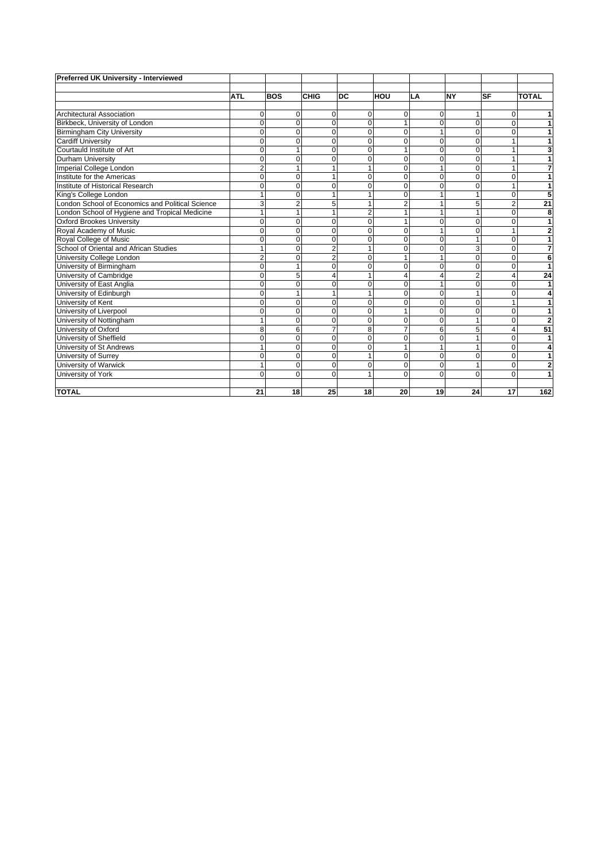| Preferred UK University - Interviewed            |                |                |                |                |                |                |                |                |                |
|--------------------------------------------------|----------------|----------------|----------------|----------------|----------------|----------------|----------------|----------------|----------------|
|                                                  |                |                |                |                |                |                |                |                |                |
|                                                  | <b>ATL</b>     | <b>BOS</b>     | <b>CHIG</b>    | DC             | <b>HOU</b>     | LA             | <b>NY</b>      | <b>SF</b>      | <b>TOTAL</b>   |
|                                                  |                |                |                |                |                |                |                |                |                |
| <b>Architectural Association</b>                 | 0              | $\mathbf 0$    | $\Omega$       | 0              | $\mathbf 0$    | 0              | 1              | 0              | 1              |
| Birkbeck, University of London                   | 0              | $\mathbf 0$    | 0              | $\Omega$       |                | 0              | 0              | $\Omega$       | 1              |
| <b>Birmingham City University</b>                | 0              | $\overline{0}$ | $\Omega$       | $\Omega$       | $\Omega$       | 1              | $\Omega$       | $\Omega$       | 1              |
| <b>Cardiff University</b>                        | $\Omega$       | $\mathbf 0$    | $\Omega$       | $\Omega$       | 0              | 0              | 0              |                | 1              |
| Courtauld Institute of Art                       | 0              | $\mathbf{1}$   | $\Omega$       | $\Omega$       | 1              | 0              | 0              |                | 3              |
| <b>Durham University</b>                         | $\Omega$       | $\mathbf 0$    | $\Omega$       | $\Omega$       | $\Omega$       | 0              | $\Omega$       |                | 1              |
| Imperial College London                          | $\overline{2}$ | 1              |                |                | $\Omega$       | 1              | $\overline{0}$ |                | 7              |
| Institute for the Americas                       | 0              | $\mathbf 0$    |                | 0              | $\mathbf 0$    | 0              | 0              | 0              | 1              |
| Institute of Historical Research                 | 0              | $\mathbf 0$    | $\Omega$       | $\mathbf 0$    | $\mathbf 0$    | 0              | 0              |                | 1              |
| King's College London                            | 1              | $\mathbf 0$    |                |                | $\Omega$       | 1              | 1              | $\Omega$       | 5              |
| London School of Economics and Political Science | 3              | $\overline{2}$ | 5              |                | $\overline{2}$ | 1              | 5              | $\overline{2}$ | 21             |
| London School of Hygiene and Tropical Medicine   | 1              | 1              |                | $\overline{2}$ | 1              | 1              | 1              | 0              | 8              |
| <b>Oxford Brookes University</b>                 | 0              | $\mathbf 0$    | $\Omega$       | $\Omega$       |                | 0              | 0              | O              | 1              |
| Royal Academy of Music                           | $\Omega$       | $\mathbf 0$    | $\Omega$       | $\Omega$       | $\Omega$       | 1              | $\Omega$       |                | $\overline{2}$ |
| Royal College of Music                           | $\Omega$       | $\overline{0}$ | 0              | $\Omega$       | $\mathbf 0$    | 0              | 1              | $\Omega$       | 1              |
| School of Oriental and African Studies           |                | $\overline{0}$ | $\overline{2}$ |                | $\Omega$       | $\overline{0}$ | 3              | $\Omega$       | $\overline{7}$ |
| University College London                        | 2              | 0              | $\overline{2}$ | $\Omega$       | 1              | 1              | $\Omega$       | $\Omega$       | 6              |
| University of Birmingham                         | 0              | $\mathbf{1}$   | $\Omega$       | $\Omega$       | $\mathbf 0$    | $\Omega$       | $\Omega$       | 0              | 1              |
| University of Cambridge                          | 0              | 5              | 4              | 1              | $\overline{4}$ | 4              | $\overline{2}$ |                | 24             |
| University of East Anglia                        | 0              | $\mathbf 0$    | $\Omega$       | $\Omega$       | $\Omega$       | 1              | 0              | O              | 1              |
| University of Edinburgh                          | $\Omega$       | 1              |                |                | $\Omega$       | $\Omega$       | 1              |                | 4              |
| University of Kent                               | 0              | $\mathbf 0$    | $\Omega$       | $\Omega$       | $\mathbf 0$    | 0              | 0              |                | 1              |
| University of Liverpool                          | 0              | $\mathbf 0$    | $\Omega$       | $\mathbf 0$    | 1              | $\mathbf 0$    | $\mathbf 0$    | 0              | 1              |
| University of Nottingham                         | 1              | $\mathbf 0$    | $\Omega$       | $\Omega$       | $\Omega$       | $\Omega$       | 1              | 0              | $\overline{2}$ |
| University of Oxford                             | 8              | 6              | 7              | 8              | $\overline{7}$ | 6              | 5              |                | 51             |
| University of Sheffield                          | $\overline{0}$ | $\mathbf 0$    | 0              | $\Omega$       | $\mathbf 0$    | 0              |                | $\Omega$       | 1              |
| University of St Andrews                         |                | $\mathbf 0$    | $\Omega$       | $\Omega$       | 1              |                | 1              | $\Omega$       | 4              |
| University of Surrey                             | 0              | $\mathbf 0$    | $\Omega$       |                | $\mathbf 0$    | 0              | 0              | 0              | 1              |
| University of Warwick                            | 1              | $\mathbf 0$    | 0              | $\Omega$       | 0              | 0              | 1              | $\Omega$       | $\overline{2}$ |
| University of York                               | $\Omega$       | $\mathbf 0$    | $\Omega$       |                | $\Omega$       | $\Omega$       | $\Omega$       | $\Omega$       | 1              |
| <b>TOTAL</b>                                     | 21             | 18             | 25             | 18             | 20             | 19             | 24             | 17             | 162            |
|                                                  |                |                |                |                |                |                |                |                |                |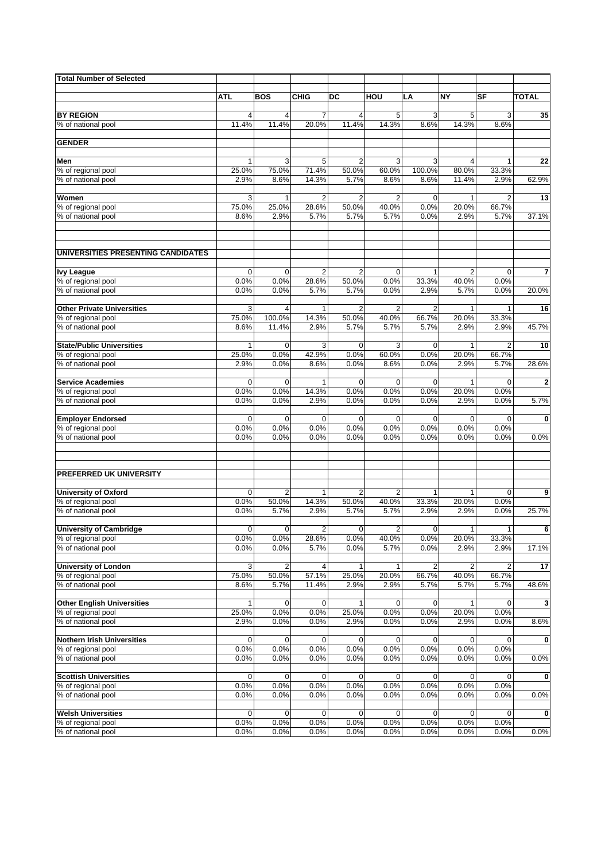| <b>Total Number of Selected</b>                      |                     |                         |                         |                         |                     |                         |                         |                         |              |
|------------------------------------------------------|---------------------|-------------------------|-------------------------|-------------------------|---------------------|-------------------------|-------------------------|-------------------------|--------------|
|                                                      |                     |                         |                         |                         |                     |                         |                         |                         |              |
|                                                      | ATL                 | <b>BOS</b>              | <b>CHIG</b>             | DC                      | HOU                 | LA                      | <b>NY</b>               | SF                      | <b>TOTAL</b> |
| <b>BY REGION</b>                                     | 4                   | 4                       | $\overline{7}$          | 4                       | 5                   | 3                       | 5                       | 3                       | 35           |
| % of national pool                                   | 11.4%               | 11.4%                   | 20.0%                   | 11.4%                   | 14.3%               | 8.6%                    | 14.3%                   | 8.6%                    |              |
| <b>GENDER</b>                                        |                     |                         |                         |                         |                     |                         |                         |                         |              |
|                                                      |                     |                         |                         |                         |                     |                         |                         |                         |              |
| Men                                                  | 1                   | 3                       | 5                       | $\overline{2}$          | 3                   | 3                       | 4                       | $\mathbf{1}$            | 22           |
| % of regional pool                                   | 25.0%               | 75.0%                   | 71.4%                   | 50.0%                   | 60.0%               | 100.0%                  | 80.0%                   | 33.3%                   |              |
| % of national pool                                   | 2.9%                | 8.6%                    | 14.3%                   | 5.7%                    | 8.6%                | 8.6%                    | 11.4%                   | 2.9%                    | 62.9%        |
| Women                                                | 3                   | 1                       | $\overline{2}$          | 2                       | $\overline{2}$      | $\mathbf 0$             |                         | $\overline{2}$          | 13           |
| % of regional pool                                   | 75.0%               | 25.0%                   | 28.6%                   | 50.0%                   | 40.0%               | 0.0%                    | 20.0%                   | 66.7%                   |              |
| % of national pool                                   | 8.6%                | 2.9%                    | 5.7%                    | 5.7%                    | 5.7%                | 0.0%                    | 2.9%                    | 5.7%                    | 37.1%        |
| UNIVERSITIES PRESENTING CANDIDATES                   |                     |                         |                         |                         |                     |                         |                         |                         |              |
|                                                      |                     |                         |                         |                         |                     |                         |                         |                         |              |
| <b>Ivy League</b><br>% of regional pool              | $\mathbf 0$<br>0.0% | $\mathbf 0$<br>0.0%     | $\overline{c}$<br>28.6% | $\overline{2}$<br>50.0% | $\mathbf 0$<br>0.0% | 1<br>33.3%              | $\overline{2}$<br>40.0% | $\mathbf 0$<br>0.0%     | 7            |
| % of national pool                                   | 0.0%                | 0.0%                    | 5.7%                    | 5.7%                    | 0.0%                | 2.9%                    | 5.7%                    | 0.0%                    | 20.0%        |
|                                                      |                     |                         |                         |                         |                     |                         |                         |                         |              |
| <b>Other Private Universities</b>                    | 3                   | 4                       | 1                       | $\overline{2}$          | $\overline{2}$      | $\overline{2}$          |                         | $\mathbf{1}$            | 16           |
| % of regional pool<br>% of national pool             | 75.0%<br>8.6%       | 100.0%<br>11.4%         | 14.3%<br>2.9%           | 50.0%<br>5.7%           | 40.0%<br>5.7%       | 66.7%<br>5.7%           | 20.0%<br>2.9%           | 33.3%<br>2.9%           | 45.7%        |
|                                                      |                     |                         |                         |                         |                     |                         |                         |                         |              |
| <b>State/Public Universities</b>                     | 1                   | $\mathbf 0$             | 3                       | $\mathbf 0$             | 3                   | 0                       |                         | $\overline{2}$          | 10           |
| % of regional pool<br>% of national pool             | 25.0%               | 0.0%                    | 42.9%                   | 0.0%                    | 60.0%               | 0.0%                    | 20.0%                   | 66.7%                   |              |
|                                                      | 2.9%                | 0.0%                    | 8.6%                    | 0.0%                    | 8.6%                | 0.0%                    | 2.9%                    | 5.7%                    | 28.6%        |
| <b>Service Academies</b>                             | $\mathbf 0$         | $\mathbf 0$             | 1                       | $\mathbf 0$             | $\mathbf 0$         | $\mathbf 0$             |                         | 0                       | 2            |
| % of regional pool                                   | 0.0%                | 0.0%                    | 14.3%                   | 0.0%                    | 0.0%                | 0.0%                    | 20.0%                   | 0.0%                    |              |
| % of national pool                                   | 0.0%                | 0.0%                    | 2.9%                    | 0.0%                    | 0.0%                | 0.0%                    | 2.9%                    | 0.0%                    | 5.7%         |
| <b>Employer Endorsed</b>                             | $\mathbf 0$         | $\mathbf 0$             | $\mathbf 0$             | $\mathbf 0$             | $\mathbf 0$         | $\mathbf 0$             | $\Omega$                | 0                       | $\bf{0}$     |
| % of regional pool                                   | 0.0%                | 0.0%                    | 0.0%                    | 0.0%                    | 0.0%                | 0.0%                    | 0.0%                    | 0.0%                    |              |
| % of national pool                                   | 0.0%                | 0.0%                    | 0.0%                    | 0.0%                    | 0.0%                | 0.0%                    | 0.0%                    | 0.0%                    | 0.0%         |
|                                                      |                     |                         |                         |                         |                     |                         |                         |                         |              |
| PREFERRED UK UNIVERSITY                              |                     |                         |                         |                         |                     |                         |                         |                         |              |
| <b>University of Oxford</b>                          | $\mathbf 0$         | $\overline{2}$          | 1                       | $\overline{2}$          | $\overline{2}$      | 1                       |                         | 0                       | 9            |
| % of regional pool                                   | 0.0%                | 50.0%                   | 14.3%                   | 50.0%                   | 40.0%               | 33.3%                   | 20.0%                   | 0.0%                    |              |
| % of national pool                                   | 0.0%                | 5.7%                    | 2.9%                    | 5.7%                    | 5.7%                | 2.9%                    | 2.9%                    | 0.0%                    | 25.7%        |
|                                                      |                     |                         |                         |                         |                     |                         |                         |                         |              |
| <b>University of Cambridge</b><br>% of regional pool | 0<br>0.0%           | 0<br>0.0%               | $\overline{2}$<br>28.6% | 0<br>0.0%               | 2<br>40.0%          | $\mathbf 0$<br>0.0%     | 1<br>20.0%              | $\mathbf{1}$<br>33.3%   | 6            |
| % of national pool                                   | 0.0%                | 0.0%                    | 5.7%                    | 0.0%                    | 5.7%                | 0.0%                    | 2.9%                    | 2.9%                    | 17.1%        |
|                                                      |                     |                         |                         |                         |                     |                         |                         |                         |              |
| <b>University of London</b>                          | 3                   | $\overline{\mathbf{c}}$ | 4                       | 1                       | $\mathbf{1}$        | $\overline{\mathbf{c}}$ | 2                       | $\overline{\mathbf{c}}$ | 17           |
| % of regional pool<br>% of national pool             | 75.0%<br>8.6%       | 50.0%<br>5.7%           | 57.1%<br>11.4%          | 25.0%<br>2.9%           | 20.0%<br>2.9%       | 66.7%<br>5.7%           | 40.0%<br>5.7%           | 66.7%<br>5.7%           | 48.6%        |
|                                                      |                     |                         |                         |                         |                     |                         |                         |                         |              |
| <b>Other English Universities</b>                    | 1                   | 0                       | 0                       | 1                       | 0                   | 0                       |                         | 0                       | 3            |
| % of regional pool                                   | 25.0%               | 0.0%                    | 0.0%                    | 25.0%                   | 0.0%                | 0.0%                    | 20.0%                   | 0.0%                    |              |
| % of national pool                                   | 2.9%                | 0.0%                    | 0.0%                    | 2.9%                    | 0.0%                | 0.0%                    | 2.9%                    | 0.0%                    | 8.6%         |
| <b>Nothern Irish Universities</b>                    | 0                   | 0                       | 0                       | 0                       | 0                   | 0                       | $\mathbf 0$             | 0                       | 0            |
| % of regional pool                                   | 0.0%                | 0.0%                    | 0.0%                    | 0.0%                    | 0.0%                | 0.0%                    | 0.0%                    | 0.0%                    |              |
| % of national pool                                   | 0.0%                | 0.0%                    | 0.0%                    | 0.0%                    | 0.0%                | 0.0%                    | 0.0%                    | 0.0%                    | 0.0%         |
| <b>Scottish Universities</b>                         | 0                   | 0                       | 0                       | 0                       |                     | 0                       | $\mathbf 0$             | 0                       | 0            |
| % of regional pool                                   | 0.0%                | 0.0%                    | 0.0%                    | 0.0%                    | 0<br>0.0%           | 0.0%                    | 0.0%                    | 0.0%                    |              |
| % of national pool                                   | 0.0%                | 0.0%                    | 0.0%                    | 0.0%                    | 0.0%                | 0.0%                    | 0.0%                    | 0.0%                    | 0.0%         |
|                                                      |                     |                         |                         |                         |                     |                         |                         |                         |              |
| <b>Welsh Universities</b>                            | 0                   | 0<br>0.0%               | 0<br>0.0%               | 0<br>0.0%               | 0<br>0.0%           | 0<br>0.0%               | $\mathbf 0$             | 0<br>0.0%               | 0            |
| % of regional pool<br>% of national pool             | 0.0%<br>0.0%        | 0.0%                    | 0.0%                    | 0.0%                    | 0.0%                | 0.0%                    | 0.0%<br>0.0%            | 0.0%                    | 0.0%         |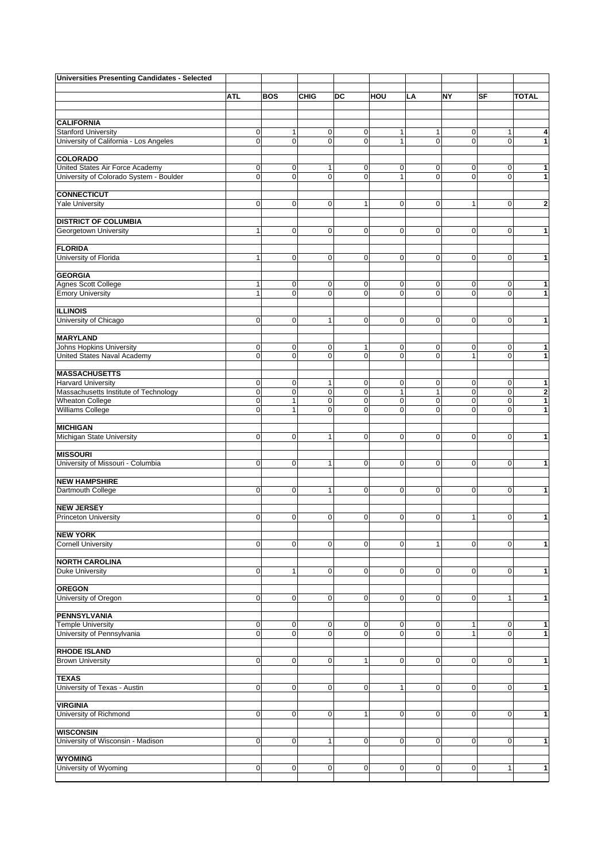| Universities Presenting Candidates - Selected         |                  |                     |                |                  |              |              |                |                |                |
|-------------------------------------------------------|------------------|---------------------|----------------|------------------|--------------|--------------|----------------|----------------|----------------|
|                                                       | <b>ATL</b>       | <b>BOS</b>          | <b>CHIG</b>    | DC               | HOU          | LA           | <b>NY</b>      | <b>SF</b>      | <b>TOTAL</b>   |
|                                                       |                  |                     |                |                  |              |              |                |                |                |
| <b>CALIFORNIA</b>                                     |                  |                     |                |                  |              |              |                |                |                |
| <b>Stanford University</b>                            | 0                | 1                   | $\mathbf 0$    | $\mathbf 0$      | 1            | 1            | $\mathbf 0$    | $\mathbf{1}$   | 4              |
| University of California - Los Angeles                | $\mathbf 0$      | $\mathbf{O}$        | $\overline{0}$ | $\mathbf 0$      | $\mathbf{1}$ | $\mathbf 0$  | $\mathbf{O}$   | $\mathbf 0$    | $\mathbf{1}$   |
|                                                       |                  |                     |                |                  |              |              |                |                |                |
| <b>COLORADO</b><br>United States Air Force Academy    | $\boldsymbol{0}$ | 0                   | 1              | 0                | 0            | 0            | $\mathbf 0$    | 0              | 1              |
| University of Colorado System - Boulder               | $\overline{0}$   | $\mathbf 0$         | $\overline{0}$ | $\mathbf 0$      | $\mathbf{1}$ | 0            | $\mathbf{O}$   | $\mathbf 0$    | $\mathbf{1}$   |
| <b>CONNECTICUT</b>                                    |                  |                     |                |                  |              |              |                |                |                |
| <b>Yale University</b>                                | $\pmb{0}$        | $\mathbf 0$         | $\overline{0}$ | $\mathbf{1}$     | $\mathbf 0$  | $\mathbf 0$  | $\mathbf{1}$   | 0              | $\bf 2$        |
| <b>DISTRICT OF COLUMBIA</b>                           |                  |                     |                |                  |              |              |                |                |                |
| Georgetown University                                 | $\mathbf{1}$     | $\mathbf 0$         | $\overline{0}$ | $\mathbf 0$      | $\mathbf 0$  | $\mathbf 0$  | $\mathbf{O}$   | $\overline{0}$ | $\mathbf{1}$   |
|                                                       |                  |                     |                |                  |              |              |                |                |                |
| <b>FLORIDA</b><br>University of Florida               | 1                | $\mathbf 0$         | $\overline{0}$ | $\mathbf 0$      | 0            | 0            | $\overline{0}$ | $\mathbf 0$    | $\mathbf{1}$   |
|                                                       |                  |                     |                |                  |              |              |                |                |                |
| <b>GEORGIA</b>                                        |                  |                     |                |                  |              |              |                |                |                |
| <b>Agnes Scott College</b>                            | $\mathbf{1}$     | $\mathbf 0$         | $\overline{0}$ | 0<br>$\mathbf 0$ | $\mathbf 0$  | 0            | $\mathbf 0$    | $\mathbf 0$    | 1              |
| <b>Emory University</b>                               | $\mathbf{1}$     | $\mathbf 0$         | $\overline{0}$ |                  | $\mathbf 0$  | $\mathbf 0$  | $\mathbf 0$    | $\Omega$       | $\mathbf{1}$   |
| <b>ILLINOIS</b>                                       |                  |                     |                |                  |              |              |                |                |                |
| University of Chicago                                 | $\pmb{0}$        | $\pmb{0}$           | 1              | $\mathbf 0$      | $\mathbf 0$  | 0            | $\overline{0}$ | $\mathbf 0$    | $\mathbf{1}$   |
| <b>MARYLAND</b>                                       |                  |                     |                |                  |              |              |                |                |                |
| Johns Hopkins University                              | $\mathbf 0$      | $\mathbf 0$         | $\mathbf 0$    | 1                | $\mathbf 0$  | $\mathbf 0$  | $\mathbf{O}$   | $\mathbf 0$    | 1              |
| United States Naval Academy                           | $\pmb{0}$        | $\mathbf{O}$        | $\overline{0}$ | $\mathbf 0$      | $\mathbf 0$  | $\mathbf 0$  | $\mathbf{1}$   | $\mathbf 0$    | $\mathbf{1}$   |
|                                                       |                  |                     |                |                  |              |              |                |                |                |
| <b>MASSACHUSETTS</b><br><b>Harvard University</b>     | $\pmb{0}$        | $\mathbf 0$         | 1              | $\mathbf 0$      | $\mathbf 0$  | 0            | $\mathbf 0$    | $\mathbf 0$    | 1              |
| Massachusetts Institute of Technology                 | $\mathbf 0$      | $\pmb{0}$           | $\mathbf 0$    | $\mathbf 0$      | $\mathbf{1}$ | $\mathbf{1}$ | $\mathbf 0$    | $\mathbf 0$    | $\bf{2}$       |
| <b>Wheaton College</b>                                | $\mathbf 0$      | $\mathbf{1}$        | $\overline{0}$ | 0                | $\mathbf 0$  | $\mathbf 0$  | $\overline{0}$ | $\mathbf 0$    | $\overline{1}$ |
| <b>Williams College</b>                               | $\mathbf 0$      | $\mathbf{1}$        | 0              | $\mathbf 0$      | $\mathbf 0$  | 0            | $\Omega$       | $\Omega$       | $\mathbf{1}$   |
| <b>MICHIGAN</b>                                       |                  |                     |                |                  |              |              |                |                |                |
| Michigan State University                             | $\pmb{0}$        | $\pmb{0}$           | 1              | 0                | $\mathbf 0$  | $\pmb{0}$    | $\overline{0}$ | $\Omega$       | $\mathbf{1}$   |
|                                                       |                  |                     |                |                  |              |              |                |                |                |
| <b>MISSOURI</b><br>University of Missouri - Columbia  | $\pmb{0}$        | $\mathsf{O}\xspace$ | $\mathbf{1}$   | $\mathbf 0$      | $\mathbf 0$  | $\mathbf 0$  | $\mathbf{O}$   | $\mathbf 0$    | $\mathbf{1}$   |
|                                                       |                  |                     |                |                  |              |              |                |                |                |
| <b>NEW HAMPSHIRE</b>                                  |                  |                     |                |                  |              |              |                |                |                |
| Dartmouth College                                     | $\pmb{0}$        | $\mathbf{O}$        | 1              | $\mathbf 0$      | $\mathbf 0$  | 0            | $\overline{0}$ | $\overline{0}$ | $\mathbf{1}$   |
| <b>NEW JERSEY</b>                                     |                  |                     |                |                  |              |              |                |                |                |
| <b>Princeton University</b>                           | $\mathbf 0$      | $\mathbf 0$         | $\overline{0}$ | 0                | $\mathbf 0$  | $\mathbf 0$  | $\mathbf{1}$   | $\Omega$       | $\mathbf{1}$   |
|                                                       |                  |                     |                |                  |              |              |                |                |                |
| <b>NEW YORK</b><br><b>Cornell University</b>          | $\pmb{0}$        | $\pmb{0}$           | $\mathbf 0$    | $\mathbf 0$      | $\mathbf 0$  | $\mathbf{1}$ | $\mathbf 0$    | $\mathbf 0$    | $\mathbf{1}$   |
|                                                       |                  |                     |                |                  |              |              |                |                |                |
| <b>NORTH CAROLINA</b>                                 |                  |                     |                |                  |              |              |                |                |                |
| <b>Duke University</b>                                | 0                | $\mathbf{1}$        | $\overline{0}$ | $\mathbf 0$      | $\mathbf 0$  | $\mathbf 0$  | $\overline{0}$ | $\mathbf 0$    | $\mathbf{1}$   |
| <b>OREGON</b>                                         |                  |                     |                |                  |              |              |                |                |                |
| University of Oregon                                  | $\overline{0}$   | $\mathbf 0$         | $\overline{0}$ | $\mathbf 0$      | $\mathbf 0$  | 0            | $\overline{0}$ | $\mathbf{1}$   | $\overline{1}$ |
|                                                       |                  |                     |                |                  |              |              |                |                |                |
| PENNSYLVANIA<br><b>Temple University</b>              | $\pmb{0}$        | $\pmb{0}$           | $\overline{0}$ | $\pmb{0}$        | $\pmb{0}$    | $\pmb{0}$    | $\mathbf{1}$   | $\mathbf 0$    | $\overline{1}$ |
| University of Pennsylvania                            | $\pmb{0}$        | $\mathbf 0$         | $\overline{0}$ | $\mathbf 0$      | $\mathbf 0$  | $\mathbf 0$  | $\mathbf{1}$   | $\mathbf 0$    | $\mathbf{1}$   |
|                                                       |                  |                     |                |                  |              |              |                |                |                |
| <b>RHODE ISLAND</b><br><b>Brown University</b>        | $\pmb{0}$        | $\mathbf 0$         | $\mathbf 0$    | 1                | $\mathbf 0$  | 0            | $\overline{0}$ | $\overline{0}$ | $\mathbf{1}$   |
|                                                       |                  |                     |                |                  |              |              |                |                |                |
| <b>TEXAS</b>                                          |                  |                     |                |                  |              |              |                |                |                |
| University of Texas - Austin                          | 0                | $\mathbf 0$         | $\mathbf 0$    | $\mathbf 0$      | $\mathbf{1}$ | $\mathbf 0$  | $\overline{0}$ | $\overline{0}$ | $\mathbf{1}$   |
| <b>VIRGINIA</b>                                       |                  |                     |                |                  |              |              |                |                |                |
| University of Richmond                                | $\pmb{0}$        | $\mathsf{O}\xspace$ | $\mathbf 0$    | 1                | $\mathbf 0$  | 0            | $\overline{0}$ | $\mathbf 0$    | $\mathbf{1}$   |
|                                                       |                  |                     |                |                  |              |              |                |                |                |
| <b>WISCONSIN</b><br>University of Wisconsin - Madison | 0                | $\mathbf 0$         | 1              | $\mathbf 0$      | 0            | $\pmb{0}$    | $\overline{0}$ | $\mathbf 0$    | $\overline{1}$ |
|                                                       |                  |                     |                |                  |              |              |                |                |                |
| <b>WYOMING</b>                                        |                  |                     |                |                  |              |              |                |                |                |
| University of Wyoming                                 | $\overline{0}$   | $\pmb{0}$           | $\overline{0}$ | $\pmb{0}$        | $\pmb{0}$    | 0            | $\mathbf 0$    | 1              | $\overline{1}$ |
|                                                       |                  |                     |                |                  |              |              |                |                |                |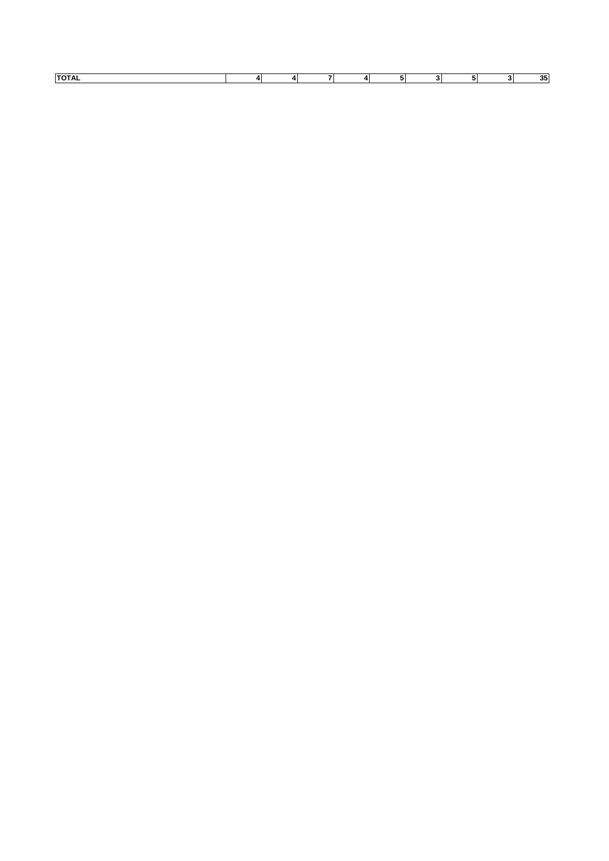| דחדו |  |  |  |  |  |
|------|--|--|--|--|--|
|      |  |  |  |  |  |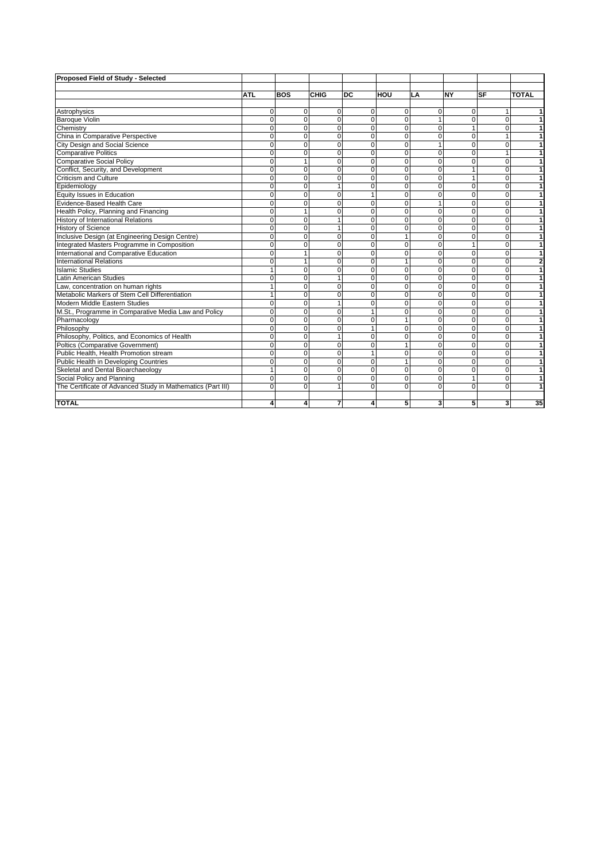| Proposed Field of Study - Selected                          |              |             |                |                         |             |                |             |                |              |
|-------------------------------------------------------------|--------------|-------------|----------------|-------------------------|-------------|----------------|-------------|----------------|--------------|
|                                                             |              |             |                |                         |             |                |             |                |              |
|                                                             | <b>ATL</b>   | <b>BOS</b>  | CHIG           | <b>DC</b>               | HOU         | LA             | <b>NY</b>   | <b>SF</b>      | <b>TOTAL</b> |
|                                                             |              |             |                |                         |             |                |             |                |              |
| Astrophysics                                                | $\Omega$     | 0           | $\Omega$       | $\mathbf 0$             | 0           | $\Omega$       | $\Omega$    |                |              |
| <b>Baroque Violin</b>                                       | $\Omega$     | $\mathbf 0$ | $\Omega$       | $\mathbf 0$             | $\Omega$    | $\overline{1}$ | $\mathbf 0$ | $\Omega$       |              |
| Chemistry                                                   | $\mathbf 0$  | 0           | $\mathbf{0}$   | $\mathbf 0$             | $\Omega$    | $\mathbf 0$    | 1           | 0              |              |
| China in Comparative Perspective                            | $\Omega$     | $\mathbf 0$ | $\mathbf{0}$   | $\mathbf 0$             | $\mathbf 0$ | $\Omega$       | $\mathbf 0$ | $\overline{1}$ |              |
| City Design and Social Science                              | $\Omega$     | $\mathbf 0$ | $\mathbf{0}$   | $\mathbf 0$             | $\Omega$    | $\overline{1}$ | $\Omega$    | $\mathbf 0$    |              |
| <b>Comparative Politics</b>                                 | $\Omega$     | $\Omega$    | $\Omega$       | $\Omega$                | $\Omega$    | $\Omega$       | $\Omega$    | $\overline{1}$ |              |
| <b>Comparative Social Policy</b>                            | $\Omega$     | 1           | $\Omega$       | $\Omega$                | $\Omega$    | $\Omega$       | $\Omega$    | $\Omega$       |              |
| Conflict, Security, and Development                         | $\Omega$     | $\Omega$    | $\Omega$       | $\Omega$                | $\Omega$    | $\Omega$       | 1           | $\Omega$       |              |
| <b>Criticism and Culture</b>                                | $\Omega$     | $\Omega$    | $\Omega$       | $\Omega$                | $\Omega$    | $\Omega$       | 1           | $\Omega$       |              |
| Epidemiology                                                | $\mathbf 0$  | $\mathbf 0$ | $\mathbf{1}$   | $\mathbf 0$             | $\mathbf 0$ | $\mathbf 0$    | 0           | 0              |              |
| Equity Issues in Education                                  | $\Omega$     | $\mathbf 0$ | $\mathbf{0}$   | $\overline{1}$          | $\Omega$    | $\Omega$       | $\Omega$    | $\Omega$       |              |
| Evidence-Based Health Care                                  | $\Omega$     | $\Omega$    | $\Omega$       | $\Omega$                | $\Omega$    | $\overline{1}$ | $\Omega$    | $\Omega$       |              |
| Health Policy, Planning and Financing                       | $\Omega$     | 1           | $\Omega$       | $\Omega$                | $\Omega$    | $\Omega$       | $\Omega$    | $\Omega$       |              |
| History of International Relations                          | $\Omega$     | 0           | $\mathbf{1}$   | $\mathbf 0$             | $\Omega$    | $\mathbf 0$    | $\mathbf 0$ | $\Omega$       |              |
| <b>History of Science</b>                                   | $\Omega$     | $\Omega$    | $\mathbf{1}$   | $\Omega$                | $\Omega$    | $\Omega$       | $\Omega$    | $\Omega$       |              |
| Inclusive Design (at Engineering Design Centre)             | $\Omega$     | $\Omega$    | $\Omega$       | $\Omega$                |             | $\Omega$       | $\Omega$    | $\Omega$       |              |
| Integrated Masters Programme in Composition                 | $\mathbf 0$  | $\mathbf 0$ | $\mathbf{0}$   | $\mathbf 0$             | $\mathbf 0$ | $\mathbf 0$    | 1           | 0              |              |
| International and Comparative Education                     | $\Omega$     | 1           | $\mathbf{0}$   | $\Omega$                | $\Omega$    | $\mathbf 0$    | $\mathbf 0$ | $\Omega$       |              |
| <b>International Relations</b>                              | $\Omega$     | 1           | $\mathbf{0}$   | $\mathbf 0$             |             | $\mathbf 0$    | $\mathbf 0$ | $\mathbf 0$    |              |
| <b>Islamic Studies</b>                                      | 1            | $\Omega$    | $\Omega$       | $\Omega$                | $\Omega$    | $\Omega$       | $\Omega$    | $\Omega$       |              |
| <b>Latin American Studies</b>                               | $\Omega$     | $\mathbf 0$ | $\mathbf{1}$   | $\Omega$                | $\Omega$    | $\Omega$       | $\Omega$    | $\Omega$       |              |
| Law, concentration on human rights                          | $\mathbf{1}$ | 0           | $\mathbf{0}$   | $\Omega$                | $\Omega$    | $\Omega$       | $\Omega$    | $\Omega$       |              |
| Metabolic Markers of Stem Cell Differentiation              | $\mathbf{1}$ | $\mathbf 0$ | $\mathbf{0}$   | $\Omega$                | $\Omega$    | $\Omega$       | $\Omega$    | $\Omega$       |              |
| Modern Middle Eastern Studies                               | $\mathbf 0$  | $\mathbf 0$ | $\mathbf{1}$   | $\mathbf 0$             | $\mathbf 0$ | $\mathbf 0$    | $\Omega$    | 0              |              |
| M.St., Programme in Comparative Media Law and Policy        | $\Omega$     | $\mathbf 0$ | $\mathbf{0}$   | 1                       | $\Omega$    | $\Omega$       | $\Omega$    | $\Omega$       |              |
| Pharmacology                                                | $\mathbf 0$  | $\mathbf 0$ | $\mathbf{0}$   | $\mathbf 0$             |             | $\mathbf 0$    | 0           | $\Omega$       |              |
| Philosophy                                                  | $\mathbf 0$  | $\mathbf 0$ | $\mathbf{0}$   | 1                       | $\mathbf 0$ | $\mathbf 0$    | $\Omega$    | $\Omega$       |              |
| Philosophy, Politics, and Economics of Health               | $\Omega$     | $\mathbf 0$ | $\mathbf{1}$   | $\mathbf 0$             | $\Omega$    | $\Omega$       | $\Omega$    | $\Omega$       |              |
| Poltics (Comparative Government)                            | $\Omega$     | $\mathbf 0$ | $\Omega$       | $\mathbf 0$             |             | $\Omega$       | $\Omega$    | $\Omega$       |              |
| Public Health, Health Promotion stream                      | $\Omega$     | $\Omega$    | $\Omega$       | $\mathbf{1}$            | $\Omega$    | $\Omega$       | $\Omega$    | $\Omega$       |              |
| Public Health in Developing Countries                       | $\Omega$     | $\Omega$    | $\Omega$       | $\Omega$                |             | $\Omega$       | $\Omega$    | $\Omega$       |              |
| Skeletal and Dental Bioarchaeology                          | 1            | 0           | $\mathbf{0}$   | $\Omega$                | $\Omega$    | $\Omega$       | 0           | $\Omega$       |              |
| Social Policy and Planning                                  | $\mathbf 0$  | $\mathbf 0$ | $\overline{0}$ | $\mathbf 0$             | $\mathbf 0$ | $\mathbf 0$    | 1           | $\mathbf 0$    |              |
| The Certificate of Advanced Study in Mathematics (Part III) | $\Omega$     | $\Omega$    | $\mathbf{1}$   | $\Omega$                | $\Omega$    | $\Omega$       | $\Omega$    | $\Omega$       |              |
| <b>TOTAL</b>                                                | 4            | 4           | $\overline{7}$ | $\overline{\mathbf{A}}$ | 5           | 3              | 5           | 3              | 35           |